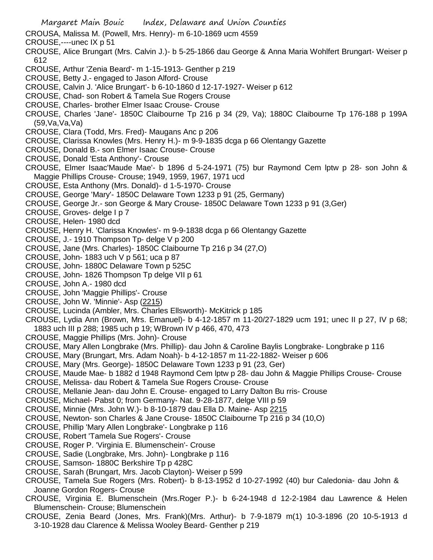- Margaret Main Bouic Index, Delaware and Union Counties CROUSA, Malissa M. (Powell, Mrs. Henry)- m 6-10-1869 ucm 4559 CROUSE,----unec IX p 51 CROUSE, Alice Brungart (Mrs. Calvin J.)- b 5-25-1866 dau George & Anna Maria Wohlfert Brungart- Weiser p 612 CROUSE, Arthur 'Zenia Beard'- m 1-15-1913- Genther p 219 CROUSE, Betty J.- engaged to Jason Alford- Crouse CROUSE, Calvin J. 'Alice Brungart'- b 6-10-1860 d 12-17-1927- Weiser p 612 CROUSE, Chad- son Robert & Tamela Sue Rogers Crouse CROUSE, Charles- brother Elmer Isaac Crouse- Crouse CROUSE, Charles 'Jane'- 1850C Claibourne Tp 216 p 34 (29, Va); 1880C Claibourne Tp 176-188 p 199A (59,Va,Va,Va) CROUSE, Clara (Todd, Mrs. Fred)- Maugans Anc p 206 CROUSE, Clarissa Knowles (Mrs. Henry H.)- m 9-9-1835 dcga p 66 Olentangy Gazette CROUSE, Donald B.- son Elmer Isaac Crouse- Crouse CROUSE, Donald 'Esta Anthony'- Crouse CROUSE, Elmer Isaac'Maude Mae'- b 1896 d 5-24-1971 (75) bur Raymond Cem lptw p 28- son John & Maggie Phillips Crouse- Crouse; 1949, 1959, 1967, 1971 ucd CROUSE, Esta Anthony (Mrs. Donald)- d 1-5-1970- Crouse CROUSE, George 'Mary'- 1850C Delaware Town 1233 p 91 (25, Germany) CROUSE, George Jr.- son George & Mary Crouse- 1850C Delaware Town 1233 p 91 (3,Ger) CROUSE, Groves- delge I p 7 CROUSE, Helen- 1980 dcd CROUSE, Henry H. 'Clarissa Knowles'- m 9-9-1838 dcga p 66 Olentangy Gazette CROUSE, J.- 1910 Thompson Tp- delge V p 200 CROUSE, Jane (Mrs. Charles)- 1850C Claibourne Tp 216 p 34 (27,O) CROUSE, John- 1883 uch V p 561; uca p 87 CROUSE, John- 1880C Delaware Town p 525C CROUSE, John- 1826 Thompson Tp delge VII p 61 CROUSE, John A.- 1980 dcd CROUSE, John 'Maggie Phillips'- Crouse CROUSE, John W. 'Minnie'- Asp (2215) CROUSE, Lucinda (Ambler, Mrs. Charles Ellsworth)- McKitrick p 185 CROUSE, Lydia Ann (Brown, Mrs. Emanuel)- b 4-12-1857 m 11-20/27-1829 ucm 191; unec II p 27, IV p 68; 1883 uch III p 288; 1985 uch p 19; WBrown IV p 466, 470, 473 CROUSE, Maggie Phillips (Mrs. John)- Crouse CROUSE, Mary Allen Longbrake (Mrs. Phillip)- dau John & Caroline Baylis Longbrake- Longbrake p 116 CROUSE, Mary (Brungart, Mrs. Adam Noah)- b 4-12-1857 m 11-22-1882- Weiser p 606 CROUSE, Mary (Mrs. George)- 1850C Delaware Town 1233 p 91 (23, Ger) CROUSE, Maude Mae- b 1882 d 1948 Raymond Cem lptw p 28- dau John & Maggie Phillips Crouse- Crouse CROUSE, Melissa- dau Robert & Tamela Sue Rogers Crouse- Crouse CROUSE, Mellanie Jean- dau John E. Crouse- engaged to Larry Dalton Bu rris- Crouse CROUSE, Michael- Pabst 0; from Germany- Nat. 9-28-1877, delge VIII p 59 CROUSE, Minnie (Mrs. John W.)- b 8-10-1879 dau Ella D. Maine- Asp 2215 CROUSE, Newton- son Charles & Jane Crouse- 1850C Claibourne Tp 216 p 34 (10,O) CROUSE, Phillip 'Mary Allen Longbrake'- Longbrake p 116 CROUSE, Robert 'Tamela Sue Rogers'- Crouse CROUSE, Roger P. 'Virginia E. Blumenschein'- Crouse CROUSE, Sadie (Longbrake, Mrs. John)- Longbrake p 116 CROUSE, Samson- 1880C Berkshire Tp p 428C CROUSE, Sarah (Brungart, Mrs. Jacob Clayton)- Weiser p 599 CROUSE, Tamela Sue Rogers (Mrs. Robert)- b 8-13-1952 d 10-27-1992 (40) bur Caledonia- dau John & Joanne Gordon Rogers- Crouse CROUSE, Virginia E. Blumenschein (Mrs.Roger P.)- b 6-24-1948 d 12-2-1984 dau Lawrence & Helen Blumenschein- Crouse; Blumenschein
- CROUSE, Zenia Beard (Jones, Mrs. Frank)(Mrs. Arthur)- b 7-9-1879 m(1) 10-3-1896 (20 10-5-1913 d 3-10-1928 dau Clarence & Melissa Wooley Beard- Genther p 219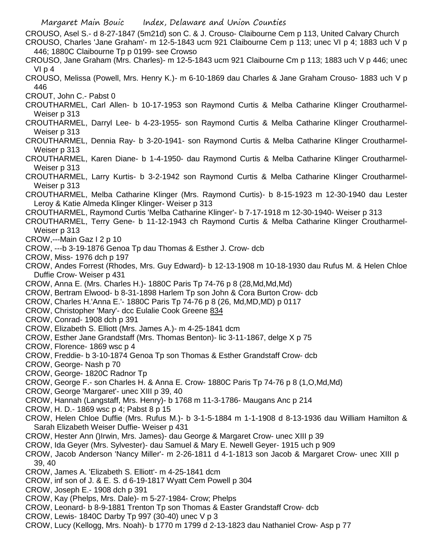- Margaret Main Bouic Index, Delaware and Union Counties
- CROUSO, Asel S.- d 8-27-1847 (5m21d) son C. & J. Crouso- Claibourne Cem p 113, United Calvary Church CROUSO, Charles 'Jane Graham'- m 12-5-1843 ucm 921 Claibourne Cem p 113; unec VI p 4; 1883 uch V p 446; 1880C Claibourne Tp p 0199- see Crowso
- CROUSO, Jane Graham (Mrs. Charles)- m 12-5-1843 ucm 921 Claibourne Cm p 113; 1883 uch V p 446; unec VI p 4
- CROUSO, Melissa (Powell, Mrs. Henry K.)- m 6-10-1869 dau Charles & Jane Graham Crouso- 1883 uch V p 446
- CROUT, John C.- Pabst 0
- CROUTHARMEL, Carl Allen- b 10-17-1953 son Raymond Curtis & Melba Catharine Klinger Croutharmel-Weiser p 313
- CROUTHARMEL, Darryl Lee- b 4-23-1955- son Raymond Curtis & Melba Catharine Klinger Croutharmel-Weiser p 313
- CROUTHARMEL, Dennia Ray- b 3-20-1941- son Raymond Curtis & Melba Catharine Klinger Croutharmel-Weiser p 313
- CROUTHARMEL, Karen Diane- b 1-4-1950- dau Raymond Curtis & Melba Catharine Klinger Croutharmel-Weiser p 313
- CROUTHARMEL, Larry Kurtis- b 3-2-1942 son Raymond Curtis & Melba Catharine Klinger Croutharmel-Weiser p 313
- CROUTHARMEL, Melba Catharine Klinger (Mrs. Raymond Curtis)- b 8-15-1923 m 12-30-1940 dau Lester Leroy & Katie Almeda Klinger Klinger- Weiser p 313
- CROUTHARMEL, Raymond Curtis 'Melba Catharine Klinger'- b 7-17-1918 m 12-30-1940- Weiser p 313
- CROUTHARMEL, Terry Gene- b 11-12-1943 ch Raymond Curtis & Melba Catharine Klinger Croutharmel-Weiser p 313
- CROW,---Main Gaz I 2 p 10
- CROW, ---b 3-19-1876 Genoa Tp dau Thomas & Esther J. Crow- dcb
- CROW, Miss- 1976 dch p 197
- CROW, Andes Forrest (Rhodes, Mrs. Guy Edward)- b 12-13-1908 m 10-18-1930 dau Rufus M. & Helen Chloe Duffie Crow- Weiser p 431
- CROW, Anna E. (Mrs. Charles H.)- 1880C Paris Tp 74-76 p 8 (28,Md,Md,Md)
- CROW, Bertram Elwood- b 8-31-1898 Harlem Tp son John & Cora Burton Crow- dcb
- CROW, Charles H.'Anna E.'- 1880C Paris Tp 74-76 p 8 (26, Md,MD,MD) p 0117
- CROW, Christopher 'Mary'- dcc Eulalie Cook Greene 834
- CROW, Conrad- 1908 dch p 391
- CROW, Elizabeth S. Elliott (Mrs. James A.)- m 4-25-1841 dcm
- CROW, Esther Jane Grandstaff (Mrs. Thomas Benton)- lic 3-11-1867, delge X p 75
- CROW, Florence- 1869 wsc p 4
- CROW, Freddie- b 3-10-1874 Genoa Tp son Thomas & Esther Grandstaff Crow- dcb
- CROW, George- Nash p 70
- CROW, George- 1820C Radnor Tp
- CROW, George F.- son Charles H. & Anna E. Crow- 1880C Paris Tp 74-76 p 8 (1,O,Md,Md)
- CROW, George 'Margaret'- unec XIII p 39, 40
- CROW, Hannah (Langstaff, Mrs. Henry)- b 1768 m 11-3-1786- Maugans Anc p 214
- CROW, H. D.- 1869 wsc p 4; Pabst 8 p 15
- CROW, Helen Chloe Duffie (Mrs. Rufus M.)- b 3-1-5-1884 m 1-1-1908 d 8-13-1936 dau William Hamilton & Sarah Elizabeth Weiser Duffie- Weiser p 431
- CROW, Hester Ann ()Irwin, Mrs. James)- dau George & Margaret Crow- unec XIII p 39
- CROW, Ida Geyer (Mrs. Sylvester)- dau Samuel & Mary E. Newell Geyer- 1915 uch p 909
- CROW, Jacob Anderson 'Nancy Miller'- m 2-26-1811 d 4-1-1813 son Jacob & Margaret Crow- unec XIII p 39, 40
- CROW, James A. 'Elizabeth S. Elliott'- m 4-25-1841 dcm
- CROW, inf son of J. & E. S. d 6-19-1817 Wyatt Cem Powell p 304
- CROW, Joseph E.- 1908 dch p 391
- CROW, Kay (Phelps, Mrs. Dale)- m 5-27-1984- Crow; Phelps
- CROW, Leonard- b 8-9-1881 Trenton Tp son Thomas & Easter Grandstaff Crow- dcb
- CROW, Lewis- 1840C Darby Tp 997 (30-40) unec V p 3
- CROW, Lucy (Kellogg, Mrs. Noah)- b 1770 m 1799 d 2-13-1823 dau Nathaniel Crow- Asp p 77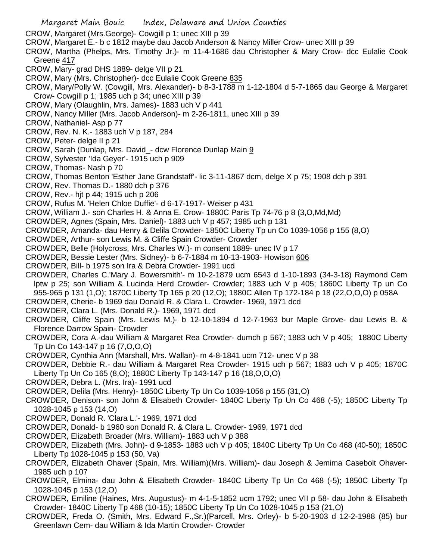Margaret Main Bouic Index, Delaware and Union Counties CROW, Margaret (Mrs.George)- Cowgill p 1; unec XIII p 39 CROW, Margaret E.- b c 1812 maybe dau Jacob Anderson & Nancy Miller Crow- unec XIII p 39 CROW, Martha (Phelps, Mrs. Timothy Jr.)- m 11-4-1686 dau Christopher & Mary Crow- dcc Eulalie Cook Greene 417 CROW, Mary- grad DHS 1889- delge VII p 21 CROW, Mary (Mrs. Christopher)- dcc Eulalie Cook Greene 835 CROW, Mary/Polly W. (Cowgill, Mrs. Alexander)- b 8-3-1788 m 1-12-1804 d 5-7-1865 dau George & Margaret Crow- Cowgill p 1; 1985 uch p 34; unec XIII p 39 CROW, Mary (Olaughlin, Mrs. James)- 1883 uch V p 441 CROW, Nancy Miller (Mrs. Jacob Anderson)- m 2-26-1811, unec XIII p 39 CROW, Nathaniel- Asp p 77 CROW, Rev. N. K.- 1883 uch V p 187, 284 CROW, Peter- delge II p 21 CROW, Sarah (Dunlap, Mrs. David\_- dcw Florence Dunlap Main 9 CROW, Sylvester 'Ida Geyer'- 1915 uch p 909 CROW, Thomas- Nash p 70 CROW, Thomas Benton 'Esther Jane Grandstaff'- lic 3-11-1867 dcm, delge X p 75; 1908 dch p 391 CROW, Rev. Thomas D.- 1880 dch p 376 CROW, Rev.- hjt p 44; 1915 uch p 206 CROW, Rufus M. 'Helen Chloe Duffie'- d 6-17-1917- Weiser p 431 CROW, William J.- son Charles H. & Anna E. Crow- 1880C Paris Tp 74-76 p 8 (3,O,Md,Md) CROWDER, Agnes (Spain, Mrs. Daniel)- 1883 uch V p 457; 1985 uch p 131 CROWDER, Amanda- dau Henry & Delila Crowder- 1850C Liberty Tp un Co 1039-1056 p 155 (8,O) CROWDER, Arthur- son Lewis M. & Cliffe Spain Crowder- Crowder CROWDER, Belle (Holycross, Mrs. Charles W.)- m consent 1889- unec IV p 17 CROWDER, Bessie Lester (Mrs. Sidney)- b 6-7-1884 m 10-13-1903- Howison 606 CROWDER, Bill- b 1975 son Ira & Debra Crowder- 1991 ucd CROWDER, Charles C.'Mary J. Bowersmith'- m 10-2-1879 ucm 6543 d 1-10-1893 (34-3-18) Raymond Cem lptw p 25; son William & Lucinda Herd Crowder- Crowder; 1883 uch V p 405; 1860C Liberty Tp un Co 955-965 p 131 (1,O); 1870C Liberty Tp 165 p 20 (12,O); 1880C Allen Tp 172-184 p 18 (22,O,O,O) p 058A CROWDER, Cherie- b 1969 dau Donald R. & Clara L. Crowder- 1969, 1971 dcd CROWDER, Clara L. (Mrs. Donald R.)- 1969, 1971 dcd CROWDER, Cliffe Spain (Mrs. Lewis M.)- b 12-10-1894 d 12-7-1963 bur Maple Grove- dau Lewis B. & Florence Darrow Spain- Crowder CROWDER, Cora A.-dau William & Margaret Rea Crowder- dumch p 567; 1883 uch V p 405; 1880C Liberty Tp Un Co 143-147 p 16 (7,O,O,O) CROWDER, Cynthia Ann (Marshall, Mrs. Wallan)- m 4-8-1841 ucm 712- unec V p 38 CROWDER, Debbie R.- dau William & Margaret Rea Crowder- 1915 uch p 567; 1883 uch V p 405; 1870C Liberty Tp Un Co 165 (8,O); 1880C Liberty Tp 143-147 p 16 (18,O,O,O) CROWDER, Debra L. (Mrs. Ira)- 1991 ucd CROWDER, Delila (Mrs. Henry)- 1850C Liberty Tp Un Co 1039-1056 p 155 (31,O) CROWDER, Denison- son John & Elisabeth Crowder- 1840C Liberty Tp Un Co 468 (-5); 1850C Liberty Tp 1028-1045 p 153 (14,O) CROWDER, Donald R. 'Clara L.'- 1969, 1971 dcd CROWDER, Donald- b 1960 son Donald R. & Clara L. Crowder- 1969, 1971 dcd CROWDER, Elizabeth Broader (Mrs. William)- 1883 uch V p 388 CROWDER, Elizabeth (Mrs. John)- d 9-1853- 1883 uch V p 405; 1840C Liberty Tp Un Co 468 (40-50); 1850C Liberty Tp 1028-1045 p 153 (50, Va)

CROWDER, Elizabeth Ohaver (Spain, Mrs. William)(Mrs. William)- dau Joseph & Jemima Casebolt Ohaver-1985 uch p 107

- CROWDER, Elmina- dau John & Elisabeth Crowder- 1840C Liberty Tp Un Co 468 (-5); 1850C Liberty Tp 1028-1045 p 153 (12,O)
- CROWDER, Emiline (Haines, Mrs. Augustus)- m 4-1-5-1852 ucm 1792; unec VII p 58- dau John & Elisabeth Crowder- 1840C Liberty Tp 468 (10-15); 1850C Liberty Tp Un Co 1028-1045 p 153 (21,O)
- CROWDER, Freda O. (Smith, Mrs. Edward F.,Sr.)(Parcell, Mrs. Orley)- b 5-20-1903 d 12-2-1988 (85) bur Greenlawn Cem- dau William & Ida Martin Crowder- Crowder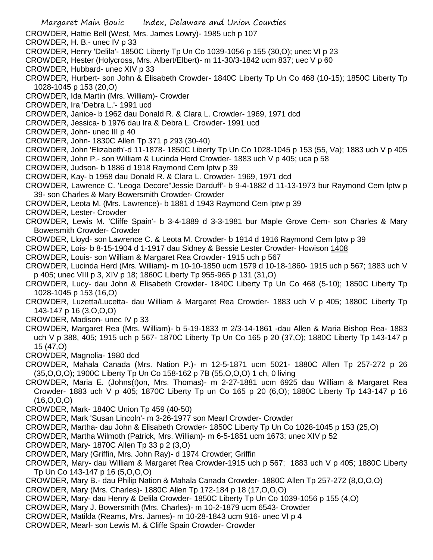- Margaret Main Bouic Index, Delaware and Union Counties
- CROWDER, Hattie Bell (West, Mrs. James Lowry)- 1985 uch p 107
- CROWDER, H. B.- unec IV p 33
- CROWDER, Henry 'Delila'- 1850C Liberty Tp Un Co 1039-1056 p 155 (30,O); unec VI p 23
- CROWDER, Hester (Holycross, Mrs. Albert/Elbert)- m 11-30/3-1842 ucm 837; uec V p 60
- CROWDER, Hubbard- unec XIV p 33
- CROWDER, Hurbert- son John & Elisabeth Crowder- 1840C Liberty Tp Un Co 468 (10-15); 1850C Liberty Tp 1028-1045 p 153 (20,O)
- CROWDER, Ida Martin (Mrs. William)- Crowder
- CROWDER, Ira 'Debra L.'- 1991 ucd
- CROWDER, Janice- b 1962 dau Donald R. & Clara L. Crowder- 1969, 1971 dcd
- CROWDER, Jessica- b 1976 dau Ira & Debra L. Crowder- 1991 ucd
- CROWDER, John- unec III p 40
- CROWDER, John- 1830C Allen Tp 371 p 293 (30-40)
- CROWDER, John 'Elizabeth'-d 11-1878- 1850C Liberty Tp Un Co 1028-1045 p 153 (55, Va); 1883 uch V p 405
- CROWDER, John P.- son William & Lucinda Herd Crowder- 1883 uch V p 405; uca p 58
- CROWDER, Judson- b 1886 d 1918 Raymond Cem lptw p 39
- CROWDER, Kay- b 1958 dau Donald R. & Clara L. Crowder- 1969, 1971 dcd
- CROWDER, Lawrence C. 'Leoga Decore''Jessie Darduff'- b 9-4-1882 d 11-13-1973 bur Raymond Cem lptw p 39- son Charles & Mary Bowersmith Crowder- Crowder
- CROWDER, Leota M. (Mrs. Lawrence)- b 1881 d 1943 Raymond Cem lptw p 39
- CROWDER, Lester- Crowder
- CROWDER, Lewis M. 'Cliffe Spain'- b 3-4-1889 d 3-3-1981 bur Maple Grove Cem- son Charles & Mary Bowersmith Crowder- Crowder
- CROWDER, Lloyd- son Lawrence C. & Leota M. Crowder- b 1914 d 1916 Raymond Cem lptw p 39
- CROWDER, Lois- b 8-15-1904 d 1-1917 dau Sidney & Bessie Lester Crowder- Howison 1408
- CROWDER, Louis- son William & Margaret Rea Crowder- 1915 uch p 567
- CROWDER, Lucinda Herd (Mrs. William)- m 10-10-1850 ucm 1579 d 10-18-1860- 1915 uch p 567; 1883 uch V p 405; unec VIII p 3, XIV p 18; 1860C Liberty Tp 955-965 p 131 (31,O)
- CROWDER, Lucy- dau John & Elisabeth Crowder- 1840C Liberty Tp Un Co 468 (5-10); 1850C Liberty Tp 1028-1045 p 153 (16,O)
- CROWDER, Luzetta/Lucetta- dau William & Margaret Rea Crowder- 1883 uch V p 405; 1880C Liberty Tp 143-147 p 16 (3,O,O,O)
- CROWDER, Madison- unec IV p 33
- CROWDER, Margaret Rea (Mrs. William)- b 5-19-1833 m 2/3-14-1861 -dau Allen & Maria Bishop Rea- 1883 uch V p 388, 405; 1915 uch p 567- 1870C Liberty Tp Un Co 165 p 20 (37,O); 1880C Liberty Tp 143-147 p 15 (47,O)
- CROWDER, Magnolia- 1980 dcd
- CROWDER, Mahala Canada (Mrs. Nation P.)- m 12-5-1871 ucm 5021- 1880C Allen Tp 257-272 p 26 (35,O,O,O); 1900C Liberty Tp Un Co 158-162 p 7B (55,O,O,O) 1 ch, 0 living
- CROWDER, Maria E. (Johns(t)on, Mrs. Thomas)- m 2-27-1881 ucm 6925 dau William & Margaret Rea Crowder- 1883 uch V p 405; 1870C Liberty Tp un Co 165 p 20 (6,O); 1880C Liberty Tp 143-147 p 16 (16,O,O,O)
- CROWDER, Mark- 1840C Union Tp 459 (40-50)
- CROWDER, Mark 'Susan Lincoln'- m 3-26-1977 son Mearl Crowder- Crowder
- CROWDER, Martha- dau John & Elisabeth Crowder- 1850C Liberty Tp Un Co 1028-1045 p 153 (25,O)
- CROWDER, Martha Wilmoth (Patrick, Mrs. William)- m 6-5-1851 ucm 1673; unec XIV p 52
- CROWDER, Mary- 1870C Allen Tp 33 p 2 (3,O)
- CROWDER, Mary (Griffin, Mrs. John Ray)- d 1974 Crowder; Griffin
- CROWDER, Mary- dau William & Margaret Rea Crowder-1915 uch p 567; 1883 uch V p 405; 1880C Liberty Tp Un Co 143-147 p 16 (5,O,O,O)
- CROWDER, Mary B.- dau Philip Nation & Mahala Canada Crowder- 1880C Allen Tp 257-272 (8,O,O,O)
- CROWDER, Mary (Mrs. Charles)- 1880C Allen Tp 172-184 p 18 (17,O,O,O)
- CROWDER, Mary- dau Henry & Delila Crowder- 1850C Liberty Tp Un Co 1039-1056 p 155 (4,O)
- CROWDER, Mary J. Bowersmith (Mrs. Charles)- m 10-2-1879 ucm 6543- Crowder
- CROWDER, Matilda (Reams, Mrs. James)- m 10-28-1843 ucm 916- unec VI p 4
- CROWDER, Mearl- son Lewis M. & Cliffe Spain Crowder- Crowder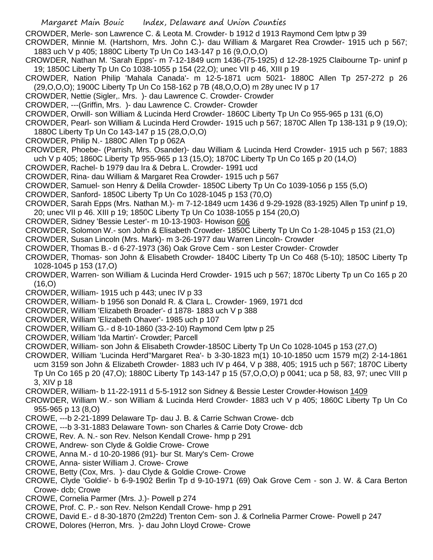CROWDER, Merle- son Lawrence C. & Leota M. Crowder- b 1912 d 1913 Raymond Cem lptw p 39

- CROWDER, Minnie M. (Hartshorn, Mrs. John C.)- dau William & Margaret Rea Crowder- 1915 uch p 567; 1883 uch V p 405; 1880C Liberty Tp Un Co 143-147 p 16 (9,O,O,O)
- CROWDER, Nathan M. 'Sarah Epps'- m 7-12-1849 ucm 1436-(75-1925) d 12-28-1925 Claibourne Tp- uninf p 19; 1850C Liberty Tp Un Co 1038-1055 p 154 (22,O); unec VII p 46, XIII p 19
- CROWDER, Nation Philip 'Mahala Canada'- m 12-5-1871 ucm 5021- 1880C Allen Tp 257-272 p 26 (29,O,O,O); 1900C Liberty Tp Un Co 158-162 p 7B (48,O,O,O) m 28y unec IV p 17
- CROWDER, Nettie (Sigler,. Mrs. )- dau Lawrence C. Crowder- Crowder
- CROWDER, ---(Griffin, Mrs. )- dau Lawrence C. Crowder- Crowder
- CROWDER, Orwill- son William & Lucinda Herd Crowder- 1860C Liberty Tp Un Co 955-965 p 131 (6,O)
- CROWDER, Pearl- son William & Lucinda Herd Crowder- 1915 uch p 567; 1870C Allen Tp 138-131 p 9 (19,O); 1880C Liberty Tp Un Co 143-147 p 15 (28,O,O,O)
- CROWDER, Philip N.- 1880C Allen Tp p 062A
- CROWDER, Phoebe- (Parrish, Mrs. Osander)- dau William & Lucinda Herd Crowder- 1915 uch p 567; 1883 uch V p 405; 1860C Liberty Tp 955-965 p 13 (15,O); 1870C Liberty Tp Un Co 165 p 20 (14,O)
- CROWDER, Rachel- b 1979 dau Ira & Debra L. Crowder- 1991 ucd
- CROWDER, Rina- dau William & Margaret Rea Crowder- 1915 uch p 567
- CROWDER, Samuel- son Henry & Delila Crowder- 1850C Liberty Tp Un Co 1039-1056 p 155 (5,O)
- CROWDER, Sanford- 1850C Liberty Tp Un Co 1028-1045 p 153 (70,O)
- CROWDER, Sarah Epps (Mrs. Nathan M.)- m 7-12-1849 ucm 1436 d 9-29-1928 (83-1925) Allen Tp uninf p 19, 20; unec VII p 46. XIII p 19; 1850C Liberty Tp Un Co 1038-1055 p 154 (20,O)
- CROWDER, Sidney 'Bessie Lester'- m 10-13-1903- Howison 606
- CROWDER, Solomon W.- son John & Elisabeth Crowder- 1850C Liberty Tp Un Co 1-28-1045 p 153 (21,O)
- CROWDER, Susan Lincoln (Mrs. Mark)- m 3-26-1977 dau Warren Lincoln- Crowder
- CROWDER, Thomas B.- d 6-27-1973 (36) Oak Grove Cem son Lester Crowder- Crowder
- CROWDER, Thomas- son John & Elisabeth Crowder- 1840C Liberty Tp Un Co 468 (5-10); 1850C Liberty Tp 1028-1045 p 153 (17,O)
- CROWDER, Warren- son William & Lucinda Herd Crowder- 1915 uch p 567; 1870c Liberty Tp un Co 165 p 20 (16,O)
- CROWDER, William- 1915 uch p 443; unec IV p 33
- CROWDER, William- b 1956 son Donald R. & Clara L. Crowder- 1969, 1971 dcd
- CROWDER, William 'Elizabeth Broader'- d 1878- 1883 uch V p 388
- CROWDER, William 'Elizabeth Ohaver'- 1985 uch p 107
- CROWDER, William G.- d 8-10-1860 (33-2-10) Raymond Cem lptw p 25
- CROWDER, William 'Ida Martin'- Crowder; Parcell
- CROWDER, William- son John & Elisabeth Crowder-1850C Liberty Tp Un Co 1028-1045 p 153 (27,O)
- CROWDER, William 'Lucinda Herd''Margaret Rea'- b 3-30-1823 m(1) 10-10-1850 ucm 1579 m(2) 2-14-1861 ucm 3159 son John & Elizabeth Crowder- 1883 uch IV p 464, V p 388, 405; 1915 uch p 567; 1870C Liberty Tp Un Co 165 p 20 (47,O); 1880C Liberty Tp 143-147 p 15 (57,O,O,O) p 0041; uca p 58, 83, 97; unec VIII p 3, XIV p 18
- CROWDER, William- b 11-22-1911 d 5-5-1912 son Sidney & Bessie Lester Crowder-Howison 1409
- CROWDER, William W.- son William & Lucinda Herd Crowder- 1883 uch V p 405; 1860C Liberty Tp Un Co 955-965 p 13 (8,O)
- CROWE, ---b 2-21-1899 Delaware Tp- dau J. B. & Carrie Schwan Crowe- dcb
- CROWE, ---b 3-31-1883 Delaware Town- son Charles & Carrie Doty Crowe- dcb
- CROWE, Rev. A. N.- son Rev. Nelson Kendall Crowe- hmp p 291
- CROWE, Andrew- son Clyde & Goldie Crowe- Crowe
- CROWE, Anna M.- d 10-20-1986 (91)- bur St. Mary's Cem- Crowe
- CROWE, Anna- sister William J. Crowe- Crowe
- CROWE, Betty (Cox, Mrs. )- dau Clyde & Goldie Crowe- Crowe
- CROWE, Clyde 'Goldie'- b 6-9-1902 Berlin Tp d 9-10-1971 (69) Oak Grove Cem son J. W. & Cara Berton Crowe- dcb; Crowe
- CROWE, Cornelia Parmer (Mrs. J.)- Powell p 274
- CROWE, Prof. C. P.- son Rev. Nelson Kendall Crowe- hmp p 291
- CROWE, David E.- d 8-30-1870 (2m22d) Trenton Cem- son J. & Corlnelia Parmer Crowe- Powell p 247
- CROWE, Dolores (Herron, Mrs. )- dau John Lloyd Crowe- Crowe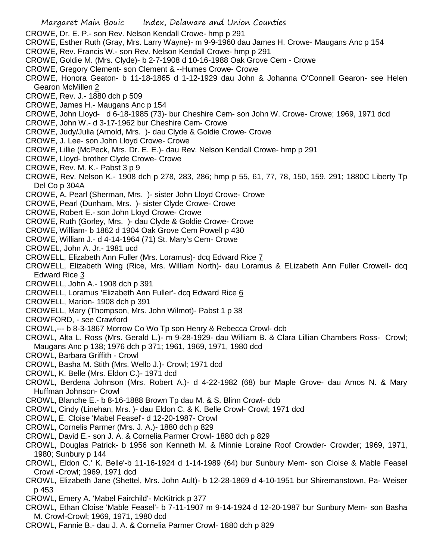- CROWE, Dr. E. P.- son Rev. Nelson Kendall Crowe- hmp p 291
- CROWE, Esther Ruth (Gray, Mrs. Larry Wayne)- m 9-9-1960 dau James H. Crowe- Maugans Anc p 154
- CROWE, Rev. Francis W.- son Rev. Nelson Kendall Crowe- hmp p 291
- CROWE, Goldie M. (Mrs. Clyde)- b 2-7-1908 d 10-16-1988 Oak Grove Cem Crowe
- CROWE, Gregory Clement- son Clement & --Humes Crowe- Crowe
- CROWE, Honora Geaton- b 11-18-1865 d 1-12-1929 dau John & Johanna O'Connell Gearon- see Helen Gearon McMillen 2
- CROWE, Rev. J.- 1880 dch p 509
- CROWE, James H.- Maugans Anc p 154
- CROWE, John Lloyd- d 6-18-1985 (73)- bur Cheshire Cem- son John W. Crowe- Crowe; 1969, 1971 dcd
- CROWE, John W.- d 3-17-1962 bur Cheshire Cem- Crowe
- CROWE, Judy/Julia (Arnold, Mrs. )- dau Clyde & Goldie Crowe- Crowe
- CROWE, J. Lee- son John Lloyd Crowe- Crowe
- CROWE, Lillie (McPeck, Mrs. Dr. E. E.)- dau Rev. Nelson Kendall Crowe- hmp p 291
- CROWE, Lloyd- brother Clyde Crowe- Crowe
- CROWE, Rev. M. K.- Pabst 3 p 9
- CROWE, Rev. Nelson K.- 1908 dch p 278, 283, 286; hmp p 55, 61, 77, 78, 150, 159, 291; 1880C Liberty Tp Del Co p 304A
- CROWE, A. Pearl (Sherman, Mrs. )- sister John Lloyd Crowe- Crowe
- CROWE, Pearl (Dunham, Mrs. )- sister Clyde Crowe- Crowe
- CROWE, Robert E.- son John Lloyd Crowe- Crowe
- CROWE, Ruth (Gorley, Mrs. )- dau Clyde & Goldie Crowe- Crowe
- CROWE, William- b 1862 d 1904 Oak Grove Cem Powell p 430
- CROWE, William J.- d 4-14-1964 (71) St. Mary's Cem- Crowe
- CROWEL, John A. Jr.- 1981 ucd
- CROWELL, Elizabeth Ann Fuller (Mrs. Loramus)- dcq Edward Rice 7
- CROWELL, Elizabeth Wing (Rice, Mrs. William North)- dau Loramus & ELizabeth Ann Fuller Crowell- dcq Edward Rice 3
- CROWELL, John A.- 1908 dch p 391
- CROWELL, Loramus 'Elizabeth Ann Fuller'- dcq Edward Rice 6
- CROWELL, Marion- 1908 dch p 391
- CROWELL, Mary (Thompson, Mrs. John Wilmot)- Pabst 1 p 38
- CROWFORD, see Crawford
- CROWL,--- b 8-3-1867 Morrow Co Wo Tp son Henry & Rebecca Crowl- dcb
- CROWL, Alta L. Ross (Mrs. Gerald L.)- m 9-28-1929- dau William B. & Clara Lillian Chambers Ross- Crowl; Maugans Anc p 138; 1976 dch p 371; 1961, 1969, 1971, 1980 dcd
- CROWL, Barbara Griffith Crowl
- CROWL, Basha M. Stith (Mrs. Wello J.)- Crowl; 1971 dcd
- CROWL, K. Belle (Mrs. Eldon C.)- 1971 dcd
- CROWL, Berdena Johnson (Mrs. Robert A.)- d 4-22-1982 (68) bur Maple Grove- dau Amos N. & Mary Huffman Johnson- Crowl
- CROWL, Blanche E.- b 8-16-1888 Brown Tp dau M. & S. Blinn Crowl- dcb
- CROWL, Cindy (Linehan, Mrs. )- dau Eldon C. & K. Belle Crowl- Crowl; 1971 dcd
- CROWL, E. Cloise 'Mabel Feasel'- d 12-20-1987- Crowl
- CROWL, Cornelis Parmer (Mrs. J. A.)- 1880 dch p 829
- CROWL, David E.- son J. A. & Cornelia Parmer Crowl- 1880 dch p 829
- CROWL, Douglas Patrick- b 1956 son Kenneth M. & Minnie Loraine Roof Crowder- Crowder; 1969, 1971, 1980; Sunbury p 144
- CROWL, Eldon C.' K. Belle'-b 11-16-1924 d 1-14-1989 (64) bur Sunbury Mem- son Cloise & Mable Feasel Crowl -Crowl; 1969, 1971 dcd
- CROWL, Elizabeth Jane (Shettel, Mrs. John Ault)- b 12-28-1869 d 4-10-1951 bur Shiremanstown, Pa- Weiser p 453
- CROWL, Emery A. 'Mabel Fairchild'- McKitrick p 377
- CROWL, Ethan Cloise 'Mable Feasel'- b 7-11-1907 m 9-14-1924 d 12-20-1987 bur Sunbury Mem- son Basha M. Crowl-Crowl; 1969, 1971, 1980 dcd
- CROWL, Fannie B.- dau J. A. & Cornelia Parmer Crowl- 1880 dch p 829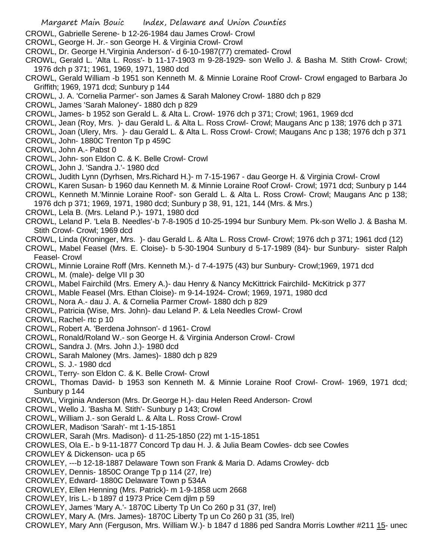- CROWL, Gabrielle Serene- b 12-26-1984 dau James Crowl- Crowl
- CROWL, George H. Jr.- son George H. & Virginia Crowl- Crowl
- CROWL, Dr. George H.'Virginia Anderson'- d 6-10-1987(77) cremated- Crowl
- CROWL, Gerald L. 'Alta L. Ross'- b 11-17-1903 m 9-28-1929- son Wello J. & Basha M. Stith Crowl- Crowl; 1976 dch p 371; 1961, 1969, 1971, 1980 dcd
- CROWL, Gerald William -b 1951 son Kenneth M. & Minnie Loraine Roof Crowl- Crowl engaged to Barbara Jo Griffith; 1969, 1971 dcd; Sunbury p 144
- CROWL, J. A. 'Cornelia Parmer'- son James & Sarah Maloney Crowl- 1880 dch p 829
- CROWL, James 'Sarah Maloney'- 1880 dch p 829
- CROWL, James- b 1952 son Gerald L. & Alta L. Crowl- 1976 dch p 371; Crowl; 1961, 1969 dcd
- CROWL, Jean (Roy, Mrs. )- dau Gerald L. & Alta L. Ross Crowl- Crowl; Maugans Anc p 138; 1976 dch p 371
- CROWL, Joan (Ulery, Mrs. )- dau Gerald L. & Alta L. Ross Crowl- Crowl; Maugans Anc p 138; 1976 dch p 371
- CROWL, John- 1880C Trenton Tp p 459C
- CROWL, John A.- Pabst 0
- CROWL, John- son Eldon C. & K. Belle Crowl- Crowl
- CROWL, John J. 'Sandra J.'- 1980 dcd
- CROWL, Judith Lynn (Dyrhsen, Mrs.Richard H.)- m 7-15-1967 dau George H. & Virginia Crowl- Crowl
- CROWL, Karen Susan- b 1960 dau Kenneth M. & Minnie Loraine Roof Crowl- Crowl; 1971 dcd; Sunbury p 144
- CROWL, Kenneth M.'Minnie Loraine Roof'- son Gerald L. & Alta L. Ross Crowl- Crowl; Maugans Anc p 138;
- 1976 dch p 371; 1969, 1971, 1980 dcd; Sunbury p 38, 91, 121, 144 (Mrs. & Mrs.)
- CROWL, Lela B. (Mrs. Leland P.)- 1971, 1980 dcd
- CROWL, Leland P. 'Lela B. Needles'-b 7-8-1905 d 10-25-1994 bur Sunbury Mem. Pk-son Wello J. & Basha M. Stith Crowl- Crowl; 1969 dcd
- CROWL, Linda (Kroninger, Mrs. )- dau Gerald L. & Alta L. Ross Crowl- Crowl; 1976 dch p 371; 1961 dcd (12)
- CROWL, Mabel Feasel (Mrs. E. Cloise)- b 5-30-1904 Sunbury d 5-17-1989 (84)- bur Sunbury- sister Ralph Feasel- Crowl
- CROWL, Minnie Loraine Roff (Mrs. Kenneth M.)- d 7-4-1975 (43) bur Sunbury- Crowl;1969, 1971 dcd
- CROWL, M. (male)- delge VII p 30
- CROWL, Mabel Fairchild (Mrs. Emery A.)- dau Henry & Nancy McKittrick Fairchild- McKitrick p 377
- CROWL, Mable Feasel (Mrs. Ethan Cloise)- m 9-14-1924- Crowl; 1969, 1971, 1980 dcd
- CROWL, Nora A.- dau J. A. & Cornelia Parmer Crowl- 1880 dch p 829
- CROWL, Patricia (Wise, Mrs. John)- dau Leland P. & Lela Needles Crowl- Crowl
- CROWL, Rachel- rtc p 10
- CROWL, Robert A. 'Berdena Johnson'- d 1961- Crowl
- CROWL, Ronald/Roland W.- son George H. & Virginia Anderson Crowl- Crowl
- CROWL, Sandra J. (Mrs. John J.)- 1980 dcd
- CROWL, Sarah Maloney (Mrs. James)- 1880 dch p 829
- CROWL, S. J.- 1980 dcd
- CROWL, Terry- son Eldon C. & K. Belle Crowl- Crowl
- CROWL, Thomas David- b 1953 son Kenneth M. & Minnie Loraine Roof Crowl- Crowl- 1969, 1971 dcd; Sunbury p 144
- CROWL, Virginia Anderson (Mrs. Dr.George H.)- dau Helen Reed Anderson- Crowl
- CROWL, Wello J. 'Basha M. Stith'- Sunbury p 143; Crowl
- CROWL, William J.- son Gerald L. & Alta L. Ross Crowl- Crowl
- CROWLER, Madison 'Sarah'- mt 1-15-1851
- CROWLER, Sarah (Mrs. Madison)- d 11-25-1850 (22) mt 1-15-1851
- CROWLES, Ola E.- b 9-11-1877 Concord Tp dau H. J. & Julia Beam Cowles- dcb see Cowles
- CROWLEY & Dickenson- uca p 65
- CROWLEY, ---b 12-18-1887 Delaware Town son Frank & Maria D. Adams Crowley- dcb
- CROWLEY, Dennis- 1850C Orange Tp p 114 (27, Ire)
- CROWLEY, Edward- 1880C Delaware Town p 534A
- CROWLEY, Ellen Henning (Mrs. Patrick)- m 1-9-1858 ucm 2668
- CROWLEY, Iris L.- b 1897 d 1973 Price Cem djlm p 59
- CROWLEY, James 'Mary A.'- 1870C Liberty Tp Un Co 260 p 31 (37, Irel)
- CROWLEY, Mary A. (Mrs. James)- 1870C Liberty Tp un Co 260 p 31 (35, Irel)
- CROWLEY, Mary Ann (Ferguson, Mrs. William W.)- b 1847 d 1886 ped Sandra Morris Lowther #211 15- unec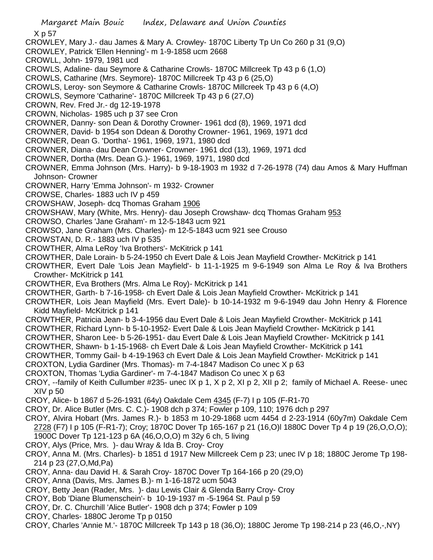X p 57

- CROWLEY, Mary J.- dau James & Mary A. Crowley- 1870C Liberty Tp Un Co 260 p 31 (9,O)
- CROWLEY, Patrick 'Ellen Henning'- m 1-9-1858 ucm 2668
- CROWLL, John- 1979, 1981 ucd
- CROWLS, Adaline- dau Seymore & Catharine Crowls- 1870C Millcreek Tp 43 p 6 (1,O)
- CROWLS, Catharine (Mrs. Seymore)- 1870C Millcreek Tp 43 p 6 (25,O)
- CROWLS, Leroy- son Seymore & Catharine Crowls- 1870C Millcreek Tp 43 p 6 (4,O)
- CROWLS, Seymore 'Catharine'- 1870C Millcreek Tp 43 p 6 (27,O)
- CROWN, Rev. Fred Jr.- dg 12-19-1978
- CROWN, Nicholas- 1985 uch p 37 see Cron
- CROWNER, Danny- son Dean & Dorothy Crowner- 1961 dcd (8), 1969, 1971 dcd
- CROWNER, David- b 1954 son Ddean & Dorothy Crowner- 1961, 1969, 1971 dcd
- CROWNER, Dean G. 'Dortha'- 1961, 1969, 1971, 1980 dcd
- CROWNER, Diana- dau Dean Crowner- Crowner- 1961 dcd (13), 1969, 1971 dcd
- CROWNER, Dortha (Mrs. Dean G.)- 1961, 1969, 1971, 1980 dcd
- CROWNER, Emma Johnson (Mrs. Harry)- b 9-18-1903 m 1932 d 7-26-1978 (74) dau Amos & Mary Huffman Johnson- Crowner
- CROWNER, Harry 'Emma Johnson'- m 1932- Crowner
- CROWSE, Charles- 1883 uch IV p 459
- CROWSHAW, Joseph- dcq Thomas Graham 1906
- CROWSHAW, Mary (White, Mrs. Henry)- dau Joseph Crowshaw- dcq Thomas Graham 953
- CROWSO, Charles 'Jane Graham'- m 12-5-1843 ucm 921
- CROWSO, Jane Graham (Mrs. Charles)- m 12-5-1843 ucm 921 see Crouso
- CROWSTAN, D. R.- 1883 uch IV p 535
- CROWTHER, Alma LeRoy 'Iva Brothers'- McKitrick p 141
- CROWTHER, Dale Lorain- b 5-24-1950 ch Evert Dale & Lois Jean Mayfield Crowther- McKitrick p 141
- CROWTHER, Evert Dale 'Lois Jean Mayfield'- b 11-1-1925 m 9-6-1949 son Alma Le Roy & Iva Brothers Crowther- McKitrick p 141
- CROWTHER, Eva Brothers (Mrs. Alma Le Roy)- McKitrick p 141
- CROWTHER, Garth- b 7-16-1958- ch Evert Dale & Lois Jean Mayfield Crowther- McKitrick p 141
- CROWTHER, Lois Jean Mayfield (Mrs. Evert Dale)- b 10-14-1932 m 9-6-1949 dau John Henry & Florence Kidd Mayfield- McKitrick p 141
- CROWTHER, Patricia Jean- b 3-4-1956 dau Evert Dale & Lois Jean Mayfield Crowther- McKitrick p 141
- CROWTHER, Richard Lynn- b 5-10-1952- Evert Dale & Lois Jean Mayfield Crowther- McKitrick p 141
- CROWTHER, Sharon Lee- b 5-26-1951- dau Evert Dale & Lois Jean Mayfield Crowther- McKitrick p 141
- CROWTHER, Shawn- b 1-15-1968- ch Evert Dale & Lois Jean Mayfield Crowther- McKitrick p 141
- CROWTHER, Tommy Gail- b 4-19-1963 ch Evert Dale & Lois Jean Mayfield Crowther- McKitrick p 141
- CROXTON, Lydia Gardiner (Mrs. Thomas)- m 7-4-1847 Madison Co unec X p 63
- CROXTON, Thomas 'Lydia Gardiner'- m 7-4-1847 Madison Co unec X p 63
- CROY, --family of Keith Cullumber #235- unec IX p 1, X p 2, XI p 2, XII p 2; family of Michael A. Reese- unec XIV p 50
- CROY, Alice- b 1867 d 5-26-1931 (64y) Oakdale Cem 4345 (F-7) I p 105 (F-R1-70
- CROY, Dr. Alice Butler (Mrs. C. C.)- 1908 dch p 374; Fowler p 109, 110; 1976 dch p 297
- CROY, Alvira Hobart (Mrs. James R.)- b 1853 m 10-29-1868 ucm 4454 d 2-23-1914 (60y7m) Oakdale Cem 2728 (F7) I p 105 (F-R1-7); Croy; 1870C Dover Tp 165-167 p 21 (16,O)l 1880C Dover Tp 4 p 19 (26,O,O,O); 1900C Dover Tp 121-123 p 6A (46,O,O,O) m 32y 6 ch, 5 living
- CROY, Alys (Price, Mrs. )- dau Wray & Ida B. Croy- Croy
- CROY, Anna M. (Mrs. Charles)- b 1851 d 1917 New Millcreek Cem p 23; unec IV p 18; 1880C Jerome Tp 198- 214 p 23 (27,O,Md,Pa)
- CROY, Anna- dau David H. & Sarah Croy- 1870C Dover Tp 164-166 p 20 (29,O)
- CROY, Anna (Davis, Mrs. James B.)- m 1-16-1872 ucm 5043
- CROY, Betty Jean (Rader, Mrs. )- dau Lewis Clair & Glenda Barry Croy- Croy
- CROY, Bob 'Diane Blumenschein'- b 10-19-1937 m -5-1964 St. Paul p 59
- CROY, Dr. C. Churchill 'Alice Butler'- 1908 dch p 374; Fowler p 109
- CROY, Charles- 1880C Jerome Tp p 0150
- CROY, Charles 'Annie M.'- 1870C Millcreek Tp 143 p 18 (36,O); 1880C Jerome Tp 198-214 p 23 (46,O,-,NY)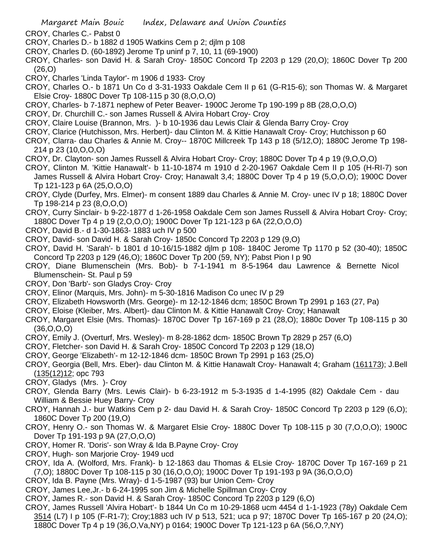- CROY, Charles C.- Pabst 0
- CROY, Charles D.- b 1882 d 1905 Watkins Cem p 2; djlm p 108
- CROY, Charles D. (60-1892) Jerome Tp uninf p 7, 10, 11 (69-1900)
- CROY, Charles- son David H. & Sarah Croy- 1850C Concord Tp 2203 p 129 (20,O); 1860C Dover Tp 200 (26,O)
- CROY, Charles 'Linda Taylor'- m 1906 d 1933- Croy
- CROY, Charles O.- b 1871 Un Co d 3-31-1933 Oakdale Cem II p 61 (G-R15-6); son Thomas W. & Margaret Elsie Croy- 1880C Dover Tp 108-115 p 30 (8,O,O,O)
- CROY, Charles- b 7-1871 nephew of Peter Beaver- 1900C Jerome Tp 190-199 p 8B (28,O,O,O)
- CROY, Dr. Churchill C.- son James Russell & Alvira Hobart Croy- Croy
- CROY, Claire Louise (Brannon, Mrs. )- b 10-1936 dau Lewis Clair & Glenda Barry Croy- Croy
- CROY, Clarice (Hutchisson, Mrs. Herbert)- dau Clinton M. & Kittie Hanawalt Croy- Croy; Hutchisson p 60
- CROY, Clarra- dau Charles & Annie M. Croy-- 1870C Millcreek Tp 143 p 18 (5/12,O); 1880C Jerome Tp 198- 214 p 23 (10,O,O,O)
- CROY, Dr. Clayton- son James Russell & Alvira Hobart Croy- Croy; 1880C Dover Tp 4 p 19 (9,O,O,O)
- CROY, Clinton M. 'Kittie Hanawalt'- b 11-10-1874 m 1910 d 2-20-1967 Oakdale Cem II p 105 (H-RI-7) son James Russell & Alvira Hobart Croy- Croy; Hanawalt 3,4; 1880C Dover Tp 4 p 19 (5,O,O,O); 1900C Dover Tp 121-123 p 6A (25,O,O,O)
- CROY, Clyde (Durfey, Mrs. Elmer)- m consent 1889 dau Charles & Annie M. Croy- unec IV p 18; 1880C Dover Tp 198-214 p 23 (8,O,O,O)
- CROY, Curry Sinclair- b 9-22-1877 d 1-26-1958 Oakdale Cem son James Russell & Alvira Hobart Croy- Croy; 1880C Dover Tp 4 p 19 (2,O,O,O); 1900C Dover Tp 121-123 p 6A (22,O,O,O)
- CROY, David B.- d 1-30-1863- 1883 uch IV p 500
- CROY, David- son David H. & Sarah Croy- 1850c Concord Tp 2203 p 129 (9,O)
- CROY, David H. 'Sarah'- b 1801 d 10-16/15-1882 djlm p 108- 1840C Jerome Tp 1170 p 52 (30-40); 1850C Concord Tp 2203 p 129 (46,O); 1860C Dover Tp 200 (59, NY); Pabst Pion I p 90
- CROY, Diane Blumenschein (Mrs. Bob)- b 7-1-1941 m 8-5-1964 dau Lawrence & Bernette Nicol Blumenschein- St. Paul p 59
- CROY, Don 'Barb'- son Gladys Croy- Croy
- CROY, Elinor (Marquis, Mrs. John)- m 5-30-1816 Madison Co unec IV p 29
- CROY, Elizabeth Howsworth (Mrs. George)- m 12-12-1846 dcm; 1850C Brown Tp 2991 p 163 (27, Pa)
- CROY, Eloise (Kleiber, Mrs. Albert)- dau Clinton M. & Kittie Hanawalt Croy- Croy; Hanawalt
- CROY, Margaret Elsie (Mrs. Thomas)- 1870C Dover Tp 167-169 p 21 (28,O); 1880c Dover Tp 108-115 p 30 (36,O,O,O)
- CROY, Emily J. (Overturf, Mrs. Wesley)- m 8-28-1862 dcm- 1850C Brown Tp 2829 p 257 (6,O)
- CROY, Fletcher- son David H. & Sarah Croy- 1850C Concord Tp 2203 p 129 (18,O)
- CROY, George 'Elizabeth'- m 12-12-1846 dcm- 1850C Brown Tp 2991 p 163 (25,O)
- CROY, Georgia (Bell, Mrs. Eber)- dau Clinton M. & Kittie Hanawalt Croy- Hanawalt 4; Graham (161173); J.Bell (135(12)12; opc 793
- CROY, Gladys (Mrs. )- Croy
- CROY, Glenda Barry (Mrs. Lewis Clair)- b 6-23-1912 m 5-3-1935 d 1-4-1995 (82) Oakdale Cem dau William & Bessie Huey Barry- Croy
- CROY, Hannah J.- bur Watkins Cem p 2- dau David H. & Sarah Croy- 1850C Concord Tp 2203 p 129 (6,O); 1860C Dover Tp 200 (19,O)
- CROY, Henry O.- son Thomas W. & Margaret Elsie Croy- 1880C Dover Tp 108-115 p 30 (7,O,O,O); 1900C Dover Tp 191-193 p 9A (27,O,O,O)
- CROY, Homer R. 'Doris'- son Wray & Ida B.Payne Croy- Croy
- CROY, Hugh- son Marjorie Croy- 1949 ucd
- CROY, Ida A. (Wolford, Mrs. Frank)- b 12-1863 dau Thomas & ELsie Croy- 1870C Dover Tp 167-169 p 21 (7,O); 1880C Dover Tp 108-115 p 30 (16,O,O,O); 1900C Dover Tp 191-193 p 9A (36,O,O,O)
- CROY, Ida B. Payne (Mrs. Wray)- d 1-5-1987 (93) bur Union Cem- Croy
- CROY, James Lee,Jr.- b 6-24-1995 son Jim & Michelle Spillman Croy- Croy
- CROY, James R.- son David H. & Sarah Croy- 1850C Concord Tp 2203 p 129 (6,O)
- CROY, James Russell 'Alvira Hobart'- b 1844 Un Co m 10-29-1868 ucm 4454 d 1-1-1923 (78y) Oakdale Cem 3514 (L7) I p 105 (F-R1-7); Croy;1883 uch IV p 513, 521; uca p 97; 1870C Dover Tp 165-167 p 20 (24,O); 1880C Dover Tp 4 p 19 (36,O,Va,NY) p 0164; 1900C Dover Tp 121-123 p 6A (56,O,?,NY)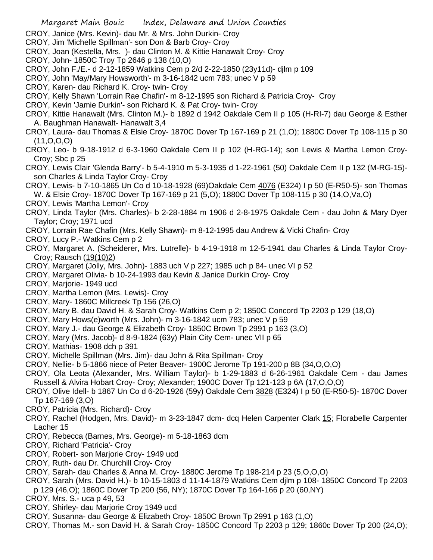- CROY, Janice (Mrs. Kevin)- dau Mr. & Mrs. John Durkin- Croy
- CROY, Jim 'Michelle Spillman'- son Don & Barb Croy- Croy
- CROY, Joan (Kestella, Mrs. )- dau Clinton M. & Kittie Hanawalt Croy- Croy
- CROY, John- 1850C Troy Tp 2646 p 138 (10,O)
- CROY, John F./E.- d 2-12-1859 Watkins Cem p 2/d 2-22-1850 (23y11d)- djlm p 109
- CROY, John 'May/Mary Howsworth'- m 3-16-1842 ucm 783; unec V p 59
- CROY, Karen- dau Richard K. Croy- twin- Croy
- CROY, Kelly Shawn 'Lorrain Rae Chafin'- m 8-12-1995 son Richard & Patricia Croy- Croy
- CROY, Kevin 'Jamie Durkin'- son Richard K. & Pat Croy- twin- Croy
- CROY, Kittie Hanawalt (Mrs. Clinton M.)- b 1892 d 1942 Oakdale Cem II p 105 (H-RI-7) dau George & Esther A. Baughman Hanawalt- Hanawalt 3,4
- CROY, Laura- dau Thomas & Elsie Croy- 1870C Dover Tp 167-169 p 21 (1,O); 1880C Dover Tp 108-115 p 30 (11,O,O,O)
- CROY, Leo- b 9-18-1912 d 6-3-1960 Oakdale Cem II p 102 (H-RG-14); son Lewis & Martha Lemon Croy-Croy; Sbc p 25
- CROY, Lewis Clair 'Glenda Barry'- b 5-4-1910 m 5-3-1935 d 1-22-1961 (50) Oakdale Cem II p 132 (M-RG-15) son Charles & Linda Taylor Croy- Croy
- CROY, Lewis- b 7-10-1865 Un Co d 10-18-1928 (69)Oakdale Cem 4076 (E324) I p 50 (E-R50-5)- son Thomas W. & Elsie Croy- 1870C Dover Tp 167-169 p 21 (5,O); 1880C Dover Tp 108-115 p 30 (14,O,Va,O)
- CROY, Lewis 'Martha Lemon'- Croy
- CROY, Linda Taylor (Mrs. Charles)- b 2-28-1884 m 1906 d 2-8-1975 Oakdale Cem dau John & Mary Dyer Taylor; Croy; 1971 ucd
- CROY, Lorrain Rae Chafin (Mrs. Kelly Shawn)- m 8-12-1995 dau Andrew & Vicki Chafin- Croy
- CROY, Lucy P.- Watkins Cem p 2
- CROY, Margaret A. (Scheiderer, Mrs. Lutrelle)- b 4-19-1918 m 12-5-1941 dau Charles & Linda Taylor Croy-Croy; Rausch (19(10)2)
- CROY, Margaret (Jolly, Mrs. John)- 1883 uch V p 227; 1985 uch p 84- unec VI p 52
- CROY, Margaret Olivia- b 10-24-1993 dau Kevin & Janice Durkin Croy- Croy
- CROY, Marjorie- 1949 ucd
- CROY, Martha Lemon (Mrs. Lewis)- Croy
- CROY, Mary- 1860C Millcreek Tp 156 (26,O)
- CROY, Mary B. dau David H. & Sarah Croy- Watkins Cem p 2; 1850C Concord Tp 2203 p 129 (18,O)
- CROY, Mary Hows(e)worth (Mrs. John)- m 3-16-1842 ucm 783; unec V p 59
- CROY, Mary J.- dau George & Elizabeth Croy- 1850C Brown Tp 2991 p 163 (3,O)
- CROY, Mary (Mrs. Jacob)- d 8-9-1824 (63y) Plain City Cem- unec VII p 65
- CROY, Mathias- 1908 dch p 391
- CROY, Michelle Spillman (Mrs. Jim)- dau John & Rita Spillman- Croy
- CROY, Nellie- b 5-1866 niece of Peter Beaver- 1900C Jerome Tp 191-200 p 8B (34,O,O,O)
- CROY, Ola Leota (Alexander, Mrs. William Taylor)- b 1-29-1883 d 6-26-1961 Oakdale Cem dau James Russell & Alvira Hobart Croy- Croy; Alexander; 1900C Dover Tp 121-123 p 6A (17,O,O,O)
- CROY, Olive Idell- b 1867 Un Co d 6-20-1926 (59y) Oakdale Cem 3828 (E324) I p 50 (E-R50-5)- 1870C Dover Tp 167-169 (3,O)
- CROY, Patricia (Mrs. Richard)- Croy
- CROY, Rachel (Hodgen, Mrs. David)- m 3-23-1847 dcm- dcq Helen Carpenter Clark 15; Florabelle Carpenter Lacher 15
- CROY, Rebecca (Barnes, Mrs. George)- m 5-18-1863 dcm
- CROY, Richard 'Patricia'- Croy
- CROY, Robert- son Marjorie Croy- 1949 ucd
- CROY, Ruth- dau Dr. Churchill Croy- Croy
- CROY, Sarah- dau Charles & Anna M. Croy- 1880C Jerome Tp 198-214 p 23 (5,O,O,O)
- CROY, Sarah (Mrs. David H.)- b 10-15-1803 d 11-14-1879 Watkins Cem djlm p 108- 1850C Concord Tp 2203 p 129 (46,O); 1860C Dover Tp 200 (56, NY); 1870C Dover Tp 164-166 p 20 (60,NY)
- CROY, Mrs. S.- uca p 49, 53
- CROY, Shirley- dau Marjorie Croy 1949 ucd
- CROY, Susanna- dau George & Elizabeth Croy- 1850C Brown Tp 2991 p 163 (1,O)
- CROY, Thomas M.- son David H. & Sarah Croy- 1850C Concord Tp 2203 p 129; 1860c Dover Tp 200 (24,O);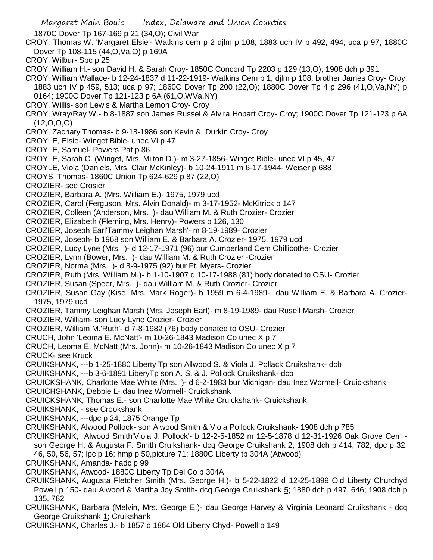Margaret Main Bouic Index, Delaware and Union Counties 1870C Dover Tp 167-169 p 21 (34,O); Civil War CROY, Thomas W. 'Margaret Elsie'- Watkins cem p 2 djlm p 108; 1883 uch IV p 492, 494; uca p 97; 1880C Dover Tp 108-115 (44,O,Va,O) p 169A CROY, Wilbur- Sbc p 25 CROY, William H.- son David H. & Sarah Croy- 1850C Concord Tp 2203 p 129 (13,O); 1908 dch p 391 CROY, William Wallace- b 12-24-1837 d 11-22-1919- Watkins Cem p 1; djlm p 108; brother James Croy- Croy; 1883 uch IV p 459, 513; uca p 97; 1860C Dover Tp 200 (22,O); 1880C Dover Tp 4 p 296 (41,O,Va,NY) p 0164; 1900C Dover Tp 121-123 p 6A (61,O,WVa,NY) CROY, Willis- son Lewis & Martha Lemon Croy- Croy CROY, Wray/Ray W.- b 8-1887 son James Russel & Alvira Hobart Croy- Croy; 1900C Dover Tp 121-123 p 6A (12,O,O,O) CROY, Zachary Thomas- b 9-18-1986 son Kevin & Durkin Croy- Croy CROYLE, Elsie- Winget Bible- unec VI p 47 CROYLE, Samuel- Powers Pat p 86 CROYLE, Sarah C. (Winget, Mrs. Milton D.)- m 3-27-1856- Winget Bible- unec VI p 45, 47 CROYLE, Viola (Daniels, Mrs. Clair McKinley)- b 10-24-1911 m 6-17-1944- Weiser p 688 CROYS, Thomas- 1860C Union Tp 624-629 p 87 (22,O) CROZIER- see Crosier CROZIER, Barbara A. (Mrs. William E.)- 1975, 1979 ucd CROZIER, Carol (Ferguson, Mrs. Alvin Donald)- m 3-17-1952- McKitrick p 147 CROZIER, Colleen (Anderson, Mrs. )- dau William M. & Ruth Crozier- Crozier CROZIER, Elizabeth (Fleming, Mrs. Henry)- Powers p 126, 130 CROZIER, Joseph Earl'Tammy Leighan Marsh'- m 8-19-1989- Crozier CROZIER, Joseph- b 1968 son William E. & Barbara A. Crozier- 1975, 1979 ucd CROZIER, Lucy Lyne (Mrs. )- d 12-17-1971 (96) bur Cumberland Cem Chillicothe- Crozier CROZIER, Lynn (Bower, Mrs. )- dau William M. & Ruth Crozier -Crozier CROZIER, Norma (Mrs. )- d 8-9-1975 (92) bur Ft. Myers- Crozier CROZIER, Ruth (Mrs. William M.)- b 1-10-1907 d 10-17-1988 (81) body donated to OSU- Crozier CROZIER, Susan (Speer, Mrs. )- dau William M. & Ruth Crozier- Crozier CROZIER, Susan Gay (Kise, Mrs. Mark Roger)- b 1959 m 6-4-1989- dau William E. & Barbara A. Crozier-1975, 1979 ucd CROZIER, Tammy Leighan Marsh (Mrs. Joseph Earl)- m 8-19-1989- dau Rusell Marsh- Crozier CROZIER, William- son Lucy Lyne Crozier- Crozier CROZIER, William M.'Ruth'- d 7-8-1982 (76) body donated to OSU- Crozier CRUCH, John 'Leoma E. McNatt'- m 10-26-1843 Madison Co unec X p 7 CRUCH, Leoma E. McNatt (Mrs. John)- m 10-26-1843 Madison Co unec X p 7 CRUCK- see Kruck CRUIKSHANK, ---b 1-25-1880 Liberty Tp son Allwood S. & Viola J. Pollack Cruikshank- dcb CRUIKSHANK, ---b 3-6-1891 LiberyTp son A. S. & J. Pollock Cruikshank- dcb CRUICKSHANK, Charlotte Mae White (Mrs. )- d 6-2-1983 bur Michigan- dau Inez Wormell- Cruickshank CRUICHSHANK, Debbie L- dau Inez Wormell- Cruickshank CRUICKSHANK, Thomas E.- son Charlotte Mae White Cruickshank- Cruickshank CRUIKSHANK, - see Crookshank CRUIKSHANK, ---dpc p 24; 1875 Orange Tp

- CRUIKSHANK, Alwood Pollock- son Alwood Smith & Viola Pollock Cruikshank- 1908 dch p 785
- CRUIKSHANK, Alwood Smith'Viola J. Pollock'- b 12-2-5-1852 m 12-5-1878 d 12-31-1926 Oak Grove Cem son George H. & Augusta F. Smith Cruikshank- dcq George Cruikshank 2; 1908 dch p 414, 782; dpc p 32, 46, 50, 56, 57; lpc p 16; hmp p 50,picture 71; 1880C Liberty tp 304A (Atwood)

CRUIKSHANK, Amanda- hadc p 99

- CRUIKSHANK, Atwood- 1880C Liberty Tp Del Co p 304A
- CRUIKSHANK, Augusta Fletcher Smith (Mrs. George H.)- b 5-22-1822 d 12-25-1899 Old Liberty Churchyd Powell p 150- dau Alwood & Martha Joy Smith- dcq George Cruikshank 5; 1880 dch p 497, 646; 1908 dch p 135, 782
- CRUIKSHANK, Barbara (Melvin, Mrs. George E.)- dau George Harvey & Virginia Leonard Cruikshank dcq George Cruikshank 1; Cruikshank
- CRUIKSHANK, Charles J.- b 1857 d 1864 Old Liberty Chyd- Powell p 149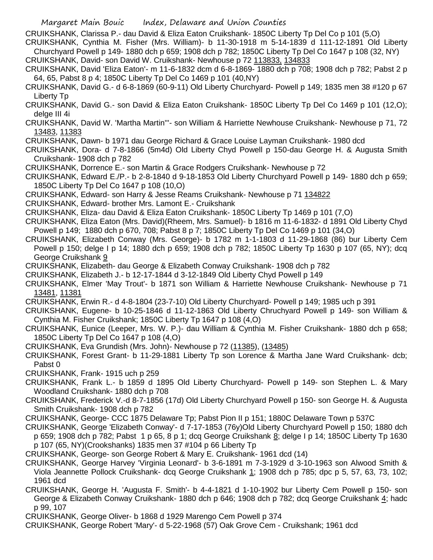CRUIKSHANK, Clarissa P.- dau David & Eliza Eaton Cruikshank- 1850C Liberty Tp Del Co p 101 (5,O)

CRUIKSHANK, Cynthia M. Fisher (Mrs. William)- b 11-30-1918 m 5-14-1839 d 111-12-1891 Old Liberty Churchyard Powell p 149- 1880 dch p 659; 1908 dch p 782; 1850C Liberty Tp Del Co 1647 p 108 (32, NY) CRUIKSHANK, David- son David W. Cruikshank- Newhouse p 72 113833, 134833

- CRUIKSHANK, David 'Eliza Eaton'- m 11-6-1832 dcm d 6-8-1869- 1880 dch p 708; 1908 dch p 782; Pabst 2 p 64, 65, Pabst 8 p 4; 1850C Liberty Tp Del Co 1469 p 101 (40,NY)
- CRUIKSHANK, David G.- d 6-8-1869 (60-9-11) Old Liberty Churchyard- Powell p 149; 1835 men 38 #120 p 67 Liberty Tp
- CRUIKSHANK, David G.- son David & Eliza Eaton Cruikshank- 1850C Liberty Tp Del Co 1469 p 101 (12,O); delge III 4i
- CRUIKSHANK, David W. 'Martha Martin'''- son William & Harriette Newhouse Cruikshank- Newhouse p 71, 72 13483, 11383
- CRUIKSHANK, Dawn- b 1971 dau George Richard & Grace Louise Layman Cruikshank- 1980 dcd
- CRUIKSHANK, Dora- d 7-8-1866 (5m4d) Old Liberty Chyd Powell p 150-dau George H. & Augusta Smith Cruikshank- 1908 dch p 782
- CRUIKSHANK, Dorrence E.- son Martin & Grace Rodgers Cruikshank- Newhouse p 72
- CRUIKSHANK, Edward E./P.- b 2-8-1840 d 9-18-1853 Old Liberty Churchyard Powell p 149- 1880 dch p 659; 1850C Liberty Tp Del Co 1647 p 108 (10,O)
- CRUIKSHANK, Edward- son Harry & Jesse Reams Cruikshank- Newhouse p 71 134822
- CRUIKSHANK, Edward- brother Mrs. Lamont E.- Cruikshank
- CRUIKSHANK, Eliza- dau David & Eliza Eaton Cruikshank- 1850C Liberty Tp 1469 p 101 (7,O)
- CRUIKSHANK, Eliza Eaton (Mrs. David)(Rheem, Mrs. Samuel)- b 1816 m 11-6-1832- d 1891 Old Liberty Chyd Powell p 149; 1880 dch p 670, 708; Pabst 8 p 7; 1850C Liberty Tp Del Co 1469 p 101 (34,O)
- CRUIKSHANK, Elizabeth Conway (Mrs. George)- b 1782 m 1-1-1803 d 11-29-1868 (86) bur Liberty Cem Powell p 150; delge I p 14; 1880 dch p 659; 1908 dch p 782; 1850C Liberty Tp 1630 p 107 (65, NY); dcq George Cruikshank 9
- CRUIKSHANK, Elizabeth- dau George & Elizabeth Conway Cruikshank- 1908 dch p 782
- CRUIKSHANK, Elizabeth J.- b 12-17-1844 d 3-12-1849 Old Liberty Chyd Powell p 149
- CRUIKSHANK, Elmer 'May Trout'- b 1871 son William & Harriette Newhouse Cruikshank- Newhouse p 71 13481, 11381
- CRUIKSHANK, Erwin R.- d 4-8-1804 (23-7-10) Old Liberty Churchyard- Powell p 149; 1985 uch p 391
- CRUIKSHANK, Eugene- b 10-25-1846 d 11-12-1863 Old Liberty Chruchyard Powell p 149- son William & Cynthia M. Fisher Cruikshank; 1850C Liberty Tp 1647 p 108 (4,O)
- CRUIKSHANK, Eunice (Leeper, Mrs. W. P.)- dau William & Cynthia M. Fisher Cruikshank- 1880 dch p 658; 1850C Liberty Tp Del Co 1647 p 108 (4,O)
- CRUIKSHANK, Eva Grundish (Mrs. John)- Newhouse p 72 (11385), (13485)
- CRUIKSHANK, Forest Grant- b 11-29-1881 Liberty Tp son Lorence & Martha Jane Ward Cruikshank- dcb; Pabst 0
- CRUIKSHANK, Frank- 1915 uch p 259
- CRUIKSHANK, Frank L.- b 1859 d 1895 Old Liberty Churchyard- Powell p 149- son Stephen L. & Mary Woodland Cruikshank- 1880 dch p 708
- CRUIKSHANK, Frederick V.-d 8-7-1856 (17d) Old Liberty Churchyard Powell p 150- son George H. & Augusta Smith Cruikshank- 1908 dch p 782
- CRUIKSHANK, George- CCC 1875 Delaware Tp; Pabst Pion II p 151; 1880C Delaware Town p 537C
- CRUIKSHANK, George 'Elizabeth Conway'- d 7-17-1853 (76y)Old Liberty Churchyard Powell p 150; 1880 dch p 659; 1908 dch p 782; Pabst 1 p 65, 8 p 1; dcq George Cruikshank 8; delge I p 14; 1850C Liberty Tp 1630 p 107 (65, NY)(Crookshanks) 1835 men 37 #104 p 66 Liberty Tp
- CRUIKSHANK, George- son George Robert & Mary E. Cruikshank- 1961 dcd (14)
- CRUIKSHANK, George Harvey 'Virginia Leonard'- b 3-6-1891 m 7-3-1929 d 3-10-1963 son Alwood Smith & Viola Jeannette Pollock Cruikshank- dcq George Cruikshank 1; 1908 dch p 785; dpc p 5, 57, 63, 73, 102; 1961 dcd
- CRUIKSHANK, George H. 'Augusta F. Smith'- b 4-4-1821 d 1-10-1902 bur Liberty Cem Powell p 150- son George & Elizabeth Conway Cruikshank- 1880 dch p 646; 1908 dch p 782; dcq George Cruikshank 4; hadc p 99, 107
- CRUIKSHANK, George Oliver- b 1868 d 1929 Marengo Cem Powell p 374
- CRUIKSHANK, George Robert 'Mary'- d 5-22-1968 (57) Oak Grove Cem Cruikshank; 1961 dcd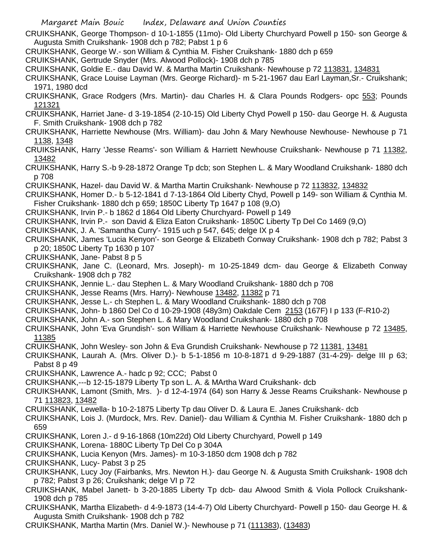Margaret Main Bouic Index, Delaware and Union Counties CRUIKSHANK, George Thompson- d 10-1-1855 (11mo)- Old Liberty Churchyard Powell p 150- son George & Augusta Smith Cruikshank- 1908 dch p 782; Pabst 1 p 6 CRUIKSHANK, George W.- son William & Cynthia M. Fisher Cruikshank- 1880 dch p 659 CRUIKSHANK, Gertrude Snyder (Mrs. Alwood Pollock)- 1908 dch p 785 CRUIKSHANK, Goldie E.- dau David W. & Martha Martin Cruikshank- Newhouse p 72 113831, 134831 CRUIKSHANK, Grace Louise Layman (Mrs. George Richard)- m 5-21-1967 dau Earl Layman,Sr.- Cruikshank; 1971, 1980 dcd CRUIKSHANK, Grace Rodgers (Mrs. Martin)- dau Charles H. & Clara Pounds Rodgers- opc 553; Pounds 121321 CRUIKSHANK, Harriet Jane- d 3-19-1854 (2-10-15) Old Liberty Chyd Powell p 150- dau George H. & Augusta F. Smith Cruikshank- 1908 dch p 782 CRUIKSHANK, Harriette Newhouse (Mrs. William)- dau John & Mary Newhouse Newhouse- Newhouse p 71 1138, 1348 CRUIKSHANK, Harry 'Jesse Reams'- son William & Harriett Newhouse Cruikshank- Newhouse p 71 11382, 13482 CRUIKSHANK, Harry S.-b 9-28-1872 Orange Tp dcb; son Stephen L. & Mary Woodland Cruikshank- 1880 dch p 708 CRUIKSHANK, Hazel- dau David W. & Martha Martin Cruikshank- Newhouse p 72 113832, 134832 CRUIKSHANK, Homer D.- b 5-12-1841 d 7-13-1864 Old Liberty Chyd, Powell p 149- son William & Cynthia M. Fisher Cruikshank- 1880 dch p 659; 1850C Liberty Tp 1647 p 108 (9,O) CRUIKSHANK, Irvin P.- b 1862 d 1864 Old Liberty Churchyard- Powell p 149 CRUIKSHANK, Irvin P.- son David & Eliza Eaton Cruikshank- 1850C Liberty Tp Del Co 1469 (9,O) CRUIKSHANK, J. A. 'Samantha Curry'- 1915 uch p 547, 645; delge IX p 4 CRUIKSHANK, James 'Lucia Kenyon'- son George & Elizabeth Conway Cruikshank- 1908 dch p 782; Pabst 3 p 20; 1850C Liberty Tp 1630 p 107 CRUIKSHANK, Jane- Pabst 8 p 5 CRUIKSHANK, Jane C. (Leonard, Mrs. Joseph)- m 10-25-1849 dcm- dau George & Elizabeth Conway Cruikshank- 1908 dch p 782 CRUIKSHANK, Jennie L.- dau Stephen L. & Mary Woodland Cruikshank- 1880 dch p 708 CRUIKSHANK, Jesse Reams (Mrs. Harry)- Newhouse 13482, 11382 p 71 CRUIKSHANK, Jesse L.- ch Stephen L. & Mary Woodland Cruikshank- 1880 dch p 708 CRUIKSHANK, John- b 1860 Del Co d 10-29-1908 (48y3m) Oakdale Cem 2153 (167F) I p 133 (F-R10-2) CRUIKSHANK, John A.- son Stephen L. & Mary Woodland Cruikshank- 1880 dch p 708 CRUIKSHANK, John 'Eva Grundish'- son William & Harriette Newhouse Cruikshank- Newhouse p 72 13485, 11385 CRUIKSHANK, John Wesley- son John & Eva Grundish Cruikshank- Newhouse p 72 11381, 13481 CRUIKSHANK, Laurah A. (Mrs. Oliver D.)- b 5-1-1856 m 10-8-1871 d 9-29-1887 (31-4-29)- delge III p 63; Pabst 8 p 49 CRUIKSHANK, Lawrence A.- hadc p 92; CCC; Pabst 0 CRUIKSHANK,---b 12-15-1879 Liberty Tp son L. A. & MArtha Ward Cruikshank- dcb CRUIKSHANK, Lamont (Smith, Mrs. )- d 12-4-1974 (64) son Harry & Jesse Reams Cruikshank- Newhouse p 71 113823, 13482 CRUIKSHANK, Lewella- b 10-2-1875 Liberty Tp dau Oliver D. & Laura E. Janes Cruikshank- dcb CRUIKSHANK, Lois J. (Murdock, Mrs. Rev. Daniel)- dau William & Cynthia M. Fisher Cruikshank- 1880 dch p 659 CRUIKSHANK, Loren J.- d 9-16-1868 (10m22d) Old Liberty Churchyard, Powell p 149 CRUIKSHANK, Lorena- 1880C Liberty Tp Del Co p 304A CRUIKSHANK, Lucia Kenyon (Mrs. James)- m 10-3-1850 dcm 1908 dch p 782 CRUIKSHANK, Lucy- Pabst 3 p 25 CRUIKSHANK, Lucy Joy (Fairbanks, Mrs. Newton H.)- dau George N. & Augusta Smith Cruikshank- 1908 dch p 782; Pabst 3 p 26; Cruikshank; delge VI p 72 CRUIKSHANK, Mabel Janett- b 3-20-1885 Liberty Tp dcb- dau Alwood Smith & Viola Pollock Cruikshank-1908 dch p 785

CRUIKSHANK, Martha Elizabeth- d 4-9-1873 (14-4-7) Old Liberty Churchyard- Powell p 150- dau George H. & Augusta Smith Cruikshank- 1908 dch p 782

CRUIKSHANK, Martha Martin (Mrs. Daniel W.)- Newhouse p 71 (111383), (13483)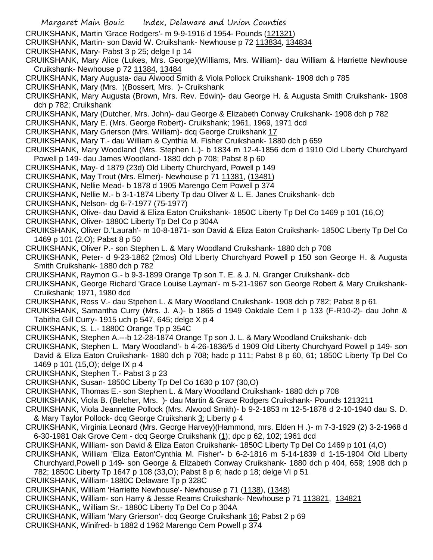Margaret Main Bouic Index, Delaware and Union Counties CRUIKSHANK, Martin 'Grace Rodgers'- m 9-9-1916 d 1954- Pounds (121321) CRUIKSHANK, Martin- son David W. Cruikshank- Newhouse p 72 113834, 134834 CRUIKSHANK, Mary- Pabst 3 p 25; delge I p 14 CRUIKSHANK, Mary Alice (Lukes, Mrs. George)(Williams, Mrs. William)- dau William & Harriette Newhouse Cruikshank- Newhouse p 72 11384, 13484 CRUIKSHANK, Mary Augusta- dau Alwood Smith & Viola Pollock Cruikshank- 1908 dch p 785 CRUIKSHANK, Mary (Mrs. )(Bossert, Mrs. )- Cruikshank CRUIKSHANK, Mary Augusta (Brown, Mrs. Rev. Edwin)- dau George H. & Augusta Smith Cruikshank- 1908 dch p 782; Cruikshank CRUIKSHANK, Mary (Dutcher, Mrs. John)- dau George & Elizabeth Conway Cruikshank- 1908 dch p 782 CRUIKSHANK, Mary E. (Mrs. George Robert)- Cruikshank; 1961, 1969, 1971 dcd CRUIKSHANK, Mary Grierson (Mrs. William)- dcq George Cruikshank 17 CRUIKSHANK, Mary T.- dau William & Cynthia M. Fisher Cruikshank- 1880 dch p 659 CRUIKSHANK, Mary Woodland (Mrs. Stephen L.)- b 1834 m 12-4-1856 dcm d 1910 Old Liberty Churchyard Powell p 149- dau James Woodland- 1880 dch p 708; Pabst 8 p 60 CRUIKSHANK, May- d 1879 (23d) Old Liberty Churchyard, Powell p 149 CRUIKSHANK, May Trout (Mrs. Elmer)- Newhouse p 71 11381, (13481) CRUIKSHANK, Nellie Mead- b 1878 d 1905 Marengo Cem Powell p 374 CRUIKSHANK, Nellie M.- b 3-1-1874 Liberty Tp dau Oliver & L. E. Janes Cruikshank- dcb CRUIKSHANK, Nelson- dg 6-7-1977 (75-1977) CRUIKSHANK, Olive- dau David & Eliza Eaton Cruikshank- 1850C Liberty Tp Del Co 1469 p 101 (16,O) CRUIKSHANK, Oliver- 1880C Liberty Tp Del Co p 304A CRUIKSHANK, Oliver D.'Laurah'- m 10-8-1871- son David & Eliza Eaton Cruikshank- 1850C Liberty Tp Del Co 1469 p 101 (2,O); Pabst 8 p 50 CRUIKSHANK, Oliver P.- son Stephen L. & Mary Woodland Cruikshank- 1880 dch p 708 CRUIKSHANK, Peter- d 9-23-1862 (2mos) Old Liberty Churchyard Powell p 150 son George H. & Augusta Smith Cruikshank- 1880 dch p 782 CRUIKSHANK, Raymon G.- b 9-3-1899 Orange Tp son T. E. & J. N. Granger Cruikshank- dcb CRUIKSHANK, George Richard 'Grace Louise Layman'- m 5-21-1967 son George Robert & Mary Cruikshank-Cruikshank; 1971, 1980 dcd CRUIKSHANK, Ross V.- dau Stpehen L. & Mary Woodland Cruikshank- 1908 dch p 782; Pabst 8 p 61 CRUIKSHANK, Samantha Curry (Mrs. J. A.)- b 1865 d 1949 Oakdale Cem I p 133 (F-R10-2)- dau John & Tabitha Gill Curry- 1915 uch p 547, 645; delge X p 4 CRUIKSHANK, S. L.- 1880C Orange Tp p 354C CRUIKSHANK, Stephen A.---b 12-28-1874 Orange Tp son J. L. & Mary Woodland Cruikshank- dcb CRUIKSHANK, Stephen L. 'Mary Woodland'- b 4-26-1836/5 d 1909 Old Liberty Churchyard Powell p 149- son David & Eliza Eaton Cruikshank- 1880 dch p 708; hadc p 111; Pabst 8 p 60, 61; 1850C Liberty Tp Del Co 1469 p 101 (15,O); delge IX p 4 CRUIKSHANK, Stephen T.- Pabst 3 p 23 CRUIKSHANK, Susan- 1850C Liberty Tp Del Co 1630 p 107 (30,O) CRUIKSHANK, Thomas E.- son Stephen L. & Mary Woodland Cruikshank- 1880 dch p 708 CRUIKSHANK, Viola B. (Belcher, Mrs. )- dau Martin & Grace Rodgers Cruikshank- Pounds 1213211 CRUIKSHANK, Viola Jeannette Pollock (Mrs. Alwood Smith)- b 9-2-1853 m 12-5-1878 d 2-10-1940 dau S. D. & Mary Taylor Pollock- dcq George Cruikshank 3; Liberty p 4 CRUIKSHANK, Virginia Leonard (Mrs. George Harvey)(Hammond, mrs. Elden H .)- m 7-3-1929 (2) 3-2-1968 d 6-30-1981 Oak Grove Cem - dcq George Cruikshank (1); dpc p 62, 102; 1961 dcd CRUIKSHANK, William- son David & Eliza Eaton Cruikshank- 1850C Liberty Tp Del Co 1469 p 101 (4,O) CRUIKSHANK, William 'Eliza Eaton'Cynthia M. Fisher'- b 6-2-1816 m 5-14-1839 d 1-15-1904 Old Liberty Churchyard,Powell p 149- son George & Elizabeth Conway Cruikshank- 1880 dch p 404, 659; 1908 dch p 782; 1850C Liberty Tp 1647 p 108 (33,O); Pabst 8 p 6; hadc p 18; delge VI p 51 CRUIKSHANK, William- 1880C Delaware Tp p 328C CRUIKSHANK, William 'Harriette Newhouse'- Newhouse p 71 (1138), (1348) CRUIKSHANK, William- son Harry & Jesse Reams Cruikshank- Newhouse p 71 113821, 134821 CRUIKSHANK,, William Sr.- 1880C Liberty Tp Del Co p 304A CRUIKSHANK, William 'Mary Grierson'- dcq George Cruikshank 16; Pabst 2 p 69 CRUIKSHANK, Winifred- b 1882 d 1962 Marengo Cem Powell p 374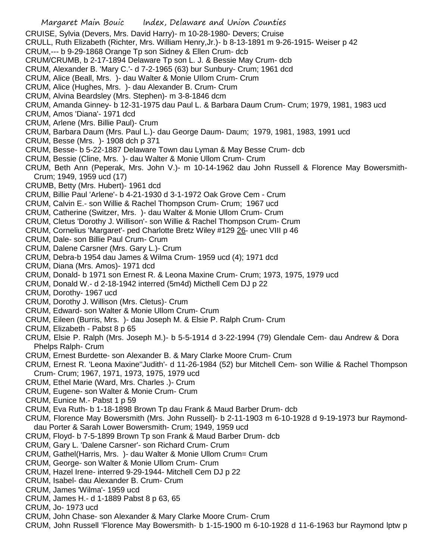CRUISE, Sylvia (Devers, Mrs. David Harry)- m 10-28-1980- Devers; Cruise

CRULL, Ruth Elizabeth (Richter, Mrs. William Henry,Jr.)- b 8-13-1891 m 9-26-1915- Weiser p 42

- CRUM,--- b 9-29-1868 Orange Tp son Sidney & Ellen Crum- dcb
- CRUM/CRUMB, b 2-17-1894 Delaware Tp son L. J. & Bessie May Crum- dcb
- CRUM, Alexander B. 'Mary C.'- d 7-2-1965 (63) bur Sunbury- Crum; 1961 dcd
- CRUM, Alice (Beall, Mrs. )- dau Walter & Monie UIlom Crum- Crum
- CRUM, Alice (Hughes, Mrs. )- dau Alexander B. Crum- Crum
- CRUM, Alvina Beardsley (Mrs. Stephen)- m 3-8-1846 dcm
- CRUM, Amanda Ginney- b 12-31-1975 dau Paul L. & Barbara Daum Crum- Crum; 1979, 1981, 1983 ucd
- CRUM, Amos 'Diana'- 1971 dcd
- CRUM, Arlene (Mrs. Billie Paul)- Crum
- CRUM, Barbara Daum (Mrs. Paul L.)- dau George Daum- Daum; 1979, 1981, 1983, 1991 ucd
- CRUM, Besse (Mrs. )- 1908 dch p 371
- CRUM, Besse- b 5-22-1887 Delaware Town dau Lyman & May Besse Crum- dcb
- CRUM, Bessie (Cline, Mrs. )- dau Walter & Monie Ullom Crum- Crum
- CRUM, Beth Ann (Peperak, Mrs. John V.)- m 10-14-1962 dau John Russell & Florence May Bowersmith-Crum; 1949, 1959 ucd (17)
- CRUMB, Betty (Mrs. Hubert)- 1961 dcd
- CRUM, Billie Paul 'Arlene'- b 4-21-1930 d 3-1-1972 Oak Grove Cem Crum
- CRUM, Calvin E.- son Willie & Rachel Thompson Crum- Crum; 1967 ucd
- CRUM, Catherine (Switzer, Mrs. )- dau Walter & Monie Ullom Crum- Crum
- CRUM, Cletus 'Dorothy J. Willison'- son Willie & Rachel Thompson Crum- Crum
- CRUM, Cornelius 'Margaret'- ped Charlotte Bretz Wiley #129 26- unec VIII p 46
- CRUM, Dale- son Billie Paul Crum- Crum
- CRUM, Dalene Carsner (Mrs. Gary L.)- Crum
- CRUM, Debra-b 1954 dau James & Wilma Crum- 1959 ucd (4); 1971 dcd
- CRUM, Diana (Mrs. Amos)- 1971 dcd
- CRUM, Donald- b 1971 son Ernest R. & Leona Maxine Crum- Crum; 1973, 1975, 1979 ucd
- CRUM, Donald W.- d 2-18-1942 interred (5m4d) Micthell Cem DJ p 22
- CRUM, Dorothy- 1967 ucd
- CRUM, Dorothy J. Willison (Mrs. Cletus)- Crum
- CRUM, Edward- son Walter & Monie Ullom Crum- Crum
- CRUM, Eileen (Burris, Mrs. )- dau Joseph M. & Elsie P. Ralph Crum- Crum
- CRUM, Elizabeth Pabst 8 p 65
- CRUM, Elsie P. Ralph (Mrs. Joseph M.)- b 5-5-1914 d 3-22-1994 (79) Glendale Cem- dau Andrew & Dora Phelps Ralph- Crum
- CRUM, Ernest Burdette- son Alexander B. & Mary Clarke Moore Crum- Crum
- CRUM, Ernest R. 'Leona Maxine''Judith'- d 11-26-1984 (52) bur Mitchell Cem- son Willie & Rachel Thompson Crum- Crum; 1967, 1971, 1973, 1975, 1979 ucd
- CRUM, Ethel Marie (Ward, Mrs. Charles .)- Crum
- CRUM, Eugene- son Walter & Monie Crum- Crum
- CRUM, Eunice M.- Pabst 1 p 59
- CRUM, Eva Ruth- b 1-18-1898 Brown Tp dau Frank & Maud Barber Drum- dcb
- CRUM, Florence May Bowersmith (Mrs. John Russell)- b 2-11-1903 m 6-10-1928 d 9-19-1973 bur Raymonddau Porter & Sarah Lower Bowersmith- Crum; 1949, 1959 ucd
- CRUM, Floyd- b 7-5-1899 Brown Tp son Frank & Maud Barber Drum- dcb
- CRUM, Gary L. 'Dalene Carsner'- son Richard Crum- Crum
- CRUM, Gathel(Harris, Mrs. )- dau Walter & Monie Ullom Crum= Crum
- CRUM, George- son Walter & Monie Ullom Crum- Crum
- CRUM, Hazel Irene- interred 9-29-1944- Mitchell Cem DJ p 22
- CRUM, Isabel- dau Alexander B. Crum- Crum
- CRUM, James 'Wilma'- 1959 ucd
- CRUM, James H.- d 1-1889 Pabst 8 p 63, 65
- CRUM, Jo- 1973 ucd
- CRUM, John Chase- son Alexander & Mary Clarke Moore Crum- Crum
- CRUM, John Russell 'Florence May Bowersmith- b 1-15-1900 m 6-10-1928 d 11-6-1963 bur Raymond lptw p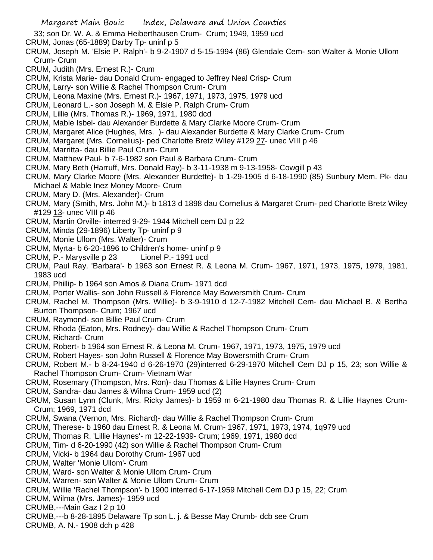- 33; son Dr. W. A. & Emma Heiberthausen Crum- Crum; 1949, 1959 ucd
- CRUM, Jonas (65-1889) Darby Tp- uninf p 5
- CRUM, Joseph M. 'Elsie P. Ralph'- b 9-2-1907 d 5-15-1994 (86) Glendale Cem- son Walter & Monie Ullom Crum- Crum
- CRUM, Judith (Mrs. Ernest R.)- Crum
- CRUM, Krista Marie- dau Donald Crum- engaged to Jeffrey Neal Crisp- Crum
- CRUM, Larry- son Willie & Rachel Thompson Crum- Crum
- CRUM, Leona Maxine (Mrs. Ernest R.)- 1967, 1971, 1973, 1975, 1979 ucd
- CRUM, Leonard L.- son Joseph M. & Elsie P. Ralph Crum- Crum
- CRUM, Lillie (Mrs. Thomas R.)- 1969, 1971, 1980 dcd
- CRUM, Mable Isbel- dau Alexander Burdette & Mary Clarke Moore Crum- Crum
- CRUM, Margaret Alice (Hughes, Mrs. )- dau Alexander Burdette & Mary Clarke Crum- Crum
- CRUM, Margaret (Mrs. Cornelius)- ped Charlotte Bretz Wiley #129 27- unec VIII p 46
- CRUM, Marritta- dau Billie Paul Crum- Crum
- CRUM, Matthew Paul- b 7-6-1982 son Paul & Barbara Crum- Crum
- CRUM, Mary Beth (Harruff, Mrs. Donald Ray)- b 3-11-1938 m 9-13-1958- Cowgill p 43
- CRUM, Mary Clarke Moore (Mrs. Alexander Burdette)- b 1-29-1905 d 6-18-1990 (85) Sunbury Mem. Pk- dau Michael & Mable Inez Money Moore- Crum
- CRUM, Mary D. (Mrs. Alexander)- Crum
- CRUM, Mary (Smith, Mrs. John M.)- b 1813 d 1898 dau Cornelius & Margaret Crum- ped Charlotte Bretz Wiley #129 13- unec VIII p 46
- CRUM, Martin Orville- interred 9-29- 1944 Mitchell cem DJ p 22
- CRUM, Minda (29-1896) Liberty Tp- uninf p 9
- CRUM, Monie Ullom (Mrs. Walter)- Crum
- CRUM, Myrta- b 6-20-1896 to Children's home- uninf p 9
- CRUM, P.- Marysville p 23 Lionel P.- 1991 ucd
- CRUM, Paul Ray. 'Barbara'- b 1963 son Ernest R. & Leona M. Crum- 1967, 1971, 1973, 1975, 1979, 1981, 1983 ucd
- CRUM, Phillip- b 1964 son Amos & Diana Crum- 1971 dcd
- CRUM, Porter Wallis- son John Russell & Florence May Bowersmith Crum- Crum
- CRUM, Rachel M. Thompson (Mrs. Willie)- b 3-9-1910 d 12-7-1982 Mitchell Cem- dau Michael B. & Bertha Burton Thompson- Crum; 1967 ucd
- CRUM, Raymond- son Billie Paul Crum- Crum
- CRUM, Rhoda (Eaton, Mrs. Rodney)- dau Willie & Rachel Thompson Crum- Crum
- CRUM, Richard- Crum
- CRUM, Robert- b 1964 son Ernest R. & Leona M. Crum- 1967, 1971, 1973, 1975, 1979 ucd
- CRUM, Robert Hayes- son John Russell & Florence May Bowersmith Crum- Crum
- CRUM, Robert M.- b 8-24-1940 d 6-26-1970 (29)interred 6-29-1970 Mitchell Cem DJ p 15, 23; son Willie & Rachel Thompson Crum- Crum- Vietnam War
- CRUM, Rosemary (Thompson, Mrs. Ron)- dau Thomas & Lillie Haynes Crum- Crum
- CRUM, Sandra- dau James & Wilma Crum- 1959 ucd (2)
- CRUM, Susan Lynn (Clunk, Mrs. Ricky James)- b 1959 m 6-21-1980 dau Thomas R. & Lillie Haynes Crum-Crum; 1969, 1971 dcd
- CRUM, Swana (Vernon, Mrs. Richard)- dau Willie & Rachel Thompson Crum- Crum
- CRUM, Therese- b 1960 dau Ernest R. & Leona M. Crum- 1967, 1971, 1973, 1974, 1q979 ucd
- CRUM, Thomas R. 'Lillie Haynes'- m 12-22-1939- Crum; 1969, 1971, 1980 dcd
- CRUM, Tim- d 6-20-1990 (42) son Willie & Rachel Thompson Crum- Crum
- CRUM, Vicki- b 1964 dau Dorothy Crum- 1967 ucd
- CRUM, Walter 'Monie Ullom'- Crum
- CRUM, Ward- son Walter & Monie Ullom Crum- Crum
- CRUM, Warren- son Walter & Monie Ullom Crum- Crum
- CRUM, Willie 'Rachel Thompson'- b 1900 interred 6-17-1959 Mitchell Cem DJ p 15, 22; Crum
- CRUM, Wilma (Mrs. James)- 1959 ucd
- CRUMB,---Main Gaz I 2 p 10
- CRUMB,---b 8-28-1895 Delaware Tp son L. j. & Besse May Crumb- dcb see Crum
- CRUMB, A. N.- 1908 dch p 428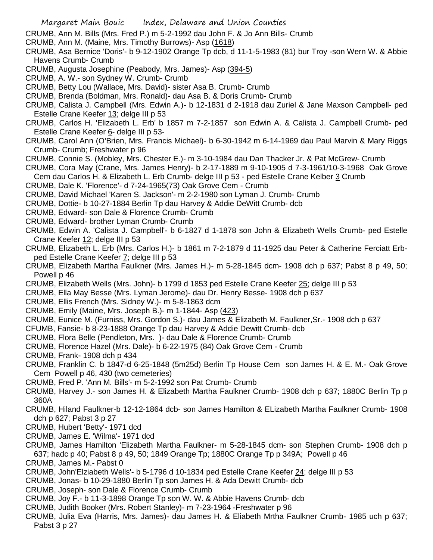CRUMB, Ann M. Bills (Mrs. Fred P.) m 5-2-1992 dau John F. & Jo Ann Bills- Crumb

- CRUMB, Ann M. (Maine, Mrs. Timothy Burrows)- Asp (1618)
- CRUMB, Asa Bernice 'Doris'- b 9-12-1902 Orange Tp dcb, d 11-1-5-1983 (81) bur Troy -son Wern W. & Abbie Havens Crumb- Crumb
- CRUMB, Augusta Josephine (Peabody, Mrs. James)- Asp (394-5)
- CRUMB, A. W.- son Sydney W. Crumb- Crumb
- CRUMB, Betty Lou (Wallace, Mrs. David)- sister Asa B. Crumb- Crumb
- CRUMB, Brenda (Boldman, Mrs. Ronald)- dau Asa B. & Doris Crumb- Crumb
- CRUMB, Calista J. Campbell (Mrs. Edwin A.)- b 12-1831 d 2-1918 dau Zuriel & Jane Maxson Campbell- ped Estelle Crane Keefer 13; delge III p 53
- CRUMB, Carlos H. 'Elizabeth L. Erb' b 1857 m 7-2-1857 son Edwin A. & Calista J. Campbell Crumb- ped Estelle Crane Keefer 6- delge III p 53-
- CRUMB, Carol Ann (O'Brien, Mrs. Francis Michael)- b 6-30-1942 m 6-14-1969 dau Paul Marvin & Mary Riggs Crumb- Crumb; Freshwater p 96
- CRUMB, Connie S. (Mobley, Mrs. Chester E.)- m 3-10-1984 dau Dan Thacker Jr. & Pat McGrew- Crumb
- CRUMB, Cora May (Crane, Mrs. James Henry)- b 2-17-1889 m 9-10-1905 d 7-3-1961/10-3-1968 Oak Grove Cem dau Carlos H. & Elizabeth L. Erb Crumb- delge III p 53 - ped Estelle Crane Kelber 3 Crumb
- CRUMB, Dale K. 'Florence'- d 7-24-1965(73) Oak Grove Cem Crumb
- CRUMB, David Michael 'Karen S. Jackson'- m 2-2-1980 son Lyman J. Crumb- Crumb
- CRUMB, Dottie- b 10-27-1884 Berlin Tp dau Harvey & Addie DeWitt Crumb- dcb
- CRUMB, Edward- son Dale & Florence Crumb- Crumb
- CRUMB, Edward- brother Lyman Crumb- Crumb
- CRUMB, Edwin A. 'Calista J. Campbell'- b 6-1827 d 1-1878 son John & Elizabeth Wells Crumb- ped Estelle Crane Keefer 12; delge III p 53
- CRUMB, Elizabeth L. Erb (Mrs. Carlos H.)- b 1861 m 7-2-1879 d 11-1925 dau Peter & Catherine Ferciatt Erbped Estelle Crane Keefer 7; delge III p 53
- CRUMB, Elizabeth Martha Faulkner (Mrs. James H.)- m 5-28-1845 dcm- 1908 dch p 637; Pabst 8 p 49, 50; Powell p 46
- CRUMB, Elizabeth Wells (Mrs. John)- b 1799 d 1853 ped Estelle Crane Keefer 25; delge III p 53
- CRUMB, Ella May Besse (Mrs. Lyman Jerome)- dau Dr. Henry Besse- 1908 dch p 637
- CRUMB, Ellis French (Mrs. Sidney W.)- m 5-8-1863 dcm
- CRUMB, Emily (Maine, Mrs. Joseph B.)- m 1-1844- Asp (423)
- CRUMB, Eunice M. (Furniss, Mrs. Gordon S.)- dau James & Elizabeth M. Faulkner,Sr.- 1908 dch p 637
- CFUMB, Fansie- b 8-23-1888 Orange Tp dau Harvey & Addie Dewitt Crumb- dcb
- CRUMB, Flora Belle (Pendleton, Mrs. )- dau Dale & Florence Crumb- Crumb
- CRUMB, Florence Hazel (Mrs. Dale)- b 6-22-1975 (84) Oak Grove Cem Crumb
- CRUMB, Frank- 1908 dch p 434
- CRUMB, Franklin C. b 1847-d 6-25-1848 (5m25d) Berlin Tp House Cem son James H. & E. M.- Oak Grove Cem Powell p 46, 430 (two cemeteries)
- CRUMB, Fred P. 'Ann M. Bills'- m 5-2-1992 son Pat Crumb- Crumb
- CRUMB, Harvey J.- son James H. & Elizabeth Martha Faulkner Crumb- 1908 dch p 637; 1880C Berlin Tp p 360A
- CRUMB, Hiland Faulkner-b 12-12-1864 dcb- son James Hamilton & ELizabeth Martha Faulkner Crumb- 1908 dch p 627; Pabst 3 p 27
- CRUMB, Hubert 'Betty'- 1971 dcd
- CRUMB, James E. 'Wilma'- 1971 dcd
- CRUMB, James Hamilton 'Elizabeth Martha Faulkner- m 5-28-1845 dcm- son Stephen Crumb- 1908 dch p 637; hadc p 40; Pabst 8 p 49, 50; 1849 Orange Tp; 1880C Orange Tp p 349A; Powell p 46
- CRUMB, James M.- Pabst 0
- CRUMB, John'Elziabeth Wells'- b 5-1796 d 10-1834 ped Estelle Crane Keefer 24; delge III p 53
- CRUMB, Jonas- b 10-29-1880 Berlin Tp son James H. & Ada Dewitt Crumb- dcb
- CRUMB, Joseph- son Dale & Florence Crumb- Crumb
- CRUMB, Joy F.- b 11-3-1898 Orange Tp son W. W. & Abbie Havens Crumb- dcb
- CRUMB, Judith Booker (Mrs. Robert Stanley)- m 7-23-1964 -Freshwater p 96
- CRUMB, Julia Eva (Harris, Mrs. James)- dau James H. & Eliabeth Mrtha Faulkner Crumb- 1985 uch p 637; Pabst 3 p 27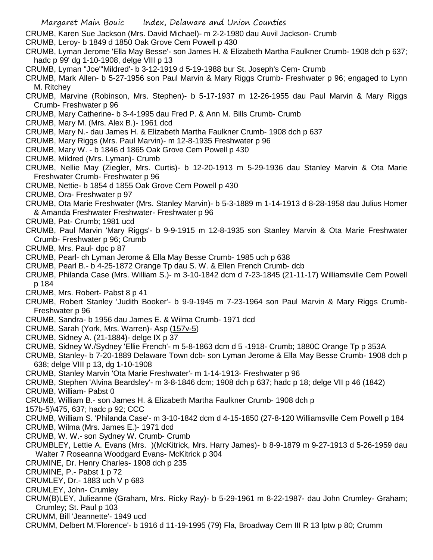- CRUMB, Karen Sue Jackson (Mrs. David Michael)- m 2-2-1980 dau Auvil Jackson- Crumb
- CRUMB, Leroy- b 1849 d 1850 Oak Grove Cem Powell p 430
- CRUMB, Lyman Jerome 'Ella May Besse'- son James H. & Elizabeth Martha Faulkner Crumb- 1908 dch p 637; hadc p 99' dg 1-10-1908, delge VIII p 13
- CRUMB, Lyman "Joe"'Mildred'- b 3-12-1919 d 5-19-1988 bur St. Joseph's Cem- Crumb
- CRUMB, Mark Allen- b 5-27-1956 son Paul Marvin & Mary Riggs Crumb- Freshwater p 96; engaged to Lynn M. Ritchey
- CRUMB, Marvine (Robinson, Mrs. Stephen)- b 5-17-1937 m 12-26-1955 dau Paul Marvin & Mary Riggs Crumb- Freshwater p 96
- CRUMB, Mary Catherine- b 3-4-1995 dau Fred P. & Ann M. Bills Crumb- Crumb
- CRUMB, Mary M. (Mrs. Alex B.)- 1961 dcd
- CRUMB, Mary N.- dau James H. & Elizabeth Martha Faulkner Crumb- 1908 dch p 637
- CRUMB, Mary Riggs (Mrs. Paul Marvin)- m 12-8-1935 Freshwater p 96
- CRUMB, Mary W. b 1846 d 1865 Oak Grove Cem Powell p 430
- CRUMB, Mildred (Mrs. Lyman)- Crumb
- CRUMB, Nellie May (Ziegler, Mrs. Curtis)- b 12-20-1913 m 5-29-1936 dau Stanley Marvin & Ota Marie Freshwater Crumb- Freshwater p 96
- CRUMB, Nettie- b 1854 d 1855 Oak Grove Cem Powell p 430
- CRUMB, Ora- Freshwater p 97
- CRUMB, Ota Marie Freshwater (Mrs. Stanley Marvin)- b 5-3-1889 m 1-14-1913 d 8-28-1958 dau Julius Homer & Amanda Freshwater Freshwater- Freshwater p 96
- CRUMB, Pat- Crumb; 1981 ucd
- CRUMB, Paul Marvin 'Mary Riggs'- b 9-9-1915 m 12-8-1935 son Stanley Marvin & Ota Marie Freshwater Crumb- Freshwater p 96; Crumb
- CRUMB, Mrs. Paul- dpc p 87
- CRUMB, Pearl- ch Lyman Jerome & Ella May Besse Crumb- 1985 uch p 638
- CRUMB, Pearl B.- b 4-25-1872 Orange Tp dau S. W. & Ellen French Crumb- dcb
- CRUMB, Philanda Case (Mrs. William S.)- m 3-10-1842 dcm d 7-23-1845 (21-11-17) Williamsville Cem Powell p 184
- CRUMB, Mrs. Robert- Pabst 8 p 41
- CRUMB, Robert Stanley 'Judith Booker'- b 9-9-1945 m 7-23-1964 son Paul Marvin & Mary Riggs Crumb-Freshwater p 96
- CRUMB, Sandra- b 1956 dau James E. & Wilma Crumb- 1971 dcd
- CRUMB, Sarah (York, Mrs. Warren)- Asp (157v-5)
- CRUMB, Sidney A. (21-1884)- delge IX p 37
- CRUMB, Sidney W./Sydney 'Ellie French'- m 5-8-1863 dcm d 5 -1918- Crumb; 1880C Orange Tp p 353A
- CRUMB, Stanley- b 7-20-1889 Delaware Town dcb- son Lyman Jerome & Ella May Besse Crumb- 1908 dch p 638; delge VIII p 13, dg 1-10-1908
- CRUMB, Stanley Marvin 'Ota Marie Freshwater'- m 1-14-1913- Freshwater p 96
- CRUMB, Stephen 'Alvina Beardsley'- m 3-8-1846 dcm; 1908 dch p 637; hadc p 18; delge VII p 46 (1842)
- CRUMB, William- Pabst 0
- CRUMB, William B.- son James H. & Elizabeth Martha Faulkner Crumb- 1908 dch p
- 157b-5)\475, 637; hadc p 92; CCC
- CRUMB, William S. 'Philanda Case'- m 3-10-1842 dcm d 4-15-1850 (27-8-120 Williamsville Cem Powell p 184
- CRUMB, Wilma (Mrs. James E.)- 1971 dcd
- CRUMB, W. W.- son Sydney W. Crumb- Crumb
- CRUMBLEY, Lettie A. Evans (Mrs. )(McKitrick, Mrs. Harry James)- b 8-9-1879 m 9-27-1913 d 5-26-1959 dau Walter 7 Roseanna Woodgard Evans- McKitrick p 304
- CRUMINE, Dr. Henry Charles- 1908 dch p 235
- CRUMINE, P.- Pabst 1 p 72
- CRUMLEY, Dr.- 1883 uch V p 683
- CRUMLEY, John- Crumley
- CRUM(B)LEY, Julieanne (Graham, Mrs. Ricky Ray)- b 5-29-1961 m 8-22-1987- dau John Crumley- Graham; Crumley; St. Paul p 103
- CRUMM, Bill 'Jeannette'- 1949 ucd
- CRUMM, Delbert M.'Florence'- b 1916 d 11-19-1995 (79) Fla, Broadway Cem III R 13 lptw p 80; Crumm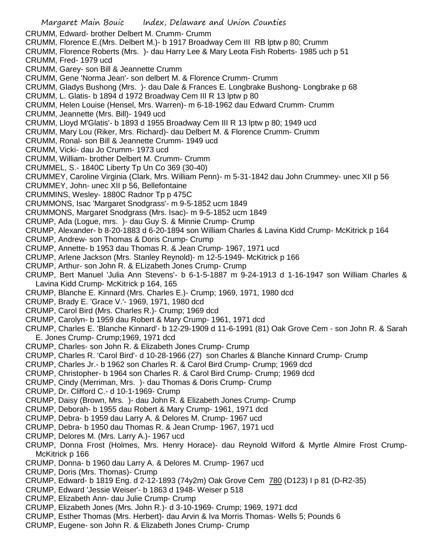Margaret Main Bouic Index, Delaware and Union Counties CRUMM, Edward- brother Delbert M. Crumm- Crumm CRUMM, Florence E.(Mrs. Delbert M.)- b 1917 Broadway Cem III RB lptw p 80; Crumm CRUMM, Florence Roberts (Mrs. )- dau Harry Lee & Mary Leota Fish Roberts- 1985 uch p 51 CRUMM, Fred- 1979 ucd CRUMM, Garey- son Bill & Jeannette Crumm CRUMM, Gene 'Norma Jean'- son delbert M. & Florence Crumm- Crumm CRUMM, Gladys Bushong (Mrs. )- dau Dale & Frances E. Longbrake Bushong- Longbrake p 68 CRUMM, L. Glatis- b 1894 d 1972 Broadway Cem III R 13 lptw p 80 CRUMM, Helen Louise (Hensel, Mrs. Warren)- m 6-18-1962 dau Edward Crumm- Crumm CRUMM, Jeannette (Mrs. Bill)- 1949 ucd CRUMM, Lloyd M'Glatis'- b 1893 d 1955 Broadway Cem III R 13 lptw p 80; 1949 ucd CRUMM, Mary Lou (Riker, Mrs. Richard)- dau Delbert M. & Florence Crumm- Crumm CRUMM, Ronal- son Bill & Jeannette Crumm- 1949 ucd CRUMM, Vicki- dau Jo Crumm- 1973 ucd CRUMM, William- brother Delbert M. Crumm- Crumm CRUMMEL, S.- 1840C Liberty Tp Un Co 369 (30-40) CRUMMEY, Caroline Virginia (Clark, Mrs. William Penn)- m 5-31-1842 dau John Crummey- unec XII p 56 CRUMMEY, John- unec XII p 56, Bellefontaine CRUMMINS, Wesley- 1880C Radnor Tp p 475C CRUMMONS, Isac 'Margaret Snodgrass'- m 9-5-1852 ucm 1849 CRUMMONS, Margaret Snodgrass (Mrs. Isac)- m 9-5-1852 ucm 1849 CRUMP, Ada (Logue, mrs. )- dau Guy S. & Minnie Crump- Crump CRUMP, Alexander- b 8-20-1883 d 6-20-1894 son William Charles & Lavina Kidd Crump- McKitrick p 164 CRUMP, Andrew- son Thomas & Doris Crump- Crump CRUMP, Annette- b 1953 dau Thomas R. & Jean Crump- 1967, 1971 ucd CRUMP, Arlene Jackson (Mrs. Stanley Reynold)- m 12-5-1949- McKitrick p 166 CRUMP, Arthur- son John R. & ELizabeth Jones Crump- Crump CRUMP, Bert Manuel 'Julia Ann Stevens'- b 6-1-5-1887 m 9-24-1913 d 1-16-1947 son William Charles & Lavina Kidd Crump- McKitrick p 164, 165 CRUMP, Blanche E. Kinnard (Mrs. Charles E.)- Crump; 1969, 1971, 1980 dcd CRUMP, Brady E. 'Grace V.'- 1969, 1971, 1980 dcd CRUMP, Carol Bird (Mrs. Charles R.)- Crump; 1969 dcd CRUMP, Carolyn- b 1959 dau Robert & Mary Crump- 1961, 1971 dcd CRUMP, Charles E. 'Blanche Kinnard'- b 12-29-1909 d 11-6-1991 (81) Oak Grove Cem - son John R. & Sarah E. Jones Crump- Crump;1969, 1971 dcd CRUMP, Charles- son John R. & Elizabeth Jones Crump- Crump CRUMP, Charles R. 'Carol Bird'- d 10-28-1966 (27) son Charles & Blanche Kinnard Crump- Crump CRUMP, Charles Jr.- b 1962 son Charles R. & Carol Bird Crump- Crump; 1969 dcd CRUMP, Christopher- b 1964 son Charles R. & Carol Bird Crump- Crump; 1969 dcd CRUMP, Cindy (Merriman, Mrs. )- dau Thomas & Doris Crump- Crump CRUMP, Dr. Clifford C.- d 10-1-1969- Crump CRUMP, Daisy (Brown, Mrs. )- dau John R. & Elizabeth Jones Crump- Crump CRUMP, Deborah- b 1955 dau Robert & Mary Crump- 1961, 1971 dcd CRUMP, Debra- b 1959 dau Larry A. & Delores M. Crump- 1967 ucd CRUMP, Debra- b 1950 dau Thomas R. & Jean Crump- 1967, 1971 ucd CRUMP, Delores M. (Mrs. Larry A.)- 1967 ucd CRUMP, Donna Frost (Holmes, Mrs. Henry Horace)- dau Reynold Wilford & Myrtle Almire Frost Crump-McKitrick p 166 CRUMP, Donna- b 1960 dau Larry A. & Delores M. Crump- 1967 ucd CRUMP, Doris (Mrs. Thomas)- Crump CRUMP, Edward- b 1819 Eng. d 2-12-1893 (74y2m) Oak Grove Cem 780 (D123) I p 81 (D-R2-35) CRUMP, Edward 'Jessie Weiser'- b 1863 d 1948- Weiser p 518 CRUMP, Elizabeth Ann- dau Julie Crump- Crump

- CRUMP, Elizabeth Jones (Mrs. John R.)- d 3-10-1969- Crump; 1969, 1971 dcd
- CRUMP, Esther Thomas (Mrs. Herbert)- dau Arvin & Iva Morris Thomas- Wells 5; Pounds 6
- CRUMP, Eugene- son John R. & Elizabeth Jones Crump- Crump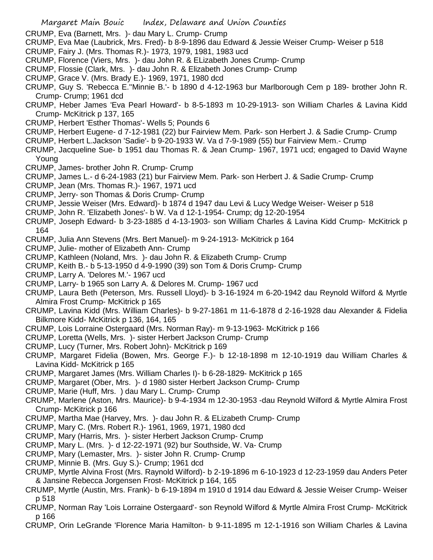CRUMP, Eva (Barnett, Mrs. )- dau Mary L. Crump- Crump

- CRUMP, Eva Mae (Laubrick, Mrs. Fred)- b 8-9-1896 dau Edward & Jessie Weiser Crump- Weiser p 518
- CRUMP, Fairy J. (Mrs. Thomas R.)- 1973, 1979, 1981, 1983 ucd
- CRUMP, Florence (Viers, Mrs. )- dau John R. & ELizabeth Jones Crump- Crump
- CRUMP, Flossie (Clark, Mrs. )- dau John R. & Elizabeth Jones Crump- Crump
- CRUMP, Grace V. (Mrs. Brady E.)- 1969, 1971, 1980 dcd
- CRUMP, Guy S. 'Rebecca E.''Minnie B.'- b 1890 d 4-12-1963 bur Marlborough Cem p 189- brother John R. Crump- Crump; 1961 dcd
- CRUMP, Heber James 'Eva Pearl Howard'- b 8-5-1893 m 10-29-1913- son William Charles & Lavina Kidd Crump- McKitrick p 137, 165
- CRUMP, Herbert 'Esther Thomas'- Wells 5; Pounds 6
- CRUMP, Herbert Eugene- d 7-12-1981 (22) bur Fairview Mem. Park- son Herbert J. & Sadie Crump- Crump
- CRUMP, Herbert L.Jackson 'Sadie'- b 9-20-1933 W. Va d 7-9-1989 (55) bur Fairview Mem.- Crump
- CRUMP, Jacqueline Sue- b 1951 dau Thomas R. & Jean Crump- 1967, 1971 ucd; engaged to David Wayne Young
- CRUMP, James- brother John R. Crump- Crump
- CRUMP, James L.- d 6-24-1983 (21) bur Fairview Mem. Park- son Herbert J. & Sadie Crump- Crump
- CRUMP, Jean (Mrs. Thomas R.)- 1967, 1971 ucd
- CRUMP, Jerry- son Thomas & Doris Crump- Crump
- CRUMP, Jessie Weiser (Mrs. Edward)- b 1874 d 1947 dau Levi & Lucy Wedge Weiser- Weiser p 518
- CRUMP, John R. 'Elizabeth Jones'- b W. Va d 12-1-1954- Crump; dg 12-20-1954
- CRUMP, Joseph Edward- b 3-23-1885 d 4-13-1903- son William Charles & Lavina Kidd Crump- McKitrick p 164
- CRUMP, Julia Ann Stevens (Mrs. Bert Manuel)- m 9-24-1913- McKitrick p 164
- CRUMP, Julie- mother of Elizabeth Ann- Crump
- CRUMP, Kathleen (Noland, Mrs. )- dau John R. & Elizabeth Crump- Crump
- CRUMP, Keith B.- b 5-13-1950 d 4-9-1990 (39) son Tom & Doris Crump- Crump
- CRUMP, Larry A. 'Delores M.'- 1967 ucd
- CRUMP, Larry- b 1965 son Larry A. & Delores M. Crump- 1967 ucd
- CRUMP, Laura Beth (Peterson, Mrs. Russell Lloyd)- b 3-16-1924 m 6-20-1942 dau Reynold Wilford & Myrtle Almira Frost Crump- McKitrick p 165
- CRUMP, Lavina Kidd (Mrs. William Charles)- b 9-27-1861 m 11-6-1878 d 2-16-1928 dau Alexander & Fidelia Bilkmore Kidd- McKitrick p 136, 164, 165
- CRUMP, Lois Lorraine Ostergaard (Mrs. Norman Ray)- m 9-13-1963- McKitrick p 166
- CRUMP, Loretta (Wells, Mrs. )- sister Herbert Jackson Crump- Crump
- CRUMP, Lucy (Turner, Mrs. Robert John)- McKitrick p 169
- CRUMP, Margaret Fidelia (Bowen, Mrs. George F.)- b 12-18-1898 m 12-10-1919 dau William Charles & Lavina Kidd- McKitrick p 165
- CRUMP, Margaret James (Mrs. William Charles I)- b 6-28-1829- McKitrick p 165
- CRUMP, Margaret (Ober, Mrs. )- d 1980 sister Herbert Jackson Crump- Crump
- CRUMP, Marie (Huff, Mrs. ) dau Mary L. Crump- Crump
- CRUMP, Marlene (Aston, Mrs. Maurice)- b 9-4-1934 m 12-30-1953 -dau Reynold Wilford & Myrtle Almira Frost Crump- McKitrick p 166
- CRUMP, Martha Mae (Harvey, Mrs. )- dau John R. & ELizabeth Crump- Crump
- CRUMP, Mary C. (Mrs. Robert R.)- 1961, 1969, 1971, 1980 dcd
- CRUMP, Mary (Harris, Mrs. )- sister Herbert Jackson Crump- Crump
- CRUMP, Mary L. (Mrs. )- d 12-22-1971 (92) bur Southside, W. Va- Crump
- CRUMP, Mary (Lemaster, Mrs. )- sister John R. Crump- Crump
- CRUMP, Minnie B. (Mrs. Guy S.)- Crump; 1961 dcd
- CRUMP, Myrtle Alvina Frost (Mrs. Raynold Wilford)- b 2-19-1896 m 6-10-1923 d 12-23-1959 dau Anders Peter & Jansine Rebecca Jorgensen Frost- McKitrick p 164, 165
- CRUMP, Myrtle (Austin, Mrs. Frank)- b 6-19-1894 m 1910 d 1914 dau Edward & Jessie Weiser Crump- Weiser p 518
- CRUMP, Norman Ray 'Lois Lorraine Ostergaard'- son Reynold Wilford & Myrtle Almira Frost Crump- McKitrick p 166
- CRUMP, Orin LeGrande 'Florence Maria Hamilton- b 9-11-1895 m 12-1-1916 son William Charles & Lavina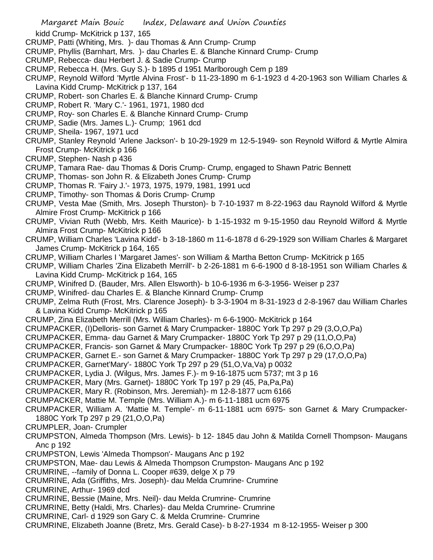kidd Crump- McKitrick p 137, 165

- CRUMP, Patti (Whiting, Mrs. )- dau Thomas & Ann Crump- Crump
- CRUMP, Phyllis (Barnhart, Mrs. )- dau Charles E. & Blanche Kinnard Crump- Crump
- CRUMP, Rebecca- dau Herbert J. & Sadie Crump- Crump
- CRUMP, Rebecca H. (Mrs. Guy S.)- b 1895 d 1951 Marlborough Cem p 189
- CRUMP, Reynold Wilford 'Myrtle Alvina Frost'- b 11-23-1890 m 6-1-1923 d 4-20-1963 son William Charles & Lavina Kidd Crump- McKitrick p 137, 164
- CRUMP, Robert- son Charles E. & Blanche Kinnard Crump- Crump
- CRUMP, Robert R. 'Mary C.'- 1961, 1971, 1980 dcd
- CRUMP, Roy- son Charles E. & Blanche Kinnard Crump- Crump
- CRUMP, Sadie (Mrs. James L.)- Crump; 1961 dcd
- CRUMP, Sheila- 1967, 1971 ucd
- CRUMP, Stanley Reynold 'Arlene Jackson'- b 10-29-1929 m 12-5-1949- son Reynold Wilford & Myrtle Almira Frost Crump- McKitrick p 166
- CRUMP, Stephen- Nash p 436
- CRUMP, Tamara Rae- dau Thomas & Doris Crump- Crump, engaged to Shawn Patric Bennett
- CRUMP, Thomas- son John R. & Elizabeth Jones Crump- Crump
- CRUMP, Thomas R. 'Fairy J.'- 1973, 1975, 1979, 1981, 1991 ucd
- CRUMP, Timothy- son Thomas & Doris Crump- Crump
- CRUMP, Vesta Mae (Smith, Mrs. Joseph Thurston)- b 7-10-1937 m 8-22-1963 dau Raynold Wilford & Myrtle Almire Frost Crump- McKitrick p 166
- CRUMP, Vivian Ruth (Webb, Mrs. Keith Maurice)- b 1-15-1932 m 9-15-1950 dau Reynold Wilford & Myrtle Almira Frost Crump- McKitrick p 166
- CRUMP, William Charles 'Lavina Kidd'- b 3-18-1860 m 11-6-1878 d 6-29-1929 son William Charles & Margaret James Crump- McKitrick p 164, 165
- CRUMP, William Charles I 'Margaret James'- son William & Martha Betton Crump- McKitrick p 165
- CRUMP, William Charles 'Zina Elizabeth Merrill'- b 2-26-1881 m 6-6-1900 d 8-18-1951 son William Charles & Lavina Kidd Crump- McKitrick p 164, 165
- CRUMP, Winifred D. (Bauder, Mrs. Allen Elsworth)- b 10-6-1936 m 6-3-1956- Weiser p 237
- CRUMP, Winifred- dau Charles E. & Blanche Kinnard Crump- Crump
- CRUMP, Zelma Ruth (Frost, Mrs. Clarence Joseph)- b 3-3-1904 m 8-31-1923 d 2-8-1967 dau William Charles & Lavina Kidd Crump- McKitrick p 165
- CRUMP, Zina Elizabeth Merrill (Mrs. William Charles)- m 6-6-1900- McKitrick p 164
- CRUMPACKER, (I)Delloris- son Garnet & Mary Crumpacker- 1880C York Tp 297 p 29 (3,O,O,Pa)
- CRUMPACKER, Emma- dau Garnet & Mary Crumpacker- 1880C York Tp 297 p 29 (11,O,O,Pa)
- CRUMPACKER, Francis- son Garnet & Mary Crumpacker- 1880C York Tp 297 p 29 (6,O,O,Pa)
- CRUMPACKER, Garnet E.- son Garnet & Mary Crumpacker- 1880C York Tp 297 p 29 (17,O,O,Pa)
- CRUMPACKER, Garnet'Mary'- 1880C York Tp 297 p 29 (51,O,Va,Va) p 0032
- CRUMPACKER, Lydia J. (Wilgus, Mrs. James F.)- m 9-16-1875 ucm 5737; mt 3 p 16
- CRUMPACKER, Mary (Mrs. Garnet)- 1880C York Tp 197 p 29 (45, Pa,Pa,Pa)
- CRUMPACKER, Mary R. (Robinson, Mrs. Jeremiah)- m 12-8-1877 ucm 6166
- CRUMPACKER, Mattie M. Temple (Mrs. William A.)- m 6-11-1881 ucm 6975
- CRUMPACKER, William A. 'Mattie M. Temple'- m 6-11-1881 ucm 6975- son Garnet & Mary Crumpacker-1880C York Tp 297 p 29 (21,O,O,Pa)
- CRUMPLER, Joan- Crumpler
- CRUMPSTON, Almeda Thompson (Mrs. Lewis)- b 12- 1845 dau John & Matilda Cornell Thompson- Maugans Anc p 192
- CRUMPSTON, Lewis 'Almeda Thompson'- Maugans Anc p 192
- CRUMPSTON, Mae- dau Lewis & Almeda Thompson Crumpston- Maugans Anc p 192
- CRUMRINE, --family of Donna L. Cooper #639, delge X p 79
- CRUMRINE, Ada (Griffiths, Mrs. Joseph)- dau Melda Crumrine- Crumrine
- CRUMRINE, Arthur- 1969 dcd
- CRUMRINE, Bessie (Maine, Mrs. Neil)- dau Melda Crumrine- Crumrine
- CRUMRINE, Betty (Haldi, Mrs. Charles)- dau Melda Crumrine- Crumrine
- CRUMRINE, Carl- d 1929 son Gary C. & Melda Crumrine- Crumrine
- CRUMRINE, Elizabeth Joanne (Bretz, Mrs. Gerald Case)- b 8-27-1934 m 8-12-1955- Weiser p 300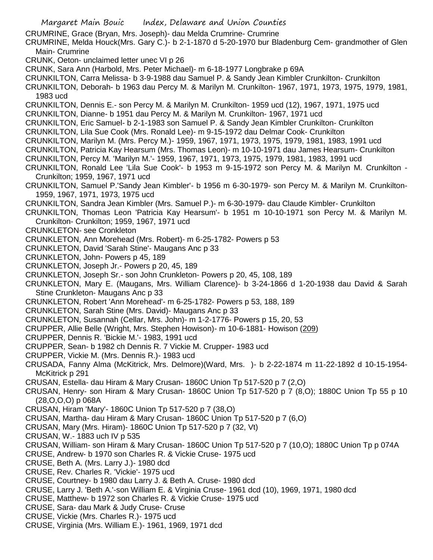- CRUMRINE, Grace (Bryan, Mrs. Joseph)- dau Melda Crumrine- Crumrine
- CRUMRINE, Melda Houck(Mrs. Gary C.)- b 2-1-1870 d 5-20-1970 bur Bladenburg Cem- grandmother of Glen Main- Crumrine
- CRUNK, Oeton- unclaimed letter unec VI p 26
- CRUNK, Sara Ann (Harbold, Mrs. Peter Michael)- m 6-18-1977 Longbrake p 69A
- CRUNKILTON, Carra Melissa- b 3-9-1988 dau Samuel P. & Sandy Jean Kimbler Crunkilton- Crunkilton
- CRUNKILTON, Deborah- b 1963 dau Percy M. & Marilyn M. Crunkilton- 1967, 1971, 1973, 1975, 1979, 1981, 1983 ucd
- CRUNKILTON, Dennis E.- son Percy M. & Marilyn M. Crunkilton- 1959 ucd (12), 1967, 1971, 1975 ucd
- CRUNKILTON, Dianne- b 1951 dau Percy M. & Marilyn M. Crunkilton- 1967, 1971 ucd
- CRUNKILTON, Eric Samuel- b 2-1-1983 son Samuel P. & Sandy Jean Kimbler Crunkilton- Crunkilton
- CRUNKILTON, Lila Sue Cook (Mrs. Ronald Lee)- m 9-15-1972 dau Delmar Cook- Crunkilton
- CRUNKILTON, Marilyn M. (Mrs. Percy M.)- 1959, 1967, 1971, 1973, 1975, 1979, 1981, 1983, 1991 ucd
- CRUNKILTON, Patricia Kay Hearsum (Mrs. Thomas Leon)- m 10-10-1971 dau James Hearsum- Crunkilton
- CRUNKILTON, Percy M. 'Marilyn M.'- 1959, 1967, 1971, 1973, 1975, 1979, 1981, 1983, 1991 ucd
- CRUNKILTON, Ronald Lee 'Lila Sue Cook'- b 1953 m 9-15-1972 son Percy M. & Marilyn M. Crunkilton Crunkilton; 1959, 1967, 1971 ucd
- CRUNKILTON, Samuel P.'Sandy Jean Kimbler'- b 1956 m 6-30-1979- son Percy M. & Marilyn M. Crunkilton-1959, 1967, 1971, 1973, 1975 ucd
- CRUNKILTON, Sandra Jean Kimbler (Mrs. Samuel P.)- m 6-30-1979- dau Claude Kimbler- Crunkilton
- CRUNKILTON, Thomas Leon 'Patricia Kay Hearsum'- b 1951 m 10-10-1971 son Percy M. & Marilyn M. Crunkilton- Crunkilton; 1959, 1967, 1971 ucd
- CRUNKLETON- see Cronkleton
- CRUNKLETON, Ann Morehead (Mrs. Robert)- m 6-25-1782- Powers p 53
- CRUNKLETON, David 'Sarah Stine'- Maugans Anc p 33
- CRUNKLETON, John- Powers p 45, 189
- CRUNKLETON, Joseph Jr.- Powers p 20, 45, 189
- CRUNKLETON, Joseph Sr.- son John Crunkleton- Powers p 20, 45, 108, 189
- CRUNKLETON, Mary E. (Maugans, Mrs. William Clarence)- b 3-24-1866 d 1-20-1938 dau David & Sarah Stine Crunkleton- Maugans Anc p 33
- CRUNKLETON, Robert 'Ann Morehead'- m 6-25-1782- Powers p 53, 188, 189
- CRUNKLETON, Sarah Stine (Mrs. David)- Maugans Anc p 33
- CRUNKLETON, Susannah (Cellar, Mrs. John)- m 1-2-1776- Powers p 15, 20, 53
- CRUPPER, Allie Belle (Wright, Mrs. Stephen Howison)- m 10-6-1881- Howison (209)
- CRUPPER, Dennis R. 'Bickie M.'- 1983, 1991 ucd
- CRUPPER, Sean- b 1982 ch Dennis R. 7 Vickie M. Crupper- 1983 ucd
- CRUPPER, Vickie M. (Mrs. Dennis R.)- 1983 ucd
- CRUSADA, Fanny Alma (McKitrick, Mrs. Delmore)(Ward, Mrs. )- b 2-22-1874 m 11-22-1892 d 10-15-1954- McKitrick p 291
- CRUSAN, Estella- dau Hiram & Mary Crusan- 1860C Union Tp 517-520 p 7 (2,O)
- CRUSAN, Henry- son Hiram & Mary Crusan- 1860C Union Tp 517-520 p 7 (8,O); 1880C Union Tp 55 p 10 (28,O,O,O) p 068A
- CRUSAN, Hiram 'Mary'- 1860C Union Tp 517-520 p 7 (38,O)
- CRUSAN, Martha- dau Hiram & Mary Crusan- 1860C Union Tp 517-520 p 7 (6,O)
- CRUSAN, Mary (Mrs. Hiram)- 1860C Union Tp 517-520 p 7 (32, Vt)
- CRUSAN, W.- 1883 uch IV p 535
- CRUSAN, William- son Hiram & Mary Crusan- 1860C Union Tp 517-520 p 7 (10,O); 1880C Union Tp p 074A
- CRUSE, Andrew- b 1970 son Charles R. & Vickie Cruse- 1975 ucd
- CRUSE, Beth A. (Mrs. Larry J.)- 1980 dcd
- CRUSE, Rev. Charles R. 'Vickie'- 1975 ucd
- CRUSE, Courtney- b 1980 dau Larry J. & Beth A. Cruse- 1980 dcd
- CRUSE, Larry J. 'Beth A.'-son William E. & Virginia Cruse- 1961 dcd (10), 1969, 1971, 1980 dcd
- CRUSE, Matthew- b 1972 son Charles R. & Vickie Cruse- 1975 ucd
- CRUSE, Sara- dau Mark & Judy Cruse- Cruse
- CRUSE, Vickie (Mrs. Charles R.)- 1975 ucd
- CRUSE, Virginia (Mrs. William E.)- 1961, 1969, 1971 dcd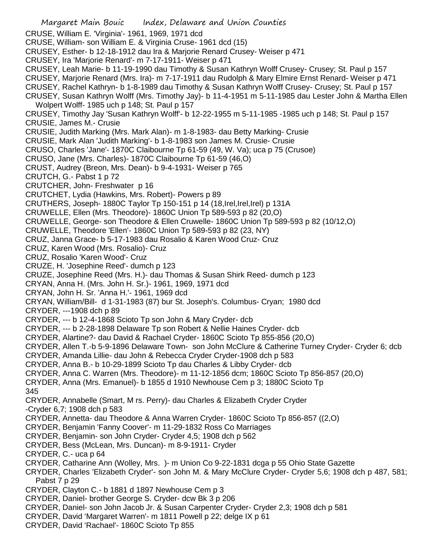Margaret Main Bouic Index, Delaware and Union Counties CRUSE, William E. 'Virginia'- 1961, 1969, 1971 dcd CRUSE, William- son William E. & Virginia Cruse- 1961 dcd (15) CRUSEY, Esther- b 12-18-1912 dau Ira & Marjorie Renard Crusey- Weiser p 471 CRUSEY, Ira 'Marjorie Renard'- m 7-17-1911- Weiser p 471 CRUSEY, Leah Marie- b 11-19-1990 dau Timothy & Susan Kathryn Wolff Crusey- Crusey; St. Paul p 157 CRUSEY, Marjorie Renard (Mrs. Ira)- m 7-17-1911 dau Rudolph & Mary Elmire Ernst Renard- Weiser p 471 CRUSEY, Rachel Kathryn- b 1-8-1989 dau Timothy & Susan Kathryn Wolff Crusey- Crusey; St. Paul p 157 CRUSEY, Susan Kathryn Wolff (Mrs. Timothy Jay)- b 11-4-1951 m 5-11-1985 dau Lester John & Martha Ellen Wolpert Wolff- 1985 uch p 148; St. Paul p 157 CRUSEY, Timothy Jay 'Susan Kathryn Wolff'- b 12-22-1955 m 5-11-1985 -1985 uch p 148; St. Paul p 157 CRUSIE, James M.- Crusie CRUSIE, Judith Marking (Mrs. Mark Alan)- m 1-8-1983- dau Betty Marking- Crusie CRUSIE, Mark Alan 'Judith Marking'- b 1-8-1983 son James M. Crusie- Crusie CRUSO, Charles 'Jane'- 1870C Claibourne Tp 61-59 (49, W. Va); uca p 75 (Crusoe) CRUSO, Jane (Mrs. Charles)- 1870C Claibourne Tp 61-59 (46,O) CRUST, Audrey (Breon, Mrs. Dean)- b 9-4-1931- Weiser p 765 CRUTCH, G.- Pabst 1 p 72 CRUTCHER, John- Freshwater p 16 CRUTCHET, Lydia (Hawkins, Mrs. Robert)- Powers p 89 CRUTHERS, Joseph- 1880C Taylor Tp 150-151 p 14 (18,Irel,Irel,Irel) p 131A CRUWELLE, Ellen (Mrs. Theodore)- 1860C Union Tp 589-593 p 82 (20,O) CRUWELLE, George- son Theodore & Ellen Cruwelle- 1860C Union Tp 589-593 p 82 (10/12,O) CRUWELLE, Theodore 'Ellen'- 1860C Union Tp 589-593 p 82 (23, NY) CRUZ, Janna Grace- b 5-17-1983 dau Rosalio & Karen Wood Cruz- Cruz CRUZ, Karen Wood (Mrs. Rosalio)- Cruz CRUZ, Rosalio 'Karen Wood'- Cruz CRUZE, H. 'Josephine Reed'- dumch p 123 CRUZE, Josephine Reed (Mrs. H.)- dau Thomas & Susan Shirk Reed- dumch p 123 CRYAN, Anna H. (Mrs. John H. Sr.)- 1961, 1969, 1971 dcd CRYAN, John H. Sr. 'Anna H.'- 1961, 1969 dcd CRYAN, William/Bill- d 1-31-1983 (87) bur St. Joseph's. Columbus- Cryan; 1980 dcd CRYDER, ---1908 dch p 89 CRYDER, --- b 12-4-1868 Scioto Tp son John & Mary Cryder- dcb CRYDER, --- b 2-28-1898 Delaware Tp son Robert & Nellie Haines Cryder- dcb CRYDER, Alartine?- dau David & Rachael Cryder- 1860C Scioto Tp 855-856 (20,O) CRYDER, Allen T.-b 5-9-1896 Delaware Town- son John McClure & Catherine Turney Cryder- Cryder 6; dcb CRYDER, Amanda Lillie- dau John & Rebecca Cryder Cryder-1908 dch p 583 CRYDER, Anna B.- b 10-29-1899 Scioto Tp dau Charles & Libby Cryder- dcb CRYDER, Anna C. Warren (Mrs. Theodore)- m 11-12-1856 dcm; 1860C Scioto Tp 856-857 (20,O) CRYDER, Anna (Mrs. Emanuel)- b 1855 d 1910 Newhouse Cem p 3; 1880C Scioto Tp 345 CRYDER, Annabelle (Smart, M rs. Perry)- dau Charles & Elizabeth Cryder Cryder -Cryder 6,7; 1908 dch p 583 CRYDER, Annetta- dau Theodore & Anna Warren Cryder- 1860C Scioto Tp 856-857 ((2,O) CRYDER, Benjamin 'Fanny Coover'- m 11-29-1832 Ross Co Marriages CRYDER, Benjamin- son John Cryder- Cryder 4,5; 1908 dch p 562 CRYDER, Bess (McLean, Mrs. Duncan)- m 8-9-1911- Cryder CRYDER, C.- uca p 64 CRYDER, Catharine Ann (Wolley, Mrs. )- m Union Co 9-22-1831 dcga p 55 Ohio State Gazette CRYDER, Charles 'Elizabeth Cryder'- son John M. & Mary McClure Cryder- Cryder 5,6; 1908 dch p 487, 581; Pabst 7 p 29 CRYDER, Clayton C.- b 1881 d 1897 Newhouse Cem p 3 CRYDER, Daniel- brother George S. Cryder- dcw Bk 3 p 206 CRYDER, Daniel- son John Jacob Jr. & Susan Carpenter Cryder- Cryder 2,3; 1908 dch p 581 CRYDER, David 'Margaret Warren'- m 1811 Powell p 22; delge IX p 61 CRYDER, David 'Rachael'- 1860C Scioto Tp 855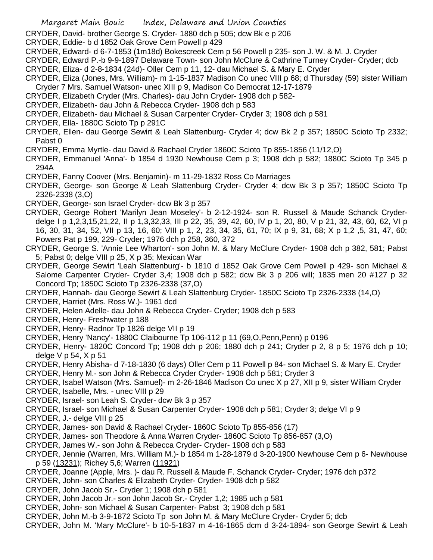CRYDER, David- brother George S. Cryder- 1880 dch p 505; dcw Bk e p 206

- CRYDER, Eddie- b d 1852 Oak Grove Cem Powell p 429
- CRYDER, Edward- d 6-7-1853 (1m18d) Bokescreek Cem p 56 Powell p 235- son J. W. & M. J. Cryder
- CRYDER, Edward P.-b 9-9-1897 Delaware Town- son John McClure & Cathrine Turney Cryder- Cryder; dcb
- CRYDER, Eliza- d 2-8-1834 (24d)- Oller Cem p 11, 12- dau Michael S. & Mary E. Cryder
- CRYDER, Eliza (Jones, Mrs. William)- m 1-15-1837 Madison Co unec VIII p 68; d Thursday (59) sister William
- Cryder 7 Mrs. Samuel Watson- unec XIII p 9, Madison Co Democrat 12-17-1879
- CRYDER, Elizabeth Cryder (Mrs. Charles)- dau John Cryder- 1908 dch p 582-
- CRYDER, Elizabeth- dau John & Rebecca Cryder- 1908 dch p 583
- CRYDER, Elizabeth- dau Michael & Susan Carpenter Cryder- Cryder 3; 1908 dch p 581
- CRYDER, Ella- 1880C Scioto Tp p 291C
- CRYDER, Ellen- dau George Sewirt & Leah Slattenburg- Cryder 4; dcw Bk 2 p 357; 1850C Scioto Tp 2332; Pabst 0
- CRYDER, Emma Myrtle- dau David & Rachael Cryder 1860C Scioto Tp 855-1856 (11/12,O)
- CRYDER, Emmanuel 'Anna'- b 1854 d 1930 Newhouse Cem p 3; 1908 dch p 582; 1880C Scioto Tp 345 p 294A
- CRYDER, Fanny Coover (Mrs. Benjamin)- m 11-29-1832 Ross Co Marriages
- CRYDER, George- son George & Leah Slattenburg Cryder- Cryder 4; dcw Bk 3 p 357; 1850C Scioto Tp 2326-2338 (3,O)
- CRYDER, George- son Israel Cryder- dcw Bk 3 p 357
- CRYDER, George Robert 'Marilyn Jean Moseley'- b 2-12-1924- son R. Russell & Maude Schanck Cryderdelge I p 1,2,3,15,21,22, II p 1,3,32,33, III p 22, 35, 39, 42, 60, IV p 1, 20, 80, V p 21, 32, 43, 60, 62, VI p 16, 30, 31, 34, 52, VII p 13, 16, 60; VIII p 1, 2, 23, 34, 35, 61, 70; IX p 9, 31, 68; X p 1,2 ,5, 31, 47, 60; Powers Pat p 199, 229- Cryder; 1976 dch p 258, 360, 372
- CRYDER, George S. 'Annie Lee Wharton'- son John M. & Mary McClure Cryder- 1908 dch p 382, 581; Pabst 5; Pabst 0; delge VIII p 25, X p 35; Mexican War
- CRYDER, George Sewirt 'Leah Slattenburg'- b 1810 d 1852 Oak Grove Cem Powell p 429- son Michael & Salome Carpenter Cryder- Cryder 3,4; 1908 dch p 582; dcw Bk 3 p 206 will; 1835 men 20 #127 p 32 Concord Tp; 1850C Scioto Tp 2326-2338 (37,O)
- CRYDER, Hannah- dau George Sewirt & Leah Slattenburg Cryder- 1850C Scioto Tp 2326-2338 (14,O)
- CRYDER, Harriet (Mrs. Ross W.)- 1961 dcd
- CRYDER, Helen Adelle- dau John & Rebecca Cryder- Cryder; 1908 dch p 583
- CRYDER, Henry- Freshwater p 188
- CRYDER, Henry- Radnor Tp 1826 delge VII p 19
- CRYDER, Henry 'Nancy'- 1880C Claibourne Tp 106-112 p 11 (69,O,Penn,Penn) p 0196
- CRYDER, Henry- 1820C Concord Tp; 1908 dch p 206; 1880 dch p 241; Cryder p 2, 8 p 5; 1976 dch p 10; delge V p 54, X p 51
- CRYDER, Henry Abisha- d 7-18-1830 (6 days) Oller Cem p 11 Powell p 84- son Michael S. & Mary E. Cryder
- CRYDER, Henry M.- son John & Rebecca Cryder Cryder- 1908 dch p 581; Cryder 3
- CRYDER, Isabel Watson (Mrs. Samuel)- m 2-26-1846 Madison Co unec X p 27, XII p 9, sister William Cryder
- CRYDER, Isabelle, Mrs. unec VIII p 29
- CRYDER, Israel- son Leah S. Cryder- dcw Bk 3 p 357
- CRYDER, Israel- son Michael & Susan Carpenter Cryder- 1908 dch p 581; Cryder 3; delge VI p 9
- CRYDER, J.- delge VIII p 25
- CRYDER, James- son David & Rachael Cryder- 1860C Scioto Tp 855-856 (17)
- CRYDER, James- son Theodore & Anna Warren Cryder- 1860C Scioto Tp 856-857 (3,O)
- CRYDER, James W.- son John & Rebecca Cryder- Cryder- 1908 dch p 583
- CRYDER, Jennie (Warren, Mrs. William M.)- b 1854 m 1-28-1879 d 3-20-1900 Newhouse Cem p 6- Newhouse p 59 (13231); Richey 5,6; Warren (11921)
- CRYDER, Joanne (Apple, Mrs. )- dau R. Russell & Maude F. Schanck Cryder- Cryder; 1976 dch p372
- CRYDER, John- son Charles & Elizabeth Cryder- Cryder- 1908 dch p 582
- CRYDER, John Jacob Sr.- Cryder 1; 1908 dch p 581
- CRYDER, John Jacob Jr.- son John Jacob Sr.- Cryder 1,2; 1985 uch p 581
- CRYDER, John- son Michael & Susan Carpenter- Pabst 3; 1908 dch p 581
- CRYDER, John M.-b 3-9-1872 Scioto Tp son John M. & Mary McClure Cryder- Cryder 5; dcb
- CRYDER, John M. 'Mary McClure'- b 10-5-1837 m 4-16-1865 dcm d 3-24-1894- son George Sewirt & Leah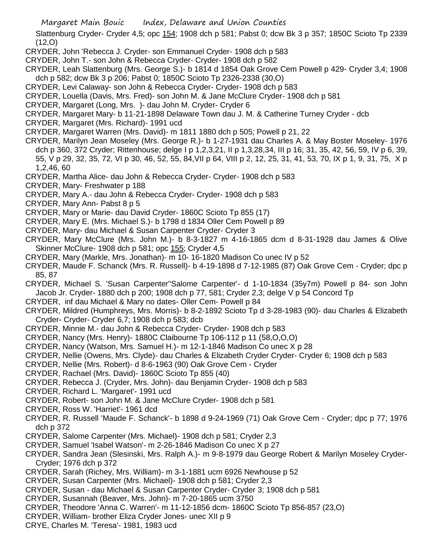Slattenburg Cryder- Cryder 4,5; opc 154; 1908 dch p 581; Pabst 0; dcw Bk 3 p 357; 1850C Scioto Tp 2339 (12,O)

CRYDER, John 'Rebecca J. Cryder- son Emmanuel Cryder- 1908 dch p 583

- CRYDER, John T.- son John & Rebecca Cryder- Cryder- 1908 dch p 582
- CRYDER, Leah Slattenburg (Mrs. George S.)- b 1814 d 1854 Oak Grove Cem Powell p 429- Cryder 3,4; 1908 dch p 582; dcw Bk 3 p 206; Pabst 0; 1850C Scioto Tp 2326-2338 (30,O)
- CRYDER, Levi Calaway- son John & Rebecca Cryder- Cryder- 1908 dch p 583
- CRYDER, Louella (Davis, Mrs. Fred)- son John M. & Jane McClure Cryder- 1908 dch p 581
- CRYDER, Margaret (Long, Mrs. )- dau John M. Cryder- Cryder 6
- CRYDER, Margaret Mary- b 11-21-1898 Delaware Town dau J. M. & Catherine Turney Cryder dcb
- CRYDER, Margaret (Mrs. Richard)- 1991 ucd
- CRYDER, Margaret Warren (Mrs. David)- m 1811 1880 dch p 505; Powell p 21, 22
- CRYDER, Marilyn Jean Moseley (Mrs. George R.)- b 1-27-1931 dau Charles A. & May Boster Moseley- 1976 dch p 360, 372 Cryder; Rittenhouse; delge I p 1,2,3,21, II p 1,3,28,34, III p 16; 31, 35, 42, 56, 59, IV p 6, 39, 55, V p 29, 32, 35, 72, VI p 30, 46, 52, 55, 84,VII p 64, VIII p 2, 12, 25, 31, 41, 53, 70, IX p 1, 9, 31, 75, X p 1,2,46, 60
- CRYDER, Martha Alice- dau John & Rebecca Cryder- Cryder- 1908 dch p 583
- CRYDER, Mary- Freshwater p 188
- CRYDER, Mary A.- dau John & Rebecca Cryder- Cryder- 1908 dch p 583
- CRYDER, Mary Ann- Pabst 8 p 5
- CRYDER, Mary or Marie- dau David Cryder- 1860C Scioto Tp 855 (17)
- CRYDER, Mary E. (Mrs. Michael S.)- b 1798 d 1834 Oller Cem Powell p 89
- CRYDER, Mary- dau Michael & Susan Carpenter Cryder- Cryder 3
- CRYDER, Mary McClure (Mrs. John M.)- b 8-3-1827 m 4-16-1865 dcm d 8-31-1928 dau James & Olive Skinner McClure- 1908 dch p 581; opc 155; Cryder 4,5
- CRYDER, Mary (Markle, Mrs. Jonathan)- m 10- 16-1820 Madison Co unec IV p 52
- CRYDER, Maude F. Schanck (Mrs. R. Russell)- b 4-19-1898 d 7-12-1985 (87) Oak Grove Cem Cryder; dpc p 85, 87
- CRYDER, Michael S. 'Susan Carpenter''Salome Carpenter'- d 1-10-1834 (35y7m) Powell p 84- son John Jacob Jr. Cryder- 1880 dch p 200; 1908 dch p 77, 581; Cryder 2,3; delge V p 54 Concord Tp
- CRYDER, inf dau Michael & Mary no dates- Oller Cem- Powell p 84
- CRYDER, Mildred (Humphreys, Mrs. Morris)- b 8-2-1892 Scioto Tp d 3-28-1983 (90)- dau Charles & Elizabeth Cryder- Cryder- Cryder 6,7; 1908 dch p 583; dcb
- CRYDER, Minnie M.- dau John & Rebecca Cryder- Cryder- 1908 dch p 583
- CRYDER, Nancy (Mrs. Henry)- 1880C Claibourne Tp 106-112 p 11 (58,O,O,O)
- CRYDER, Nancy (Watson, Mrs. Samuel H.)- m 12-1-1846 Madison Co unec X p 28
- CRYDER, Nellie (Owens, Mrs. Clyde)- dau Charles & Elizabeth Cryder Cryder- Cryder 6; 1908 dch p 583
- CRYDER, Nellie (Mrs. Robert)- d 8-6-1963 (90) Oak Grove Cem Cryder
- CRYDER, Rachael (Mrs. David)- 1860C Scioto Tp 855 (40)
- CRYDER, Rebecca J. (Cryder, Mrs. John)- dau Benjamin Cryder- 1908 dch p 583
- CRYDER, Richard L. 'Margaret'- 1991 ucd
- CRYDER, Robert- son John M. & Jane McClure Cryder- 1908 dch p 581
- CRYDER, Ross W. 'Harriet'- 1961 dcd
- CRYDER, R. Russell 'Maude F. Schanck'- b 1898 d 9-24-1969 (71) Oak Grove Cem Cryder; dpc p 77; 1976 dch p 372
- CRYDER, Salome Carpenter (Mrs. Michael)- 1908 dch p 581; Cryder 2,3
- CRYDER, Samuel 'Isabel Watson'- m 2-26-1846 Madison Co unec X p 27
- CRYDER, Sandra Jean (Slesinski, Mrs. Ralph A.)- m 9-8-1979 dau George Robert & Marilyn Moseley Cryder-Cryder; 1976 dch p 372
- CRYDER, Sarah (Richey, Mrs. William)- m 3-1-1881 ucm 6926 Newhouse p 52
- CRYDER, Susan Carpenter (Mrs. Michael)- 1908 dch p 581; Cryder 2,3
- CRYDER, Susan dau Michael & Susan Carpenter Cryder- Cryder 3; 1908 dch p 581
- CRYDER, Susannah (Beaver, Mrs. John)- m 7-20-1865 ucm 3750
- CRYDER, Theodore 'Anna C. Warren'- m 11-12-1856 dcm- 1860C Scioto Tp 856-857 (23,O)
- CRYDER, William- brother Eliza Cryder Jones- unec XII p 9
- CRYE, Charles M. 'Teresa'- 1981, 1983 ucd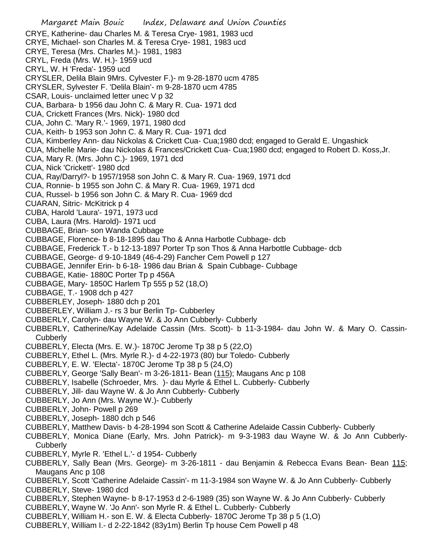Margaret Main Bouic Index, Delaware and Union Counties CRYE, Katherine- dau Charles M. & Teresa Crye- 1981, 1983 ucd CRYE, Michael- son Charles M. & Teresa Crye- 1981, 1983 ucd CRYE, Teresa (Mrs. Charles M.)- 1981, 1983 CRYL, Freda (Mrs. W. H.)- 1959 ucd CRYL, W. H 'Freda'- 1959 ucd CRYSLER, Delila Blain 9Mrs. Cylvester F.)- m 9-28-1870 ucm 4785 CRYSLER, Sylvester F. 'Delila Blain'- m 9-28-1870 ucm 4785 CSAR, Louis- unclaimed letter unec V p 32 CUA, Barbara- b 1956 dau John C. & Mary R. Cua- 1971 dcd CUA, Crickett Frances (Mrs. Nick)- 1980 dcd CUA, John C. 'Mary R.'- 1969, 1971, 1980 dcd CUA, Keith- b 1953 son John C. & Mary R. Cua- 1971 dcd CUA, Kimberley Ann- dau Nickolas & Crickett Cua- Cua;1980 dcd; engaged to Gerald E. Ungashick CUA, Michelle Marie- dau Nickolas & Frances/Crickett Cua- Cua;1980 dcd; engaged to Robert D. Koss,Jr. CUA, Mary R. (Mrs. John C.)- 1969, 1971 dcd CUA, Nick 'Crickett'- 1980 dcd CUA, Ray/Darryl?- b 1957/1958 son John C. & Mary R. Cua- 1969, 1971 dcd CUA, Ronnie- b 1955 son John C. & Mary R. Cua- 1969, 1971 dcd CUA, Russel- b 1956 son John C. & Mary R. Cua- 1969 dcd CUARAN, Sitric- McKitrick p 4 CUBA, Harold 'Laura'- 1971, 1973 ucd CUBA, Laura (Mrs. Harold)- 1971 ucd CUBBAGE, Brian- son Wanda Cubbage CUBBAGE, Florence- b 8-18-1895 dau Tho & Anna Harbotle Cubbage- dcb CUBBAGE, Frederick T.- b 12-13-1897 Porter Tp son Thos & Anna Harbottle Cubbage- dcb CUBBAGE, George- d 9-10-1849 (46-4-29) Fancher Cem Powell p 127 CUBBAGE, Jennifer Erin- b 6-18- 1986 dau Brian & Spain Cubbage- Cubbage CUBBAGE, Katie- 1880C Porter Tp p 456A CUBBAGE, Mary- 1850C Harlem Tp 555 p 52 (18,O) CUBBAGE, T.- 1908 dch p 427 CUBBERLEY, Joseph- 1880 dch p 201 CUBBERLEY, William J.- rs 3 bur Berlin Tp- Cubberley CUBBERLY, Carolyn- dau Wayne W. & Jo Ann Cubberly- Cubberly CUBBERLY, Catherine/Kay Adelaide Cassin (Mrs. Scott)- b 11-3-1984- dau John W. & Mary O. Cassin-**Cubberly** CUBBERLY, Electa (Mrs. E. W.)- 1870C Jerome Tp 38 p 5 (22,O) CUBBERLY, Ethel L. (Mrs. Myrle R.)- d 4-22-1973 (80) bur Toledo- Cubberly CUBBERLY, E. W. 'Electa'- 1870C Jerome Tp 38 p 5 (24,O) CUBBERLY, George 'Sally Bean'- m 3-26-1811- Bean (115); Maugans Anc p 108 CUBBERLY, Isabelle (Schroeder, Mrs. )- dau Myrle & Ethel L. Cubberly- Cubberly CUBBERLY, Jill- dau Wayne W. & Jo Ann Cubberly- Cubberly CUBBERLY, Jo Ann (Mrs. Wayne W.)- Cubberly CUBBERLY, John- Powell p 269 CUBBERLY, Joseph- 1880 dch p 546 CUBBERLY, Matthew Davis- b 4-28-1994 son Scott & Catherine Adelaide Cassin Cubberly- Cubberly CUBBERLY, Monica Diane (Early, Mrs. John Patrick)- m 9-3-1983 dau Wayne W. & Jo Ann Cubberly-**Cubberly** CUBBERLY, Myrle R. 'Ethel L.'- d 1954- Cubberly CUBBERLY, Sally Bean (Mrs. George)- m 3-26-1811 - dau Benjamin & Rebecca Evans Bean- Bean 115; Maugans Anc p 108 CUBBERLY, Scott 'Catherine Adelaide Cassin'- m 11-3-1984 son Wayne W. & Jo Ann Cubberly- Cubberly CUBBERLY, Steve- 1980 dcd CUBBERLY, Stephen Wayne- b 8-17-1953 d 2-6-1989 (35) son Wayne W. & Jo Ann Cubberly- Cubberly CUBBERLY, Wayne W. 'Jo Ann'- son Myrle R. & Ethel L. Cubberly- Cubberly CUBBERLY, William H.- son E. W. & Electa Cubberly- 1870C Jerome Tp 38 p 5 (1,O)

CUBBERLY, William I.- d 2-22-1842 (83y1m) Berlin Tp house Cem Powell p 48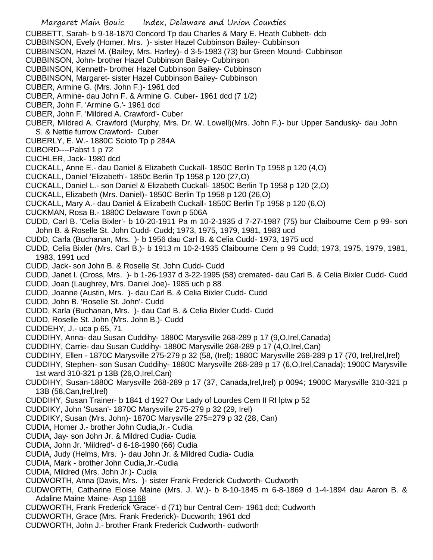- Margaret Main Bouic Index, Delaware and Union Counties
- CUBBETT, Sarah- b 9-18-1870 Concord Tp dau Charles & Mary E. Heath Cubbett- dcb
- CUBBINSON, Evely (Homer, Mrs. )- sister Hazel Cubbinson Bailey- Cubbinson
- CUBBINSON, Hazel M. (Bailey, Mrs. Harley)- d 3-5-1983 (73) bur Green Mound- Cubbinson
- CUBBINSON, John- brother Hazel Cubbinson Bailey- Cubbinson
- CUBBINSON, Kenneth- brother Hazel Cubbinson Bailey- Cubbinson
- CUBBINSON, Margaret- sister Hazel Cubbinson Bailey- Cubbinson
- CUBER, Armine G. (Mrs. John F.)- 1961 dcd
- CUBER, Armine- dau John F. & Armine G. Cuber- 1961 dcd (7 1/2)
- CUBER, John F. 'Armine G.'- 1961 dcd
- CUBER, John F. 'Mildred A. Crawford'- Cuber
- CUBER, Mildred A. Crawford (Murphy, Mrs. Dr. W. Lowell)(Mrs. John F.)- bur Upper Sandusky- dau John S. & Nettie furrow Crawford- Cuber
- CUBERLY, E. W.- 1880C Scioto Tp p 284A
- CUBORD----Pabst 1 p 72
- CUCHLER, Jack- 1980 dcd
- CUCKALL, Anne E.- dau Daniel & Elizabeth Cuckall- 1850C Berlin Tp 1958 p 120 (4,O)
- CUCKALL, Daniel 'Elizabeth'- 1850c Berlin Tp 1958 p 120 (27,O)
- CUCKALL, Daniel L.- son Daniel & Elizabeth Cuckall- 1850C Berlin Tp 1958 p 120 (2,O)
- CUCKALL, Elizabeth (Mrs. Daniel)- 1850C Berlin Tp 1958 p 120 (26,O)
- CUCKALL, Mary A.- dau Daniel & Elizabeth Cuckall- 1850C Berlin Tp 1958 p 120 (6,O)
- CUCKMAN, Rosa B.- 1880C Delaware Town p 506A
- CUDD, Carl B. 'Celia Bixler'- b 10-20-1911 Pa m 10-2-1935 d 7-27-1987 (75) bur Claibourne Cem p 99- son John B. & Roselle St. John Cudd- Cudd; 1973, 1975, 1979, 1981, 1983 ucd
- CUDD, Carla (Buchanan, Mrs. )- b 1956 dau Carl B. & Celia Cudd- 1973, 1975 ucd
- CUDD, Celia Bixler (Mrs. Carl B.)- b 1913 m 10-2-1935 Claibourne Cem p 99 Cudd; 1973, 1975, 1979, 1981, 1983, 1991 ucd
- CUDD, Jack- son John B. & Roselle St. John Cudd- Cudd
- CUDD, Janet I. (Cross, Mrs. )- b 1-26-1937 d 3-22-1995 (58) cremated- dau Carl B. & Celia Bixler Cudd- Cudd CUDD, Joan (Laughrey, Mrs. Daniel Joe)- 1985 uch p 88
- CUDD, Joanne (Austin, Mrs. )- dau Carl B. & Celia Bixler Cudd- Cudd
- CUDD, John B. 'Roselle St. John'- Cudd
- CUDD, Karla (Buchanan, Mrs. )- dau Carl B. & Celia Bixler Cudd- Cudd
- CUDD, Roselle St. John (Mrs. John B.)- Cudd
- CUDDEHY, J.- uca p 65, 71
- CUDDIHY, Anna- dau Susan Cuddihy- 1880C Marysville 268-289 p 17 (9,O,Irel,Canada)
- CUDDIHY, Carrie- dau Susan Cuddihy- 1880C Marysville 268-289 p 17 (4,O,Irel,Can)
- CUDDIHY, Ellen 1870C Marysville 275-279 p 32 (58, (Irel); 1880C Marysville 268-289 p 17 (70, Irel,Irel,Irel)
- CUDDIHY, Stephen- son Susan Cuddihy- 1880C Marysville 268-289 p 17 (6,O,Irel,Canada); 1900C Marysville 1st ward 310-321 p 13B (26,O,Irel,Can)
- CUDDIHY, Susan-1880C Marysville 268-289 p 17 (37, Canada,Irel,Irel) p 0094; 1900C Marysville 310-321 p 13B (58,Can,Irel,Irel)
- CUDDIHY, Susan Trainer- b 1841 d 1927 Our Lady of Lourdes Cem II RI lptw p 52
- CUDDIKY, John 'Susan'- 1870C Marysville 275-279 p 32 (29, Irel)
- CUDDIKY, Susan (Mrs. John)- 1870C Marysville 275=279 p 32 (28, Can)
- CUDIA, Homer J.- brother John Cudia,Jr.- Cudia
- CUDIA, Jay- son John Jr. & Mildred Cudia- Cudia
- CUDIA, John Jr. 'Mildred'- d 6-18-1990 (66) Cudia
- CUDIA, Judy (Helms, Mrs. )- dau John Jr. & Mildred Cudia- Cudia
- CUDIA, Mark brother John Cudia,Jr.-Cudia
- CUDIA, Mildred (Mrs. John Jr.)- Cudia
- CUDWORTH, Anna (Davis, Mrs. )- sister Frank Frederick Cudworth- Cudworth
- CUDWORTH, Catharine Eloise Maine (Mrs. J. W.)- b 8-10-1845 m 6-8-1869 d 1-4-1894 dau Aaron B. & Adaline Maine Maine- Asp 1168
- CUDWORTH, Frank Frederick 'Grace'- d (71) bur Central Cem- 1961 dcd; Cudworth
- CUDWORTH, Grace (Mrs. Frank Frederick)- Ducworth; 1961 dcd
- CUDWORTH, John J.- brother Frank Frederick Cudworth- cudworth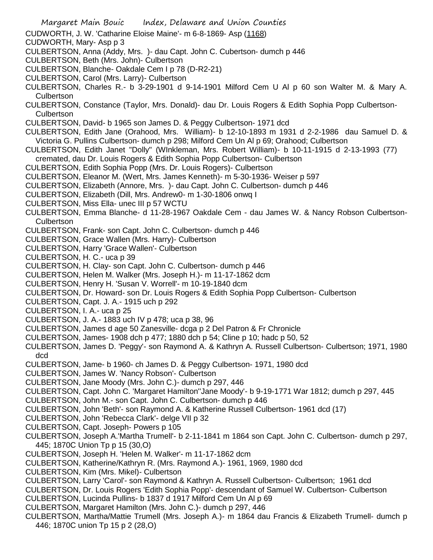- Margaret Main Bouic Index, Delaware and Union Counties CUDWORTH, J. W. 'Catharine Eloise Maine'- m 6-8-1869- Asp (1168) CUDWORTH, Mary- Asp p 3 CULBERTSON, Anna (Addy, Mrs. )- dau Capt. John C. Cubertson- dumch p 446 CULBERTSON, Beth (Mrs. John)- Culbertson CULBERTSON, Blanche- Oakdale Cem I p 78 (D-R2-21) CULBERTSON, Carol (Mrs. Larry)- Culbertson CULBERTSON, Charles R.- b 3-29-1901 d 9-14-1901 Milford Cem U Al p 60 son Walter M. & Mary A. Culbertson CULBERTSON, Constance (Taylor, Mrs. Donald)- dau Dr. Louis Rogers & Edith Sophia Popp Culbertson-**Culbertson** CULBERTSON, David- b 1965 son James D. & Peggy Culbertson- 1971 dcd CULBERTSON, Edith Jane (Orahood, Mrs. William)- b 12-10-1893 m 1931 d 2-2-1986 dau Samuel D. & Victoria G. Pullins Culbertson- dumch p 298; Milford Cem Un Al p 69; Orahood; Culbertson CULBERTSON, Edith Janet "Dolly" (WInkleman, Mrs. Robert William)- b 10-11-1915 d 2-13-1993 (77) cremated, dau Dr. Louis Rogers & Edith Sophia Popp Culbertson- Culbertson CULBERTSON, Edith Sophia Popp (Mrs. Dr. Louis Rogers)- Culbertson CULBERTSON, Eleanor M. (Wert, Mrs. James Kenneth)- m 5-30-1936- Weiser p 597 CULBERTSON, Elizabeth (Annore, Mrs. )- dau Capt. John C. Culbertson- dumch p 446 CULBERTSON, Elizabeth (Dill, Mrs. Andrew0- m 1-30-1806 onwq I CULBERTSON, Miss Ella- unec III p 57 WCTU CULBERTSON, Emma Blanche- d 11-28-1967 Oakdale Cem - dau James W. & Nancy Robson Culbertson-**Culbertson** CULBERTSON, Frank- son Capt. John C. Culbertson- dumch p 446 CULBERTSON, Grace Wallen (Mrs. Harry)- Culbertson CULBERTSON, Harry 'Grace Wallen'- Culbertson CULBERTSON, H. C.- uca p 39 CULBERTSON, H. Clay- son Capt. John C. Culbertson- dumch p 446 CULBERTSON, Helen M. Walker (Mrs. Joseph H.)- m 11-17-1862 dcm CULBERTSON, Henry H. 'Susan V. Worrell'- m 10-19-1840 dcm CULBERTSON, Dr. Howard- son Dr. Louis Rogers & Edith Sophia Popp Culbertson- Culbertson CULBERTSON, Capt. J. A.- 1915 uch p 292 CULBERTSON, I. A.- uca p 25 CULBERTSON, J. A.- 1883 uch IV p 478; uca p 38, 96 CULBERTSON, James d age 50 Zanesville- dcga p 2 Del Patron & Fr Chronicle CULBERTSON, James- 1908 dch p 477; 1880 dch p 54; Cline p 10; hadc p 50, 52 CULBERTSON, James D. 'Peggy'- son Raymond A. & Kathryn A. Russell Culbertson- Culbertson; 1971, 1980 dcd CULBERTSON, Jame- b 1960- ch James D. & Peggy Culbertson- 1971, 1980 dcd CULBERTSON, James W. 'Nancy Robson'- Culbertson CULBERTSON, Jane Moody (Mrs. John C.)- dumch p 297, 446 CULBERTSON, Capt. John C. 'Margaret Hamilton''Jane Moody'- b 9-19-1771 War 1812; dumch p 297, 445 CULBERTSON, John M.- son Capt. John C. Culbertson- dumch p 446 CULBERTSON, John 'Beth'- son Raymond A. & Katherine Russell Culbertson- 1961 dcd (17) CULBERTSON, John 'Rebecca Clark'- delge VII p 32 CULBERTSON, Capt. Joseph- Powers p 105 CULBERTSON, Joseph A.'Martha Trumell'- b 2-11-1841 m 1864 son Capt. John C. Culbertson- dumch p 297, 445; 1870C Union Tp p 15 (30,O) CULBERTSON, Joseph H. 'Helen M. Walker'- m 11-17-1862 dcm CULBERTSON, Katherine/Kathryn R. (Mrs. Raymond A.)- 1961, 1969, 1980 dcd CULBERTSON, Kim (Mrs. Mikel)- Culbertson CULBERTSON, Larry 'Carol'- son Raymond & Kathryn A. Russell Culbertson- Culbertson; 1961 dcd CULBERTSON, Dr. Louis Rogers 'Edith Sophia Popp'- descendant of Samuel W. Culbertson- Culbertson
- CULBERTSON, Lucinda Pullins- b 1837 d 1917 Milford Cem Un Al p 69
- CULBERTSON, Margaret Hamilton (Mrs. John C.)- dumch p 297, 446
- CULBERTSON, Martha/Mattie Trumell (Mrs. Joseph A.)- m 1864 dau Francis & Elizabeth Trumell- dumch p 446; 1870C union Tp 15 p 2 (28,O)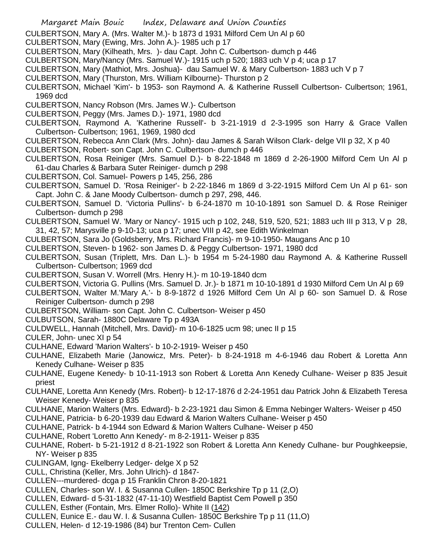- Margaret Main Bouic Index, Delaware and Union Counties
- CULBERTSON, Mary A. (Mrs. Walter M.)- b 1873 d 1931 Milford Cem Un Al p 60
- CULBERTSON, Mary (Ewing, Mrs. John A.)- 1985 uch p 17
- CULBERTSON, Mary (Kilheath, Mrs. )- dau Capt. John C. Culbertson- dumch p 446
- CULBERTSON, Mary/Nancy (Mrs. Samuel W.)- 1915 uch p 520; 1883 uch V p 4; uca p 17
- CULBERTSON, Mary (Mathiot, Mrs. Joshua)- dau Samuel W. & Mary Culbertson- 1883 uch V p 7
- CULBERTSON, Mary (Thurston, Mrs. William Kilbourne)- Thurston p 2
- CULBERTSON, Michael 'Kim'- b 1953- son Raymond A. & Katherine Russell Culbertson- Culbertson; 1961, 1969 dcd
- CULBERTSON, Nancy Robson (Mrs. James W.)- Culbertson
- CULBERTSON, Peggy (Mrs. James D.)- 1971, 1980 dcd
- CULBERTSON, Raymond A. 'Katherine Russell'- b 3-21-1919 d 2-3-1995 son Harry & Grace Vallen Culbertson- Culbertson; 1961, 1969, 1980 dcd
- CULBERTSON, Rebecca Ann Clark (Mrs. John)- dau James & Sarah Wilson Clark- delge VII p 32, X p 40
- CULBERTSON, Robert- son Capt. John C. Culbertson- dumch p 446
- CULBERTSON, Rosa Reiniger (Mrs. Samuel D.)- b 8-22-1848 m 1869 d 2-26-1900 Milford Cem Un Al p 61-dau Charles & Barbara Suter Reiniger- dumch p 298
- CULBERTSON, Col. Samuel- Powers p 145, 256, 286
- CULBERTSON, Samuel D. 'Rosa Reiniger'- b 2-22-1846 m 1869 d 3-22-1915 Milford Cem Un Al p 61- son Capt. John C. & Jane Moody Culbertson- dumch p 297, 298, 446.
- CULBERTSON, Samuel D. 'Victoria Pullins'- b 6-24-1870 m 10-10-1891 son Samuel D. & Rose Reiniger Culbertson- dumch p 298
- CULBERTSON, Samuel W. 'Mary or Nancy'- 1915 uch p 102, 248, 519, 520, 521; 1883 uch III p 313, V p 28, 31, 42, 57; Marysville p 9-10-13; uca p 17; unec VIII p 42, see Edith Winkelman
- CULBERTSON, Sara Jo (Goldsberry, Mrs. Richard Francis)- m 9-10-1950- Maugans Anc p 10
- CULBERTSON, Steven- b 1962- son James D. & Peggy Culbertson- 1971, 1980 dcd
- CULBERTSON, Susan (Triplett, Mrs. Dan L.)- b 1954 m 5-24-1980 dau Raymond A. & Katherine Russell Culbertson- Culbertson; 1969 dcd
- CULBERTSON, Susan V. Worrell (Mrs. Henry H.)- m 10-19-1840 dcm
- CULBERTSON, Victoria G. Pullins (Mrs. Samuel D. Jr.)- b 1871 m 10-10-1891 d 1930 Milford Cem Un Al p 69
- CULBERTSON, Walter M.'Mary A.'- b 8-9-1872 d 1926 Milford Cem Un Al p 60- son Samuel D. & Rose Reiniger Culbertson- dumch p 298
- CULBERTSON, William- son Capt. John C. Culbertson- Weiser p 450
- CULBUTSON, Sarah- 1880C Delaware Tp p 493A
- CULDWELL, Hannah (Mitchell, Mrs. David)- m 10-6-1825 ucm 98; unec II p 15
- CULER, John- unec XI p 54
- CULHANE, Edward 'Marion Walters'- b 10-2-1919- Weiser p 450
- CULHANE, Elizabeth Marie (Janowicz, Mrs. Peter)- b 8-24-1918 m 4-6-1946 dau Robert & Loretta Ann Kenedy Culhane- Weiser p 835
- CULHANE, Eugene Kenedy- b 10-11-1913 son Robert & Loretta Ann Kenedy Culhane- Weiser p 835 Jesuit priest
- CULHANE, Loretta Ann Kenedy (Mrs. Robert)- b 12-17-1876 d 2-24-1951 dau Patrick John & Elizabeth Teresa Weiser Kenedy- Weiser p 835
- CULHANE, Marion Walters (Mrs. Edward)- b 2-23-1921 dau Simon & Emma Nebinger Walters- Weiser p 450
- CULHANE, Patricia- b 6-20-1939 dau Edward & Marion Walters Culhane- Weiser p 450
- CULHANE, Patrick- b 4-1944 son Edward & Marion Walters Culhane- Weiser p 450
- CULHANE, Robert 'Loretto Ann Kenedy'- m 8-2-1911- Weiser p 835
- CULHANE, Robert- b 5-21-1912 d 8-21-1922 son Robert & Loretta Ann Kenedy Culhane- bur Poughkeepsie, NY- Weiser p 835
- CULINGAM, Igng- Ekelberry Ledger- delge X p 52
- CULL, Christina (Keller, Mrs. John Ulrich)- d 1847-
- CULLEN---murdered- dcga p 15 Franklin Chron 8-20-1821
- CULLEN, Charles- son W. I. & Susanna Cullen- 1850C Berkshire Tp p 11 (2,O)
- CULLEN, Edward- d 5-31-1832 (47-11-10) Westfield Baptist Cem Powell p 350
- CULLEN, Esther (Fontain, Mrs. Elmer Rollo)- White II (142)
- CULLEN, Eunice E.- dau W. I. & Susanna Cullen- 1850C Berkshire Tp p 11 (11,O)
- CULLEN, Helen- d 12-19-1986 (84) bur Trenton Cem- Cullen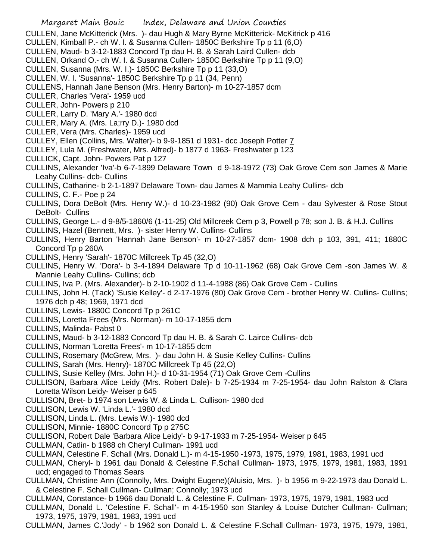- CULLEN, Jane McKitterick (Mrs. )- dau Hugh & Mary Byrne McKitterick- McKitrick p 416
- CULLEN, Kimball P.- ch W. I. & Susanna Cullen- 1850C Berkshire Tp p 11 (6,O)
- CULLEN, Maud- b 3-12-1883 Concord Tp dau H. B. & Sarah Laird Cullen- dcb
- CULLEN, Orkand O.- ch W. I. & Susanna Cullen- 1850C Berkshire Tp p 11 (9,O)
- CULLEN, Susanna (Mrs. W. I.)- 1850C Berkshire Tp p 11 (33,O)
- CULLEN, W. I. 'Susanna'- 1850C Berkshire Tp p 11 (34, Penn)
- CULLENS, Hannah Jane Benson (Mrs. Henry Barton)- m 10-27-1857 dcm
- CULLER, Charles 'Vera'- 1959 ucd
- CULLER, John- Powers p 210
- CULLER, Larry D. 'Mary A.'- 1980 dcd
- CULLER, Mary A. (Mrs. La;rry D.)- 1980 dcd
- CULLER, Vera (Mrs. Charles)- 1959 ucd
- CULLEY, Ellen (Collins, Mrs. Walter)- b 9-9-1851 d 1931- dcc Joseph Potter 7
- CULLEY, Lula M. (Freshwater, Mrs. Alfred)- b 1877 d 1963- Freshwater p 123
- CULLICK, Capt. John- Powers Pat p 127
- CULLINS, Alexander 'Iva'-b 6-7-1899 Delaware Town d 9-18-1972 (73) Oak Grove Cem son James & Marie Leahy Cullins- dcb- Cullins
- CULLINS, Catharine- b 2-1-1897 Delaware Town- dau James & Mammia Leahy Cullins- dcb
- CULLINS, C. F.- Poe p 24
- CULLINS, Dora DeBolt (Mrs. Henry W.)- d 10-23-1982 (90) Oak Grove Cem dau Sylvester & Rose Stout DeBolt- Cullins
- CULLINS, George L.- d 9-8/5-1860/6 (1-11-25) Old Millcreek Cem p 3, Powell p 78; son J. B. & H.J. Cullins
- CULLINS, Hazel (Bennett, Mrs. )- sister Henry W. Cullins- Cullins
- CULLINS, Henry Barton 'Hannah Jane Benson'- m 10-27-1857 dcm- 1908 dch p 103, 391, 411; 1880C Concord Tp p 260A
- CULLINS, Henry 'Sarah'- 1870C Millcreek Tp 45 (32,O)
- CULLINS, Henry W. 'Dora'- b 3-4-1894 Delaware Tp d 10-11-1962 (68) Oak Grove Cem -son James W. & Mannie Leahy Cullins- Cullins; dcb
- CULLINS, Iva P. (Mrs. Alexander)- b 2-10-1902 d 11-4-1988 (86) Oak Grove Cem Cullins
- CULLINS, John H. (Tack) 'Susie Kelley'- d 2-17-1976 (80) Oak Grove Cem brother Henry W. Cullins- Cullins; 1976 dch p 48; 1969, 1971 dcd
- CULLINS, Lewis- 1880C Concord Tp p 261C
- CULLINS, Loretta Frees (Mrs. Norman)- m 10-17-1855 dcm
- CULLINS, Malinda- Pabst 0
- CULLINS, Maud- b 3-12-1883 Concord Tp dau H. B. & Sarah C. Lairce Cullins- dcb
- CULLINS, Norman 'Loretta Frees'- m 10-17-1855 dcm
- CULLINS, Rosemary (McGrew, Mrs. )- dau John H. & Susie Kelley Cullins- Cullins
- CULLINS, Sarah (Mrs. Henry)- 1870C Millcreek Tp 45 (22,O)
- CULLINS, Susie Kelley (Mrs. John H.)- d 10-31-1954 (71) Oak Grove Cem -Cullins
- CULLISON, Barbara Alice Leidy (Mrs. Robert Dale)- b 7-25-1934 m 7-25-1954- dau John Ralston & Clara Loretta Wilson Leidy- Weiser p 645
- CULLISON, Bret- b 1974 son Lewis W. & Linda L. Cullison- 1980 dcd
- CULLISON, Lewis W. 'Linda L.'- 1980 dcd
- CULLISON, Linda L. (Mrs. Lewis W.)- 1980 dcd
- CULLISON, Minnie- 1880C Concord Tp p 275C
- CULLISON, Robert Dale 'Barbara Alice Leidy'- b 9-17-1933 m 7-25-1954- Weiser p 645
- CULLMAN, Catlin- b 1988 ch Cheryl Cullman- 1991 ucd
- CULLMAN, Celestine F. Schall (Mrs. Donald L.)- m 4-15-1950 -1973, 1975, 1979, 1981, 1983, 1991 ucd
- CULLMAN, Cheryl- b 1961 dau Donald & Celestine F.Schall Cullman- 1973, 1975, 1979, 1981, 1983, 1991 ucd; engaged to Thomas Sears
- CULLMAN, Christine Ann (Connolly, Mrs. Dwight Eugene)(Aluisio, Mrs. )- b 1956 m 9-22-1973 dau Donald L. & Celestine F. Schall Cullman- Cullman; Connolly; 1973 ucd
- CULLMAN, Constance- b 1966 dau Donald L. & Celestine F. Cullman- 1973, 1975, 1979, 1981, 1983 ucd
- CULLMAN, Donald L. 'Celestine F. Schall'- m 4-15-1950 son Stanley & Louise Dutcher Cullman- Cullman; 1973, 1975, 1979, 1981, 1983, 1991 ucd
- CULLMAN, James C.'Jody' b 1962 son Donald L. & Celestine F.Schall Cullman- 1973, 1975, 1979, 1981,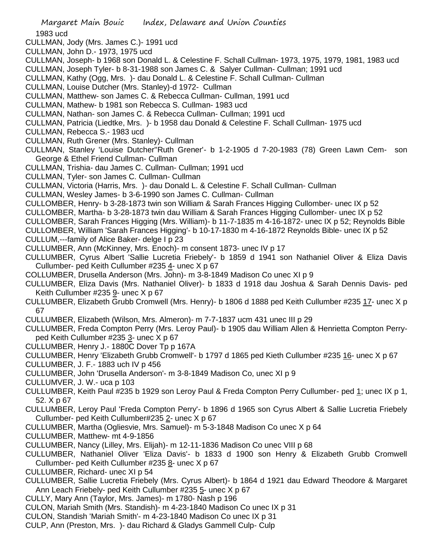1983 ucd

- CULLMAN, Jody (Mrs. James C.)- 1991 ucd
- CULLMAN, John D.- 1973, 1975 ucd
- CULLMAN, Joseph- b 1968 son Donald L. & Celestine F. Schall Cullman- 1973, 1975, 1979, 1981, 1983 ucd
- CULLMAN, Joseph Tyler- b 8-31-1988 son James C. & Salyer Cullman- Cullman; 1991 ucd
- CULLMAN, Kathy (Ogg, Mrs. )- dau Donald L. & Celestine F. Schall Cullman- Cullman
- CULLMAN, Louise Dutcher (Mrs. Stanley)-d 1972- Cullman
- CULLMAN, Matthew- son James C. & Rebecca Cullman- Cullman, 1991 ucd
- CULLMAN, Mathew- b 1981 son Rebecca S. Cullman- 1983 ucd
- CULLMAN, Nathan- son James C. & Rebecca Cullman- Cullman; 1991 ucd
- CULLMAN, Patricia (Liedtke, Mrs. )- b 1958 dau Donald & Celestine F. Schall Cullman- 1975 ucd
- CULLMAN, Rebecca S.- 1983 ucd
- CULLMAN, Ruth Grener (Mrs. Stanley)- Cullman
- CULLMAN, Stanley 'Louise Dutcher''Ruth Grener'- b 1-2-1905 d 7-20-1983 (78) Green Lawn Cem- son George & Ethel Friend Cullman- Cullman
- CULLMAN, Trishia- dau James C. Cullman- Cullman; 1991 ucd
- CULLMAN, Tyler- son James C. Cullman- Cullman
- CULLMAN, Victoria (Harris, Mrs. )- dau Donald L. & Celestine F. Schall Cullman- Cullman
- CULLMAN, Wesley James- b 3-6-1990 son James C. Cullman- Cullman
- CULLOMBER, Henry- b 3-28-1873 twin son William & Sarah Frances Higging Cullomber- unec IX p 52
- CULLOMBER, Martha- b 3-28-1873 twin dau William & Sarah Frances Higging Cullomber- unec IX p 52
- CULLOMBER, Sarah Frances Higging (Mrs. William)- b 11-7-1835 m 4-16-1872- unec IX p 52; Reynolds Bible
- CULLOMBER, William 'Sarah Frances Higging'- b 10-17-1830 m 4-16-1872 Reynolds Bible- unec IX p 52
- CULLUM,---family of Alice Baker- delge I p 23
- CULLUMBER, Ann (McKinney, Mrs. Enoch)- m consent 1873- unec IV p 17
- CULLUMBER, Cyrus Albert 'Sallie Lucretia Friebely'- b 1859 d 1941 son Nathaniel Oliver & Eliza Davis Cullumber- ped Keith Cullumber #235 4- unec X p 67
- COLLUMBER, Drusella Anderson (Mrs. John)- m 3-8-1849 Madison Co unec XI p 9
- CULLUMBER, Eliza Davis (Mrs. Nathaniel Oliver)- b 1833 d 1918 dau Joshua & Sarah Dennis Davis- ped Keith Cullumber #235 9- unec X p 67
- CULLUMBER, Elizabeth Grubb Cromwell (Mrs. Henry)- b 1806 d 1888 ped Keith Cullumber #235 17- unec X p 67
- CULLUMBER, Elizabeth (Wilson, Mrs. Almeron)- m 7-7-1837 ucm 431 unec III p 29
- CULLUMBER, Freda Compton Perry (Mrs. Leroy Paul)- b 1905 dau William Allen & Henrietta Compton Perryped Keith Cullumber #235 3- unec X p 67
- CULLUMBER, Henry J.- 1880C Dover Tp p 167A
- CULLUMBER, Henry 'Elizabeth Grubb Cromwell'- b 1797 d 1865 ped Kieth Cullumber #235 16- unec X p 67
- CULLUMBER, J. F.- 1883 uch IV p 456
- CULLUMBER, John 'Drusella Anderson'- m 3-8-1849 Madison Co, unec XI p 9
- CULLUMVER, J. W.- uca p 103
- CULLUMBER, Keith Paul #235 b 1929 son Leroy Paul & Freda Compton Perry Cullumber- ped 1; unec IX p 1, 52. X p 67
- CULLUMBER, Leroy Paul 'Freda Compton Perry'- b 1896 d 1965 son Cyrus Albert & Sallie Lucretia Friebely Cullumber- ped Keith Cullumber#235 2- unec X p 67
- CULLUMBER, Martha (Ogliesvie, Mrs. Samuel)- m 5-3-1848 Madison Co unec X p 64
- CULLUMBER, Matthew- mt 4-9-1856
- CULLUMBER, Nancy (Lilley, Mrs. Elijah)- m 12-11-1836 Madison Co unec VIII p 68
- CULLUMBER, Nathaniel Oliver 'Eliza Davis'- b 1833 d 1900 son Henry & Elizabeth Grubb Cromwell Cullumber- ped Keith Cullumber #235 8- unec X p 67
- CULLUMBER, Richard- unec XI p 54
- CULLUMBER, Sallie Lucretia Friebely (Mrs. Cyrus Albert)- b 1864 d 1921 dau Edward Theodore & Margaret Ann Leach Friebely- ped Keith Cullumber #235 5- unec X p 67
- CULLY, Mary Ann (Taylor, Mrs. James)- m 1780- Nash p 196
- CULON, Mariah Smith (Mrs. Standish)- m 4-23-1840 Madison Co unec IX p 31
- CULON, Standish 'Mariah Smith'- m 4-23-1840 Madison Co unec IX p 31
- CULP, Ann (Preston, Mrs. )- dau Richard & Gladys Gammell Culp- Culp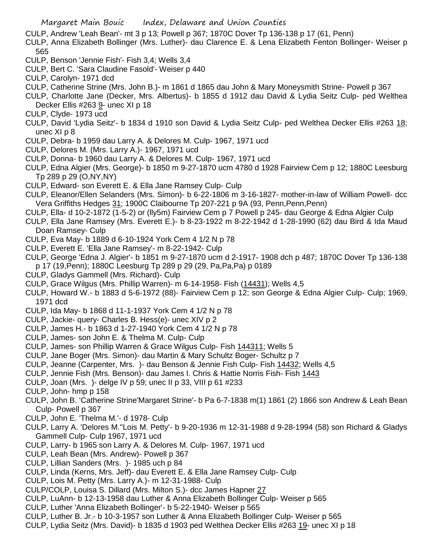- CULP, Andrew 'Leah Bean'- mt 3 p 13; Powell p 367; 1870C Dover Tp 136-138 p 17 (61, Penn)
- CULP, Anna Elizabeth Bollinger (Mrs. Luther)- dau Clarence E. & Lena Elizabeth Fenton Bollinger- Weiser p 565
- CULP, Benson 'Jennie Fish'- Fish 3,4; Wells 3,4
- CULP, Bert C. 'Sara Claudine Fasold'- Weiser p 440
- CULP, Carolyn- 1971 dcd
- CULP, Catherine Strine (Mrs. John B.)- m 1861 d 1865 dau John & Mary Moneysmith Strine- Powell p 367
- CULP, Charlotte Jane (Decker, Mrs. Albertus)- b 1855 d 1912 dau David & Lydia Seitz Culp- ped Welthea Decker Ellis #263 9- unec XI p 18
- CULP, Clyde- 1973 ucd
- CULP, David 'Lydia Seitz'- b 1834 d 1910 son David & Lydia Seitz Culp- ped Welthea Decker Ellis #263 18; unec XI p 8
- CULP, Debra- b 1959 dau Larry A. & Delores M. Culp- 1967, 1971 ucd
- CULP, Delores M. (Mrs. Larry A.)- 1967, 1971 ucd
- CULP, Donna- b 1960 dau Larry A. & Delores M. Culp- 1967, 1971 ucd
- CULP, Edna Algier (Mrs. George)- b 1850 m 9-27-1870 ucm 4780 d 1928 Fairview Cem p 12; 1880C Leesburg Tp 289 p 29 (O,NY,NY)
- CULP, Edward- son Everett E. & Ella Jane Ramsey Culp- Culp
- CULP, Eleanor/Ellen Selanders (Mrs. Simon)- b 6-22-1806 m 3-16-1827- mother-in-law of William Powell- dcc Vera Griffiths Hedges 31; 1900C Claibourne Tp 207-221 p 9A (93, Penn,Penn,Penn)
- CULP, Ella- d 10-2-1872 (1-5-2) or (lly5m) Fairview Cem p 7 Powell p 245- dau George & Edna Algier Culp
- CULP, Ella Jane Ramsey (Mrs. Everett E.)- b 8-23-1922 m 8-22-1942 d 1-28-1990 (62) dau Bird & Ida Maud Doan Ramsey- Culp
- CULP, Eva May- b 1889 d 6-10-1924 York Cem 4 1/2 N p 78
- CULP, Everett E. 'Ella Jane Ramsey'- m 8-22-1942- Culp
- CULP, George 'Edna J. Algier'- b 1851 m 9-27-1870 ucm d 2-1917- 1908 dch p 487; 1870C Dover Tp 136-138 p 17 (19,Penn); 1880C Leesburg Tp 289 p 29 (29, Pa,Pa,Pa) p 0189
- CULP, Gladys Gammell (Mrs. Richard)- Culp
- CULP, Grace Wilgus (Mrs. Phillip Warren)- m 6-14-1958- Fish (14431); Wells 4,5
- CULP, Howard W.- b 1883 d 5-6-1972 (88)- Fairview Cem p 12; son George & Edna Algier Culp- Culp; 1969, 1971 dcd
- CULP, Ida May- b 1868 d 11-1-1937 York Cem 4 1/2 N p 78
- CULP, Jackie- query- Charles B. Hess(e)- unec XIV p 2
- CULP, James H.- b 1863 d 1-27-1940 York Cem 4 1/2 N p 78
- CULP, James- son John E. & Thelma M. Culp- Culp
- CULP, James- son Phillip Warren & Grace Wilgus Culp- Fish 144311; Wells 5
- CULP, Jane Boger (Mrs. Simon)- dau Martin & Mary Schultz Boger- Schultz p 7
- CULP, Jeanne (Carpenter, Mrs. )- dau Benson & Jennie Fish Culp- Fish 14432; Wells 4,5
- CULP, Jennie Fish (Mrs. Benson)- dau James I. Chris & Hattie Norris Fish- Fish 1443
- CULP, Joan (Mrs. )- delge IV p 59; unec II p 33, VIII p 61 #233
- CULP, John- hmp p 158
- CULP, John B. 'Catherine Strine'Margaret Strine'- b Pa 6-7-1838 m(1) 1861 (2) 1866 son Andrew & Leah Bean Culp- Powell p 367
- CULP, John E. 'Thelma M.'- d 1978- Culp
- CULP, Larry A. 'Delores M.''Lois M. Petty'- b 9-20-1936 m 12-31-1988 d 9-28-1994 (58) son Richard & Gladys Gammell Culp- Culp 1967, 1971 ucd
- CULP, Larry- b 1965 son Larry A. & Delores M. Culp- 1967, 1971 ucd
- CULP, Leah Bean (Mrs. Andrew)- Powell p 367
- CULP, Lillian Sanders (Mrs. )- 1985 uch p 84
- CULP, Linda (Kerns, Mrs. Jeff)- dau Everett E. & Ella Jane Ramsey Culp- Culp
- CULP, Lois M. Petty (Mrs. Larry A.)- m 12-31-1988- Culp
- CULP/COLP, Louisa S. Dillard (Mrs. Milton S.)- dcc James Hapner 27
- CULP, LuAnn- b 12-13-1958 dau Luther & Anna Elizabeth Bollinger Culp- Weiser p 565
- CULP, Luther 'Anna Elizabeth Bollinger'- b 5-22-1940- Weiser p 565
- CULP, Luther B. Jr.- b 10-3-1957 son Luther & Anna Elizabeth Bollinger Culp- Weiser p 565
- CULP, Lydia Seitz (Mrs. David)- b 1835 d 1903 ped Welthea Decker Ellis #263 19- unec XI p 18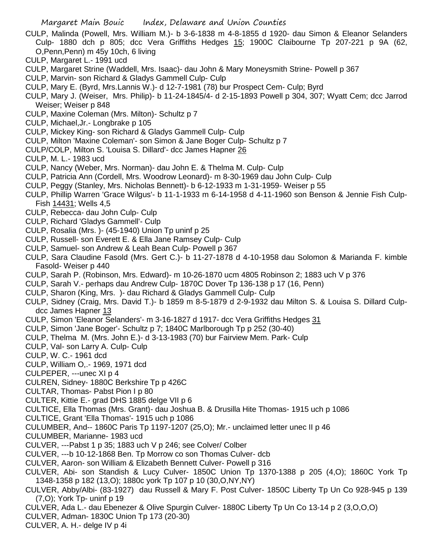- CULP, Malinda (Powell, Mrs. William M.)- b 3-6-1838 m 4-8-1855 d 1920- dau Simon & Eleanor Selanders Culp- 1880 dch p 805; dcc Vera Griffiths Hedges 15; 1900C Claibourne Tp 207-221 p 9A (62, O,Penn,Penn) m 45y 10ch, 6 living
- CULP, Margaret L.- 1991 ucd
- CULP, Margaret Strine (Waddell, Mrs. Isaac)- dau John & Mary Moneysmith Strine- Powell p 367
- CULP, Marvin- son Richard & Gladys Gammell Culp- Culp
- CULP, Mary E. (Byrd, Mrs.Lannis W.)- d 12-7-1981 (78) bur Prospect Cem- Culp; Byrd
- CULP, Mary J. (Weiser, Mrs. Philip)- b 11-24-1845/4- d 2-15-1893 Powell p 304, 307; Wyatt Cem; dcc Jarrod Weiser; Weiser p 848
- CULP, Maxine Coleman (Mrs. Milton)- Schultz p 7
- CULP, Michael,Jr.- Longbrake p 105
- CULP, Mickey King- son Richard & Gladys Gammell Culp- Culp
- CULP, Milton 'Maxine Coleman'- son Simon & Jane Boger Culp- Schultz p 7
- CULP/COLP, Milton S. 'Louisa S. Dillard'- dcc James Hapner 26
- CULP, M. L.- 1983 ucd
- CULP, Nancy (Weber, Mrs. Norman)- dau John E. & Thelma M. Culp- Culp
- CULP, Patricia Ann (Cordell, Mrs. Woodrow Leonard)- m 8-30-1969 dau John Culp- Culp
- CULP, Peggy (Stanley, Mrs. Nicholas Bennett)- b 6-12-1933 m 1-31-1959- Weiser p 55
- CULP, Phillip Warren 'Grace Wilgus'- b 11-1-1933 m 6-14-1958 d 4-11-1960 son Benson & Jennie Fish Culp-Fish 14431; Wells 4,5
- CULP, Rebecca- dau John Culp- Culp
- CULP, Richard 'Gladys Gammell'- Culp
- CULP, Rosalia (Mrs. )- (45-1940) Union Tp uninf p 25
- CULP, Russell- son Everett E. & Ella Jane Ramsey Culp- Culp
- CULP, Samuel- son Andrew & Leah Bean Culp- Powell p 367
- CULP, Sara Claudine Fasold (Mrs. Gert C.)- b 11-27-1878 d 4-10-1958 dau Solomon & Marianda F. kimble Fasold- Weiser p 440
- CULP, Sarah P. (Robinson, Mrs. Edward)- m 10-26-1870 ucm 4805 Robinson 2; 1883 uch V p 376
- CULP, Sarah V.- perhaps dau Andrew Culp- 1870C Dover Tp 136-138 p 17 (16, Penn)
- CULP, Sharon (King, Mrs. )- dau Richard & Gladys Gammell Culp- Culp
- CULP, Sidney (Craig, Mrs. David T.)- b 1859 m 8-5-1879 d 2-9-1932 dau Milton S. & Louisa S. Dillard Culpdcc James Hapner 13
- CULP, Simon 'Eleanor Selanders'- m 3-16-1827 d 1917- dcc Vera Griffiths Hedges 31
- CULP, Simon 'Jane Boger'- Schultz p 7; 1840C Marlborough Tp p 252 (30-40)
- CULP, Thelma M. (Mrs. John E.)- d 3-13-1983 (70) bur Fairview Mem. Park- Culp
- CULP, Val- son Larry A. Culp- Culp
- CULP, W. C.- 1961 dcd
- CULP, William O,.- 1969, 1971 dcd
- CULPEPER, ---unec XI p 4
- CULREN, Sidney- 1880C Berkshire Tp p 426C
- CULTAR, Thomas- Pabst Pion I p 80
- CULTER, Kittie E.- grad DHS 1885 delge VII p 6
- CULTICE, Ella Thomas (Mrs. Grant)- dau Joshua B. & Drusilla Hite Thomas- 1915 uch p 1086
- CULTICE, Grant 'Ella Thomas'- 1915 uch p 1086
- CULUMBER, And-- 1860C Paris Tp 1197-1207 (25,O); Mr.- unclaimed letter unec II p 46
- CULUMBER, Marianne- 1983 ucd
- CULVER, ---Pabst 1 p 35; 1883 uch V p 246; see Colver/ Colber
- CULVER, ---b 10-12-1868 Ben. Tp Morrow co son Thomas Culver- dcb
- CULVER, Aaron- son William & Elizabeth Bennett Culver- Powell p 316
- CULVER, Abi- son Standish & Lucy Culver- 1850C Union Tp 1370-1388 p 205 (4,O); 1860C York Tp 1348-1358 p 182 (13,O); 1880c york Tp 107 p 10 (30,O,NY,NY)
- CULVER, Abby/Albi- (83-1927) dau Russell & Mary F. Post Culver- 1850C Liberty Tp Un Co 928-945 p 139 (7,O); York Tp- uninf p 19
- CULVER, Ada L.- dau Ebenezer & Olive Spurgin Culver- 1880C Liberty Tp Un Co 13-14 p 2 (3,O,O,O)
- CULVER, Adman- 1830C Union Tp 173 (20-30)
- CULVER, A. H.- delge IV p 4i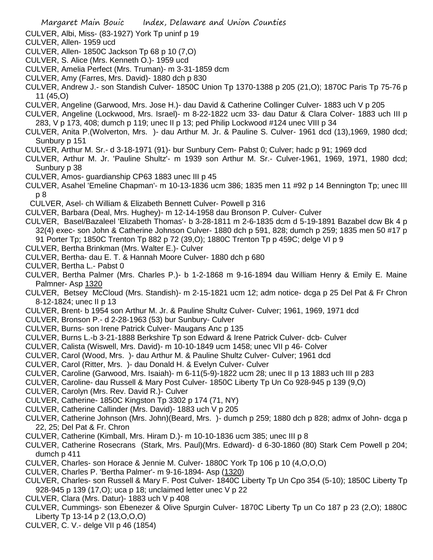CULVER, Albi, Miss- (83-1927) York Tp uninf p 19

- CULVER, Allen- 1959 ucd
- CULVER, Allen- 1850C Jackson Tp 68 p 10 (7,O)
- CULVER, S. Alice (Mrs. Kenneth O.)- 1959 ucd
- CULVER, Amelia Perfect (Mrs. Truman)- m 3-31-1859 dcm
- CULVER, Amy (Farres, Mrs. David)- 1880 dch p 830
- CULVER, Andrew J.- son Standish Culver- 1850C Union Tp 1370-1388 p 205 (21,O); 1870C Paris Tp 75-76 p 11 (45,O)
- CULVER, Angeline (Garwood, Mrs. Jose H.)- dau David & Catherine Collinger Culver- 1883 uch V p 205
- CULVER, Angeline (Lockwood, Mrs. Israel)- m 8-22-1822 ucm 33- dau Datur & Clara Colver- 1883 uch III p 283, V p 173, 408; dumch p 119; unec II p 13; ped Philip Lockwood #124 unec VIII p 34
- CULVER, Anita P.(Wolverton, Mrs. )- dau Arthur M. Jr. & Pauline S. Culver- 1961 dcd (13),1969, 1980 dcd; Sunbury p 151
- CULVER, Arthur M. Sr.- d 3-18-1971 (91)- bur Sunbury Cem- Pabst 0; Culver; hadc p 91; 1969 dcd
- CULVER, Arthur M. Jr. 'Pauline Shultz'- m 1939 son Arthur M. Sr.- Culver-1961, 1969, 1971, 1980 dcd; Sunbury p 38
- CULVER, Amos- guardianship CP63 1883 unec III p 45
- CULVER, Asahel 'Emeline Chapman'- m 10-13-1836 ucm 386; 1835 men 11 #92 p 14 Bennington Tp; unec III p 8
- CULVER, Asel- ch William & Elizabeth Bennett Culver- Powell p 316
- CULVER, Barbara (Deal, Mrs. Hughey)- m 12-14-1958 dau Bronson P. Culver- Culver
- CULVER, Basel/Bazaleel 'Elizabeth Thomas'- b 3-28-1811 m 2-6-1835 dcm d 5-19-1891 Bazabel dcw Bk 4 p 32(4) exec- son John & Catherine Johnson Culver- 1880 dch p 591, 828; dumch p 259; 1835 men 50 #17 p
	- 91 Porter Tp; 1850C Trenton Tp 882 p 72 (39,O); 1880C Trenton Tp p 459C; delge VI p 9
- CULVER, Bertha Brinkman (Mrs. Walter E.)- Culver
- CULVER, Bertha- dau E. T. & Hannah Moore Culver- 1880 dch p 680
- CULVER, Bertha L.- Pabst 0
- CULVER, Bertha Palmer (Mrs. Charles P.)- b 1-2-1868 m 9-16-1894 dau William Henry & Emily E. Maine Palmner- Asp 1320
- CULVER, Betsey McCloud (Mrs. Standish)- m 2-15-1821 ucm 12; adm notice- dcga p 25 Del Pat & Fr Chron 8-12-1824; unec II p 13
- CULVER, Brent- b 1954 son Arthur M. Jr. & Pauline Shultz Culver- Culver; 1961, 1969, 1971 dcd
- CULVER, Bronson P.- d 2-28-1963 (53) bur Sunbury- Culver
- CULVER, Burns- son Irene Patrick Culver- Maugans Anc p 135
- CULVER, Burns L.-b 3-21-1888 Berkshire Tp son Edward & Irene Patrick Culver- dcb- Culver
- CULVER, Calista (Wiswell, Mrs. David)- m 10-10-1849 ucm 1458; unec VII p 46- Colver
- CULVER, Carol (Wood, Mrs. )- dau Arthur M. & Pauline Shultz Culver- Culver; 1961 dcd
- CULVER, Carol (Ritter, Mrs. )- dau Donald H. & Evelyn Culver- Culver
- CULVER, Caroline (Garwood, Mrs. Isaiah)- m 6-11(5-9)-1822 ucm 28; unec II p 13 1883 uch III p 283
- CULVER, Caroline- dau Russell & Mary Post Culver- 1850C Liberty Tp Un Co 928-945 p 139 (9,O)
- CULVER, Carolyn (Mrs. Rev. David R.)- Culver
- CULVER, Catherine- 1850C Kingston Tp 3302 p 174 (71, NY)
- CULVER, Catherine Callinder (Mrs. David)- 1883 uch V p 205
- CULVER, Catherine Johnson (Mrs. John)(Beard, Mrs. )- dumch p 259; 1880 dch p 828; admx of John- dcga p 22, 25; Del Pat & Fr. Chron
- CULVER, Catherine (Kimball, Mrs. Hiram D.)- m 10-10-1836 ucm 385; unec III p 8
- CULVER, Catherine Rosecrans (Stark, Mrs. Paul)(Mrs. Edward)- d 6-30-1860 (80) Stark Cem Powell p 204; dumch p 411
- CULVER, Charles- son Horace & Jennie M. Culver- 1880C York Tp 106 p 10 (4,O,O,O)
- CULVER, Charles P. 'Bertha Palmer'- m 9-16-1894- Asp (1320)
- CULVER, Charles- son Russell & Mary F. Post Culver- 1840C Liberty Tp Un Cpo 354 (5-10); 1850C Liberty Tp 928-945 p 139 (17,O); uca p 18; unclaimed letter unec V p 22
- CULVER, Clara (Mrs. Datur)- 1883 uch V p 408
- CULVER, Cummings- son Ebenezer & Olive Spurgin Culver- 1870C Liberty Tp un Co 187 p 23 (2,O); 1880C Liberty Tp 13-14 p 2 (13,O,O,O)
- CULVER, C. V.- delge VII p 46 (1854)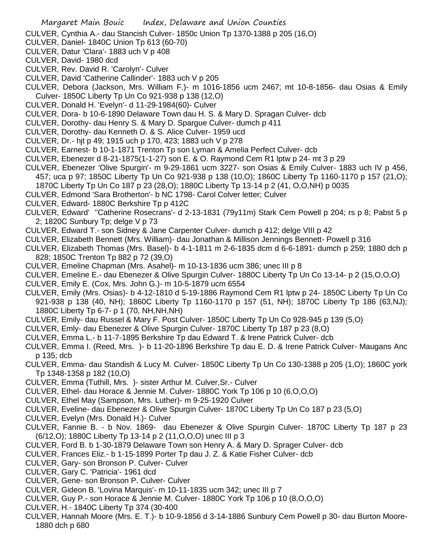CULVER, Cynthia A.- dau Stancish Culver- 1850c Union Tp 1370-1388 p 205 (16,O)

- CULVER, Daniel- 1840C Union Tp 613 (60-70)
- CULVER, Datur 'Clara'- 1883 uch V p 408
- CULVER, David- 1980 dcd
- CULVER, Rev. David R. 'Carolyn'- Culver
- CULVER, David 'Catherine Callinder'- 1883 uch V p 205
- CULVER, Debora (Jackson, Mrs. William F.)- m 1016-1856 ucm 2467; mt 10-8-1856- dau Osias & Emily Culver- 1850C Liberty Tp Un Co 921-938 p 138 (12,O)
- CULVER, Donald H. 'Evelyn'- d 11-29-1984(60)- Culver
- CULVER, Dora- b 10-6-1890 Delaware Town dau H. S. & Mary D. Spragan Culver- dcb
- CULVER, Dorothy- dau Henry S. & Mary D. Spargue Culver- dumch p 411
- CULVER, Dorothy- dau Kenneth O. & S. Alice Culver- 1959 ucd
- CULVER, Dr.- hjt p 49; 1915 uch p 170, 423; 1883 uch V p 278
- CULVER, Earnest- b 10-1-1871 Trenton Tp son Lyman & Amelia Perfect Culver- dcb
- CULVER, Ebenezer d 8-21-1875(1-1-27) son E. & O. Raymond Cem R1 lptw p 24- mt 3 p 29
- CULVER, Ebenezer 'Olive Spurgin'- m 9-29-1861 ucm 3227- son Osias & Emily Culver- 1883 uch IV p 456, 457; uca p 97; 1850C Liberty Tp Un Co 921-938 p 138 (10,O); 1860C Liberty Tp 1160-1170 p 157 (21,O); 1870C Liberty Tp Un Co 187 p 23 (28,O); 1880C Liberty Tp 13-14 p 2 (41, O,O,NH) p 0035
- 
- CULVER, Edmond 'Sara Brotherton'- b NC 1798- Carol Colver letter; Culver
- CULVER, Edward- 1880C Berkshire Tp p 412C
- CULVER, Edward' ''Catherine Rosecrans'- d 2-13-1831 (79y11m) Stark Cem Powell p 204; rs p 8; Pabst 5 p 2; 1820C Sunbury Tp; delge V p 73
- CULVER, Edward T.- son Sidney & Jane Carpenter Culver- dumch p 412; delge VIII p 42
- CULVER, Elizabeth Bennett (Mrs. William)- dau Jonathan & Millison Jennings Bennett- Powell p 316
- CULVER, Elizabeth Thomas (Mrs. Basel)- b 4-1-1811 m 2-6-1835 dcm d 6-6-1891- dumch p 259; 1880 dch p 828; 1850C Trenton Tp 882 p 72 (39,O)
- CULVER, Emeline Chapman (Mrs. Asahel)- m 10-13-1836 ucm 386; unec III p 8
- CULVER, Emeline E.- dau Ebenezer & Olive Spurgin Culver- 1880C Liberty Tp Un Co 13-14- p 2 (15,O,O,O)
- CULVER, Emily E. (Cox, Mrs. John G.)- m 10-5-1879 ucm 6554
- CULVER, Emily (Mrs. Osias)- b 4-12-1810 d 5-19-1886 Raymond Cem R1 lptw p 24- 1850C Liberty Tp Un Co 921-938 p 138 (40, NH); 1860C Liberty Tp 1160-1170 p 157 (51, NH); 1870C Liberty Tp 186 (63,NJ); 1880C Liberty Tp 6-7- p 1 (70, NH,NH,NH)
- CULVER, Emily- dau Russel & Mary F. Post Culver- 1850C Liberty Tp Un Co 928-945 p 139 (5,O)
- CULVER, Emly- dau Ebenezer & Olive Spurgin Culver- 1870C Liberty Tp 187 p 23 (8,O)
- CULVER, Emma L.- b 11-7-1895 Berkshire Tp dau Edward T. & Irene Patrick Culver- dcb
- CULVER, Emma I. (Reed, Mrs. )- b 11-20-1896 Berkshire Tp dau E. D. & Irene Patrick Culver- Maugans Anc p 135; dcb
- CULVER, Emma- dau Standish & Lucy M. Culver- 1850C Liberty Tp Un Co 130-1388 p 205 (1,O); 1860C york Tp 1348-1358 p 182 (10,O)
- CULVER, Emma (Tuthill, Mrs. )- sister Arthur M. Culver,Sr.- Culver
- CULVER, Ethel- dau Horace & Jennie M. Culver- 1880C York Tp 106 p 10 (6,O,O,O)
- CULVER, Ethel May (Sampson, Mrs. Luther)- m 9-25-1920 Culver
- CULVER, Eveline- dau Ebenezer & Olive Spurgin Culver- 1870C Liberty Tp Un Co 187 p 23 (5,O)
- CULVER, Evelyn (Mrs. Donald H.)- Culver
- CULVER, Fannie B. b Nov. 1869- dau Ebenezer & Olive Spurgin Culver- 1870C Liberty Tp 187 p 23 (6/12,O); 1880C Liberty Tp 13-14 p 2 (11,O,O,O) unec III p 3
- CULVER, Ford B. b 1-30-1879 Delaware Town son Henry A. & Mary D. Sprager Culver- dcb
- CULVER, Frances Eliz.- b 1-15-1899 Porter Tp dau J. Z. & Katie Fisher Culver- dcb
- CULVER, Gary- son Bronson P. Culver- Culver
- CULVER, Gary C. 'Patricia'- 1961 dcd
- CULVER, Gene- son Bronson P. Culver- Culver
- CULVER, Gideon B. 'Lovina Marquis'- m 10-11-1835 ucm 342; unec III p 7
- CULVER, Guy P.- son Horace & Jennie M. Culver- 1880C York Tp 106 p 10 (8,O,O,O)
- CULVER, H.- 1840C Liberty Tp 374 (30-400
- CULVER, Hannah Moore (Mrs. E. T.)- b 10-9-1856 d 3-14-1886 Sunbury Cem Powell p 30- dau Burton Moore-1880 dch p 680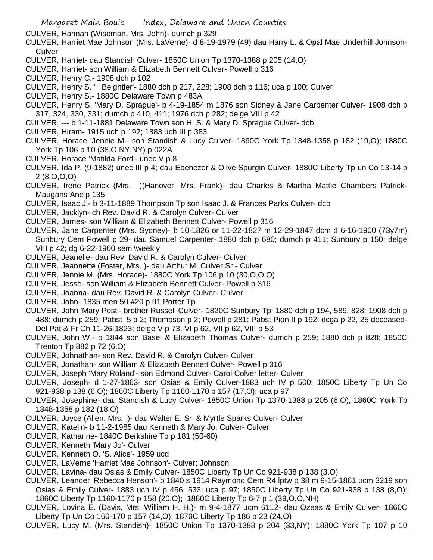CULVER, Hannah (Wiseman, Mrs. John)- dumch p 329

- CULVER, Harriet Mae Johnson (Mrs. LaVerne)- d 8-19-1979 (49) dau Harry L. & Opal Mae Underhill Johnson-**Culver**
- CULVER, Harriet- dau Standish Culver- 1850C Union Tp 1370-1388 p 205 (14,O)
- CULVER, Harriet- son William & Elizabeth Bennett Culver- Powell p 316
- CULVER, Henry C.- 1908 dch p 102
- CULVER, Henry S. ' Beightler'- 1880 dch p 217, 228; 1908 dch p 116; uca p 100; Culver
- CULVER, Henry S.- 1880C Delaware Town p 483A
- CULVER, Henry S. 'Mary D. Sprague'- b 4-19-1854 m 1876 son Sidney & Jane Carpenter Culver- 1908 dch p 317, 324, 330, 331; dumch p 410, 411; 1976 dch p 282; delge VIII p 42
- CULVER, --- b 1-11-1881 Delaware Town son H. S. & Mary D. Sprague Culver- dcb
- CULVER, Hiram- 1915 uch p 192; 1883 uch III p 383
- CULVER, Horace 'Jennie M.- son Standish & Lucy Culver- 1860C York Tp 1348-1358 p 182 (19,O); 1880C York Tp 106 p 10 (38,O,NY,NY) p 022A
- CULVER, Horace 'Matilda Ford'- unec V p 8
- CULVER, Ida P. (9-1882) unec III p 4; dau Ebenezer & Olive Spurgin Culver- 1880C Liberty Tp un Co 13-14 p 2 (8,O,O,O)
- CULVER, Irene Patrick (Mrs. )(Hanover, Mrs. Frank)- dau Charles & Martha Mattie Chambers Patrick-Maugans Anc p 135
- CULVER, Isaac J.- b 3-11-1889 Thompson Tp son Isaac J. & Frances Parks Culver- dcb
- CULVER, Jacklyn- ch Rev. David R. & Carolyn Culver- Culver
- CULVER, James- son William & Elizabeth Bennett Culver- Powell p 316
- CULVER, Jane Carpenter (Mrs. Sydney)- b 10-1826 or 11-22-1827 m 12-29-1847 dcm d 6-16-1900 (73y7m) Sunbury Cem Powell p 29- dau Samuel Carpenter- 1880 dch p 680; dumch p 411; Sunbury p 150; delge VIII p 42; dg 6-22-1900 semi\weekly
- CULVER, Jeanelle- dau Rev. David R. & Carolyn Culver- Culver
- CULVER, Jeannette (Foster, Mrs. )- dau Arthur M. Culver,Sr.- Culver
- CULVER, Jennie M. (Mrs. Horace)- 1880C York Tp 106 p 10 (30,O,O,O)
- CULVER, Jesse- son William & Elizabeth Bennett Culver- Powell p 316
- CULVER, Joanna- dau Rev. David R. & Carolyn Culver- Culver
- CULVER, John- 1835 men 50 #20 p 91 Porter Tp
- CULVER, John 'Mary Post'- brother Russell Culver- 1820C Sunbury Tp; 1880 dch p 194, 589, 828; 1908 dch p 488; dumch p 259; Pabst 5 p 2; Thompson p 2; Powell p 281; Pabst Pion II p 192; dcga p 22, 25 deceased-Del Pat & Fr Ch 11-26-1823; delge V p 73, VI p 62, VII p 62, VIII p 53
- CULVER, John W.- b 1844 son Basel & Elizabeth Thomas Culver- dumch p 259; 1880 dch p 828; 1850C Trenton Tp 882 p 72 (6,O)
- CULVER, Johnathan- son Rev. David R. & Carolyn Culver- Culver
- CULVER, Jonathan- son William & Elizabeth Bennett Culver- Powell p 316
- CULVER, Joseph 'Mary Roland'- son Edmond Culver- Carol Colver letter- Culver
- CULVER, Joseph- d 1-27-1863- son Osias & Emily Culver-1883 uch IV p 500; 1850C Liberty Tp Un Co 921-938 p 138 (6,O); 1860C Liberty Tp 1160-1170 p 157 (17,O); uca p 97
- CULVER, Josephine- dau Standish & Lucy Culver- 1850C Union Tp 1370-1388 p 205 (6,O); 1860C York Tp 1348-1358 p 182 (18,O)
- CULVER, Joyce (Allen, Mrs. )- dau Walter E. Sr. & Myrtle Sparks Culver- Culver
- CULVER, Katelin- b 11-2-1985 dau Kenneth & Mary Jo. Culver- Culver
- CULVER, Katharine- 1840C Berkshire Tp p 181 (50-60)
- CULVER, Kenneth 'Mary Jo'- Culver
- CULVER, Kenneth O. 'S. Alice'- 1959 ucd
- CULVER, LaVerne 'Harriet Mae Johnson'- Culver; Johnson
- CULVER, Lavina- dau Osias & Emily Culver- 1850C Liberty Tp Un Co 921-938 p 138 (3,O)
- CULVER, Leander 'Rebecca Henson'- b 1840 s 1914 Raymond Cem R4 lptw p 38 m 9-15-1861 ucm 3219 son Osias & Emily Culver- 1883 uch IV p 456, 533; uca p 97; 1850C Liberty Tp Un Co 921-938 p 138 (8,O); 1860C Liberty Tp 1160-1170 p 158 (20,O); 1880C Liberty Tp 6-7 p 1 (39,O,O,NH)
- CULVER, Lovina E. (Davis, Mrs. William H. H.)- m 9-4-1877 ucm 6112- dau Ozeas & Emily Culver- 1860C Liberty Tp Un Co 160-170 p 157 (14,O); 1870C Liberty Tp 186 p 23 (24,O)
- CULVER, Lucy M. (Mrs. Standish)- 1850C Union Tp 1370-1388 p 204 (33,NY); 1880C York Tp 107 p 10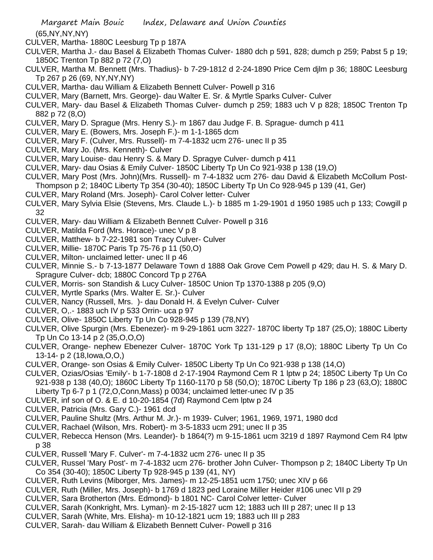(65,NY,NY,NY)

- CULVER, Martha- 1880C Leesburg Tp p 187A
- CULVER, Martha J.- dau Basel & Elizabeth Thomas Culver- 1880 dch p 591, 828; dumch p 259; Pabst 5 p 19; 1850C Trenton Tp 882 p 72 (7,O)
- CULVER, Martha M. Bennett (Mrs. Thadius)- b 7-29-1812 d 2-24-1890 Price Cem djlm p 36; 1880C Leesburg Tp 267 p 26 (69, NY,NY,NY)
- CULVER, Martha- dau William & Elizabeth Bennett Culver- Powell p 316
- CULVER, Mary (Barnett, Mrs. George)- dau Walter E. Sr. & Myrtle Sparks Culver- Culver
- CULVER, Mary- dau Basel & Elizabeth Thomas Culver- dumch p 259; 1883 uch V p 828; 1850C Trenton Tp 882 p 72 (8,O)
- CULVER, Mary D. Sprague (Mrs. Henry S.)- m 1867 dau Judge F. B. Sprague- dumch p 411
- CULVER, Mary E. (Bowers, Mrs. Joseph F.)- m 1-1-1865 dcm
- CULVER, Mary F. (Culver, Mrs. Russell)- m 7-4-1832 ucm 276- unec II p 35
- CULVER, Mary Jo. (Mrs. Kenneth)- Culver
- CULVER, Mary Louise- dau Henry S. & Mary D. Spragye Culver- dumch p 411
- CULVER, Mary- dau Osias & Emily Culver- 1850C Liberty Tp Un Co 921-938 p 138 (19,O)
- CULVER, Mary Post (Mrs. John)(Mrs. Russell)- m 7-4-1832 ucm 276- dau David & Elizabeth McCollum Post-Thompson p 2; 1840C Liberty Tp 354 (30-40); 1850C Liberty Tp Un Co 928-945 p 139 (41, Ger)
- CULVER, Mary Roland (Mrs. Joseph)- Carol Colver letter- Culver
- CULVER, Mary Sylvia Elsie (Stevens, Mrs. Claude L.)- b 1885 m 1-29-1901 d 1950 1985 uch p 133; Cowgill p 32
- CULVER, Mary- dau William & Elizabeth Bennett Culver- Powell p 316
- CULVER, Matilda Ford (Mrs. Horace)- unec V p 8
- CULVER, Matthew- b 7-22-1981 son Tracy Culver- Culver
- CULVER, Millie- 1870C Paris Tp 75-76 p 11 (50,O)
- CULVER, Milton- unclaimed letter- unec II p 46
- CULVER, Minnie S.- b 7-13-1877 Delaware Town d 1888 Oak Grove Cem Powell p 429; dau H. S. & Mary D. Spragure Culver- dcb; 1880C Concord Tp p 276A
- CULVER, Morris- son Standish & Lucy Culver- 1850C Union Tp 1370-1388 p 205 (9,O)
- CULVER, Myrtle Sparks (Mrs. Walter E. Sr.)- Culver
- CULVER, Nancy (Russell, Mrs. )- dau Donald H. & Evelyn Culver- Culver
- CULVER, O,.- 1883 uch IV p 533 Orrin- uca p 97
- CULVER, Olive- 1850C Liberty Tp Un Co 928-945 p 139 (78,NY)
- CULVER, Olive Spurgin (Mrs. Ebenezer)- m 9-29-1861 ucm 3227- 1870C liberty Tp 187 (25,O); 1880C Liberty Tp Un Co 13-14 p 2 (35,O,O,O)
- CULVER, Orange- nephew Ebenezer Culver- 1870C York Tp 131-129 p 17 (8,O); 1880C Liberty Tp Un Co 13-14- p 2 (18,Iowa,O,O,)
- CULVER, Orange- son Osias & Emily Culver- 1850C Liberty Tp Un Co 921-938 p 138 (14,O)
- CULVER, Ozias/Osias 'Emily'- b 1-7-1808 d 2-17-1904 Raymond Cem R 1 lptw p 24; 1850C Liberty Tp Un Co 921-938 p 138 (40,O); 1860C Liberty Tp 1160-1170 p 58 (50,O); 1870C Liberty Tp 186 p 23 (63,O); 1880C Liberty Tp 6-7 p 1 (72,O,Conn,Mass) p 0034; unclaimed letter-unec IV p 35
- CULVER, inf son of O. & E. d 10-20-1854 (7d) Raymond Cem lptw p 24
- CULVER, Patricia (Mrs. Gary C.)- 1961 dcd
- CULVER, Pauline Shultz (Mrs. Arthur M. Jr.)- m 1939- Culver; 1961, 1969, 1971, 1980 dcd
- CULVER, Rachael (Wilson, Mrs. Robert)- m 3-5-1833 ucm 291; unec II p 35
- CULVER, Rebecca Henson (Mrs. Leander)- b 1864(?) m 9-15-1861 ucm 3219 d 1897 Raymond Cem R4 lptw p 38
- CULVER, Russell 'Mary F. Culver'- m 7-4-1832 ucm 276- unec II p 35
- CULVER, Russel 'Mary Post'- m 7-4-1832 ucm 276- brother John Culver- Thompson p 2; 1840C Liberty Tp Un Co 354 (30-40); 1850C Liberty Tp 928-945 p 139 (41, NY)
- CULVER, Ruth Levins (Miborger, Mrs. James)- m 12-25-1851 ucm 1750; unec XIV p 66
- CULVER, Ruth (Miller, Mrs. Joseph)- b 1769 d 1823 ped Loraine Miller Heider #106 unec VII p 29
- CULVER, Sara Brotherton (Mrs. Edmond)- b 1801 NC- Carol Colver letter- Culver
- CULVER, Sarah (Konkright, Mrs. Lyman)- m 2-15-1827 ucm 12; 1883 uch III p 287; unec II p 13
- CULVER, Sarah (White, Mrs. Elisha)- m 10-12-1821 ucm 19; 1883 uch III p 283
- CULVER, Sarah- dau William & Elizabeth Bennett Culver- Powell p 316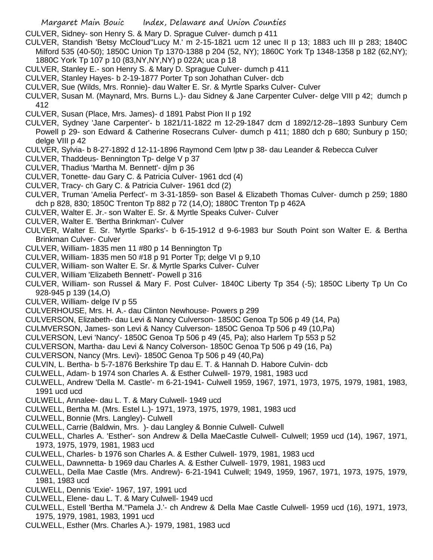- CULVER, Sidney- son Henry S. & Mary D. Sprague Culver- dumch p 411
- CULVER, Standish 'Betsy McCloud''Lucy M.' m 2-15-1821 ucm 12 unec II p 13; 1883 uch III p 283; 1840C Milford 535 (40-50); 1850C Union Tp 1370-1388 p 204 (52, NY); 1860C York Tp 1348-1358 p 182 (62,NY); 1880C York Tp 107 p 10 (83,NY,NY,NY) p 022A; uca p 18
- CULVER, Stanley E.- son Henry S. & Mary D. Sprague Culver- dumch p 411
- CULVER, Stanley Hayes- b 2-19-1877 Porter Tp son Johathan Culver- dcb
- CULVER, Sue (Wilds, Mrs. Ronnie)- dau Walter E. Sr. & Myrtle Sparks Culver- Culver
- CULVER, Susan M. (Maynard, Mrs. Burns L.)- dau Sidney & Jane Carpenter Culver- delge VIII p 42; dumch p 412
- CULVER, Susan (Place, Mrs. James)- d 1891 Pabst Pion II p 192
- CULVER, Sydney 'Jane Carpenter'- b 1821/11-1822 m 12-29-1847 dcm d 1892/12-28--1893 Sunbury Cem Powell p 29- son Edward & Catherine Rosecrans Culver- dumch p 411; 1880 dch p 680; Sunbury p 150; delge VIII p 42
- CULVER, Sylvia- b 8-27-1892 d 12-11-1896 Raymond Cem lptw p 38- dau Leander & Rebecca Culver
- CULVER, Thaddeus- Bennington Tp- delge V p 37
- CULVER, Thadius 'Martha M. Bennett'- djlm p 36
- CULVER, Tonette- dau Gary C. & Patricia Culver- 1961 dcd (4)
- CULVER, Tracy- ch Gary C. & Patricia Culver- 1961 dcd (2)
- CULVER, Truman 'Amelia Perfect'- m 3-31-1859- son Basel & Elizabeth Thomas Culver- dumch p 259; 1880 dch p 828, 830; 1850C Trenton Tp 882 p 72 (14,O); 1880C Trenton Tp p 462A
- CULVER, Walter E. Jr.- son Walter E. Sr. & Myrtle Speaks Culver- Culver
- CULVER, Walter E. 'Bertha Brinkman'- Culver
- CULVER, Walter E. Sr. 'Myrtle Sparks'- b 6-15-1912 d 9-6-1983 bur South Point son Walter E. & Bertha Brinkman Culver- Culver
- CULVER, William- 1835 men 11 #80 p 14 Bennington Tp
- CULVER, William- 1835 men 50 #18 p 91 Porter Tp; delge VI p 9,10
- CULVER, William- son Walter E. Sr. & Myrtle Sparks Culver- Culver
- CULVER, William 'Elizabeth Bennett'- Powell p 316
- CULVER, William- son Russel & Mary F. Post Culver- 1840C Liberty Tp 354 (-5); 1850C Liberty Tp Un Co 928-945 p 139 (14,O)
- CULVER, William- delge IV p 55
- CULVERHOUSE, Mrs. H. A.- dau Clinton Newhouse- Powers p 299
- CULVERSON, Elizabeth- dau Levi & Nancy Culverson- 1850C Genoa Tp 506 p 49 (14, Pa)
- CULMVERSON, James- son Levi & Nancy Culverson- 1850C Genoa Tp 506 p 49 (10,Pa)
- CULVERSON, Levi 'Nancy'- 1850C Genoa Tp 506 p 49 (45, Pa); also Harlem Tp 553 p 52
- CULVERSON, Martha- dau Levi & Nancy Colverson- 1850C Genoa Tp 506 p 49 (16, Pa)
- CULVERSON, Nancy (Mrs. Levi)- 1850C Genoa Tp 506 p 49 (40,Pa)
- CULVIN, L. Bertha- b 5-7-1876 Berkshire Tp dau E. T. & Hannah D. Habore Culvin- dcb
- CULWELL, Adam- b 1974 son Charles A. & Esther Culwell- 1979, 1981, 1983 ucd
- CULWELL, Andrew 'Della M. Castle'- m 6-21-1941- Culwell 1959, 1967, 1971, 1973, 1975, 1979, 1981, 1983, 1991 ucd ucd
- CULWELL, Annalee- dau L. T. & Mary Culwell- 1949 ucd
- CULWELL, Bertha M. (Mrs. Estel L.)- 1971, 1973, 1975, 1979, 1981, 1983 ucd
- CULWELL, Bonnie (Mrs. Langley)- Culwell
- CULWELL, Carrie (Baldwin, Mrs. )- dau Langley & Bonnie Culwell- Culwell
- CULWELL, Charles A. 'Esther'- son Andrew & Della MaeCastle Culwell- Culwell; 1959 ucd (14), 1967, 1971, 1973, 1975, 1979, 1981, 1983 ucd
- CULWELL, Charles- b 1976 son Charles A. & Esther Culwell- 1979, 1981, 1983 ucd
- CULWELL, Dawnnetta- b 1969 dau Charles A. & Esther Culwell- 1979, 1981, 1983 ucd
- CULWELL, Della Mae Castle (Mrs. Andrew)- 6-21-1941 Culwell; 1949, 1959, 1967, 1971, 1973, 1975, 1979, 1981, 1983 ucd
- CULWELL, Dennis 'Exie'- 1967, 197, 1991 ucd
- CULWELL, Elene- dau L. T. & Mary Culwell- 1949 ucd
- CULWELL, Estell 'Bertha M.''Pamela J.'- ch Andrew & Della Mae Castle Culwell- 1959 ucd (16), 1971, 1973, 1975, 1979, 1981, 1983, 1991 ucd
- CULWELL, Esther (Mrs. Charles A.)- 1979, 1981, 1983 ucd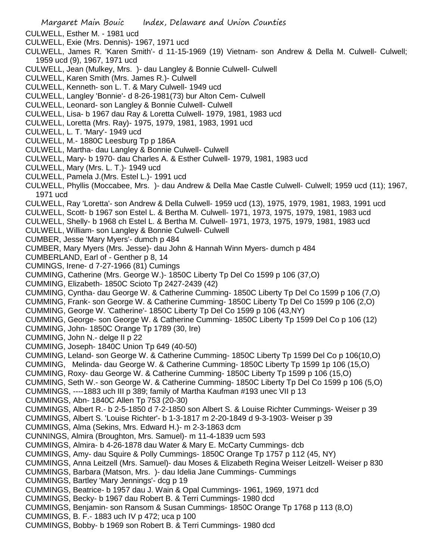- CULWELL, Esther M. 1981 ucd
- CULWELL, Exie (Mrs. Dennis)- 1967, 1971 ucd
- CULWELL, James R. 'Karen Smith'- d 11-15-1969 (19) Vietnam- son Andrew & Della M. Culwell- Culwell; 1959 ucd (9), 1967, 1971 ucd
- CULWELL, Jean (Mulkey, Mrs. )- dau Langley & Bonnie Culwell- Culwell
- CULWELL, Karen Smith (Mrs. James R.)- Culwell
- CULWELL, Kenneth- son L. T. & Mary Culwell- 1949 ucd
- CULWELL, Langley 'Bonnie'- d 8-26-1981(73) bur Alton Cem- Culwell
- CULWELL, Leonard- son Langley & Bonnie Culwell- Culwell
- CULWELL, Lisa- b 1967 dau Ray & Loretta Culwell- 1979, 1981, 1983 ucd
- CULWELL, Loretta (Mrs. Ray)- 1975, 1979, 1981, 1983, 1991 ucd
- CULWELL, L. T. 'Mary'- 1949 ucd
- CULWELL, M.- 1880C Leesburg Tp p 186A
- CULWELL, Martha- dau Langley & Bonnie Culwell- Culwell
- CULWELL, Mary- b 1970- dau Charles A. & Esther Culwell- 1979, 1981, 1983 ucd
- CULWELL, Mary (Mrs. L. T.)- 1949 ucd
- CULWELL, Pamela J.(Mrs. Estel L.)- 1991 ucd
- CULWELL, Phyllis (Moccabee, Mrs. )- dau Andrew & Della Mae Castle Culwell- Culwell; 1959 ucd (11); 1967, 1971 ucd
- CULWELL, Ray 'Loretta'- son Andrew & Della Culwell- 1959 ucd (13), 1975, 1979, 1981, 1983, 1991 ucd
- CULWELL, Scott- b 1967 son Estel L. & Bertha M. Culwell- 1971, 1973, 1975, 1979, 1981, 1983 ucd
- CULWELL, Shelly- b 1968 ch Estel L. & Bertha M. Culwell- 1971, 1973, 1975, 1979, 1981, 1983 ucd
- CULWELL, William- son Langley & Bonnie Culwell- Culwell
- CUMBER, Jesse 'Mary Myers'- dumch p 484
- CUMBER, Mary Myers (Mrs. Jesse)- dau John & Hannah Winn Myers- dumch p 484
- CUMBERLAND, Earl of Genther p 8, 14
- CUMINGS, Irene- d 7-27-1966 (81) Cumings
- CUMMING, Catherine (Mrs. George W.)- 1850C Liberty Tp Del Co 1599 p 106 (37,O)
- CUMMING, Elizabeth- 1850C Scioto Tp 2427-2439 (42)
- CUMMING, Cyntha- dau George W. & Catherine Cumming- 1850C Liberty Tp Del Co 1599 p 106 (7,O)
- CUMMING, Frank- son George W. & Catherine Cumming- 1850C Liberty Tp Del Co 1599 p 106 (2,O)
- CUMMING, George W. 'Catherine'- 1850C Liberty Tp Del Co 1599 p 106 (43,NY)
- CUMMING, George- son George W. & Catherine Cumming- 1850C Liberty Tp 1599 Del Co p 106 (12)
- CUMMING, John- 1850C Orange Tp 1789 (30, Ire)
- CUMMING, John N.- delge II p 22
- CUMMING, Joseph- 1840C Union Tp 649 (40-50)
- CUMMING, Leland- son George W. & Catherine Cumming- 1850C Liberty Tp 1599 Del Co p 106(10,O)
- CUMMING, Melinda- dau George W. & Catherine Cumming- 1850C Liberty Tp 1599 1p 106 (15,O)
- CUMMING, Roxy- dau George W. & Catherine Cumming- 1850C Liberty Tp 1599 p 106 (15,O)
- CUMMING, Seth W.- son George W. & Catherine Cumming- 1850C Liberty Tp Del Co 1599 p 106 (5,O)
- CUMMINGS, ----1883 uch III p 389; family of Martha Kaufman #193 unec VII p 13
- CUMMINGS, Abn- 1840C Allen Tp 753 (20-30)
- CUMMINGS, Albert R.- b 2-5-1850 d 7-2-1850 son Albert S. & Louise Richter Cummings- Weiser p 39
- CUMMINGS, Albert S. 'Louise Richter'- b 1-3-1817 m 2-20-1849 d 9-3-1903- Weiser p 39
- CUMMINGS, Alma (Sekins, Mrs. Edward H.)- m 2-3-1863 dcm
- CUNNINGS, Almira (Broughton, Mrs. Samuel)- m 11-4-1839 ucm 593
- CUMMINGS, Almira- b 4-26-1878 dau Water & Mary E. McCarty Cummings- dcb
- CUMMINGS, Amy- dau Squire & Polly Cummings- 1850C Orange Tp 1757 p 112 (45, NY)
- CUMMINGS, Anna Leitzell (Mrs. Samuel)- dau Moses & Elizabeth Regina Weiser Leitzell- Weiser p 830
- CUMMINGS, Barbara (Matson, Mrs. )- dau Idelia Jane Cummings- Cummings
- CUMMINGS, Bartley 'Mary Jennings'- dcg p 19
- CUMMINGS, Beatrice- b 1957 dau J. Wain & Opal Cummings- 1961, 1969, 1971 dcd
- CUMMINGS, Becky- b 1967 dau Robert B. & Terri Cummings- 1980 dcd
- CUMMINGS, Benjamin- son Ransom & Susan Cummings- 1850C Orange Tp 1768 p 113 (8,O)
- CUMMINGS, B. F.- 1883 uch IV p 472; uca p 100
- CUMMINGS, Bobby- b 1969 son Robert B. & Terri Cummings- 1980 dcd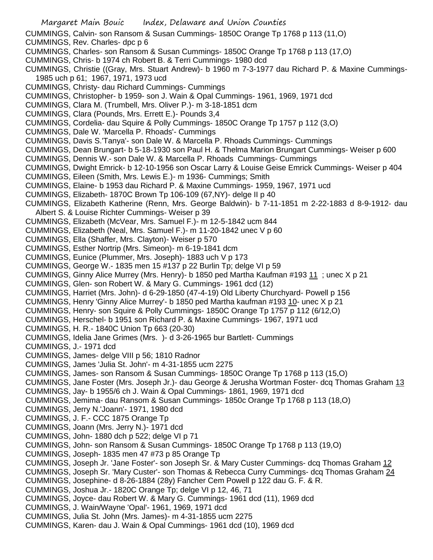Margaret Main Bouic Index, Delaware and Union Counties CUMMINGS, Calvin- son Ransom & Susan Cummings- 1850C Orange Tp 1768 p 113 (11,O) CUMMINGS, Rev. Charles- dpc p 6 CUMMINGS, Charles- son Ransom & Susan Cummings- 1850C Orange Tp 1768 p 113 (17,O) CUMMINGS, Chris- b 1974 ch Robert B. & Terri Cummings- 1980 dcd CUMMINGS, Christie ((Gray, Mrs. Stuart Andrew)- b 1960 m 7-3-1977 dau Richard P. & Maxine Cummings-1985 uch p 61; 1967, 1971, 1973 ucd CUMMINGS, Christy- dau Richard Cummings- Cummings CUMMINGS, Christopher- b 1959- son J. Wain & Opal Cummings- 1961, 1969, 1971 dcd CUMMINGS, Clara M. (Trumbell, Mrs. Oliver P.)- m 3-18-1851 dcm CUMMINGS, Clara (Pounds, Mrs. Errett E.)- Pounds 3,4 CUMMINGS, Cordelia- dau Squire & Polly Cummings- 1850C Orange Tp 1757 p 112 (3,O) CUMMINGS, Dale W. 'Marcella P. Rhoads'- Cummings CUMMINGS, Davis S.'Tanya'- son Dale W. & Marcella P. Rhoads Cummings- Cummings CUMMINGS, Dean Brungart- b 5-18-1930 son Paul H. & Thelma Marion Brungart Cummings- Weiser p 600 CUMMINGS, Dennis W.- son Dale W. & Marcella P. Rhoads Cummings- Cummings CUMMINGS, Dwight Emrick- b 12-10-1956 son Oscar Larry & Louise Geise Emrick Cummings- Weiser p 404 CUMMINGS, Eileen (Smith, Mrs. Lewis E.)- m 1936- Cummings; Smith CUMMINGS, Elaine- b 1953 dau Richard P. & Maxine Cummings- 1959, 1967, 1971 ucd CUMMINGS, Elizabeth- 1870C Brown Tp 106-109 (67,NY)- delge II p 40 CUMMINGS, Elizabeth Katherine (Renn, Mrs. George Baldwin)- b 7-11-1851 m 2-22-1883 d 8-9-1912- dau Albert S. & Louise Richter Cummings- Weiser p 39 CUMMINGS, Elizabeth (McVear, Mrs. Samuel F.)- m 12-5-1842 ucm 844 CUMMINGS, Elizabeth (Neal, Mrs. Samuel F.)- m 11-20-1842 unec V p 60 CUMMINGS, Ella (Shaffer, Mrs. Clayton)- Weiser p 570 CUMMINGS, Esther Nortrip (Mrs. Simeon)- m 6-19-1841 dcm CUMMINGS, Eunice (Plummer, Mrs. Joseph)- 1883 uch V p 173 CUMMINGS, George W.- 1835 men 15 #137 p 22 Burlin Tp; delge VI p 59 CUMMINGS, Ginny Alice Murrey (Mrs. Henry)- b 1850 ped Martha Kaufman #193 11 ; unec X p 21 CUMMINGS, Glen- son Robert W. & Mary G. Cummings- 1961 dcd (12) CUMMINGS, Harriet (Mrs. John)- d 6-29-1850 (47-4-19) Old Liberty Churchyard- Powell p 156 CUMMINGS, Henry 'Ginny Alice Murrey'- b 1850 ped Martha kaufman #193 10- unec X p 21 CUMMINGS, Henry- son Squire & Polly Cummings- 1850C Orange Tp 1757 p 112 (6/12,O) CUMMINGS, Herschel- b 1951 son Richard P. & Maxine Cummings- 1967, 1971 ucd CUMMINGS, H. R.- 1840C Union Tp 663 (20-30) CUMMINGS, Idelia Jane Grimes (Mrs. )- d 3-26-1965 bur Bartlett- Cummings CUMMINGS, J.- 1971 dcd CUMMINGS, James- delge VIII p 56; 1810 Radnor CUMMINGS, James 'Julia St. John'- m 4-31-1855 ucm 2275 CUMMINGS, James- son Ransom & Susan Cummings- 1850C Orange Tp 1768 p 113 (15,O) CUMMINGS, Jane Foster (Mrs. Joseph Jr.)- dau George & Jerusha Wortman Foster- dcq Thomas Graham 13 CUMMINGS, Jay- b 1955/6 ch J. Wain & Opal Cummings- 1861, 1969, 1971 dcd CUMMINGS, Jemima- dau Ransom & Susan Cummings- 1850c Orange Tp 1768 p 113 (18,O) CUMMINGS, Jerry N.'Joann'- 1971, 1980 dcd CUMMINGS, J. F.- CCC 1875 Orange Tp CUMMINGS, Joann (Mrs. Jerry N.)- 1971 dcd CUMMINGS, John- 1880 dch p 522; delge VI p 71 CUMMINGS, John- son Ransom & Susan Cummings- 1850C Orange Tp 1768 p 113 (19,O) CUMMINGS, Joseph- 1835 men 47 #73 p 85 Orange Tp CUMMINGS, Joseph Jr. 'Jane Foster'- son Joseph Sr. & Mary Custer Cummings- dcq Thomas Graham 12 CUMMINGS, Joseph Sr. 'Mary Custer'- son Thomas & Rebecca Curry Cummings- dcq Thomas Graham 24 CUMMINGS, Josephine- d 8-26-1884 (28y) Fancher Cem Powell p 122 dau G. F. & R. CUMMINGS, Joshua Jr.- 1820C Orange Tp; delge VI p 12, 46, 71 CUMMINGS, Joyce- dau Robert W. & Mary G. Cummings- 1961 dcd (11), 1969 dcd CUMMINGS, J. Wain/Wayne 'Opal'- 1961, 1969, 1971 dcd CUMMINGS, Julia St. John (Mrs. James)- m 4-31-1855 ucm 2275 CUMMINGS, Karen- dau J. Wain & Opal Cummings- 1961 dcd (10), 1969 dcd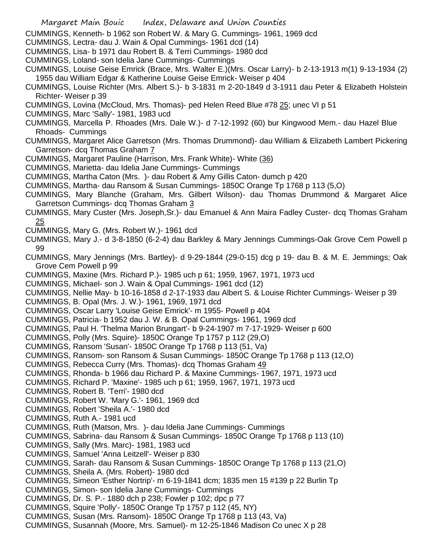CUMMINGS, Kenneth- b 1962 son Robert W. & Mary G. Cummings- 1961, 1969 dcd

- CUMMINGS, Lectra- dau J. Wain & Opal Cummings- 1961 dcd (14)
- CUMMINGS, Lisa- b 1971 dau Robert B. & Terri Cummings- 1980 dcd
- CUMMINGS, Loland- son Idelia Jane Cummings- Cummings

CUMMINGS, Louise Geise Emrick (Brace, Mrs. Walter E.)(Mrs. Oscar Larry)- b 2-13-1913 m(1) 9-13-1934 (2) 1955 dau William Edgar & Katherine Louise Geise Emrick- Weiser p 404

- CUMMINGS, Louise Richter (Mrs. Albert S.)- b 3-1831 m 2-20-1849 d 3-1911 dau Peter & Elizabeth Holstein Richter- Weiser p 39
- CUMMINGS, Lovina (McCloud, Mrs. Thomas)- ped Helen Reed Blue #78 25; unec VI p 51
- CUMMINGS, Marc 'Sally'- 1981, 1983 ucd
- CUMMINGS, Marcella P. Rhoades (Mrs. Dale W.)- d 7-12-1992 (60) bur Kingwood Mem.- dau Hazel Blue Rhoads- Cummings
- CUMMINGS, Margaret Alice Garretson (Mrs. Thomas Drummond)- dau William & Elizabeth Lambert Pickering Garretson- dcq Thomas Graham 7
- CUMMINGS, Margaret Pauline (Harrison, Mrs. Frank White)- White (36)
- CUMMINGS, Marietta- dau Idelia Jane Cummings- Cummings
- CUMMINGS, Martha Caton (Mrs. )- dau Robert & Amy Gillis Caton- dumch p 420
- CUMMINGS, Martha- dau Ransom & Susan Cummings- 1850C Orange Tp 1768 p 113 (5,O)
- CUMMINGS, Mary Blanche (Graham, Mrs. Gilbert Wilson)- dau Thomas Drummond & Margaret Alice Garretson Cummings- dcq Thomas Graham 3
- CUMMINGS, Mary Custer (Mrs. Joseph,Sr.)- dau Emanuel & Ann Maira Fadley Custer- dcq Thomas Graham 25
- CUMMINGS, Mary G. (Mrs. Robert W.)- 1961 dcd
- CUMMINGS, Mary J.- d 3-8-1850 (6-2-4) dau Barkley & Mary Jennings Cummings-Oak Grove Cem Powell p 99
- CUMMINGS, Mary Jennings (Mrs. Bartley)- d 9-29-1844 (29-0-15) dcg p 19- dau B. & M. E. Jemmings; Oak Grove Cem Powell p 99
- CUMMINGS, Maxine (Mrs. Richard P.)- 1985 uch p 61; 1959, 1967, 1971, 1973 ucd
- CUMMINGS, Michael- son J. Wain & Opal Cummings- 1961 dcd (12)
- CUMMINGS, Nellie May- b 10-16-1858 d 2-17-1933 dau Albert S. & Louise Richter Cummings- Weiser p 39
- CUMMINGS, B. Opal (Mrs. J. W.)- 1961, 1969, 1971 dcd
- CUMMINGS, Oscar Larry 'Louise Geise Emrick'- m 1955- Powell p 404
- CUMMINGS, Patricia- b 1952 dau J. W. & B. Opal Cummings- 1961, 1969 dcd
- CUMMINGS, Paul H. 'Thelma Marion Brungart'- b 9-24-1907 m 7-17-1929- Weiser p 600
- CUMMINGS, Polly (Mrs. Squire)- 1850C Orange Tp 1757 p 112 (29,O)
- CUMMINGS, Ransom 'Susan'- 1850C Orange Tp 1768 p 113 (51, Va)
- CUMMINGS, Ransom- son Ransom & Susan Cummings- 1850C Orange Tp 1768 p 113 (12,O)
- CUMMINGS, Rebecca Curry (Mrs. Thomas)- dcq Thomas Graham 49
- CUMMINGS, Rhonda- b 1966 dau Richard P. & Maxine Cummings- 1967, 1971, 1973 ucd
- CUMMINGS, Richard P. 'Maxine'- 1985 uch p 61; 1959, 1967, 1971, 1973 ucd
- CUMMINGS, Robert B. 'Terri'- 1980 dcd
- CUMMINGS, Robert W. 'Mary G.'- 1961, 1969 dcd
- CUMMINGS, Robert 'Sheila A.'- 1980 dcd
- CUMMINGS, Ruth A.- 1981 ucd
- CUMMINGS, Ruth (Matson, Mrs. )- dau Idelia Jane Cummings- Cummings
- CUMMINGS, Sabrina- dau Ransom & Susan Cummings- 1850C Orange Tp 1768 p 113 (10)
- CUMMINGS, Sally (Mrs. Marc)- 1981, 1983 ucd
- CUMMINGS, Samuel 'Anna Leitzell'- Weiser p 830
- CUMMINGS, Sarah- dau Ransom & Susan Cummings- 1850C Orange Tp 1768 p 113 (21,O)
- CUMMINGS, Sheila A. (Mrs. Robert)- 1980 dcd
- CUMMINGS, Simeon 'Esther Nortrip'- m 6-19-1841 dcm; 1835 men 15 #139 p 22 Burlin Tp
- CUMMINGS, Simon- son Idelia Jane Cummings- Cummings
- CUMMINGS, Dr. S. P.- 1880 dch p 238; Fowler p 102; dpc p 77
- CUMMINGS, Squire 'Polly'- 1850C Orange Tp 1757 p 112 (45, NY)
- CUMMINGS, Susan (Mrs. Ransom)- 1850C Orange Tp 1768 p 113 (43, Va)
- CUMMINGS, Susannah (Moore, Mrs. Samuel)- m 12-25-1846 Madison Co unec X p 28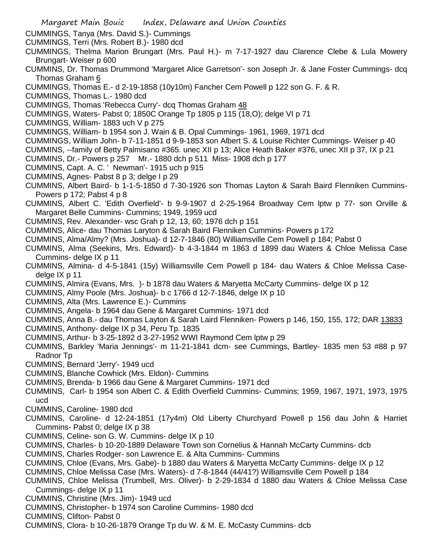- Margaret Main Bouic Index, Delaware and Union Counties
- CUMMINGS, Tanya (Mrs. David S.)- Cummings
- CUMMINGS, Terri (Mrs. Robert B.)- 1980 dcd
- CUMMINGS, Thelma Marion Brungart (Mrs. Paul H.)- m 7-17-1927 dau Clarence Clebe & Lula Mowery Brungart- Weiser p 600
- CUMMINS, Dr. Thomas Drummond 'Margaret Alice Garretson'- son Joseph Jr. & Jane Foster Cummings- dcq Thomas Graham 6
- CUMMINGS, Thomas E.- d 2-19-1858 (10y10m) Fancher Cem Powell p 122 son G. F. & R.
- CUMMINGS, Thomas L.- 1980 dcd
- CUMMINGS, Thomas 'Rebecca Curry'- dcq Thomas Graham 48
- CUMMINGS, Waters- Pabst 0; 1850C Orange Tp 1805 p 115 (18,O); delge VI p 71
- CUMMINGS, William- 1883 uch V p 275
- CUMMINGS, William- b 1954 son J. Wain & B. Opal Cummings- 1961, 1969, 1971 dcd
- CUMMINGS, William John- b 7-11-1851 d 9-9-1853 son Albert S. & Louise Richter Cummings- Weiser p 40
- CUMMINS, --family of Betty Palmisano #365. unec XII p 13; Alice Heath Baker #376, unec XII p 37, IX p 21
- CUMMINS, Dr.- Powers p 257 Mr.- 1880 dch p 511 Miss- 1908 dch p 177
- CUMMINS, Capt. A. C. ' Newman'- 1915 uch p 915
- CUMMINS, Agnes- Pabst 8 p 3; delge I p 29
- CUMMINS, Albert Baird- b 1-1-5-1850 d 7-30-1926 son Thomas Layton & Sarah Baird Flenniken Cummins-Powers p 172; Pabst 4 p 8
- CUMMINS, Albert C. 'Edith Overfield'- b 9-9-1907 d 2-25-1964 Broadway Cem lptw p 77- son Orville & Margaret Belle Cummins- Cummins; 1949, 1959 ucd
- CUMMINS, Rev. Alexander- wsc Grah p 12, 13, 60; 1976 dch p 151
- CUMMINS, Alice- dau Thomas Laryton & Sarah Baird Flenniken Cummins- Powers p 172
- CUMMINS, Alma/Almy? (Mrs. Joshua)- d 12-7-1846 (80) Williamsville Cem Powell p 184; Pabst 0
- CUMMINS, Alma (Seekins, Mrs. Edward)- b 4-3-1844 m 1863 d 1899 dau Waters & Chloe Melissa Case Cummins- delge IX p 11
- CUMMINS, Almina- d 4-5-1841 (15y) Williamsville Cem Powell p 184- dau Waters & Chloe Melissa Casedelge IX p 11
- CUMMINS, Almira (Evans, Mrs. )- b 1878 dau Waters & Maryetta McCarty Cummins- delge IX p 12
- CUMMINS, Almy Poole (Mrs. Joshua)- b c 1766 d 12-7-1846, delge IX p 10
- CUMMINS, Alta (Mrs. Lawrence E.)- Cummins
- CUMMINS, Angela- b 1964 dau Gene & Margaret Cummins- 1971 dcd
- CUMMINS, Anna B.- dau Thomas Layton & Sarah Laird Flenniken- Powers p 146, 150, 155, 172; DAR 13833
- CUMMINS, Anthony- delge IX p 34, Peru Tp. 1835
- CUMMINS, Arthur- b 3-25-1892 d 3-27-1952 WWI Raymond Cem lptw p 29
- CUMMINS, Barkley 'Maria Jennings'- m 11-21-1841 dcm- see Cummings, Bartley- 1835 men 53 #88 p 97 Radnor Tp
- CUMMINS, Bernard 'Jerry'- 1949 ucd
- CUMMINS, Blanche Cowhick (Mrs. Eldon)- Cummins
- CUMMINS, Brenda- b 1966 dau Gene & Margaret Cummins- 1971 dcd
- CUMMINS, Carl- b 1954 son Albert C. & Edith Overfield Cummins- Cummins; 1959, 1967, 1971, 1973, 1975 ucd
- CUMMINS, Caroline- 1980 dcd
- CUMMINS, Caroline- d 12-24-1851 (17y4m) Old Liberty Churchyard Powell p 156 dau John & Harriet Cummins- Pabst 0; delge IX p 38
- CUMMINS, Celine- son G. W. Cummins- delge IX p 10
- CUMMINS, Charles- b 10-20-1889 Delaware Town son Cornelius & Hannah McCarty Cummins- dcb
- CUMMINS, Charles Rodger- son Lawrence E. & Alta Cummins- Cummins
- CUMMINS, Chloe (Evans, Mrs. Gabe)- b 1880 dau Waters & Maryetta McCarty Cummins- delge IX p 12
- CUMMINS, Chloe Melissa Case (Mrs. Waters)- d 7-8-1844 (44/41?) Williamsville Cem Powell p 184
- CUMMINS, Chloe Melissa (Trumbell, Mrs. Oliver)- b 2-29-1834 d 1880 dau Waters & Chloe Melissa Case Cummings- delge IX p 11
- CUMMINS, Christine (Mrs. Jim)- 1949 ucd
- CUMMINS, Christopher- b 1974 son Caroline Cummins- 1980 dcd
- CUMMINS, Clifton- Pabst 0
- CUMMINS, Clora- b 10-26-1879 Orange Tp du W. & M. E. McCasty Cummins- dcb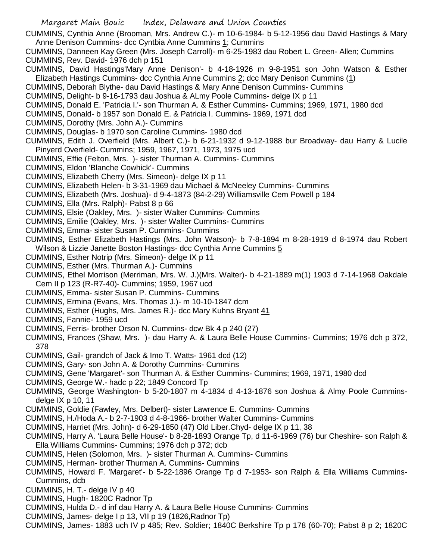- CUMMINS, Cynthia Anne (Brooman, Mrs. Andrew C.)- m 10-6-1984- b 5-12-1956 dau David Hastings & Mary Anne Denison Cummins- dcc Cyntbia Anne Cummins 1; Cummins
- CUMMINS, Danneen Kay Green (Mrs. Joseph Carroll)- m 6-25-1983 dau Robert L. Green- Allen; Cummins CUMMINS, Rev. David- 1976 dch p 151
- CUMMINS, David Hastings'Mary Anne Denison'- b 4-18-1926 m 9-8-1951 son John Watson & Esther Elizabeth Hastings Cummins- dcc Cynthia Anne Cummins 2; dcc Mary Denison Cummins (1)
- CUMMINS, Deborah Blythe- dau David Hastings & Mary Anne Denison Cummins- Cummins
- CUMMINS, Delight- b 9-16-1793 dau Joshua & ALmy Poole Cummins- delge IX p 11
- CUMMINS, Donald E. 'Patricia I.'- son Thurman A. & Esther Cummins- Cummins; 1969, 1971, 1980 dcd
- CUMMINS, Donald- b 1957 son Donald E. & Patricia I. Cummins- 1969, 1971 dcd
- CUMMINS, Dorothy (Mrs. John A.)- Cummins
- CUMMINS, Douglas- b 1970 son Caroline Cummins- 1980 dcd
- CUMMINS, Edith J. Overfield (Mrs. Albert C.)- b 6-21-1932 d 9-12-1988 bur Broadway- dau Harry & Lucile Pinyerd Overfield- Cummins; 1959, 1967, 1971, 1973, 1975 ucd
- CUMMINS, Effie (Felton, Mrs. )- sister Thurman A. Cummins- Cummins
- CUMMINS, Eldon 'Blanche Cowhick'- Cummins
- CUMMINS, Elizabeth Cherry (Mrs. Simeon)- delge IX p 11
- CUMMINS, Elizabeth Helen- b 3-31-1969 dau Michael & McNeeley Cummins- Cummins
- CUMMINS, Elizabeth (Mrs. Joshua)- d 9-4-1873 (84-2-29) Williamsville Cem Powell p 184
- CUMMINS, Ella (Mrs. Ralph)- Pabst 8 p 66
- CUMMINS, Elsie (Oakley, Mrs. )- sister Walter Cummins- Cummins
- CUMMINS, Emilie (Oakley, Mrs. )- sister Walter Cummins- Cummins
- CUMMINS, Emma- sister Susan P. Cummins- Cummins
- CUMMINS, Esther Elizabeth Hastings (Mrs. John Watson)- b 7-8-1894 m 8-28-1919 d 8-1974 dau Robert Wilson & Lizzie Janette Boston Hastings- dcc Cynthia Anne Cummins 5
- CUMMINS, Esther Notrip (Mrs. Simeon)- delge IX p 11
- CUMMINS, Esther (Mrs. Thurman A.)- Cummins
- CUMMINS, Ethel Morrison (Merriman, Mrs. W. J.)(Mrs. Walter)- b 4-21-1889 m(1) 1903 d 7-14-1968 Oakdale Cem II p 123 (R-R7-40)- Cummins; 1959, 1967 ucd
- CUMMINS, Emma- sister Susan P. Cummins- Cummins
- CUMMINS, Ermina (Evans, Mrs. Thomas J.)- m 10-10-1847 dcm
- CUMMINS, Esther (Hughs, Mrs. James R.)- dcc Mary Kuhns Bryant 41
- CUMMINS, Fannie- 1959 ucd
- CUMMINS, Ferris- brother Orson N. Cummins- dcw Bk 4 p 240 (27)
- CUMMINS, Frances (Shaw, Mrs. )- dau Harry A. & Laura Belle House Cummins- Cummins; 1976 dch p 372, 378
- CUMMINS, Gail- grandch of Jack & Imo T. Watts- 1961 dcd (12)
- CUMMINS, Gary- son John A. & Dorothy Cummins- Cummins
- CUMMINS, Gene 'Margaret'- son Thurman A. & Esther Cummins- Cummins; 1969, 1971, 1980 dcd
- CUMMINS, George W.- hadc p 22; 1849 Concord Tp
- CUMMINS, George Washington- b 5-20-1807 m 4-1834 d 4-13-1876 son Joshua & Almy Poole Cumminsdelge IX p 10, 11
- CUMMINS, Goldie (Fawley, Mrs. Delbert)- sister Lawrence E. Cummins- Cummins
- CUMMINS, H./Hoda A.- b 2-7-1903 d 4-8-1966- brother Walter Cummins- Cummins
- CUMMINS, Harriet (Mrs. John)- d 6-29-1850 (47) Old Liber.Chyd- delge IX p 11, 38
- CUMMINS, Harry A. 'Laura Belle House'- b 8-28-1893 Orange Tp, d 11-6-1969 (76) bur Cheshire- son Ralph & Ella Williams Cummins- Cummins; 1976 dch p 372; dcb
- CUMMINS, Helen (Solomon, Mrs. )- sister Thurman A. Cummins- Cummins
- CUMMINS, Herman- brother Thurman A. Cummins- Cummins
- CUMMINS, Howard F. 'Margaret'- b 5-22-1896 Orange Tp d 7-1953- son Ralph & Ella Williams Cummins-Cummins, dcb
- CUMMINS, H. T.- delge IV p 40
- CUMMINS, Hugh- 1820C Radnor Tp
- CUMMINS, Hulda D.- d inf dau Harry A. & Laura Belle House Cummins- Cummins
- CUMMINS, James- delge I p 13, VII p 19 (1826,Radnor Tp)
- CUMMINS, James- 1883 uch IV p 485; Rev. Soldier; 1840C Berkshire Tp p 178 (60-70); Pabst 8 p 2; 1820C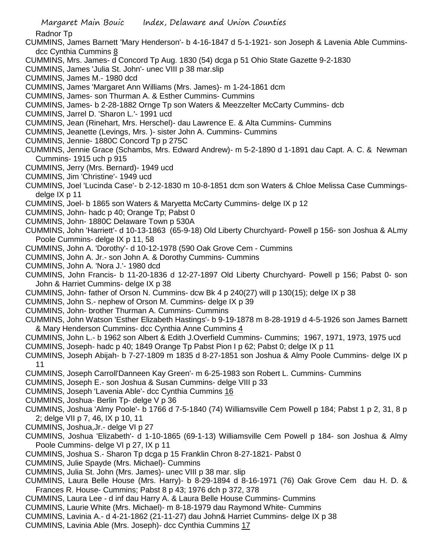Radnor Tp

- CUMMINS, James Barnett 'Mary Henderson'- b 4-16-1847 d 5-1-1921- son Joseph & Lavenia Able Cumminsdcc Cynthia Cummins 8
- CUMMINS, Mrs. James- d Concord Tp Aug. 1830 (54) dcga p 51 Ohio State Gazette 9-2-1830
- CUMMINS, James 'Julia St. John'- unec VIII p 38 mar.slip
- CUMMINS, James M.- 1980 dcd
- CUMMINS, James 'Margaret Ann Williams (Mrs. James)- m 1-24-1861 dcm
- CUMMINS, James- son Thurman A. & Esther Cummins- Cummins
- CUMMINS, James- b 2-28-1882 Ornge Tp son Waters & Meezzelter McCarty Cummins- dcb
- CUMMINS, Jarrel D. 'Sharon L.'- 1991 ucd
- CUMMINS, Jean (Rinehart, Mrs. Herschel)- dau Lawrence E. & Alta Cummins- Cummins
- CUMMINS, Jeanette (Levings, Mrs. )- sister John A. Cummins- Cummins
- CUMMINS, Jennie- 1880C Concord Tp p 275C
- CUMMINS, Jennie Grace (Schambs, Mrs. Edward Andrew)- m 5-2-1890 d 1-1891 dau Capt. A. C. & Newman Cummins- 1915 uch p 915
- CUMMINS, Jerry (Mrs. Bernard)- 1949 ucd
- CUMMINS, Jim 'Christine'- 1949 ucd
- CUMMINS, Joel 'Lucinda Case'- b 2-12-1830 m 10-8-1851 dcm son Waters & Chloe Melissa Case Cummingsdelge IX p 11
- CUMMINS, Joel- b 1865 son Waters & Maryetta McCarty Cummins- delge IX p 12
- CUMMINS, John- hadc p 40; Orange Tp; Pabst 0
- CUMMINS, John- 1880C Delaware Town p 530A
- CUMMINS, John 'Harriett'- d 10-13-1863 (65-9-18) Old Liberty Churchyard- Powell p 156- son Joshua & ALmy Poole Cummins- delge IX p 11, 58
- CUMMINS, John A. 'Dorothy'- d 10-12-1978 (590 Oak Grove Cem Cummins
- CUMMINS, John A. Jr.- son John A. & Dorothy Cummins- Cummins
- CUMMINS, John A. 'Nora J.'- 1980 dcd
- CUMMINS, John Francis- b 11-20-1836 d 12-27-1897 Old Liberty Churchyard- Powell p 156; Pabst 0- son John & Harriet Cummins- delge IX p 38
- CUMMINS, John- father of Orson N. Cummins- dcw Bk 4 p 240(27) will p 130(15); delge IX p 38
- CUMMINS, John S.- nephew of Orson M. Cummins- delge IX p 39
- CUMMINS, John- brother Thurman A. Cummins- Cummins
- CUMMINS, John Watson 'Esther Elizabeth Hastings'- b 9-19-1878 m 8-28-1919 d 4-5-1926 son James Barnett & Mary Henderson Cummins- dcc Cynthia Anne Cummins 4
- CUMMINS, John L.- b 1962 son Albert & Edith J.Overfield Cummins- Cummins; 1967, 1971, 1973, 1975 ucd
- CUMMINS, Joseph- hadc p 40; 1849 Orange Tp Pabst Pion I p 62; Pabst 0; delge IX p 11
- CUMMINS, Joseph Abijah- b 7-27-1809 m 1835 d 8-27-1851 son Joshua & Almy Poole Cummins- delge IX p 11
- CUMMINS, Joseph Carroll'Danneen Kay Green'- m 6-25-1983 son Robert L. Cummins- Cummins
- CUMMINS, Joseph E.- son Joshua & Susan Cummins- delge VIII p 33
- CUMMINS, Joseph 'Lavenia Able'- dcc Cynthia Cummins 16
- CUMMINS, Joshua- Berlin Tp- delge V p 36
- CUMMINS, Joshua 'Almy Poole'- b 1766 d 7-5-1840 (74) Williamsville Cem Powell p 184; Pabst 1 p 2, 31, 8 p 2; delge VII p 7, 46, IX p 10, 11
- CUMMINS, Joshua,Jr.- delge VI p 27
- CUMMINS, Joshua 'Elizabeth'- d 1-10-1865 (69-1-13) Williamsville Cem Powell p 184- son Joshua & Almy Poole Cummins- delge VI p 27, IX p 11
- CUMMINS, Joshua S.- Sharon Tp dcga p 15 Franklin Chron 8-27-1821- Pabst 0
- CUMMINS, Julie Spayde (Mrs. Michael)- Cummins
- CUMMINS, Julia St. John (Mrs. James)- unec VIII p 38 mar. slip
- CUMMINS, Laura Belle House (Mrs. Harry)- b 8-29-1894 d 8-16-1971 (76) Oak Grove Cem dau H. D. & Frances R. House- Cummins; Pabst 8 p 43; 1976 dch p 372, 378
- CUMMINS, Laura Lee d inf dau Harry A. & Laura Belle House Cummins- Cummins
- CUMMINS, Laurie White (Mrs. Michael)- m 8-18-1979 dau Raymond White- Cummins
- CUMMINS, Lavinia A.- d 4-21-1862 (21-11-27) dau John& Harriet Cummins- delge IX p 38
- CUMMINS, Lavinia Able (Mrs. Joseph)- dcc Cynthia Cummins 17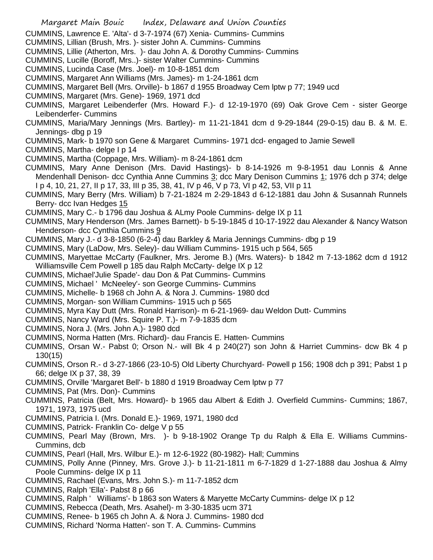- CUMMINS, Lawrence E. 'Alta'- d 3-7-1974 (67) Xenia- Cummins- Cummins
- CUMMINS, Lillian (Brush, Mrs. )- sister John A. Cummins- Cummins
- CUMMINS, Lillie (Atherton, Mrs. )- dau John A. & Dorothy Cummins- Cummins
- CUMMINS, Lucille (Boroff, Mrs..)- sister Walter Cummins- Cummins
- CUMMINS, Lucinda Case (Mrs. Joel)- m 10-8-1851 dcm
- CUMMINS, Margaret Ann Williams (Mrs. James)- m 1-24-1861 dcm
- CUMMINS, Margaret Bell (Mrs. Orville)- b 1867 d 1955 Broadway Cem lptw p 77; 1949 ucd
- CUMMINS, Margaret (Mrs. Gene)- 1969, 1971 dcd
- CUMMINS, Margaret Leibenderfer (Mrs. Howard F.)- d 12-19-1970 (69) Oak Grove Cem sister George Leibenderfer- Cummins
- CUMMINS, Maria/Mary Jennings (Mrs. Bartley)- m 11-21-1841 dcm d 9-29-1844 (29-0-15) dau B. & M. E. Jennings- dbg p 19
- CUMMINS, Mark- b 1970 son Gene & Margaret Cummins- 1971 dcd- engaged to Jamie Sewell
- CUMMINS, Martha- delge I p 14
- CUMMINS, Martha (Coppage, Mrs. William)- m 8-24-1861 dcm
- CUMMINS, Mary Anne Denison (Mrs. David Hastings)- b 8-14-1926 m 9-8-1951 dau Lonnis & Anne Mendenhall Denison- dcc Cynthia Anne Cummins 3; dcc Mary Denison Cummins 1; 1976 dch p 374; delge I p 4, 10, 21, 27, II p 17, 33, III p 35, 38, 41, IV p 46, V p 73, VI p 42, 53, VII p 11
- CUMMINS, Mary Berry (Mrs. William) b 7-21-1824 m 2-29-1843 d 6-12-1881 dau John & Susannah Runnels Berry- dcc Ivan Hedges 15
- CUMMINS, Mary C.- b 1796 dau Joshua & ALmy Poole Cummins- delge IX p 11
- CUMMINS, Mary Henderson (Mrs. James Barnett)- b 5-19-1845 d 10-17-1922 dau Alexander & Nancy Watson Henderson- dcc Cynthia Cummins 9
- CUMMINS, Mary J.- d 3-8-1850 (6-2-4) dau Barkley & Maria Jennings Cummins- dbg p 19
- CUMMINS, Mary (LaDow, Mrs. Seley)- dau William Cummins- 1915 uch p 564, 565
- CUMMINS, Maryettae McCarty (Faulkner, Mrs. Jerome B.) (Mrs. Waters)- b 1842 m 7-13-1862 dcm d 1912 Williamsville Cem Powell p 185 dau Ralph McCarty- delge IX p 12
- CUMMINS, Michael'Julie Spade'- dau Don & Pat Cummins- Cummins
- CUMMINS, Michael ' McNeeley'- son George Cummins- Cummins
- CUMMINS, Michelle- b 1968 ch John A. & Nora J. Cummins- 1980 dcd
- CUMMINS, Morgan- son William Cummins- 1915 uch p 565
- CUMMINS, Myra Kay Dutt (Mrs. Ronald Harrison)- m 6-21-1969- dau Weldon Dutt- Cummins
- CUMMINS, Nancy Ward (Mrs. Squire P. T.)- m 7-9-1835 dcm
- CUMMINS, Nora J. (Mrs. John A.)- 1980 dcd
- CUMMINS, Norma Hatten (Mrs. Richard)- dau Francis E. Hatten- Cummins
- CUMMINS, Orsan W.- Pabst 0; Orson N.- will Bk 4 p 240(27) son John & Harriet Cummins- dcw Bk 4 p 130(15)
- CUMMINS, Orson R.- d 3-27-1866 (23-10-5) Old Liberty Churchyard- Powell p 156; 1908 dch p 391; Pabst 1 p 66; delge IX p 37, 38, 39
- CUMMINS, Orville 'Margaret Bell'- b 1880 d 1919 Broadway Cem lptw p 77
- CUMMINS, Pat (Mrs. Don)- Cummins
- CUMMINS, Patricia (Belt, Mrs. Howard)- b 1965 dau Albert & Edith J. Overfield Cummins- Cummins; 1867, 1971, 1973, 1975 ucd
- CUMMINS, Patricia I. (Mrs. Donald E.)- 1969, 1971, 1980 dcd
- CUMMINS, Patrick- Franklin Co- delge V p 55
- CUMMINS, Pearl May (Brown, Mrs. )- b 9-18-1902 Orange Tp du Ralph & Ella E. Williams Cummins-Cummins, dcb
- CUMMINS, Pearl (Hall, Mrs. Wilbur E.)- m 12-6-1922 (80-1982)- Hall; Cummins
- CUMMINS, Polly Anne (Pinney, Mrs. Grove J.)- b 11-21-1811 m 6-7-1829 d 1-27-1888 dau Joshua & Almy Poole Cummins- delge IX p 11
- CUMMINS, Rachael (Evans, Mrs. John S.)- m 11-7-1852 dcm
- CUMMINS, Ralph 'Ella'- Pabst 8 p 66
- CUMMINS, Ralph ' Williams'- b 1863 son Waters & Maryette McCarty Cummins- delge IX p 12
- CUMMINS, Rebecca (Death, Mrs. Asahel)- m 3-30-1835 ucm 371
- CUMMINS, Renee- b 1965 ch John A. & Nora J. Cummins- 1980 dcd
- CUMMINS, Richard 'Norma Hatten'- son T. A. Cummins- Cummins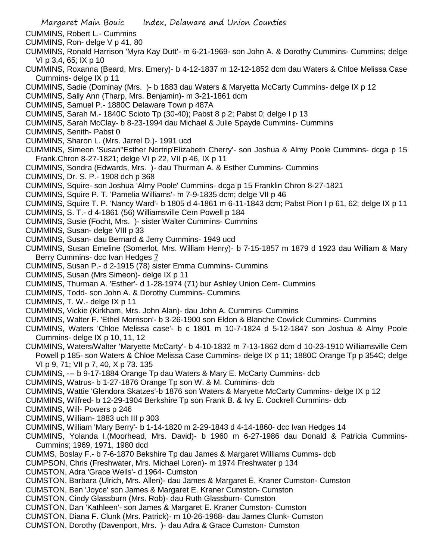- CUMMINS, Robert L.- Cummins
- CUMMINS, Ron- delge V p 41, 80
- CUMMINS, Ronald Harrison 'Myra Kay Dutt'- m 6-21-1969- son John A. & Dorothy Cummins- Cummins; delge VI p 3,4, 65; IX p 10
- CUMMINS, Roxanna (Beard, Mrs. Emery)- b 4-12-1837 m 12-12-1852 dcm dau Waters & Chloe Melissa Case Cummins- delge IX p 11
- CUMMINS, Sadie (Dominay (Mrs. )- b 1883 dau Waters & Maryetta McCarty Cummins- delge IX p 12
- CUMMINS, Sally Ann (Tharp, Mrs. Benjamin)- m 3-21-1861 dcm
- CUMMINS, Samuel P.- 1880C Delaware Town p 487A
- CUMMINS, Sarah M.- 1840C Scioto Tp (30-40); Pabst 8 p 2; Pabst 0; delge I p 13
- CUMMINS, Sarah McClay- b 8-23-1994 dau Michael & Julie Spayde Cummins- Cummins
- CUMMINS, Senith- Pabst 0
- CUMMINS, Sharon L. (Mrs. Jarrel D.)- 1991 ucd
- CUMMINS, Simeon 'Susan''Esther Nortrip'Elizabeth Cherry'- son Joshua & Almy Poole Cummins- dcga p 15 Frank.Chron 8-27-1821; delge VI p 22, VII p 46, IX p 11
- CUMMINS, Sondra (Edwards, Mrs. )- dau Thurman A. & Esther Cummins- Cummins
- CUMMINS, Dr. S. P.- 1908 dch p 368
- CUMMINS, Squire- son Joshua 'Almy Poole' Cummins- dcga p 15 Franklin Chron 8-27-1821
- CUMMINS, Squire P. T. 'Pamelia Williams'- m 7-9-1835 dcm; delge VII p 46
- CUMMINS, Squire T. P. 'Nancy Ward'- b 1805 d 4-1861 m 6-11-1843 dcm; Pabst Pion I p 61, 62; delge IX p 11
- CUMMINS, S. T.- d 4-1861 (56) Williamsville Cem Powell p 184
- CUMMINS, Susie (Focht, Mrs. )- sister Walter Cummins- Cummins
- CUMMINS, Susan- delge VIII p 33
- CUMMINS, Susan- dau Bernard & Jerry Cummins- 1949 ucd
- CUMMINS, Susan Emeline (Somerlot, Mrs. William Henry)- b 7-15-1857 m 1879 d 1923 dau William & Mary Berry Cummins- dcc Ivan Hedges 7
- CUMMINS, Susan P.- d 2-1915 (78) sister Emma Cummins- Cummins
- CUMMINS, Susan (Mrs Simeon)- delge IX p 11
- CUMMINS, Thurman A. 'Esther'- d 1-28-1974 (71) bur Ashley Union Cem- Cummins
- CUMMINS, Todd- son John A. & Dorothy Cummins- Cummins
- CUMMINS, T. W.- delge IX p 11
- CUMMINS, Vickie (Kirkham, Mrs. John Alan)- dau John A. Cummins- Cummins
- CUMMINS, Walter F. 'Ethel Morrison'- b 3-26-1900 son Eldon & Blanche Cowlick Cummins- Cummins
- CUMMINS, Waters 'Chloe Melissa case'- b c 1801 m 10-7-1824 d 5-12-1847 son Joshua & Almy Poole Cummins- delge IX p 10, 11, 12
- CUMMINS, Waters/Walter 'Maryette McCarty'- b 4-10-1832 m 7-13-1862 dcm d 10-23-1910 Williamsville Cem Powell p 185- son Waters & Chloe Melissa Case Cummins- delge IX p 11; 1880C Orange Tp p 354C; delge VI p 9, 71; VII p 7, 40, X p 73. 135
- CUMMINS, --- b 9-17-1884 Orange Tp dau Waters & Mary E. McCarty Cummins- dcb
- CUMMINS, Watrus- b 1-27-1876 Orange Tp son W. & M. Cummins- dcb
- CUMMINS, Wattie 'Glendora Skatzes'-b 1876 son Waters & Maryette McCarty Cummins- delge IX p 12
- CUMMINS, Wilfred- b 12-29-1904 Berkshire Tp son Frank B. & Ivy E. Cockrell Cummins- dcb
- CUMMINS, Will- Powers p 246
- CUMMINS, William- 1883 uch III p 303
- CUMMINS, William 'Mary Berry'- b 1-14-1820 m 2-29-1843 d 4-14-1860- dcc Ivan Hedges 14
- CUMMINS, Yolanda I.(Moorhead, Mrs. David)- b 1960 m 6-27-1986 dau Donald & Patricia Cummins-Cummins; 1969, 1971, 1980 dcd
- CUMMS, Boslay F.- b 7-6-1870 Bekshire Tp dau James & Margaret Williams Cumms- dcb
- CUMPSON, Chris (Freshwater, Mrs. Michael Loren)- m 1974 Freshwater p 134
- CUMSTON, Adra 'Grace Wells'- d 1964- Cumston
- CUMSTON, Barbara (Ulrich, Mrs. Allen)- dau James & Margaret E. Kraner Cumston- Cumston
- CUMSTON, Ben 'Joyce' son James & Margaret E. Kraner Cumston- Cumston
- CUMSTON, Cindy Glassburn (Mrs. Rob)- dau Ruth Glassburn- Cumston
- CUMSTON, Dan 'Kathleen'- son James & Margaret E. Kraner Cumston- Cumston
- CUMSTON, Diana F. Clunk (Mrs. Patrick)- m 10-26-1968- dau James Clunk- Cumston
- CUMSTON, Dorothy (Davenport, Mrs. )- dau Adra & Grace Cumston- Cumston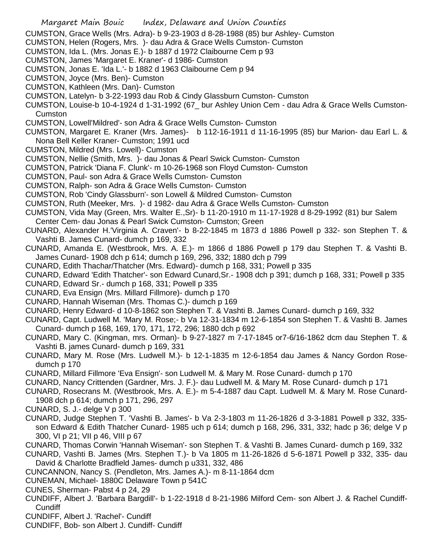- Margaret Main Bouic Index, Delaware and Union Counties
- CUMSTON, Grace Wells (Mrs. Adra)- b 9-23-1903 d 8-28-1988 (85) bur Ashley- Cumston
- CUMSTON, Helen (Rogers, Mrs. )- dau Adra & Grace Wells Cumston- Cumston
- CUMSTON, Ida L. (Mrs. Jonas E.)- b 1887 d 1972 Claibourne Cem p 93
- CUMSTON, James 'Margaret E. Kraner'- d 1986- Cumston
- CUMSTON, Jonas E. 'Ida L.'- b 1882 d 1963 Claibourne Cem p 94
- CUMSTON, Joyce (Mrs. Ben)- Cumston
- CUMSTON, Kathleen (Mrs. Dan)- Cumston
- CUMSTON, Latelyn- b 3-22-1993 dau Rob & Cindy Glassburn Cumston- Cumston
- CUMSTON, Louise-b 10-4-1924 d 1-31-1992 (67\_ bur Ashley Union Cem dau Adra & Grace Wells Cumston-Cumston
- CUMSTON, Lowell'Mildred'- son Adra & Grace Wells Cumston- Cumston
- CUMSTON, Margaret E. Kraner (Mrs. James)- b 112-16-1911 d 11-16-1995 (85) bur Marion- dau Earl L. & Nona Bell Keller Kraner- Cumston; 1991 ucd
- CUMSTON, Mildred (Mrs. Lowell)- Cumston
- CUMSTON, Nellie (Smith, Mrs. )- dau Jonas & Pearl Swick Cumston- Cumston
- CUMSTON, Patrick 'Diana F. Clunk'- m 10-26-1968 son Floyd Cumston- Cumston
- CUMSTON, Paul- son Adra & Grace Wells Cumston- Cumston
- CUMSTON, Ralph- son Adra & Grace Wells Cumston- Cumston
- CUMSTON, Rob 'Cindy Glassburn'- son Lowell & Mildred Cumston- Cumston
- CUMSTON, Ruth (Meeker, Mrs. )- d 1982- dau Adra & Grace Wells Cumston- Cumston
- CUMSTON, Vida May (Green, Mrs. Walter E.,Sr)- b 11-20-1910 m 11-17-1928 d 8-29-1992 (81) bur Salem Center Cem- dau Jonas & Pearl Swick Cumston- Cumston; Green
- CUNARD, Alexander H.'Virginia A. Craven'- b 8-22-1845 m 1873 d 1886 Powell p 332- son Stephen T. & Vashti B. James Cunard- dumch p 169, 332
- CUNARD, Amanda E. (Westbrook, Mrs. A. E.)- m 1866 d 1886 Powell p 179 dau Stephen T. & Vashti B. James Cunard- 1908 dch p 614; dumch p 169, 296, 332; 1880 dch p 799
- CUNARD, Edith Thachar/Thatcher (Mrs. Edward)- dumch p 168, 331; Powell p 335
- CUNARD, Edward 'Edith Thatcher'- son Edward Cunard,Sr.- 1908 dch p 391; dumch p 168, 331; Powell p 335
- CUNARD, Edward Sr.- dumch p 168, 331; Powell p 335
- CUNARD, Eva Ensign (Mrs. Millard Fillmore)- dumch p 170
- CUNARD, Hannah Wiseman (Mrs. Thomas C.)- dumch p 169
- CUNARD, Henry Edward- d 10-8-1862 son Stephen T. & Vashti B. James Cunard- dumch p 169, 332
- CUNARD, Capt. Ludwell M. 'Mary M. Rose;- b Va 12-31-1834 m 12-6-1854 son Stephen T. & Vashti B. James Cunard- dumch p 168, 169, 170, 171, 172, 296; 1880 dch p 692
- CUNARD, Mary C. (Kingman, mrs. Orman)- b 9-27-1827 m 7-17-1845 or7-6/16-1862 dcm dau Stephen T. & Vashti B. james Cunard- dumch p 169, 331
- CUNARD, Mary M. Rose (Mrs. Ludwell M.)- b 12-1-1835 m 12-6-1854 dau James & Nancy Gordon Rosedumch p 170
- CUNARD, Millard Fillmore 'Eva Ensign'- son Ludwell M. & Mary M. Rose Cunard- dumch p 170
- CUNARD, Nancy Crittenden (Gardner, Mrs. J. F.)- dau Ludwell M. & Mary M. Rose Cunard- dumch p 171
- CUNARD, Rosecrans M. (Westbrook, Mrs. A. E.)- m 5-4-1887 dau Capt. Ludwell M. & Mary M. Rose Cunard-1908 dch p 614; dumch p 171, 296, 297
- CUNARD, S. J.- delge V p 300
- CUNARD, Judge Stephen T. 'Vashti B. James'- b Va 2-3-1803 m 11-26-1826 d 3-3-1881 Powell p 332, 335 son Edward & Edith Thatcher Cunard- 1985 uch p 614; dumch p 168, 296, 331, 332; hadc p 36; delge V p 300, VI p 21; VII p 46, VIII p 67
- CUNARD, Thomas Corwin 'Hannah Wiseman'- son Stephen T. & Vashti B. James Cunard- dumch p 169, 332
- CUNARD, Vashti B. James (Mrs. Stephen T.)- b Va 1805 m 11-26-1826 d 5-6-1871 Powell p 332, 335- dau David & Charlotte Bradfield James- dumch p u331, 332, 486
- CUNCANNON, Nancy S. (Pendleton, Mrs. James A.)- m 8-11-1864 dcm
- CUNEMAN, Michael- 1880C Delaware Town p 541C
- CUNES, Sherman- Pabst 4 p 24, 29
- CUNDIFF, Albert J. 'Barbara Bargdill'- b 1-22-1918 d 8-21-1986 Milford Cem- son Albert J. & Rachel Cundiff-Cundiff
- CUNDIFF, Albert J. 'Rachel'- Cundiff
- CUNDIFF, Bob- son Albert J. Cundiff- Cundiff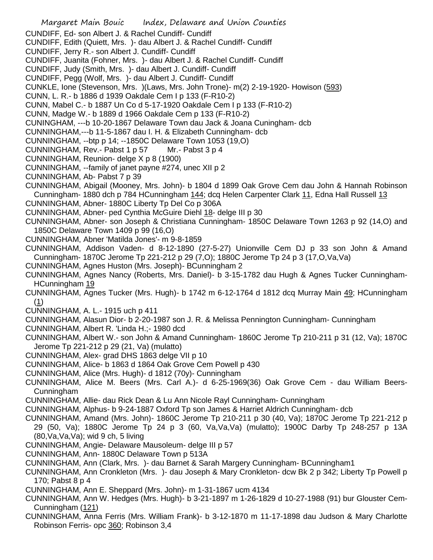Margaret Main Bouic Index, Delaware and Union Counties CUNDIFF, Ed- son Albert J. & Rachel Cundiff- Cundiff CUNDIFF, Edith (Quiett, Mrs. )- dau Albert J. & Rachel Cundiff- Cundiff CUNDIFF, Jerry R.- son Albert J. Cundiff- Cundiff CUNDIFF, Juanita (Fohner, Mrs. )- dau Albert J. & Rachel Cundiff- Cundiff CUNDIFF, Judy (Smith, Mrs. )- dau Albert J. Cundiff- Cundiff CUNDIFF, Pegg (Wolf, Mrs. )- dau Albert J. Cundiff- Cundiff CUNKLE, Ione (Stevenson, Mrs. )(Laws, Mrs. John Trone)- m(2) 2-19-1920- Howison (593) CUNN, L. R.- b 1886 d 1939 Oakdale Cem I p 133 (F-R10-2) CUNN, Mabel C.- b 1887 Un Co d 5-17-1920 Oakdale Cem I p 133 (F-R10-2) CUNN, Madge W.- b 1889 d 1966 Oakdale Cem p 133 (F-R10-2) CUNINGHAM, ---b 10-20-1867 Delaware Town dau Jack & Joana Cuningham- dcb CUNNINGHAM,---b 11-5-1867 dau I. H. & Elizabeth Cunningham- dcb CUNNINGHAM, --btp p 14; --1850C Delaware Town 1053 (19,O) CUNNINGHAM, Rev.- Pabst 1 p 57 Mr.- Pabst 3 p 4 CUNNINGHAM, Reunion- delge X p 8 (1900) CUNNINGHAM, --family of janet payne #274, unec XII p 2 CUNNINGHAM, Ab- Pabst 7 p 39 CUNNINGHAM, Abigail (Mooney, Mrs. John)- b 1804 d 1899 Oak Grove Cem dau John & Hannah Robinson Cunningham- 1880 dch p 784 HCunningham 144; dcq Helen Carpenter Clark 11, Edna Hall Russell 13 CUNNINGHAM, Abner- 1880C Liberty Tp Del Co p 306A CUNNINGHAM, Abner- ped Cynthia McGuire Diehl 18- delge III p 30 CUNNINGHAM, Abner- son Joseph & Christiana Cunningham- 1850C Delaware Town 1263 p 92 (14,O) and 1850C Delaware Town 1409 p 99 (16,O) CUNNINGHAM, Abner 'Matilda Jones'- m 9-8-1859 CUNNINGHAM, Addison Vaden- d 8-12-1890 (27-5-27) Unionville Cem DJ p 33 son John & Amand Cunningham- 1870C Jerome Tp 221-212 p 29 (7,O); 1880C Jerome Tp 24 p 3 (17,O,Va,Va) CUNNINGHAM, Agnes Huston (Mrs. Joseph)- BCunningham 2 CUNNINGHAM, Agnes Nancy (Roberts, Mrs. Daniel)- b 3-15-1782 dau Hugh & Agnes Tucker Cunningham-HCunningham 19 CUNNINGHAM, Agnes Tucker (Mrs. Hugh)- b 1742 m 6-12-1764 d 1812 dcq Murray Main 49; HCunningham (1) CUNNINGHAM, A. L.- 1915 uch p 411 CUNNINGHAM, Alasun Dior- b 2-20-1987 son J. R. & Melissa Pennington Cunningham- Cunningham CUNNINGHAM, Albert R. 'Linda H.;- 1980 dcd CUNNINGHAM, Albert W.- son John & Amand Cunningham- 1860C Jerome Tp 210-211 p 31 (12, Va); 1870C Jerome Tp 221-212 p 29 (21, Va) (mulatto) CUNNINGHAM, Alex- grad DHS 1863 delge VII p 10 CUNNINGHAM, Alice- b 1863 d 1864 Oak Grove Cem Powell p 430 CUNNINGHAM, Alice (Mrs. Hugh)- d 1812 (70y)- Cunningham CUNNINGHAM, Alice M. Beers (Mrs. Carl A.)- d 6-25-1969(36) Oak Grove Cem - dau William Beers-Cunningham CUNNINGHAM, Allie- dau Rick Dean & Lu Ann Nicole Rayl Cunningham- Cunningham CUNNINGHAM, Alphus- b 9-24-1887 Oxford Tp son James & Harriet Aldrich Cunningham- dcb CUNNINGHAM, Amand (Mrs. John)- 1860C Jerome Tp 210-211 p 30 (40, Va); 1870C Jerome Tp 221-212 p 29 (50, Va); 1880C Jerome Tp 24 p 3 (60, Va,Va,Va) (mulatto); 1900C Darby Tp 248-257 p 13A (80,Va,Va,Va); wid 9 ch, 5 living CUNNINGHAM, Angie- Delaware Mausoleum- delge III p 57 CUNNINGHAM, Ann- 1880C Delaware Town p 513A CUNNINGHAM, Ann (Clark, Mrs. )- dau Barnet & Sarah Margery Cunningham- BCunningham1 CUNNINGHAM, Ann Cronkleton (Mrs. )- dau Joseph & Mary Cronkleton- dcw Bk 2 p 342; Liberty Tp Powell p 170; Pabst 8 p 4 CUNNINGHAM, Ann E. Sheppard (Mrs. John)- m 1-31-1867 ucm 4134 CUNNINGHAM, Ann W. Hedges (Mrs. Hugh)- b 3-21-1897 m 1-26-1829 d 10-27-1988 (91) bur Glouster Cem-Cunningham (121) CUNNINGHAM, Anna Ferris (Mrs. William Frank)- b 3-12-1870 m 11-17-1898 dau Judson & Mary Charlotte Robinson Ferris- opc 360; Robinson 3,4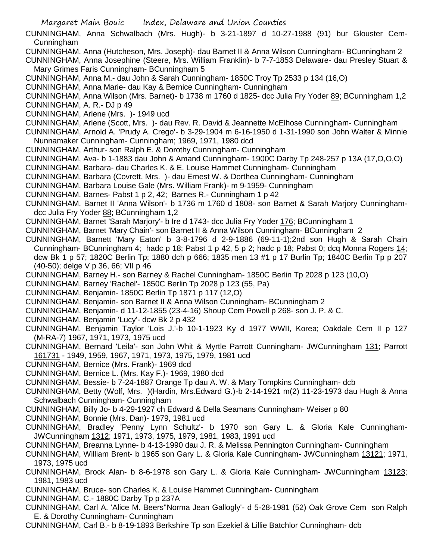- Margaret Main Bouic Index, Delaware and Union Counties
- CUNNINGHAM, Anna Schwalbach (Mrs. Hugh)- b 3-21-1897 d 10-27-1988 (91) bur Glouster Cem-Cunningham
- CUNNINGHAM, Anna (Hutcheson, Mrs. Joseph)- dau Barnet II & Anna Wilson Cunningham- BCunningham 2
- CUNNINGHAM, Anna Josephine (Steere, Mrs. William Franklin)- b 7-7-1853 Delaware- dau Presley Stuart & Mary Grimes Faris Cunningham- BCunningham 5
- CUNNINGHAM, Anna M.- dau John & Sarah Cunningham- 1850C Troy Tp 2533 p 134 (16,O)
- CUNNINGHAM, Anna Marie- dau Kay & Bernice Cunningham- Cunningham
- CUNNINGHAM, Anna Wilson (Mrs. Barnet)- b 1738 m 1760 d 1825- dcc Julia Fry Yoder 89; BCunningham 1,2 CUNNINGHAM, A. R.- DJ p 49
- CUNNINGHAM, Arlene (Mrs. )- 1949 ucd
- CUNNINGHAM, Arlene (Scott, Mrs. )- dau Rev. R. David & Jeannette McElhose Cunningham- Cunningham
- CUNNINGHAM, Arnold A. 'Prudy A. Crego'- b 3-29-1904 m 6-16-1950 d 1-31-1990 son John Walter & Minnie Nunnamaker Cunningham- Cunningham; 1969, 1971, 1980 dcd
- CUNNINGHAM, Arthur- son Ralph E. & Dorothy Cunningham- Cunningham
- CUNNINGHAM, Ava- b 1-1883 dau John & Amand Cunningham- 1900C Darby Tp 248-257 p 13A (17,O,O,O)
- CUNNINGHAM, Barbara- dau Charles K. & E. Louise Hammet Cunningham- Cunningham
- CUNNINGHAM, Barbara (Covrett, Mrs. )- dau Ernest W. & Dorthea Cunningham- Cunningham
- CUNNINGHAM, Barbara Louise Gale (Mrs. William Frank)- m 9-1959- Cunningham
- CUNNINGHAM, Barnes- Pabst 1 p 2, 42; Barnes R.- Cunningham 1 p 42
- CUNNINGHAM, Barnet II 'Anna Wilson'- b 1736 m 1760 d 1808- son Barnet & Sarah Marjory Cunninghamdcc Julia Fry Yoder 88; BCunningham 1,2
- CUNNINGHAM, Barnet 'Sarah Marjory'- b Ire d 1743- dcc Julia Fry Yoder 176; BCunningham 1
- CUNNINGHAM, Barnet 'Mary Chain'- son Barnet II & Anna Wilson Cunningham- BCunningham 2
- CUNNINGHAM, Barnett 'Mary Eaton' b 3-8-1796 d 2-9-1886 (69-11-1);2nd son Hugh & Sarah Chain Cunningham- BCunningham 4; hadc p 18; Pabst 1 p 42, 5 p 2; hadc p 18; Pabst 0; dcq Monna Rogers 14; dcw Bk 1 p 57; 1820C Berlin Tp; 1880 dch p 666; 1835 men 13 #1 p 17 Burlin Tp; 1840C Berlin Tp p 207 (40-50); delge V p 36, 66; VII p 46
- CUNNINGHAM, Barney H.- son Barney & Rachel Cunningham- 1850C Berlin Tp 2028 p 123 (10,O)
- CUNNINGHAM, Barney 'Rachel'- 1850C Berlin Tp 2028 p 123 (55, Pa)
- CUNNINGHAM, Benjamin- 1850C Berlin Tp 1871 p 117 (12,O)
- CUNNINGHAM, Benjamin- son Barnet II & Anna Wilson Cunningham- BCunningham 2
- CUNNINGHAM, Benjamin- d 11-12-1855 (23-4-16) Shoup Cem Powell p 268- son J. P. & C.
- CUNNINGHAM, Benjamin 'Lucy'- dcw Bk 2 p 432
- CUNNINGHAM, Benjamin Taylor 'Lois J.'-b 10-1-1923 Ky d 1977 WWII, Korea; Oakdale Cem II p 127 (M-RA-7) 1967, 1971, 1973, 1975 ucd
- CUNNINGHAM, Bernard 'Leila'- son John Whit & Myrtle Parrott Cunningham- JWCunningham 131; Parrott 161731 - 1949, 1959, 1967, 1971, 1973, 1975, 1979, 1981 ucd
- CUNNINGHAM, Bernice (Mrs. Frank)- 1969 dcd
- CUNNINGHAM, Bernice L. (Mrs. Kay F.)- 1969, 1980 dcd
- CUNNINGHAM, Bessie- b 7-24-1887 Orange Tp dau A. W. & Mary Tompkins Cunningham- dcb
- CUNNINGHAM, Betty (Wolf, Mrs. )(Hardin, Mrs.Edward G.)-b 2-14-1921 m(2) 11-23-1973 dau Hugh & Anna Schwalbach Cunningham- Cunningham
- CUNNINGHAM, Billy Jo- b 4-29-1927 ch Edward & Della Seamans Cunningham- Weiser p 80
- CUNNINGHAM, Bonnie (Mrs. Dan)- 1979, 1981 ucd
- CUNNINGHAM, Bradley 'Penny Lynn Schultz'- b 1970 son Gary L. & Gloria Kale Cunningham-JWCunningham 1312; 1971, 1973, 1975, 1979, 1981, 1983, 1991 ucd
- CUNNINGHAM, Breanna Lynne- b 4-13-1990 dau J. R. & Melissa Pennington Cunningham- Cunningham
- CUNNINGHAM, William Brent- b 1965 son Gary L. & Gloria Kale Cunningham- JWCunningham 13121; 1971, 1973, 1975 ucd
- CUNNINGHAM, Brock Alan- b 8-6-1978 son Gary L. & Gloria Kale Cunningham- JWCunningham 13123; 1981, 1983 ucd
- CUNNINGHAM, Bruce- son Charles K. & Louise Hammet Cunningham- Cunningham
- CUNNINGHAM, C.- 1880C Darby Tp p 237A
- CUNNINGHAM, Carl A. 'Alice M. Beers''Norma Jean Gallogly'- d 5-28-1981 (52) Oak Grove Cem son Ralph E. & Dorothy Cunningham- Cunningham
- CUNNINGHAM, Carl B.- b 8-19-1893 Berkshire Tp son Ezekiel & Lillie Batchlor Cunningham- dcb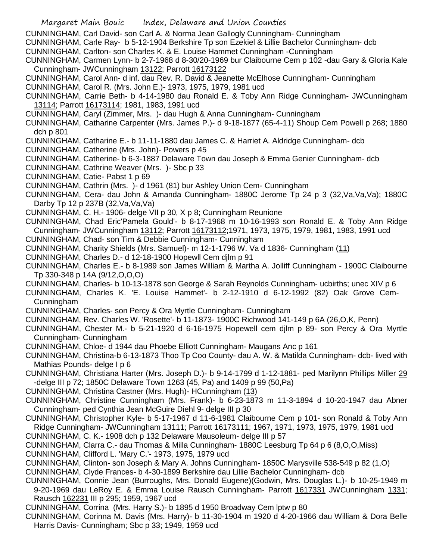Margaret Main Bouic Index, Delaware and Union Counties CUNNINGHAM, Carl David- son Carl A. & Norma Jean Gallogly Cunningham- Cunningham CUNNINGHAM, Carle Ray- b 5-12-1904 Berkshire Tp son Ezekiel & Lillie Bachelor Cunningham- dcb CUNNINGHAM, Carlton- son Charles K. & E. Louise Hammet Cunningham -Cunningham CUNNINGHAM, Carmen Lynn- b 2-7-1968 d 8-30/20-1969 bur Claibourne Cem p 102 -dau Gary & Gloria Kale Cunningham- JWCunningham 13122; Parrott 16173122 CUNNINGHAM, Carol Ann- d inf. dau Rev. R. David & Jeanette McElhose Cunningham- Cunningham CUNNINGHAM, Carol R. (Mrs. John E.)- 1973, 1975, 1979, 1981 ucd CUNNINGHAM, Carrie Beth- b 4-14-1980 dau Ronald E. & Toby Ann Ridge Cunningham- JWCunningham 13114; Parrott 16173114; 1981, 1983, 1991 ucd CUNNINGHAM, Caryl (Zimmer, Mrs. )- dau Hugh & Anna Cunningham- Cunningham CUNNINGHAM, Catharine Carpenter (Mrs. James P.)- d 9-18-1877 (65-4-11) Shoup Cem Powell p 268; 1880 dch p 801 CUNNINGHAM, Catharine E.- b 11-11-1880 dau James C. & Harriet A. Aldridge Cunningham- dcb CUNNINGHAM, Catherine (Mrs. John)- Powers p 45 CUNNINGHAM, Catherine- b 6-3-1887 Delaware Town dau Joseph & Emma Genier Cunningham- dcb CUNNINGHAM, Cathrine Weaver (Mrs. )- Sbc p 33 CUNNINGHAM, Catie- Pabst 1 p 69 CUNNINGHAM, Cathrin (Mrs. )- d 1961 (81) bur Ashley Union Cem- Cunningham CUNNINGHAM, Cera- dau John & Amanda Cunningham- 1880C Jerome Tp 24 p 3 (32,Va,Va,Va); 1880C Darby Tp 12 p 237B (32,Va,Va,Va) CUNNINGHAM, C. H.- 1906- delge VII p 30, X p 8; Cunningham Reunione CUNNINGHAM, Chad Eric'Pamela Gould'- b 8-17-1968 m 10-16-1993 son Ronald E. & Toby Ann Ridge Cunningham- JWCunningham 13112; Parrott 16173112;1971, 1973, 1975, 1979, 1981, 1983, 1991 ucd CUNNINGHAM, Chad- son Tim & Debbie Cunningham- Cunningham CUNNINGHAM, Charity Shields (Mrs. Samuel)- m 12-1-1796 W. Va d 1836- Cunningham (11) CUNNINGHAM, Charles D.- d 12-18-1900 Hopewll Cem djlm p 91 CUNNINGHAM, Charles E.- b 8-1989 son James William & Martha A. Jolliff Cunningham - 1900C Claibourne Tp 330-348 p 14A (9/12,O,O,O) CUNNINGHAM, Charles- b 10-13-1878 son George & Sarah Reynolds Cunningham- ucbirths; unec XIV p 6 CUNNINGHAM, Charles K. 'E. Louise Hammet'- b 2-12-1910 d 6-12-1992 (82) Oak Grove Cem-Cunningham CUNNINGHAM, Charles- son Percy & Ora Myrtle Cunningham- Cunningham CUNNINGHAM, Rev. Charles W. 'Rosette'- b 11-1873- 1900C Richwood 141-149 p 6A (26,O,K, Penn) CUNNINGHAM, Chester M.- b 5-21-1920 d 6-16-1975 Hopewell cem djlm p 89- son Percy & Ora Myrtle Cunningham- Cunningham CUNNINGHAM, Chloe- d 1944 dau Phoebe Elliott Cunningham- Maugans Anc p 161 CUNNINGHAM, Christina-b 6-13-1873 Thoo Tp Coo County- dau A. W. & Matilda Cunningham- dcb- lived with Mathias Pounds- delge I p 6 CUNNINGHAM, Christiana Harter (Mrs. Joseph D.)- b 9-14-1799 d 1-12-1881- ped Marilynn Phillips Miller 29 -delge III p 72; 1850C Delaware Town 1263 (45, Pa) and 1409 p 99 (50,Pa) CUNNINGHAM, Christina Castner (Mrs. Hugh)- HCunningham (13) CUNNINGHAM, Christine Cunningham (Mrs. Frank)- b 6-23-1873 m 11-3-1894 d 10-20-1947 dau Abner Cunningham- ped Cynthia Jean McGuire Diehl 9- delge III p 30 CUNNINGHAM, Christopher Kyle- b 5-17-1967 d 11-6-1981 Claibourne Cem p 101- son Ronald & Toby Ann Ridge Cunningham- JWCunningham 13111; Parrott 16173111; 1967, 1971, 1973, 1975, 1979, 1981 ucd CUNNINGHAM, C. K.- 1908 dch p 132 Delaware Mausoleum- delge III p 57 CUNNINGHAM, Clarra C.- dau Thomas & Milla Cunningham- 1880C Leesburg Tp 64 p 6 (8,O,O,Miss) CUNNINGHAM, Clifford L. 'Mary C.'- 1973, 1975, 1979 ucd CUNNINGHAM, Clinton- son Joseph & Mary A. Johns Cunningham- 1850C Marysville 538-549 p 82 (1,O) CUNNINGHAM, Clyde Frances- b 4-30-1899 Berkshire dau Lillie Bachelor Cunningham- dcb CUNNINGHAM, Connie Jean (Burroughs, Mrs. Donald Eugene)(Godwin, Mrs. Douglas L.)- b 10-25-1949 m 9-20-1969 dau LeRoy E. & Emma Louise Rausch Cunningham- Parrott 1617331 JWCunningham 1331; Rausch 162231 III p 295; 1959, 1967 ucd

CUNNINGHAM, Corrina (Mrs. Harry S.)- b 1895 d 1950 Broadway Cem lptw p 80

CUNNINGHAM, Corinna M. Davis (Mrs. Harry)- b 11-30-1904 m 1920 d 4-20-1966 dau William & Dora Belle Harris Davis- Cunningham; Sbc p 33; 1949, 1959 ucd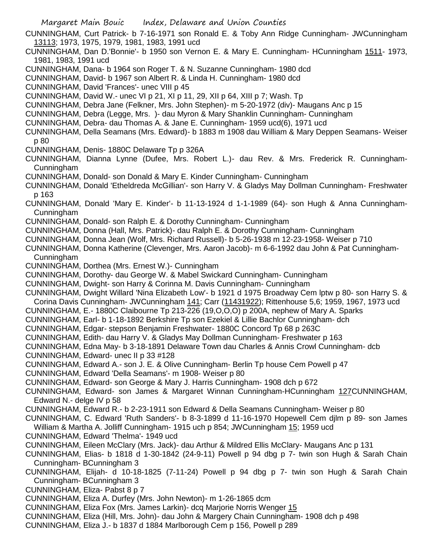Margaret Main Bouic Index, Delaware and Union Counties CUNNINGHAM, Curt Patrick- b 7-16-1971 son Ronald E. & Toby Ann Ridge Cunningham- JWCunningham 13113; 1973, 1975, 1979, 1981, 1983, 1991 ucd CUNNINGHAM, Dan D.'Bonnie'- b 1950 son Vernon E. & Mary E. Cunningham- HCunningham 1511- 1973, 1981, 1983, 1991 ucd CUNNINGHAM, Dana- b 1964 son Roger T. & N. Suzanne Cunningham- 1980 dcd CUNNINGHAM, David- b 1967 son Albert R. & Linda H. Cunningham- 1980 dcd CUNNINGHAM, David 'Frances'- unec VIII p 45 CUNNINGHAM, David W.- unec VI p 21, XI p 11, 29, XII p 64, XIII p 7; Wash. Tp CUNNINGHAM, Debra Jane (Felkner, Mrs. John Stephen)- m 5-20-1972 (div)- Maugans Anc p 15 CUNNINGHAM, Debra (Legge, Mrs. )- dau Myron & Mary Shanklin Cunningham- Cunningham CUNNINGHAM, Debra- dau Thomas A. & Jane E. Cunningham- 1959 ucd(6), 1971 ucd CUNNINGHAM, Della Seamans (Mrs. Edward)- b 1883 m 1908 dau William & Mary Deppen Seamans- Weiser p 80 CUNNINGHAM, Denis- 1880C Delaware Tp p 326A CUNNINGHAM, Dianna Lynne (Dufee, Mrs. Robert L.)- dau Rev. & Mrs. Frederick R. Cunningham-Cunningham CUNNINGHAM, Donald- son Donald & Mary E. Kinder Cunningham- Cunningham CUNNINGHAM, Donald 'Etheldreda McGillian'- son Harry V. & Gladys May Dollman Cunningham- Freshwater p 163 CUNNINGHAM, Donald 'Mary E. Kinder'- b 11-13-1924 d 1-1-1989 (64)- son Hugh & Anna Cunningham-Cunningham CUNNINGHAM, Donald- son Ralph E. & Dorothy Cunningham- Cunningham CUNNINGHAM, Donna (Hall, Mrs. Patrick)- dau Ralph E. & Dorothy Cunningham- Cunningham CUNNINGHAM, Donna Jean (Wolf, Mrs. Richard Russell)- b 5-26-1938 m 12-23-1958- Weiser p 710 CUNNINGHAM, Donna Katherine (Clevenger, Mrs. Aaron Jacob)- m 6-6-1992 dau John & Pat Cunningham-Cunningham CUNNINGHAM, Dorthea (Mrs. Ernest W.)- Cunningham CUNNINGHAM, Dorothy- dau George W. & Mabel Swickard Cunningham- Cunningham CUNNINGHAM, Dwight- son Harry & Corinna M. Davis Cunningham- Cunningham CUNNINGHAM, Dwight Willard 'Nina Elizabeth Low'- b 1921 d 1975 Broadway Cem lptw p 80- son Harry S. & Corina Davis Cunningham- JWCunningham 141; Carr (11431922); Rittenhouse 5,6; 1959, 1967, 1973 ucd CUNNINGHAM, E.- 1880C Claibourne Tp 213-226 (19,O,O,O) p 200A, nephew of Mary A. Sparks CUNNINGHAM, Earl- b 1-18-1892 Berkshire Tp son Ezekiel & Lillie Bachlor Cunningham- dch CUNNINGHAM, Edgar- stepson Benjamin Freshwater- 1880C Concord Tp 68 p 263C CUNNINGHAM, Edith- dau Harry V. & Gladys May Dollman Cunningham- Freshwater p 163 CUNNINGHAM, Edna May- b 3-18-1891 Delaware Town dau Charles & Annis Crowl Cunningham- dcb CUNNINGHAM, Edward- unec II p 33 #128 CUNNINGHAM, Edward A.- son J. E. & Olive Cunningham- Berlin Tp house Cem Powell p 47 CUNNINGHAM, Edward 'Della Seamans'- m 1908- Weiser p 80 CUNNINGHAM, Edward- son George & Mary J. Harris Cunningham- 1908 dch p 672 CUNNINGHAM, Edward- son James & Margaret Winnan Cunningham-HCunningham 127CUNNINGHAM, Edward N.- delge IV p 58 CUNNINGHAM, Edward R.- b 2-23-1911 son Edward & Della Seamans Cunningham- Weiser p 80 CUNNINGHAM, C. Edward 'Ruth Sanders'- b 8-3-1899 d 11-16-1970 Hopewell Cem djlm p 89- son James William & Martha A. Jolliff Cunningham- 1915 uch p 854; JWCunningham 15; 1959 ucd CUNNINGHAM, Edward 'Thelma'- 1949 ucd CUNNINGHAM, Eileen McClary (Mrs. Jack)- dau Arthur & Mildred Ellis McClary- Maugans Anc p 131 CUNNINGHAM, Elias- b 1818 d 1-30-1842 (24-9-11) Powell p 94 dbg p 7- twin son Hugh & Sarah Chain Cunningham- BCunningham 3 CUNNINGHAM, Elijah- d 10-18-1825 (7-11-24) Powell p 94 dbg p 7- twin son Hugh & Sarah Chain Cunningham- BCunningham 3 CUNNINGHAM, Eliza- Pabst 8 p 7 CUNNINGHAM, Eliza A. Durfey (Mrs. John Newton)- m 1-26-1865 dcm CUNNINGHAM, Eliza Fox (Mrs. James Larkin)- dcq Marjorie Norris Wenger 15 CUNNINGHAM, Eliza (Hill, Mrs. John)- dau John & Margery Chain Cunningham- 1908 dch p 498 CUNNINGHAM, Eliza J.- b 1837 d 1884 Marlborough Cem p 156, Powell p 289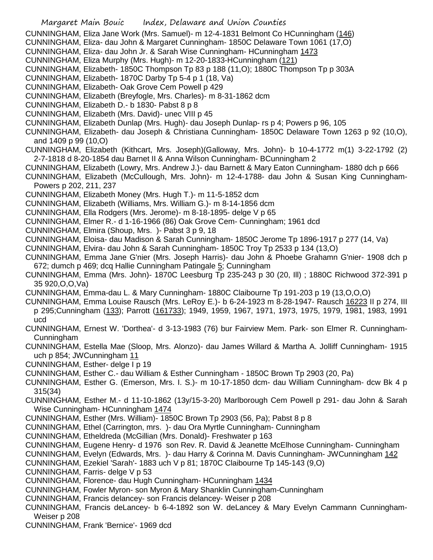CUNNINGHAM, Eliza Jane Work (Mrs. Samuel)- m 12-4-1831 Belmont Co HCunningham (146)

- CUNNINGHAM, Eliza- dau John & Margaret Cunningham- 1850C Delaware Town 1061 (17,O)
- CUNNINGHAM, Eliza- dau John Jr. & Sarah Wise Cunningham- HCunningham 1473
- CUNNINGHAM, Eliza Murphy (Mrs. Hugh)- m 12-20-1833-HCunningham (121)
- CUNNINGHAM, Elizabeth- 1850C Thompson Tp 83 p 188 (11,O); 1880C Thompson Tp p 303A
- CUNNINGHAM, Elizabeth- 1870C Darby Tp 5-4 p 1 (18, Va)
- CUNNINGHAM, Elizabeth- Oak Grove Cem Powell p 429
- CUNNINGHAM, Elizabeth (Breyfogle, Mrs. Charles)- m 8-31-1862 dcm
- CUNNINGHAM, Elizabeth D.- b 1830- Pabst 8 p 8
- CUNNINGHAM, Elizabeth (Mrs. David)- unec VIII p 45
- CUNNINGHAM, Elizabeth Dunlap (Mrs. Hugh)- dau Joseph Dunlap- rs p 4; Powers p 96, 105
- CUNNINGHAM, Elizabeth- dau Joseph & Christiana Cunningham- 1850C Delaware Town 1263 p 92 (10,O), and 1409 p 99 (10,O)
- CUNNINGHAM, Elizabeth (Kithcart, Mrs. Joseph)(Galloway, Mrs. John)- b 10-4-1772 m(1) 3-22-1792 (2) 2-7-1818 d 8-20-1854 dau Barnet II & Anna Wilson Cunningham- BCunningham 2
- CUNNINGHAM, Elizabeth (Lowry, Mrs. Andrew J.)- dau Barnett & Mary Eaton Cunningham- 1880 dch p 666
- CUNNINGHAM, Elizabeth (McCullough, Mrs. John)- m 12-4-1788- dau John & Susan King Cunningham-Powers p 202, 211, 237
- CUNNINGHAM, Elizabeth Money (Mrs. Hugh T.)- m 11-5-1852 dcm
- CUNNINGHAM, Elizabeth (Williams, Mrs. William G.)- m 8-14-1856 dcm
- CUNNINGHAM, Ella Rodgers (Mrs. Jerome)- m 8-18-1895- delge V p 65
- CUNNINGHAM, Elmer R.- d 1-16-1966 (86) Oak Grove Cem- Cunningham; 1961 dcd
- CUNNINGHAM, Elmira (Shoup, Mrs. )- Pabst 3 p 9, 18
- CUNNINGHAM, Eloisa- dau Madison & Sarah Cunningham- 1850C Jerome Tp 1896-1917 p 277 (14, Va)
- CUNNINGHAM, Elvira- dau John & Sarah Cunningham- 1850C Troy Tp 2533 p 134 (13,O)
- CUNNINGHAM, Emma Jane G'nier (Mrs. Joseph Harris)- dau John & Phoebe Grahamn G'nier- 1908 dch p 672; dumch p 469; dcq Hallie Cunningham Patingale 5; Cunningham
- CUNNINGHAM, Emma (Mrs. John)- 1870C Leesburg Tp 235-243 p 30 (20, Ill) ; 1880C Richwood 372-391 p 35 920,O,O,Va)
- CUNNINGHAM, Emma-dau L. & Mary Cunningham- 1880C Claibourne Tp 191-203 p 19 (13,O,O,O)
- CUNNINGHAM, Emma Louise Rausch (Mrs. LeRoy E.)- b 6-24-1923 m 8-28-1947- Rausch 16223 II p 274, III p 295;Cunningham (133); Parrott (161733); 1949, 1959, 1967, 1971, 1973, 1975, 1979, 1981, 1983, 1991 ucd
- CUNNINGHAM, Ernest W. 'Dorthea'- d 3-13-1983 (76) bur Fairview Mem. Park- son Elmer R. Cunningham-Cunningham
- CUNNINGHAM, Estella Mae (Sloop, Mrs. Alonzo)- dau James Willard & Martha A. Jolliff Cunningham- 1915 uch p 854; JWCunningham 11
- CUNNINGHAM, Esther- delge I p 19
- CUNNINGHAM, Esther C.- dau William & Esther Cunningham 1850C Brown Tp 2903 (20, Pa)
- CUNNINGHAM, Esther G. (Emerson, Mrs. I. S.)- m 10-17-1850 dcm- dau William Cunningham- dcw Bk 4 p 315(34)
- CUNNINGHAM, Esther M.- d 11-10-1862 (13y/15-3-20) Marlborough Cem Powell p 291- dau John & Sarah Wise Cunningham- HCunningham 1474
- CUNNINGHAM, Esther (Mrs. William)- 1850C Brown Tp 2903 (56, Pa); Pabst 8 p 8
- CUNNINGHAM, Ethel (Carrington, mrs. )- dau Ora Myrtle Cunningham- Cunningham
- CUNNINGHAM, Etheldreda (McGillian (Mrs. Donald)- Freshwater p 163
- CUNNINGHAM, Eugene Henry- d 1976 son Rev. R. David & Jeanette McElhose Cunningham- Cunningham
- CUNNINGHAM, Evelyn (Edwards, Mrs. )- dau Harry & Corinna M. Davis Cunningham- JWCunningham 142
- CUNNINGHAM, Ezekiel 'Sarah'- 1883 uch V p 81; 1870C Claibourne Tp 145-143 (9,O)
- CUNNINGHAM, Farris- delge V p 53
- CUNNINGHAM, Florence- dau Hugh Cunningham- HCunningham 1434
- CUNNINGHAM, Fowler Myron- son Myron & Mary Shanklin Cunningham-Cunningham
- CUNNINGHAM, Francis delancey- son Francis delancey- Weiser p 208
- CUNNINGHAM, Francis deLancey- b 6-4-1892 son W. deLancey & Mary Evelyn Cammann Cunningham-Weiser p 208
- CUNNINGHAM, Frank 'Bernice'- 1969 dcd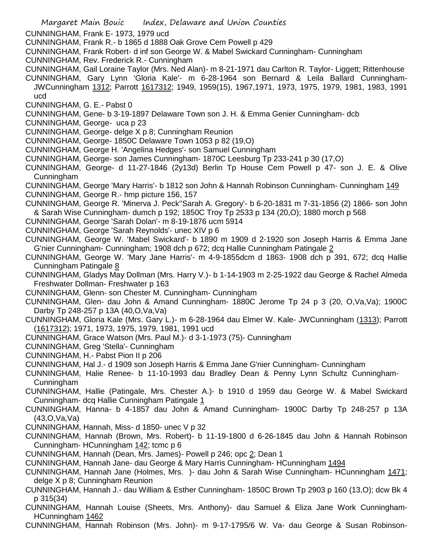CUNNINGHAM, Frank E- 1973, 1979 ucd

- CUNNINGHAM, Frank R.- b 1865 d 1888 Oak Grove Cem Powell p 429
- CUNNINGHAM, Frank Robert- d inf son George W. & Mabel Swickard Cunningham- Cunningham
- CUNNINGHAM, Rev. Frederick R.- Cunningham
- CUNNINGHAM, Gail Loraine Taylor (Mrs. Ned Alan)- m 8-21-1971 dau Carlton R. Taylor- Liggett; Rittenhouse
- CUNNINGHAM, Gary Lynn 'Gloria Kale'- m 6-28-1964 son Bernard & Leila Ballard Cunningham-JWCunningham 1312; Parrott 1617312; 1949, 1959(15), 1967,1971, 1973, 1975, 1979, 1981, 1983, 1991 ucd
- CUNNINGHAM, G. E.- Pabst 0
- CUNNINGHAM, Gene- b 3-19-1897 Delaware Town son J. H. & Emma Genier Cunningham- dcb
- CUNNINGHAM, George- uca p 23
- CUNNINGHAM, George- delge X p 8; Cunningham Reunion
- CUNNINGHAM, George- 1850C Delaware Town 1053 p 82 (19,O)
- CUNNINGHAM, George H. 'Angelina Hedges'- son Samuel Cunningham
- CUNNINGHAM, George- son James Cunningham- 1870C Leesburg Tp 233-241 p 30 (17,O)
- CUNNINGHAM, George- d 11-27-1846 (2y13d) Berlin Tp House Cem Powell p 47- son J. E. & Olive Cunningham
- CUNNINGHAM, George 'Mary Harris'- b 1812 son John & Hannah Robinson Cunningham- Cunningham 149 CUNNINGHAM, George R.- hmp picture 156, 157
- CUNNINGHAM, George R. 'Minerva J. Peck''Sarah A. Gregory'- b 6-20-1831 m 7-31-1856 (2) 1866- son John & Sarah Wise Cunningham- dumch p 192; 1850C Troy Tp 2533 p 134 (20,O); 1880 morch p 568
- CUNNINGHAM, George 'Sarah Dolan'- m 8-19-1876 ucm 5914
- CUNNINGHAM, George 'Sarah Reynolds'- unec XIV p 6
- CUNNINGHAM, George W. 'Mabel Swickard'- b 1890 m 1909 d 2-1920 son Joseph Harris & Emma Jane G'nier Cunningham- Cunningham; 1908 dch p 672; dcq Hallie Cunningham Patingale 2
- CUNNINGHAM, George W. 'Mary Jane Harris'- m 4-9-1855dcm d 1863- 1908 dch p 391, 672; dcq Hallie Cunningham Patingale 8
- CUNNINGHAM, Gladys May Dollman (Mrs. Harry V.)- b 1-14-1903 m 2-25-1922 dau George & Rachel Almeda Freshwater Dollman- Freshwater p 163
- CUNNINGHAM, Glenn- son Chester M. Cunningham- Cunningham
- CUNNINGHAM, Glen- dau John & Amand Cunningham- 1880C Jerome Tp 24 p 3 (20, O,Va,Va); 1900C Darby Tp 248-257 p 13A (40,O,Va,Va)
- CUNNINGHAM, Gloria Kale (Mrs. Gary L.)- m 6-28-1964 dau Elmer W. Kale- JWCunningham (1313); Parrott (1617312); 1971, 1973, 1975, 1979, 1981, 1991 ucd
- CUNNINGHAM, Grace Watson (Mrs. Paul M.)- d 3-1-1973 (75)- Cunningham
- CUNNINGHAM, Greg 'Stella'- Cunningham
- CUNNINGHAM, H.- Pabst Pion II p 206
- CUNNINGHAM, Hal J.- d 1909 son Joseph Harris & Emma Jane G'nier Cunningham- Cunningham
- CUNNINGHAM, Halie Renee- b 11-10-1993 dau Bradley Dean & Penny Lynn Schultz Cunningham-**Cunningham**
- CUNNINGHAM, Hallie (Patingale, Mrs. Chester A.)- b 1910 d 1959 dau George W. & Mabel Swickard Cunningham- dcq Hallie Cunningham Patingale 1
- CUNNINGHAM, Hanna- b 4-1857 dau John & Amand Cunningham- 1900C Darby Tp 248-257 p 13A (43,O,Va,Va)
- CUNNINGHAM, Hannah, Miss- d 1850- unec V p 32
- CUNNINGHAM, Hannah (Brown, Mrs. Robert)- b 11-19-1800 d 6-26-1845 dau John & Hannah Robinson Cunningham- HCunningham 142; tcmc p 6
- CUNNINGHAM, Hannah (Dean, Mrs. James)- Powell p 246; opc 2; Dean 1
- CUNNINGHAM, Hannah Jane- dau George & Mary Harris Cunningham- HCunningham 1494
- CUNNINGHAM, Hannah Jane (Holmes, Mrs. )- dau John & Sarah Wise Cunningham- HCunningham 1471; delge X p 8; Cunningham Reunion
- CUNNINGHAM, Hannah J.- dau William & Esther Cunningham- 1850C Brown Tp 2903 p 160 (13,O); dcw Bk 4 p 315(34)
- CUNNINGHAM, Hannah Louise (Sheets, Mrs. Anthony)- dau Samuel & Eliza Jane Work Cunningham-HCunningham 1462
- CUNNINGHAM, Hannah Robinson (Mrs. John)- m 9-17-1795/6 W. Va- dau George & Susan Robinson-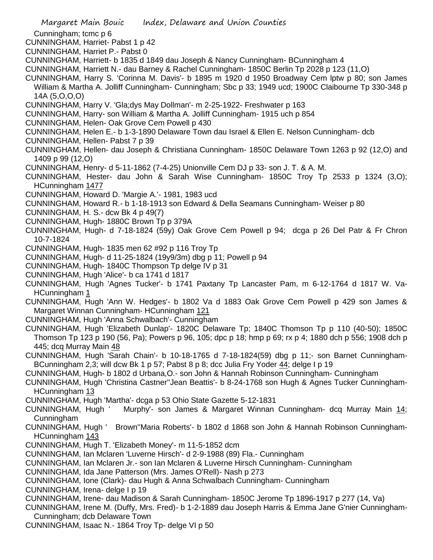Margaret Main Bouic Index, Delaware and Union Counties Cunningham; tcmc p 6 CUNNINGHAM, Harriet- Pabst 1 p 42 CUNNINGHAM, Harriet P.- Pabst 0 CUNNINGHAM, Harriett- b 1835 d 1849 dau Joseph & Nancy Cunningham- BCunningham 4 CUNNINGHAM, Harriett N.- dau Barney & Rachel Cunningham- 1850C Berlin Tp 2028 p 123 (11,O) CUNNINGHAM, Harry S. 'Corinna M. Davis'- b 1895 m 1920 d 1950 Broadway Cem lptw p 80; son James William & Martha A. Jolliff Cunningham- Cunningham; Sbc p 33; 1949 ucd; 1900C Claibourne Tp 330-348 p 14A (5,O,O,O) CUNNINGHAM, Harry V. 'Gla;dys May Dollman'- m 2-25-1922- Freshwater p 163 CUNNINGHAM, Harry- son William & Martha A. Jolliff Cunningham- 1915 uch p 854 CUNNINGHAM, Helen- Oak Grove Cem Powell p 430 CUNNINGHAM, Helen E.- b 1-3-1890 Delaware Town dau Israel & Ellen E. Nelson Cunningham- dcb CUNNINGHAM, Hellen- Pabst 7 p 39 CUNNINGHAM, Hellen- dau Joseph & Christiana Cunningham- 1850C Delaware Town 1263 p 92 (12,O) and 1409 p 99 (12,O) CUNNINGHAM, Henry- d 5-11-1862 (7-4-25) Unionville Cem DJ p 33- son J. T. & A. M. CUNNINGHAM, Hester- dau John & Sarah Wise Cunningham- 1850C Troy Tp 2533 p 1324 (3,O); HCunningham 1477 CUNNINGHAM, Howard D. 'Margie A.'- 1981, 1983 ucd CUNNINGHAM, Howard R.- b 1-18-1913 son Edward & Della Seamans Cunningham- Weiser p 80 CUNNINGHAM, H. S.- dcw Bk 4 p 49(7) CUNNINGHAM, Hugh- 1880C Brown Tp p 379A CUNNINGHAM, Hugh- d 7-18-1824 (59y) Oak Grove Cem Powell p 94; dcga p 26 Del Patr & Fr Chron 10-7-1824 CUNNINGHAM, Hugh- 1835 men 62 #92 p 116 Troy Tp CUNNINGHAM, Hugh- d 11-25-1824 (19y9/3m) dbg p 11; Powell p 94 CUNNINGHAM, Hugh- 1840C Thompson Tp delge IV p 31 CUNNINGHAM, Hugh 'Alice'- b ca 1741 d 1817 CUNNINGHAM, Hugh 'Agnes Tucker'- b 1741 Paxtany Tp Lancaster Pam, m 6-12-1764 d 1817 W. Va-HCunningham 1 CUNNINGHAM, Hugh 'Ann W. Hedges'- b 1802 Va d 1883 Oak Grove Cem Powell p 429 son James & Margaret Winnan Cunningham- HCunningham 121 CUNNINGHAM, Hugh 'Anna Schwalbach'- Cunningham CUNNINGHAM, Hugh 'Elizabeth Dunlap'- 1820C Delaware Tp; 1840C Thomson Tp p 110 (40-50); 1850C Thomson Tp 123 p 190 (56, Pa); Powers p 96, 105; dpc p 18; hmp p 69; rx p 4; 1880 dch p 556; 1908 dch p 445; dcq Murray Main 48 CUNNINGHAM, Hugh 'Sarah Chain'- b 10-18-1765 d 7-18-1824(59) dbg p 11;- son Barnet Cunningham-BCunningham 2,3; will dcw Bk 1 p 57; Pabst 8 p 8; dcc Julia Fry Yoder 44; delge I p 19 CUNNINGHAM, Hugh- b 1802 d Urbana,O.- son John & Hannah Robinson Cunningham- Cunningham CUNNINGHAM, Hugh 'Christina Castner''Jean Beattis'- b 8-24-1768 son Hugh & Agnes Tucker Cunningham-HCunningham 13 CUNNINGHAM, Hugh 'Martha'- dcga p 53 Ohio State Gazette 5-12-1831 CUNNINGHAM, Hugh ' Murphy'- son James & Margaret Winnan Cunningham- dcq Murray Main 14; Cunningham CUNNINGHAM, Hugh ' Brown''Maria Roberts'- b 1802 d 1868 son John & Hannah Robinson Cunningham-HCunningham 143 CUNNINGHAM, Hugh T. 'Elizabeth Money'- m 11-5-1852 dcm CUNNINGHAM, Ian Mclaren 'Luverne Hirsch'- d 2-9-1988 (89) Fla.- Cunningham CUNNINGHAM, Ian Mclaren Jr.- son Ian Mclaren & Luverne Hirsch Cunningham- Cunningham CUNNINGHAM, Ida Jane Patterson (Mrs. James O'Rell)- Nash p 273 CUNNINGHAM, Ione (Clark)- dau Hugh & Anna Schwalbach Cunningham- Cunningham CUNNINGHAM, Irena- delge I p 19 CUNNINGHAM, Irene- dau Madison & Sarah Cunningham- 1850C Jerome Tp 1896-1917 p 277 (14, Va) CUNNINGHAM, Irene M. (Duffy, Mrs. Fred)- b 1-2-1889 dau Joseph Harris & Emma Jane G'nier Cunningham-Cunningham; dcb Delaware Town CUNNINGHAM, Isaac N.- 1864 Troy Tp- delge VI p 50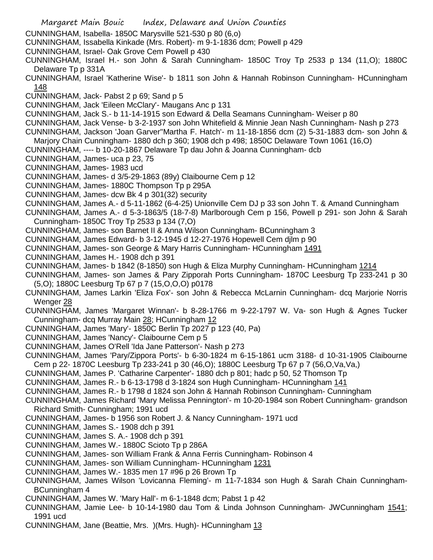- Margaret Main Bouic Index, Delaware and Union Counties CUNNINGHAM, Isabella- 1850C Marysville 521-530 p 80 (6,o) CUNNINGHAM, Issabella Kinkade (Mrs. Robert)- m 9-1-1836 dcm; Powell p 429 CUNNINGHAM, Israel- Oak Grove Cem Powell p 430 CUNNINGHAM, Israel H.- son John & Sarah Cunningham- 1850C Troy Tp 2533 p 134 (11,O); 1880C Delaware Tp p 331A CUNNINGHAM, Israel 'Katherine Wise'- b 1811 son John & Hannah Robinson Cunningham- HCunningham 148 CUNNINGHAM, Jack- Pabst 2 p 69; Sand p 5 CUNNINGHAM, Jack 'Eileen McClary'- Maugans Anc p 131 CUNNINGHAM, Jack S.- b 11-14-1915 son Edward & Della Seamans Cunningham- Weiser p 80 CUNNINGHAM, Jack Vense- b 3-2-1937 son John Whitefield & Minnie Jean Nash Cunningham- Nash p 273 CUNNINGHAM, Jackson 'Joan Garver''Martha F. Hatch'- m 11-18-1856 dcm (2) 5-31-1883 dcm- son John & Marjory Chain Cunningham- 1880 dch p 360; 1908 dch p 498; 1850C Delaware Town 1061 (16,O) CUNNINGHAM, ---- b 10-20-1867 Delaware Tp dau John & Joanna Cunningham- dcb CUNNINGHAM, James- uca p 23, 75 CUNNINGHAM, James- 1983 ucd CUNNINGHAM, James- d 3/5-29-1863 (89y) Claibourne Cem p 12 CUNNINGHAM, James- 1880C Thompson Tp p 295A CUNNINGHAM, James- dcw Bk 4 p 301(32) security CUNNINGHAM, James A.- d 5-11-1862 (6-4-25) Unionville Cem DJ p 33 son John T. & Amand Cunningham CUNNINGHAM, James A.- d 5-3-1863/5 (18-7-8) Marlborough Cem p 156, Powell p 291- son John & Sarah Cunningham- 1850C Troy Tp 2533 p 134 (7,O) CUNNINGHAM, James- son Barnet II & Anna Wilson Cunningham- BCunningham 3 CUNNINGHAM, James Edward- b 3-12-1945 d 12-27-1976 Hopewell Cem djlm p 90 CUNNINGHAM, James- son George & Mary Harris Cunningham- HCunningham 1491 CUNNINGHAM, James H.- 1908 dch p 391 CUNNINGHAM, James- b 1842 (8-1850) son Hugh & Eliza Murphy Cunningham- HCunningham 1214 CUNNINGHAM, James- son James & Pary Zipporah Ports Cunningham- 1870C Leesburg Tp 233-241 p 30 (5,O); 1880C Leesburg Tp 67 p 7 (15,O,O,O) p0178 CUNNINGHAM, James Larkin 'Eliza Fox'- son John & Rebecca McLarnin Cunningham- dcq Marjorie Norris Wenger 28 CUNNINGHAM, James 'Margaret Winnan'- b 8-28-1766 m 9-22-1797 W. Va- son Hugh & Agnes Tucker Cunningham- dcq Murray Main 28; HCunningham 12 CUNNINGHAM, James 'Mary'- 1850C Berlin Tp 2027 p 123 (40, Pa) CUNNINGHAM, James 'Nancy'- Claibourne Cem p 5 CUNNINGHAM, James O'Rell 'Ida Jane Patterson'- Nash p 273 CUNNINGHAM, James 'Pary/Zippora Ports'- b 6-30-1824 m 6-15-1861 ucm 3188- d 10-31-1905 Claibourne Cem p 22- 1870C Leesburg Tp 233-241 p 30 (46,O); 1880C Leesburg Tp 67 p 7 (56,O,Va,Va,) CUNNINGHAM, James P. 'Catharine Carpenter'- 1880 dch p 801; hadc p 50, 52 Thomson Tp CUNNINGHAM, James R.- b 6-13-1798 d 3-1824 son Hugh Cunningham- HCunningham 141 CUNNINGHAM, James R.- b 1798 d 1824 son John & Hannah Robinson Cunningham- Cunningham CUNNINGHAM, James Richard 'Mary Melissa Pennington'- m 10-20-1984 son Robert Cunningham- grandson Richard Smith- Cunningham; 1991 ucd CUNNINGHAM, James- b 1956 son Robert J. & Nancy Cunningham- 1971 ucd CUNNINGHAM, James S.- 1908 dch p 391 CUNNINGHAM, James S. A.- 1908 dch p 391 CUNNINGHAM, James W.- 1880C Scioto Tp p 286A CUNNINGHAM, James- son William Frank & Anna Ferris Cunningham- Robinson 4 CUNNINGHAM, James- son William Cunningham- HCunningham 1231 CUNNINGHAM, James W.- 1835 men 17 #96 p 26 Brown Tp CUNNINGHAM, James Wilson 'Lovicanna Fleming'- m 11-7-1834 son Hugh & Sarah Chain Cunningham-BCunningham 4 CUNNINGHAM, James W. 'Mary Hall'- m 6-1-1848 dcm; Pabst 1 p 42 CUNNINGHAM, Jamie Lee- b 10-14-1980 dau Tom & Linda Johnson Cunningham- JWCunningham 1541; 1991 ucd
- CUNNINGHAM, Jane (Beattie, Mrs. )(Mrs. Hugh)- HCunningham 13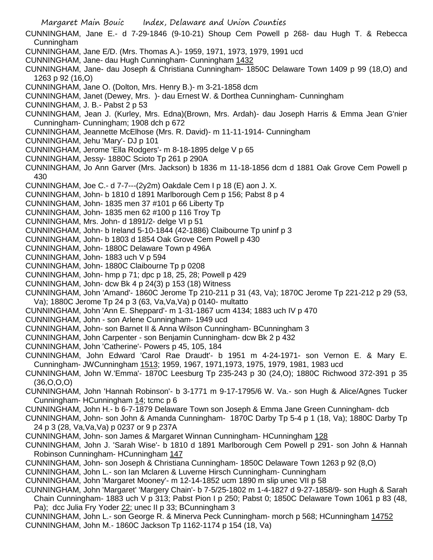- Margaret Main Bouic Index, Delaware and Union Counties
- CUNNINGHAM, Jane E.- d 7-29-1846 (9-10-21) Shoup Cem Powell p 268- dau Hugh T. & Rebecca Cunningham
- CUNNINGHAM, Jane E/D. (Mrs. Thomas A.)- 1959, 1971, 1973, 1979, 1991 ucd
- CUNNINGHAM, Jane- dau Hugh Cunningham- Cunningham 1432
- CUNNINGHAM, Jane- dau Joseph & Christiana Cunningham- 1850C Delaware Town 1409 p 99 (18,O) and 1263 p 92 (16,O)
- CUNNINGHAM, Jane O. (Dolton, Mrs. Henry B.)- m 3-21-1858 dcm
- CUNNINGHAM, Janet (Dewey, Mrs. )- dau Ernest W. & Dorthea Cunningham- Cunningham
- CUNNINGHAM, J. B.- Pabst 2 p 53
- CUNNINGHAM, Jean J. (Kurley, Mrs. Edna)(Brown, Mrs. Ardah)- dau Joseph Harris & Emma Jean G'nier Cunningham- Cunningham; 1908 dch p 672
- CUNNINGHAM, Jeannette McElhose (Mrs. R. David)- m 11-11-1914- Cunningham
- CUNNINGHAM, Jehu 'Mary'- DJ p 101
- CUNNINGHAM, Jerome 'Ella Rodgers'- m 8-18-1895 delge V p 65
- CUNNINGHAM, Jessy- 1880C Scioto Tp 261 p 290A
- CUNNINGHAM, Jo Ann Garver (Mrs. Jackson) b 1836 m 11-18-1856 dcm d 1881 Oak Grove Cem Powell p 430
- CUNNINGHAM, Joe C.- d 7-7---(2y2m) Oakdale Cem I p 18 (E) aon J. X.
- CUNNINGHAM, John- b 1810 d 1891 Marlborough Cem p 156; Pabst 8 p 4
- CUNNINGHAM, John- 1835 men 37 #101 p 66 Liberty Tp
- CUNNINGHAM, John- 1835 men 62 #100 p 116 Troy Tp
- CUNNINGHAM, Mrs. John- d 1891/2- delge VI p 51
- CUNNINGHAM, John- b Ireland 5-10-1844 (42-1886) Claibourne Tp uninf p 3
- CUNNINGHAM, John- b 1803 d 1854 Oak Grove Cem Powell p 430
- CUNNINGHAM, John- 1880C Delaware Town p 496A
- CUNNINGHAM, John- 1883 uch V p 594
- CUNNINGHAM, John- 1880C Claibourne Tp p 0208
- CUNNINGHAM, John- hmp p 71; dpc p 18, 25, 28; Powell p 429
- CUNNINGHAM, John- dcw Bk 4 p 24(3) p 153 (18) Witness
- CUNNINGHAM, John 'Amand'- 1860C Jerome Tp 210-211 p 31 (43, Va); 1870C Jerome Tp 221-212 p 29 (53, Va); 1880C Jerome Tp 24 p 3 (63, Va,Va,Va) p 0140- multatto
- CUNNINGHAM, John 'Ann E. Sheppard'- m 1-31-1867 ucm 4134; 1883 uch IV p 470
- CUNNINGHAM, John son Arlene Cunningham- 1949 ucd
- CUNNINGHAM, John- son Barnet II & Anna Wilson Cunningham- BCunningham 3
- CUNNINGHAM, John Carpenter son Benjamin Cunningham- dcw Bk 2 p 432
- CUNNINGHAM, John 'Catherine'- Powers p 45, 105, 184
- CUNNINGHAM, John Edward 'Carol Rae Draudt'- b 1951 m 4-24-1971- son Vernon E. & Mary E. Cunningham- JWCunningham 1513; 1959, 1967, 1971,1973, 1975, 1979, 1981, 1983 ucd
- CUNNINGHAM, John W.'Emma'- 1870C Leesburg Tp 235-243 p 30 (24,O); 1880C Richwood 372-391 p 35 (36,O,O,O)
- CUNNINGHAM, John 'Hannah Robinson'- b 3-1771 m 9-17-1795/6 W. Va.- son Hugh & Alice/Agnes Tucker Cunningham- HCunningham 14; tcmc p 6
- CUNNINGHAM, John H.- b 6-7-1879 Delaware Town son Joseph & Emma Jane Green Cunningham- dcb
- CUNNINGHAM, John- son John & Amanda Cunningham- 1870C Darby Tp 5-4 p 1 (18, Va); 1880C Darby Tp 24 p 3 (28, Va,Va,Va) p 0237 or 9 p 237A
- CUNNINGHAM, John- son James & Margaret Winnan Cunningham- HCunningham 128
- CUNNINGHAM, John J. 'Sarah Wise'- b 1810 d 1891 Marlborough Cem Powell p 291- son John & Hannah Robinson Cunningham- HCunningham 147
- CUNNINGHAM, John- son Joseph & Christiana Cunningham- 1850C Delaware Town 1263 p 92 (8,O)
- CUNNINGHAM, John L.- son Ian Mclaren & Luverne Hirsch Cunningham- Cunningham
- CUNNINGHAM, John 'Margaret Mooney'- m 12-14-1852 ucm 1890 m slip unec VII p 58
- CUNNINGHAM, John 'Margaret' 'Margery Chain'- b 7-5/25-1802 m 1-4-1827 d 9-27-1858/9- son Hugh & Sarah Chain Cunningham- 1883 uch V p 313; Pabst Pion I p 250; Pabst 0; 1850C Delaware Town 1061 p 83 (48, Pa); dcc Julia Fry Yoder 22; unec II p 33; BCunningham 3
- CUNNINGHAM, John L.- son George R. & Minerva Peck Cunningham- morch p 568; HCunningham 14752 CUNNINGHAM, John M.- 1860C Jackson Tp 1162-1174 p 154 (18, Va)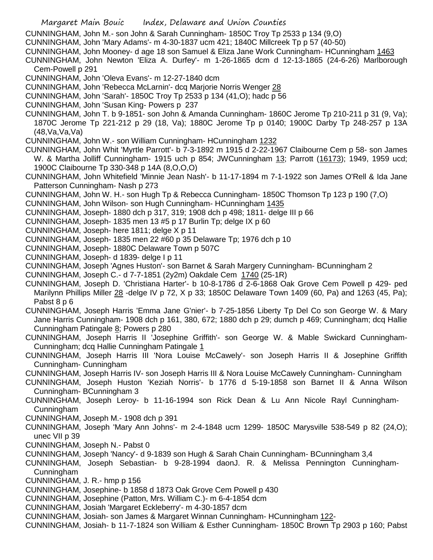CUNNINGHAM, John M.- son John & Sarah Cunningham- 1850C Troy Tp 2533 p 134 (9,O)

CUNNINGHAM, John 'Mary Adams'- m 4-30-1837 ucm 421; 1840C Millcreek Tp p 57 (40-50)

CUNNINGHAM, John Mooney- d age 18 son Samuel & Eliza Jane Work Cunningham- HCunningham 1463

CUNNINGHAM, John Newton 'Eliza A. Durfey'- m 1-26-1865 dcm d 12-13-1865 (24-6-26) Marlborough Cem-Powell p 291

CUNNINGHAM, John 'Oleva Evans'- m 12-27-1840 dcm

CUNNINGHAM, John 'Rebecca McLarnin'- dcq Marjorie Norris Wenger 28

CUNNINGHAM, John 'Sarah'- 1850C Troy Tp 2533 p 134 (41,O); hadc p 56

CUNNINGHAM, John 'Susan King- Powers p 237

CUNNINGHAM, John T. b 9-1851- son John & Amanda Cunningham- 1860C Jerome Tp 210-211 p 31 (9, Va); 1870C Jerome Tp 221-212 p 29 (18, Va); 1880C Jerome Tp p 0140; 1900C Darby Tp 248-257 p 13A (48,Va,Va,Va)

CUNNINGHAM, John W.- son William Cunningham- HCunningham 1232

CUNNINGHAM, John Whit 'Myrtle Parrott'- b 7-3-1892 m 1915 d 2-22-1967 Claibourne Cem p 58- son James W. & Martha Jolliff Cunningham- 1915 uch p 854; JWCunningham 13; Parrott (16173); 1949, 1959 ucd; 1900C Claibourne Tp 330-348 p 14A (8,O,O,O)

CUNNINGHAM, John Whitefield 'Minnie Jean Nash'- b 11-17-1894 m 7-1-1922 son James O'Rell & Ida Jane Patterson Cunningham- Nash p 273

CUNNINGHAM, John W. H.- son Hugh Tp & Rebecca Cunningham- 1850C Thomson Tp 123 p 190 (7,O)

CUNNINGHAM, John Wilson- son Hugh Cunningham- HCunningham 1435

CUNNINGHAM, Joseph- 1880 dch p 317, 319; 1908 dch p 498; 1811- delge III p 66

CUNNINGHAM, Joseph- 1835 men 13 #5 p 17 Burlin Tp; delge IX p 60

CUNNINGHAM, Joseph- here 1811; delge X p 11

CUNNINGHAM, Joseph- 1835 men 22 #60 p 35 Delaware Tp; 1976 dch p 10

CUNNINGHAM, Joseph- 1880C Delaware Town p 507C

CUNNINGHAM, Joseph- d 1839- delge I p 11

CUNNINGHAM, Joseph 'Agnes Huston'- son Barnet & Sarah Margery Cunningham- BCunningham 2

CUNNINGHAM, Joseph C.- d 7-7-1851 (2y2m) Oakdale Cem 1740 (25-1R)

CUNNINGHAM, Joseph D. 'Christiana Harter'- b 10-8-1786 d 2-6-1868 Oak Grove Cem Powell p 429- ped Marilynn Phillips Miller 28 -delge IV p 72, X p 33; 1850C Delaware Town 1409 (60, Pa) and 1263 (45, Pa); Pabst 8 p 6

CUNNINGHAM, Joseph Harris 'Emma Jane G'nier'- b 7-25-1856 Liberty Tp Del Co son George W. & Mary Jane Harris Cunningham- 1908 dch p 161, 380, 672; 1880 dch p 29; dumch p 469; Cunningham; dcq Hallie Cunningham Patingale 8; Powers p 280

CUNNINGHAM, Joseph Harris II 'Josephine Griffith'- son George W. & Mable Swickard Cunningham-Cunningham; dcq Hallie Cunningham Patingale 1

CUNNINGHAM, Joseph Harris III 'Nora Louise McCawely'- son Joseph Harris II & Josephine Griffith Cunningham- Cunningham

CUNNINGHAM, Joseph Harris IV- son Joseph Harris III & Nora Louise McCawely Cunningham- Cunningham

CUNNINGHAM, Joseph Huston 'Keziah Norris'- b 1776 d 5-19-1858 son Barnet II & Anna Wilson Cunningham- BCunningham 3

CUNNINGHAM, Joseph Leroy- b 11-16-1994 son Rick Dean & Lu Ann Nicole Rayl Cunningham-Cunningham

CUNNINGHAM, Joseph M.- 1908 dch p 391

CUNNINGHAM, Joseph 'Mary Ann Johns'- m 2-4-1848 ucm 1299- 1850C Marysville 538-549 p 82 (24,O); unec VII p 39

CUNNINGHAM, Joseph N.- Pabst 0

CUNNINGHAM, Joseph 'Nancy'- d 9-1839 son Hugh & Sarah Chain Cunningham- BCunningham 3,4

CUNNINGHAM, Joseph Sebastian- b 9-28-1994 daonJ. R. & Melissa Pennington Cunningham-Cunningham

CUNNINGHAM, J. R.- hmp p 156

CUNNINGHAM, Josephine- b 1858 d 1873 Oak Grove Cem Powell p 430

CUNNINGHAM, Josephine (Patton, Mrs. William C.)- m 6-4-1854 dcm

CUNNINGHAM, Josiah 'Margaret Eckleberry'- m 4-30-1857 dcm

CUNNINGHAM, Josiah- son James & Margaret Winnan Cunningham- HCunningham 122-

CUNNINGHAM, Josiah- b 11-7-1824 son William & Esther Cunningham- 1850C Brown Tp 2903 p 160; Pabst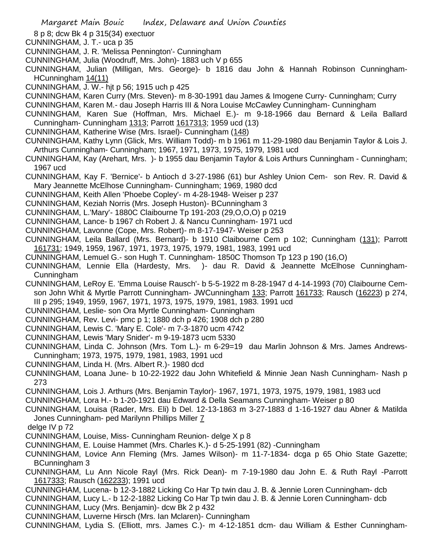8 p 8; dcw Bk 4 p 315(34) exectuor

- CUNNINGHAM, J. T.- uca p 35
- CUNNINGHAM, J. R. 'Melissa Pennington'- Cunningham
- CUNNINGHAM, Julia (Woodruff, Mrs. John)- 1883 uch V p 655
- CUNNINGHAM, Julian (Milligan, Mrs. George)- b 1816 dau John & Hannah Robinson Cunningham-HCunningham 14(11)
- CUNNINGHAM, J. W.- hjt p 56; 1915 uch p 425
- CUNNINGHAM, Karen Curry (Mrs. Steven)- m 8-30-1991 dau James & Imogene Curry- Cunningham; Curry
- CUNNINGHAM, Karen M.- dau Joseph Harris III & Nora Louise McCawley Cunningham- Cunningham
- CUNNINGHAM, Karen Sue (Hoffman, Mrs. Michael E.)- m 9-18-1966 dau Bernard & Leila Ballard Cunningham- Cunningham 1313; Parrott 1617313; 1959 ucd (13)
- CUNNINGHAM, Katherine Wise (Mrs. Israel)- Cunningham (148)
- CUNNINGHAM, Kathy Lynn (Glick, Mrs. William Todd)- m b 1961 m 11-29-1980 dau Benjamin Taylor & Lois J. Arthurs Cunningham- Cunningham; 1967, 1971, 1973, 1975, 1979, 1981 ucd
- CUNNINGHAM, Kay (Arehart, Mrs. )- b 1955 dau Benjamin Taylor & Lois Arthurs Cunningham Cunningham; 1967 ucd
- CUNNINGHAM, Kay F. 'Bernice'- b Antioch d 3-27-1986 (61) bur Ashley Union Cem- son Rev. R. David & Mary Jeannette McElhose Cunningham- Cunningham; 1969, 1980 dcd
- CUNNINGHAM, Keith Allen 'Phoebe Copley'- m 4-28-1948- Weiser p 237
- CUNNINGHAM, Keziah Norris (Mrs. Joseph Huston)- BCunningham 3
- CUNNINGHAM, L.'Mary'- 1880C Claibourne Tp 191-203 (29,O,O,O) p 0219
- CUNNINGHAM, Lance- b 1967 ch Robert J. & Nancu Cunningham- 1971 ucd
- CUNNINGHAM, Lavonne (Cope, Mrs. Robert)- m 8-17-1947- Weiser p 253
- CUNNINGHAM, Leila Ballard (Mrs. Bernard)- b 1910 Claibourne Cem p 102; Cunningham (131); Parrott 161731; 1949, 1959, 1967, 1971, 1973, 1975, 1979, 1981, 1983, 1991 ucd
- CUNNINGHAM, Lemuel G.- son Hugh T. Cunningham- 1850C Thomson Tp 123 p 190 (16,O)
- CUNNINGHAM, Lennie Ella (Hardesty, Mrs. )- dau R. David & Jeannette McElhose Cunningham-Cunningham
- CUNNINGHAM, LeRoy E. 'Emma Louise Rausch'- b 5-5-1922 m 8-28-1947 d 4-14-1993 (70) Claibourne Cemson John Whit & Myrtle Parrott Cunningham- JWCunningham 133; Parrott 161733; Rausch (16223) p 274, III p 295; 1949, 1959, 1967, 1971, 1973, 1975, 1979, 1981, 1983. 1991 ucd
- CUNNINGHAM, Leslie- son Ora Myrtle Cunningham- Cunningham
- CUNNINGHAM, Rev. Levi- pmc p 1; 1880 dch p 426; 1908 dch p 280
- CUNNINGHAM, Lewis C. 'Mary E. Cole'- m 7-3-1870 ucm 4742
- CUNNINGHAM, Lewis 'Mary Snider'- m 9-19-1873 ucm 5330
- CUNNINGHAM, Linda C. Johnson (Mrs. Tom L.)- m 6-29=19 dau Marlin Johnson & Mrs. James Andrews-Cunningham; 1973, 1975, 1979, 1981, 1983, 1991 ucd
- CUNNINGHAM, Linda H. (Mrs. Albert R.)- 1980 dcd
- CUNNINGHAM, Loana June- b 10-22-1922 dau John Whitefield & Minnie Jean Nash Cunningham- Nash p 273
- CUNNINGHAM, Lois J. Arthurs (Mrs. Benjamin Taylor)- 1967, 1971, 1973, 1975, 1979, 1981, 1983 ucd
- CUNNINGHAM, Lora H.- b 1-20-1921 dau Edward & Della Seamans Cunningham- Weiser p 80
- CUNNINGHAM, Louisa (Rader, Mrs. Eli) b Del. 12-13-1863 m 3-27-1883 d 1-16-1927 dau Abner & Matilda Jones Cunningham- ped Marilynn Phillips Miller 7
- delge IV p 72
- CUNNINGHAM, Louise, Miss- Cunningham Reunion- delge X p 8
- CUNNINGHAM, E. Louise Hammet (Mrs. Charles K.)- d 5-25-1991 (82) -Cunningham
- CUNNINGHAM, Lovice Ann Fleming (Mrs. James Wilson)- m 11-7-1834- dcga p 65 Ohio State Gazette; BCunningham 3
- CUNNINGHAM, Lu Ann Nicole Rayl (Mrs. Rick Dean)- m 7-19-1980 dau John E. & Ruth Rayl -Parrott 1617333; Rausch (162233); 1991 ucd
- CUNNINGHAM, Lucena- b 12-3-1882 Licking Co Har Tp twin dau J. B. & Jennie Loren Cunningham- dcb
- CUNNINGHAM, Lucy L.- b 12-2-1882 Licking Co Har Tp twin dau J. B. & Jennie Loren Cunningham- dcb
- CUNNINGHAM, Lucy (Mrs. Benjamin)- dcw Bk 2 p 432
- CUNNINGHAM, Luverne Hirsch (Mrs. Ian Mclaren)- Cunningham
- CUNNINGHAM, Lydia S. (Elliott, mrs. James C.)- m 4-12-1851 dcm- dau William & Esther Cunningham-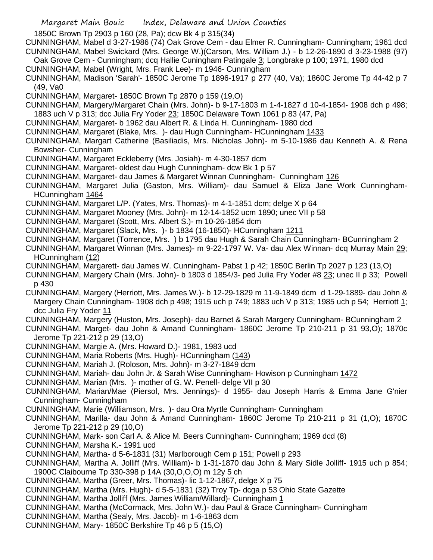1850C Brown Tp 2903 p 160 (28, Pa); dcw Bk 4 p 315(34)

- CUNNINGHAM, Mabel d 3-27-1986 (74) Oak Grove Cem dau Elmer R. Cunningham- Cunningham; 1961 dcd CUNNINGHAM, Mabel Swickard (Mrs. George W.)(Carson, Mrs. William J.) - b 12-26-1890 d 3-23-1988 (97)
- Oak Grove Cem Cunningham; dcq Hallie Cuningham Patingale 3; Longbrake p 100; 1971, 1980 dcd CUNNINGHAM, Mabel (Wright, Mrs. Frank Lee)- m 1946- Cunningham
- CUNNINGHAM, Madison 'Sarah'- 1850C Jerome Tp 1896-1917 p 277 (40, Va); 1860C Jerome Tp 44-42 p 7 (49, Va0
- CUNNINGHAM, Margaret- 1850C Brown Tp 2870 p 159 (19,O)
- CUNNINGHAM, Margery/Margaret Chain (Mrs. John)- b 9-17-1803 m 1-4-1827 d 10-4-1854- 1908 dch p 498; 1883 uch V p 313; dcc Julia Fry Yoder 23; 1850C Delaware Town 1061 p 83 (47, Pa)
- CUNNINGHAM, Margaret- b 1962 dau Albert R. & Linda H. Cunningham- 1980 dcd
- CUNNINGHAM, Margaret (Blake, Mrs. )- dau Hugh Cunningham- HCunningham 1433
- CUNNINGHAM, Margart Catherine (Basiliadis, Mrs. Nicholas John)- m 5-10-1986 dau Kenneth A. & Rena Bowsher- Cunningham
- CUNNINGHAM, Margaret Eckleberry (Mrs. Josiah)- m 4-30-1857 dcm
- CUNNINGHAM, Margaret- oldest dau Hugh Cunningham- dcw Bk 1 p 57
- CUNNINGHAM, Margaret- dau James & Margaret Winnan Cunningham- Cunningham 126
- CUNNINGHAM, Margaret Julia (Gaston, Mrs. William)- dau Samuel & Eliza Jane Work Cunningham-HCunningham 1464
- CUNNINGHAM, Margaret L/P. (Yates, Mrs. Thomas)- m 4-1-1851 dcm; delge X p 64
- CUNNINGHAM, Margaret Mooney (Mrs. John)- m 12-14-1852 ucm 1890; unec VII p 58
- CUNNINGHAM, Margaret (Scott, Mrs. Albert S.)- m 10-26-1854 dcm
- CUNNINGHAM, Margaret (Slack, Mrs. )- b 1834 (16-1850)- HCunningham 1211
- CUNNINGHAM, Margaret (Torrence, Mrs. ) b 1795 dau Hugh & Sarah Chain Cunningham- BCunningham 2
- CUNNINGHAM, Margaret Winnan (Mrs. James)- m 9-22-1797 W. Va- dau Alex Winnan- dcq Murray Main 29; HCunningham (12)
- CUNNINGHAM, Margarett- dau James W. Cunningham- Pabst 1 p 42; 1850C Berlin Tp 2027 p 123 (13,O)
- CUNNINGHAM, Margery Chain (Mrs. John)- b 1803 d 1854/3- ped Julia Fry Yoder #8 23; unec II p 33; Powell p 430
- CUNNINGHAM, Margery (Herriott, Mrs. James W.)- b 12-29-1829 m 11-9-1849 dcm d 1-29-1889- dau John & Margery Chain Cunningham- 1908 dch p 498; 1915 uch p 749; 1883 uch V p 313; 1985 uch p 54; Herriott 1; dcc Julia Fry Yoder 11
- CUNNINGHAM, Margery (Huston, Mrs. Joseph)- dau Barnet & Sarah Margery Cunningham- BCunningham 2
- CUNNINGHAM, Marget- dau John & Amand Cunningham- 1860C Jerome Tp 210-211 p 31 93,O); 1870c Jerome Tp 221-212 p 29 (13,O)
- CUNNINGHAM, Margie A. (Mrs. Howard D.)- 1981, 1983 ucd
- CUNNINGHAM, Maria Roberts (Mrs. Hugh)- HCunningham (143)
- CUNNINGHAM, Mariah J. (Roloson, Mrs. John)- m 3-27-1849 dcm
- CUNNINGHAM, Mariah- dau John Jr. & Sarah Wise Cunningham- Howison p Cunningham 1472
- CUNNINGHAM, Marian (Mrs. )- mother of G. W. Penell- delge VII p 30
- CUNNINGHAM, Marian/Mae (Piersol, Mrs. Jennings)- d 1955- dau Joseph Harris & Emma Jane G'nier Cunningham- Cunningham
- CUNNINGHAM, Marie (Williamson, Mrs. )- dau Ora Myrtle Cunningham- Cunningham
- CUNNINGHAM, Marilla- dau John & Amand Cunningham- 1860C Jerome Tp 210-211 p 31 (1,O); 1870C Jerome Tp 221-212 p 29 (10,O)
- CUNNINGHAM, Mark- son Carl A. & Alice M. Beers Cunningham- Cunningham; 1969 dcd (8)
- CUNNINGHAM, Marsha K.- 1991 ucd
- CUNNINGHAM, Martha- d 5-6-1831 (31) Marlborough Cem p 151; Powell p 293
- CUNNINGHAM, Martha A. Jolliff (Mrs. William)- b 1-31-1870 dau John & Mary Sidle Jolliff- 1915 uch p 854; 1900C Claibourne Tp 330-398 p 14A (30,O,O,O) m 12y 5 ch
- CUNNINGHAM, Martha (Greer, Mrs. Thomas)- lic 1-12-1867, delge X p 75
- CUNNINGHAM, Martha (Mrs. Hugh)- d 5-5-1831 (32) Troy Tp- dcga p 53 Ohio State Gazette
- CUNNINGHAM, Martha Jolliff (Mrs. James William/Willard)- Cunningham 1
- CUNNINGHAM, Martha (McCormack, Mrs. John W.)- dau Paul & Grace Cunningham- Cunningham
- CUNNINGHAM, Martha (Sealy, Mrs. Jacob)- m 1-6-1863 dcm
- CUNNINGHAM, Mary- 1850C Berkshire Tp 46 p 5 (15,O)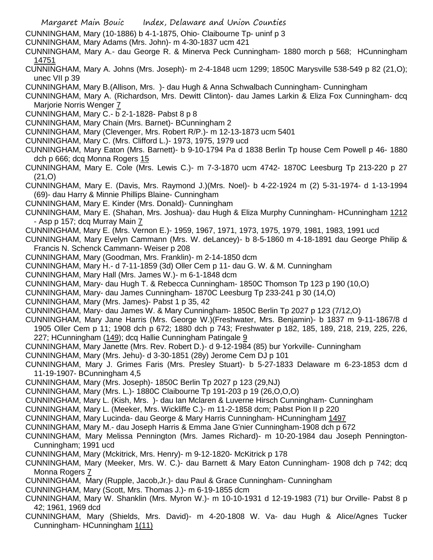- Margaret Main Bouic Index, Delaware and Union Counties
- CUNNINGHAM, Mary (10-1886) b 4-1-1875, Ohio- Claibourne Tp- uninf p 3
- CUNNINGHAM, Mary Adams (Mrs. John)- m 4-30-1837 ucm 421
- CUNNINGHAM, Mary A.- dau George R. & Minerva Peck Cunningham- 1880 morch p 568; HCunningham 14751
- CUNNINGHAM, Mary A. Johns (Mrs. Joseph)- m 2-4-1848 ucm 1299; 1850C Marysville 538-549 p 82 (21,O); unec VII p 39
- CUNNINGHAM, Mary B.(Allison, Mrs. )- dau Hugh & Anna Schwalbach Cunningham- Cunningham
- CUNNINGHAM, Mary A. (Richardson, Mrs. Dewitt Clinton)- dau James Larkin & Eliza Fox Cunningham- dcq Marjorie Norris Wenger 7
- CUNNINGHAM, Mary C.- b 2-1-1828- Pabst 8 p 8
- CUNNINGHAM, Mary Chain (Mrs. Barnet)- BCunningham 2
- CUNNINGHAM, Mary (Clevenger, Mrs. Robert R/P.)- m 12-13-1873 ucm 5401
- CUNNINGHAM, Mary C. (Mrs. Clifford L.)- 1973, 1975, 1979 ucd
- CUNNINGHAM, Mary Eaton (Mrs. Barnett)- b 9-10-1794 Pa d 1838 Berlin Tp house Cem Powell p 46- 1880 dch p 666; dcq Monna Rogers 15
- CUNNINGHAM, Mary E. Cole (Mrs. Lewis C.)- m 7-3-1870 ucm 4742- 1870C Leesburg Tp 213-220 p 27 (21,O)
- CUNNINGHAM, Mary E. (Davis, Mrs. Raymond J.)(Mrs. Noel)- b 4-22-1924 m (2) 5-31-1974- d 1-13-1994 (69)- dau Harry & Minnie Phillips Blaine- Cunningham
- CUNNINGHAM, Mary E. Kinder (Mrs. Donald)- Cunningham
- CUNNINGHAM, Mary E. (Shahan, Mrs. Joshua)- dau Hugh & Eliza Murphy Cunningham- HCunningham 1212 - Asp p 157; dcq Murray Main 7
- CUNNINGHAM, Mary E. (Mrs. Vernon E.)- 1959, 1967, 1971, 1973, 1975, 1979, 1981, 1983, 1991 ucd
- CUNNINGHAM, Mary Evelyn Cammann (Mrs. W. deLancey)- b 8-5-1860 m 4-18-1891 dau George Philip & Francis N. Schenck Cammann- Weiser p 208
- CUNNINGHAM, Mary (Goodman, Mrs. Franklin)- m 2-14-1850 dcm
- CUNNINGHAM, Mary H.- d 7-11-1859 (3d) Oller Cem p 11- dau G. W. & M. Cunningham
- CUNNINGHAM, Mary Hall (Mrs. James W.)- m 6-1-1848 dcm
- CUNNINGHAM, Mary- dau Hugh T. & Rebecca Cunningham- 1850C Thomson Tp 123 p 190 (10,O)
- CUNNINGHAM, Mary- dau James Cunningham- 1870C Leesburg Tp 233-241 p 30 (14,O)
- CUNNINGHAM, Mary (Mrs. James)- Pabst 1 p 35, 42
- CUNNINGHAM, Mary- dau James W. & Mary Cunningham- 1850C Berlin Tp 2027 p 123 (7/12,O)
- CUNNINGHAM, Mary Jane Harris (Mrs. George W.)(Freshwater, Mrs. Benjamin)- b 1837 m 9-11-1867/8 d 1905 Oller Cem p 11; 1908 dch p 672; 1880 dch p 743; Freshwater p 182, 185, 189, 218, 219, 225, 226, 227; HCunningham (149); dcq Hallie Cunningham Patingale 9
- CUNNINGHAM, Mary Janette (Mrs. Rev. Robert D.)- d 9-12-1984 (85) bur Yorkville- Cunningham
- CUNNINGHAM, Mary (Mrs. Jehu)- d 3-30-1851 (28y) Jerome Cem DJ p 101
- CUNNINGHAM, Mary J. Grimes Faris (Mrs. Presley Stuart)- b 5-27-1833 Delaware m 6-23-1853 dcm d 11-19-1907- BCunningham 4,5
- CUNNINGHAM, Mary (Mrs. Joseph)- 1850C Berlin Tp 2027 p 123 (29,NJ)
- CUNNINGHAM, Mary (Mrs. L.)- 1880C Claibourne Tp 191-203 p 19 (26,O,O,O)
- CUNNINGHAM, Mary L. (Kish, Mrs. )- dau Ian Mclaren & Luverne Hirsch Cunningham- Cunningham
- CUNNINGHAM, Mary L. (Meeker, Mrs. Wickliffe C.)- m 11-2-1858 dcm; Pabst Pion II p 220
- CUNNINGHAM, Mary Lucinda- dau George & Mary Harris Cunningham- HCunningham 1497
- CUNNINGHAM, Mary M.- dau Joseph Harris & Emma Jane G'nier Cunningham-1908 dch p 672
- CUNNINGHAM, Mary Melissa Pennington (Mrs. James Richard)- m 10-20-1984 dau Joseph Pennington-Cunningham; 1991 ucd
- CUNNINGHAM, Mary (Mckitrick, Mrs. Henry)- m 9-12-1820- McKitrick p 178
- CUNNINGHAM, Mary (Meeker, Mrs. W. C.)- dau Barnett & Mary Eaton Cunningham- 1908 dch p 742; dcq Monna Rogers 7
- CUNNINGHAM, Mary (Rupple, Jacob,Jr.)- dau Paul & Grace Cunningham- Cunningham
- CUNNINGHAM, Mary (Scott, Mrs. Thomas J.)- m 6-19-1855 dcm
- CUNNINGHAM, Mary W. Shanklin (Mrs. Myron W.)- m 10-10-1931 d 12-19-1983 (71) bur Orville- Pabst 8 p 42; 1961, 1969 dcd
- CUNNINGHAM, Mary (Shields, Mrs. David)- m 4-20-1808 W. Va- dau Hugh & Alice/Agnes Tucker Cunningham- HCunningham 1(11)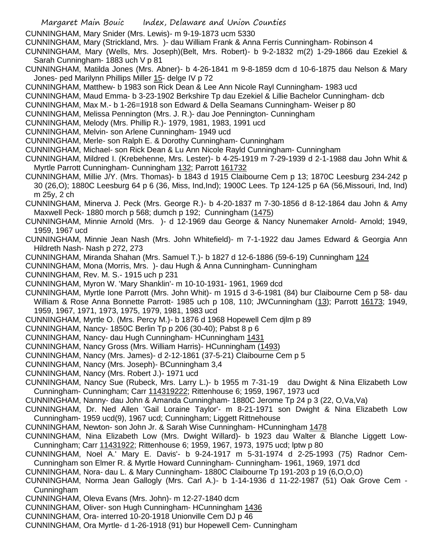CUNNINGHAM, Mary Snider (Mrs. Lewis)- m 9-19-1873 ucm 5330

CUNNINGHAM, Mary (Strickland, Mrs. )- dau William Frank & Anna Ferris Cunningham- Robinson 4

CUNNINGHAM, Mary (Wells, Mrs. Joseph)(Belt, Mrs. Robert)- b 9-2-1832 m(2) 1-29-1866 dau Ezekiel & Sarah Cunningham- 1883 uch V p 81

- CUNNINGHAM, Matilda Jones (Mrs. Abner)- b 4-26-1841 m 9-8-1859 dcm d 10-6-1875 dau Nelson & Mary Jones- ped Marilynn Phillips Miller 15- delge IV p 72
- CUNNINGHAM, Matthew- b 1983 son Rick Dean & Lee Ann Nicole Rayl Cunningham- 1983 ucd
- CUNNINGHAM, Maud Emma- b 3-23-1902 Berkshire Tp dau Ezekiel & Lillie Bachelor Cunningham- dcb
- CUNNINGHAM, Max M.- b 1-26=1918 son Edward & Della Seamans Cunningham- Weiser p 80
- CUNNINGHAM, Melissa Pennington (Mrs. J. R.)- dau Joe Pennington- Cunningham
- CUNNINGHAM, Melody (Mrs. Phillip R.)- 1979, 1981, 1983, 1991 ucd
- CUNNINGHAM, Melvin- son Arlene Cunningham- 1949 ucd
- CUNNINGHAM, Merle- son Ralph E. & Dorothy Cunningham- Cunningham
- CUNNINGHAM, Michael- son Rick Dean & Lu Ann Nicole Rayld Cunningham- Cunningham
- CUNNINGHAM, Mildred I. (Krebehenne, Mrs. Lester)- b 4-25-1919 m 7-29-1939 d 2-1-1988 dau John Whit & Myrtle Parrott Cunningham- Cunningham 132; Parrott 161732
- CUNNINGHAM, Millie J/Y. (Mrs. Thomas)- b 1843 d 1915 Claibourne Cem p 13; 1870C Leesburg 234-242 p 30 (26,O); 1880C Leesburg 64 p 6 (36, Miss, Ind,Ind); 1900C Lees. Tp 124-125 p 6A (56,Missouri, Ind, Ind) m 25y, 2 ch
- CUNNINGHAM, Minerva J. Peck (Mrs. George R.)- b 4-20-1837 m 7-30-1856 d 8-12-1864 dau John & Amy Maxwell Peck- 1880 morch p 568; dumch p 192; Cunningham (1475)
- CUNNINGHAM, Minnie Arnold (Mrs. )- d 12-1969 dau George & Nancy Nunemaker Arnold- Arnold; 1949, 1959, 1967 ucd
- CUNNINGHAM, Minnie Jean Nash (Mrs. John Whitefield)- m 7-1-1922 dau James Edward & Georgia Ann Hildreth Nash- Nash p 272, 273
- CUNNINGHAM, Miranda Shahan (Mrs. Samuel T.)- b 1827 d 12-6-1886 (59-6-19) Cunningham 124
- CUNNINGHAM, Mona (Morris, Mrs. )- dau Hugh & Anna Cunningham- Cunningham
- CUNNINGHAM, Rev. M. S.- 1915 uch p 231
- CUNNINGHAM, Myron W. 'Mary Shanklin'- m 10-10-1931- 1961, 1969 dcd
- CUNNINGHAM, Myrtle Ione Parrott (Mrs. John Whit)- m 1915 d 3-6-1981 (84) bur Claibourne Cem p 58- dau William & Rose Anna Bonnette Parrott- 1985 uch p 108, 110; JWCunningham (13); Parrott 16173; 1949, 1959, 1967, 1971, 1973, 1975, 1979, 1981, 1983 ucd
- CUNNINGHAM, Myrtle O. (Mrs. Percy M.)- b 1876 d 1968 Hopewell Cem djlm p 89
- CUNNINGHAM, Nancy- 1850C Berlin Tp p 206 (30-40); Pabst 8 p 6
- CUNNINGHAM, Nancy- dau Hugh Cunningham- HCunningham 1431
- CUNNINGHAM, Nancy Gross (Mrs. William Harris)- HCunningham (1493)
- CUNNINGHAM, Nancy (Mrs. James)- d 2-12-1861 (37-5-21) Claibourne Cem p 5
- CUNNINGHAM, Nancy (Mrs. Joseph)- BCunningham 3,4
- CUNNINGHAM, Nancy (Mrs. Robert J.)- 1971 ucd
- CUNNINGHAM, Nancy Sue (Rubeck, Mrs. Larry L.)- b 1955 m 7-31-19 dau Dwight & Nina Elizabeth Low Cunningham- Cunningham; Carr 114319222; Rittenhouse 6; 1959, 1967, 1973 ucd
- CUNNINGHAM, Nanny- dau John & Amanda Cunningham- 1880C Jerome Tp 24 p 3 (22, O,Va,Va)
- CUNNINGHAM, Dr. Ned Allen 'Gail Loraine Taylor'- m 8-21-1971 son Dwight & Nina Elizabeth Low Cunningham- 1959 ucd(9), 1967 ucd; Cunningham; Liggett Rittnehouse
- CUNNINGHAM, Newton- son John Jr. & Sarah Wise Cunningham- HCunningham 1478
- CUNNINGHAM, Nina Elizabeth Low (Mrs. Dwight Willard)- b 1923 dau Walter & Blanche Liggett Low-Cunningham; Carr 11431922; Rittenhouse 6; 1959, 1967, 1973, 1975 ucd; lptw p 80
- CUNNINGHAM, Noel A.' Mary E. Davis'- b 9-24-1917 m 5-31-1974 d 2-25-1993 (75) Radnor Cem-Cunningham son Elmer R. & Myrtle Howard Cunningham- Cunningham- 1961, 1969, 1971 dcd
- CUNNINGHAM, Nora- dau L. & Mary Cunningham- 1880C Claibourne Tp 191-203 p 19 (6,O,O,O)
- CUNNINGHAM, Norma Jean Gallogly (Mrs. Carl A.)- b 1-14-1936 d 11-22-1987 (51) Oak Grove Cem Cunningham
- CUNNINGHAM, Oleva Evans (Mrs. John)- m 12-27-1840 dcm
- CUNNINGHAM, Oliver- son Hugh Cunningham- HCunningham 1436
- CUNNINGHAM, Ora- interred 10-20-1918 Unionville Cem DJ p 46
- CUNNINGHAM, Ora Myrtle- d 1-26-1918 (91) bur Hopewell Cem- Cunningham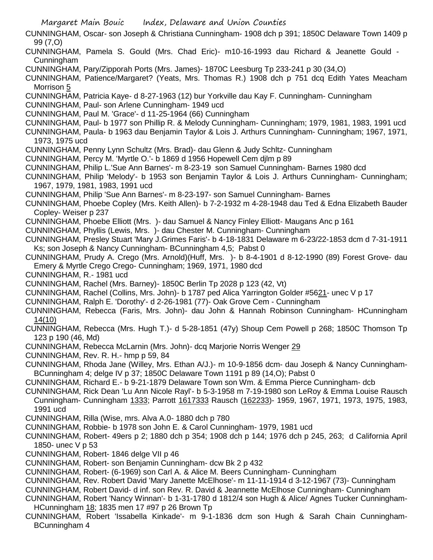Margaret Main Bouic Index, Delaware and Union Counties CUNNINGHAM, Oscar- son Joseph & Christiana Cunningham- 1908 dch p 391; 1850C Delaware Town 1409 p 99 (7,O) CUNNINGHAM, Pamela S. Gould (Mrs. Chad Eric)- m10-16-1993 dau Richard & Jeanette Gould - Cunningham CUNNINGHAM, Pary/Zipporah Ports (Mrs. James)- 1870C Leesburg Tp 233-241 p 30 (34,O) CUNNINGHAM, Patience/Margaret? (Yeats, Mrs. Thomas R.) 1908 dch p 751 dcq Edith Yates Meacham Morrison 5 CUNNINGHAM, Patricia Kaye- d 8-27-1963 (12) bur Yorkville dau Kay F. Cunningham- Cunningham CUNNINGHAM, Paul- son Arlene Cunningham- 1949 ucd CUNNINGHAM, Paul M. 'Grace'- d 11-25-1964 (66) Cunningham CUNNINGHAM, Paul- b 1977 son Phillip R. & Melody Cunningham- Cunningham; 1979, 1981, 1983, 1991 ucd CUNNINGHAM, Paula- b 1963 dau Benjamin Taylor & Lois J. Arthurs Cunningham- Cunningham; 1967, 1971, 1973, 1975 ucd CUNNINGHAM, Penny Lynn Schultz (Mrs. Brad)- dau Glenn & Judy Schltz- Cunningham CUNNINGHAM, Percy M. 'Myrtle O.'- b 1869 d 1956 Hopewell Cem djlm p 89 CUNNINGHAM, Philip L.'Sue Ann Barnes'- m 8-23-19 son Samuel Cunningham- Barnes 1980 dcd CUNNINGHAM, Philip 'Melody'- b 1953 son Benjamin Taylor & Lois J. Arthurs Cunningham- Cunningham; 1967, 1979, 1981, 1983, 1991 ucd CUNNINGHAM, Philip 'Sue Ann Barnes'- m 8-23-197- son Samuel Cunningham- Barnes CUNNINGHAM, Phoebe Copley (Mrs. Keith Allen)- b 7-2-1932 m 4-28-1948 dau Ted & Edna Elizabeth Bauder Copley- Weiser p 237 CUNNINGHAM, Phoebe Elliott (Mrs. )- dau Samuel & Nancy Finley Elliott- Maugans Anc p 161 CUNNINGHAM, Phyllis (Lewis, Mrs. )- dau Chester M. Cunningham- Cunningham CUNNINGHAM, Presley Stuart 'Mary J.Grimes Faris'- b 4-18-1831 Delaware m 6-23/22-1853 dcm d 7-31-1911 Ks; son Joseph & Nancy Cunningham- BCunningham 4,5; Pabst 0 CUNNINGHAM, Prudy A. Crego (Mrs. Arnold)(Huff, Mrs. )- b 8-4-1901 d 8-12-1990 (89) Forest Grove- dau Emery & Myrtle Crego Crego- Cunningham; 1969, 1971, 1980 dcd CUNNINGHAM, R.- 1981 ucd CUNNINGHAM, Rachel (Mrs. Barney)- 1850C Berlin Tp 2028 p 123 (42, Vt) CUNNINGHAM, Rachel (Collins, Mrs. John)- b 1787 ped Alica Yarrington Golder #5621- unec V p 17 CUNNINGHAM, Ralph E. 'Dorothy'- d 2-26-1981 (77)- Oak Grove Cem - Cunningham CUNNINGHAM, Rebecca (Faris, Mrs. John)- dau John & Hannah Robinson Cunningham- HCunningham 14(10) CUNNINGHAM, Rebecca (Mrs. Hugh T.)- d 5-28-1851 (47y) Shoup Cem Powell p 268; 1850C Thomson Tp 123 p 190 (46, Md) CUNNINGHAM, Rebecca McLarnin (Mrs. John)- dcq Marjorie Norris Wenger 29 CUNNINGHAM, Rev. R. H.- hmp p 59, 84 CUNNINGHAM, Rhoda Jane (Willey, Mrs. Ethan A/J.)- m 10-9-1856 dcm- dau Joseph & Nancy Cunningham-BCunningham 4; delge IV p 37; 1850C Delaware Town 1191 p 89 (14,O); Pabst 0 CUNNINGHAM, Richard E.- b 9-21-1879 Delaware Town son Wm. & Emma Pierce Cunningham- dcb CUNNINGHAM, Rick Dean 'Lu Ann Nicole Rayl'- b 5-3-1958 m 7-19-1980 son LeRoy & Emma Louise Rausch Cunningham- Cunningham 1333; Parrott 1617333 Rausch (162233)- 1959, 1967, 1971, 1973, 1975, 1983, 1991 ucd CUNNINGHAM, Rilla (Wise, mrs. Alva A.0- 1880 dch p 780 CUNNINGHAM, Robbie- b 1978 son John E. & Carol Cunningham- 1979, 1981 ucd CUNNINGHAM, Robert- 49ers p 2; 1880 dch p 354; 1908 dch p 144; 1976 dch p 245, 263; d California April 1850- unec V p 53 CUNNINGHAM, Robert- 1846 delge VII p 46 CUNNINGHAM, Robert- son Benjamin Cunningham- dcw Bk 2 p 432 CUNNINGHAM, Robert- (6-1969) son Carl A. & Alice M. Beers Cunningham- Cunningham CUNNINGHAM, Rev. Robert David 'Mary Janette McElhose'- m 11-11-1914 d 3-12-1967 (73)- Cunningham CUNNINGHAM, Robert David- d inf. son Rev. R. David & Jeannette McElhose Cunningham- Cunningham CUNNINGHAM, Robert 'Nancy Winnan'- b 1-31-1780 d 1812/4 son Hugh & Alice/ Agnes Tucker Cunningham-HCunningham 18; 1835 men 17 #97 p 26 Brown Tp CUNNINGHAM, Robert 'Issabella Kinkade'- m 9-1-1836 dcm son Hugh & Sarah Chain Cunningham-BCunningham 4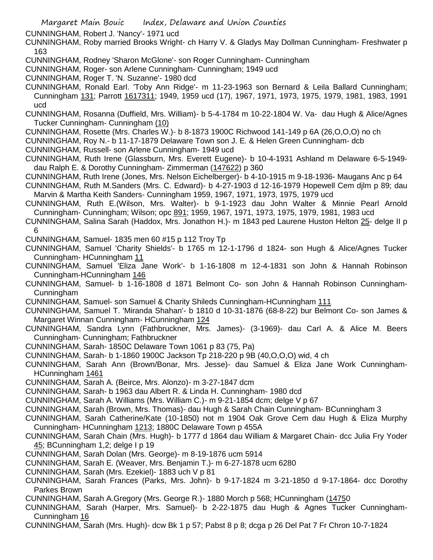CUNNINGHAM, Robert J. 'Nancy'- 1971 ucd

CUNNINGHAM, Roby married Brooks Wright- ch Harry V. & Gladys May Dollman Cunningham- Freshwater p 163

- CUNNINGHAM, Rodney 'Sharon McGlone'- son Roger Cunningham- Cunningham
- CUNNINGHAM, Roger- son Arlene Cunningham- Cunningham; 1949 ucd
- CUNNINGHAM, Roger T. 'N. Suzanne'- 1980 dcd
- CUNNINGHAM, Ronald Earl. 'Toby Ann Ridge'- m 11-23-1963 son Bernard & Leila Ballard Cunningham; Cunningham 131; Parrott 1617311; 1949, 1959 ucd (17), 1967, 1971, 1973, 1975, 1979, 1981, 1983, 1991 ucd
- CUNNINGHAM, Rosanna (Duffield, Mrs. William)- b 5-4-1784 m 10-22-1804 W. Va- dau Hugh & Alice/Agnes Tucker Cunningham- Cunningham (10)
- CUNNINGHAM, Rosette (Mrs. Charles W.)- b 8-1873 1900C Richwood 141-149 p 6A (26,O,O,O) no ch
- CUNNINGHAM, Roy N.- b 11-17-1879 Delaware Town son J. E. & Helen Green Cunningham- dcb
- CUNNINGHAM, Russell- son Arlene Cunningham- 1949 ucd
- CUNNINGHAM, Ruth Irene (Glassburn, Mrs. Everett Eugene)- b 10-4-1931 Ashland m Delaware 6-5-1949 dau Ralph E. & Dorothy Cunningham- Zimmerman (147622) p 360
- CUNNINGHAM, Ruth Irene (Jones, Mrs. Nelson Eichelberger)- b 4-10-1915 m 9-18-1936- Maugans Anc p 64
- CUNNINGHAM, Ruth M.Sanders (Mrs. C. Edward)- b 4-27-1903 d 12-16-1979 Hopewell Cem djlm p 89; dau Marvin & Martha Keith Sanders- Cunningham 1959, 1967, 1971, 1973, 1975, 1979 ucd
- CUNNINGHAM, Ruth E.(Wilson, Mrs. Walter)- b 9-1-1923 dau John Walter & Minnie Pearl Arnold Cunningham- Cunningham; Wilson; opc 891; 1959, 1967, 1971, 1973, 1975, 1979, 1981, 1983 ucd
- CUNNINGHAM, Salina Sarah (Haddox, Mrs. Jonathon H.)- m 1843 ped Laurene Huston Helton 25- delge II p 6
- CUNNINGHAM, Samuel- 1835 men 60 #15 p 112 Troy Tp
- CUNNINGHAM, Samuel 'Charity Shields'- b 1765 m 12-1-1796 d 1824- son Hugh & Alice/Agnes Tucker Cunningham- HCunningham 11
- CUNNINGHAM, Samuel 'Eliza Jane Work'- b 1-16-1808 m 12-4-1831 son John & Hannah Robinson Cunningham-HCunningham 146
- CUNNINGHAM, Samuel- b 1-16-1808 d 1871 Belmont Co- son John & Hannah Robinson Cunningham-Cunningham
- CUNNINGHAM, Samuel- son Samuel & Charity Shileds Cunningham-HCunningham 111
- CUNNINGHAM, Samuel T. 'Miranda Shahan'- b 1810 d 10-31-1876 (68-8-22) bur Belmont Co- son James & Margaret Winnan Cunningham- HCunningham 124
- CUNNINGHAM, Sandra Lynn (Fathbruckner, Mrs. James)- (3-1969)- dau Carl A. & Alice M. Beers Cunningham- Cunningham; Fathbruckner
- CUNNINGHAM, Sarah- 1850C Delaware Town 1061 p 83 (75, Pa)
- CUNNINGHAM, Sarah- b 1-1860 1900C Jackson Tp 218-220 p 9B (40,O,O,O) wid, 4 ch
- CUNNINGHAM, Sarah Ann (Brown/Bonar, Mrs. Jesse)- dau Samuel & Eliza Jane Work Cunningham-HCunningham 1461
- CUNNINGHAM, Sarah A. (Beirce, Mrs. Alonzo)- m 3-27-1847 dcm
- CUNNINGHAM, Sarah- b 1963 dau Albert R. & Linda H. Cunningham- 1980 dcd
- CUNNINGHAM, Sarah A. Williams (Mrs. William C.)- m 9-21-1854 dcm; delge V p 67
- CUNNINGHAM, Sarah (Brown, Mrs. Thomas)- dau Hugh & Sarah Chain Cunningham- BCunningham 3
- CUNNINGHAM, Sarah Catherine/Kate (10-1850) not m 1904 Oak Grove Cem dau Hugh & Eliza Murphy Cunningham- HCunningham 1213; 1880C Delaware Town p 455A
- CUNNINGHAM, Sarah Chain (Mrs. Hugh)- b 1777 d 1864 dau William & Margaret Chain- dcc Julia Fry Yoder 45; BCunningham 1,2; delge I p 19
- CUNNINGHAM, Sarah Dolan (Mrs. George)- m 8-19-1876 ucm 5914
- CUNNINGHAM, Sarah E. (Weaver, Mrs. Benjamin T.)- m 6-27-1878 ucm 6280
- CUNNINGHAM, Sarah (Mrs. Ezekiel)- 1883 uch V p 81
- CUNNINGHAM, Sarah Frances (Parks, Mrs. John)- b 9-17-1824 m 3-21-1850 d 9-17-1864- dcc Dorothy Parkes Brown
- CUNNINGHAM, Sarah A.Gregory (Mrs. George R.)- 1880 Morch p 568; HCunningham (14750
- CUNNINGHAM, Sarah (Harper, Mrs. Samuel)- b 2-22-1875 dau Hugh & Agnes Tucker Cunningham-Cunningham 16
- CUNNINGHAM, Sarah (Mrs. Hugh)- dcw Bk 1 p 57; Pabst 8 p 8; dcga p 26 Del Pat 7 Fr Chron 10-7-1824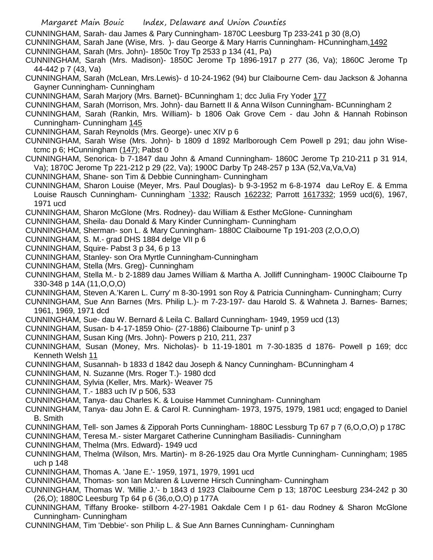- Margaret Main Bouic Index, Delaware and Union Counties
- CUNNINGHAM, Sarah- dau James & Pary Cunningham- 1870C Leesburg Tp 233-241 p 30 (8,O)
- CUNNINGHAM, Sarah Jane (Wise, Mrs. )- dau George & Mary Harris Cunningham- HCunningham,1492
- CUNNINGHAM, Sarah (Mrs. John)- 1850c Troy Tp 2533 p 134 (41, Pa)
- CUNNINGHAM, Sarah (Mrs. Madison)- 1850C Jerome Tp 1896-1917 p 277 (36, Va); 1860C Jerome Tp 44-442 p 7 (43, Va)
- CUNNINGHAM, Sarah (McLean, Mrs.Lewis)- d 10-24-1962 (94) bur Claibourne Cem- dau Jackson & Johanna Gayner Cunningham- Cunningham
- CUNNINGHAM, Sarah Marjory (Mrs. Barnet)- BCunningham 1; dcc Julia Fry Yoder 177
- CUNNINGHAM, Sarah (Morrison, Mrs. John)- dau Barnett II & Anna Wilson Cunningham- BCunningham 2
- CUNNINGHAM, Sarah (Rankin, Mrs. William)- b 1806 Oak Grove Cem dau John & Hannah Robinson Cunningham- Cunningham 145
- CUNNINGHAM, Sarah Reynolds (Mrs. George)- unec XIV p 6
- CUNNINGHAM, Sarah Wise (Mrs. John)- b 1809 d 1892 Marlborough Cem Powell p 291; dau john Wisetcmc p 6; HCunningham (147); Pabst 0
- CUNNINGHAM, Senorica- b 7-1847 dau John & Amand Cunningham- 1860C Jerome Tp 210-211 p 31 914, Va); 1870C Jerome Tp 221-212 p 29 (22, Va); 1900C Darby Tp 248-257 p 13A (52,Va,Va,Va)
- CUNNINGHAM, Shane- son Tim & Debbie Cunningham- Cunningham
- CUNNINGHAM, Sharon Louise (Meyer, Mrs. Paul Douglas)- b 9-3-1952 m 6-8-1974 dau LeRoy E. & Emma Louise Rausch Cunningham- Cunningham 1332; Rausch 162232; Parrott 1617332; 1959 ucd(6), 1967, 1971 ucd
- CUNNINGHAM, Sharon McGlone (Mrs. Rodney)- dau William & Esther McGlone- Cunningham
- CUNNINGHAM, Sheila- dau Donald & Mary Kinder Cunningham- Cunningham
- CUNNINGHAM, Sherman- son L. & Mary Cunningham- 1880C Claibourne Tp 191-203 (2,O,O,O)
- CUNNINGHAM, S. M.- grad DHS 1884 delge VII p 6
- CUNNINGHAM, Squire- Pabst 3 p 34, 6 p 13
- CUNNINGHAM, Stanley- son Ora Myrtle Cunningham-Cunningham
- CUNNINGHAM, Stella (Mrs. Greg)- Cunningham
- CUNNINGHAM, Stella M.- b 2-1889 dau James William & Martha A. Jolliff Cunningham- 1900C Claibourne Tp 330-348 p 14A (11,O,O,O)
- CUNNINGHAM, Steven A.'Karen L. Curry' m 8-30-1991 son Roy & Patricia Cunningham- Cunningham; Curry
- CUNNINGHAM, Sue Ann Barnes (Mrs. Philip L.)- m 7-23-197- dau Harold S. & Wahneta J. Barnes- Barnes; 1961, 1969, 1971 dcd
- CUNNINGHAM, Sue- dau W. Bernard & Leila C. Ballard Cunningham- 1949, 1959 ucd (13)
- CUNNINGHAM, Susan- b 4-17-1859 Ohio- (27-1886) Claibourne Tp- uninf p 3
- CUNNINGHAM, Susan King (Mrs. John)- Powers p 210, 211, 237
- CUNNINGHAM, Susan (Money, Mrs. Nicholas)- b 11-19-1801 m 7-30-1835 d 1876- Powell p 169; dcc Kenneth Welsh 11
- CUNNINGHAM, Susannah- b 1833 d 1842 dau Joseph & Nancy Cunningham- BCunningham 4
- CUNNINGHAM, N. Suzanne (Mrs. Roger T.)- 1980 dcd
- CUNNINGHAM, Sylvia (Keller, Mrs. Mark)- Weaver 75
- CUNNINGHAM, T.- 1883 uch IV p 506, 533
- CUNNINGHAM, Tanya- dau Charles K. & Louise Hammet Cunningham- Cunningham
- CUNNINGHAM, Tanya- dau John E. & Carol R. Cunningham- 1973, 1975, 1979, 1981 ucd; engaged to Daniel B. Smith
- CUNNINGHAM, Tell- son James & Zipporah Ports Cunningham- 1880C Lessburg Tp 67 p 7 (6,O,O,O) p 178C
- CUNNINGHAM, Teresa M.- sister Margaret Catherine Cunningham Basiliadis- Cunningham
- CUNNINGHAM, Thelma (Mrs. Edward)- 1949 ucd
- CUNNINGHAM, Thelma (Wilson, Mrs. Martin)- m 8-26-1925 dau Ora Myrtle Cunningham- Cunningham; 1985 uch p 148
- CUNNINGHAM, Thomas A. 'Jane E.'- 1959, 1971, 1979, 1991 ucd
- CUNNINGHAM, Thomas- son Ian Mclaren & Luverne Hirsch Cunningham- Cunningham
- CUNNINGHAM, Thomas W. 'Millie J.'- b 1843 d 1923 Claibourne Cem p 13; 1870C Leesburg 234-242 p 30 (26,O); 1880C Leesburg Tp 64 p 6 (36,o,O,O) p 177A
- CUNNINGHAM, Tiffany Brooke- stillborn 4-27-1981 Oakdale Cem I p 61- dau Rodney & Sharon McGlone Cunningham- Cunningham
- CUNNINGHAM, Tim 'Debbie'- son Philip L. & Sue Ann Barnes Cunningham- Cunningham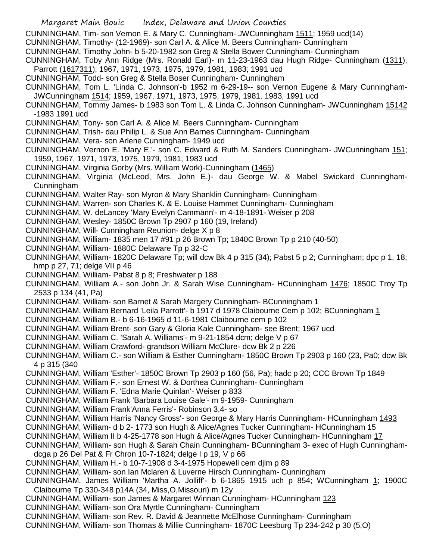Margaret Main Bouic Index, Delaware and Union Counties CUNNINGHAM, Tim- son Vernon E. & Mary C. Cunningham- JWCunningham 1511; 1959 ucd(14) CUNNINGHAM, Timothy- (12-1969)- son Carl A. & Alice M. Beers Cunningham- Cunningham CUNNINGHAM, Timothy John- b 5-20-1982 son Greg & Stella Bower Cunningham- Cunningham CUNNINGHAM, Toby Ann Ridge (Mrs. Ronald Earl)- m 11-23-1963 dau Hugh Ridge- Cunningham (1311); Parrott (1617311); 1967, 1971, 1973, 1975, 1979, 1981, 1983; 1991 ucd CUNNINGHAM, Todd- son Greg & Stella Boser Cunningham- Cunningham CUNNINGHAM, Tom L. 'Linda C. Johnson'-b 1952 m 6-29-19-- son Vernon Eugene & Mary Cunningham-JWCunningham 1514; 1959, 1967, 1971, 1973, 1975, 1979, 1981, 1983, 1991 ucd CUNNINGHAM, Tommy James- b 1983 son Tom L. & Linda C. Johnson Cunningham- JWCunningham 15142 -1983 1991 ucd CUNNINGHAM, Tony- son Carl A. & Alice M. Beers Cunningham- Cunningham CUNNINGHAM, Trish- dau Philip L. & Sue Ann Barnes Cunningham- Cunningham CUNNINGHAM, Vera- son Arlene Cunningham- 1949 ucd CUNNINGHAM, Vernon E. 'Mary E.'- son C. Edward & Ruth M. Sanders Cunningham- JWCunningham 151; 1959, 1967, 1971, 1973, 1975, 1979, 1981, 1983 ucd CUNNINGHAM, Virginia Gorby (Mrs. William Work)-Cunningham (1465) CUNNINGHAM, Virginia (McLeod, Mrs. John E.)- dau George W. & Mabel Swickard Cunningham-Cunningham CUNNINGHAM, Walter Ray- son Myron & Mary Shanklin Cunningham- Cunningham CUNNINGHAM, Warren- son Charles K. & E. Louise Hammet Cunningham- Cunningham CUNNINGHAM, W. deLancey 'Mary Evelyn Cammann'- m 4-18-1891- Weiser p 208 CUNNINGHAM, Wesley- 1850C Brown Tp 2907 p 160 (19, Ireland) CUNNINGHAM, Will- Cunningham Reunion- delge X p 8 CUNNINGHAM, William- 1835 men 17 #91 p 26 Brown Tp; 1840C Brown Tp p 210 (40-50) CUNNINGHAM, William- 1880C Delaware Tp p 32-C CUNNINGHAM, William- 1820C Delaware Tp; will dcw Bk 4 p 315 (34); Pabst 5 p 2; Cunningham; dpc p 1, 18; hmp p 27, 71; delge VII p 46 CUNNINGHAM, William- Pabst 8 p 8; Freshwater p 188 CUNNINGHAM, William A.- son John Jr. & Sarah Wise Cunningham- HCunningham 1476; 1850C Troy Tp 2533 p 134 (41, Pa) CUNNINGHAM, William- son Barnet & Sarah Margery Cunningham- BCunningham 1 CUNNINGHAM, William Bernard 'Leila Parrott'- b 1917 d 1978 Claibourne Cem p 102; BCunningham 1 CUNNINGHAM, William B.- b 6-16-1965 d 11-6-1981 Claibourne cem p 102 CUNNINGHAM, William Brent- son Gary & Gloria Kale Cunningham- see Brent; 1967 ucd CUNNINGHAM, William C. 'Sarah A. Williams'- m 9-21-1854 dcm; delge V p 67 CUNNINGHAM, William Crawford- grandson William McClure- dcw Bk 2 p 226 CUNNINGHAM, William C.- son William & Esther Cunningham- 1850C Brown Tp 2903 p 160 (23, Pa0; dcw Bk 4 p 315 (340 CUNNINGHAM, William 'Esther'- 1850C Brown Tp 2903 p 160 (56, Pa); hadc p 20; CCC Brown Tp 1849 CUNNINGHAM, William F.- son Ernest W. & Dorthea Cunningham- Cunningham CUNNINGHAM, William F. 'Edna Marie Quinlan'- Weiser p 833 CUNNINGHAM, William Frank 'Barbara Louise Gale'- m 9-1959- Cunningham CUNNINGHAM, William Frank'Anna Ferris'- Robinson 3,4- so CUNNINGHAM, William Harris 'Nancy Gross'- son George & Mary Harris Cunningham- HCunningham 1493 CUNNINGHAM, William- d b 2- 1773 son Hugh & Alice/Agnes Tucker Cunningham- HCunningham 15 CUNNINGHAM, William II b 4-25-1778 son Hugh & Alice/Agnes Tucker Cunningham- HCunningham 17 CUNNINGHAM, William- son Hugh & Sarah Chain Cunningham- BCunningham 3- exec of Hugh Cunninghamdcga p 26 Del Pat & Fr Chron 10-7-1824; delge I p 19, V p 66 CUNNINGHAM, William H.- b 10-7-1908 d 3-4-1975 Hopewell cem djlm p 89 CUNNINGHAM, William- son Ian Mclaren & Luverne Hirsch Cunningham- Cunningham CUNNINGHAM, James William 'Martha A. Jolliff'- b 6-1865 1915 uch p 854; WCunningham 1; 1900C Claibourne Tp 330-348 p14A (34, Miss,O,Missouri) m 12y CUNNINGHAM, William- son James & Margaret Winnan Cunningham- HCunningham 123 CUNNINGHAM, William- son Ora Myrtle Cunningham- Cunningham CUNNINGHAM, William- son Rev. R. David & Jeannette McElhose Cunningham- Cunningham CUNNINGHAM, William- son Thomas & Millie Cunningham- 1870C Leesburg Tp 234-242 p 30 (5,O)